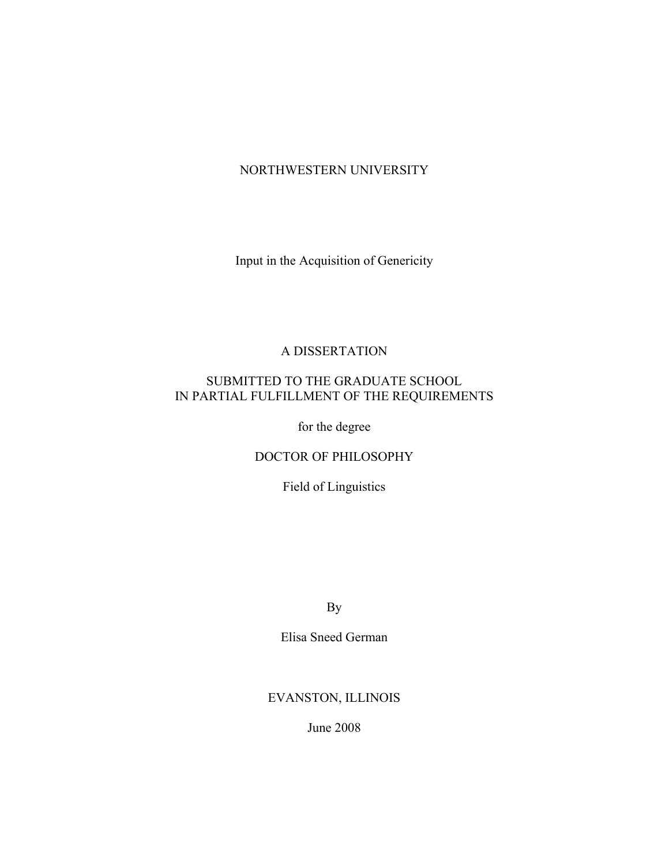# NORTHWESTERN UNIVERSITY

Input in the Acquisition of Genericity

# A DISSERTATION

# SUBMITTED TO THE GRADUATE SCHOOL IN PARTIAL FULFILLMENT OF THE REQUIREMENTS

for the degree

## DOCTOR OF PHILOSOPHY

Field of Linguistics

By

Elisa Sneed German

# EVANSTON, ILLINOIS

June 2008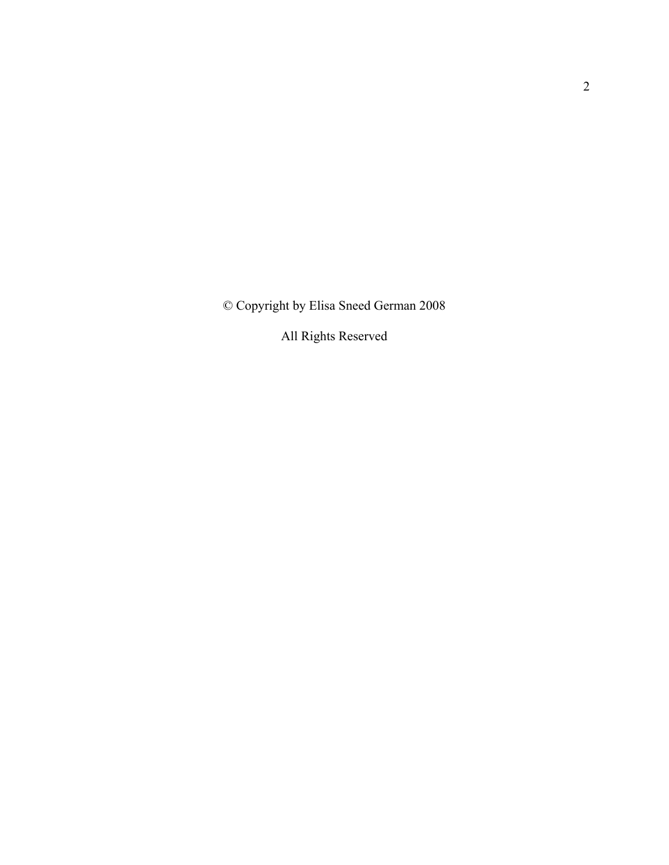© Copyright by Elisa Sneed German 2008

All Rights Reserved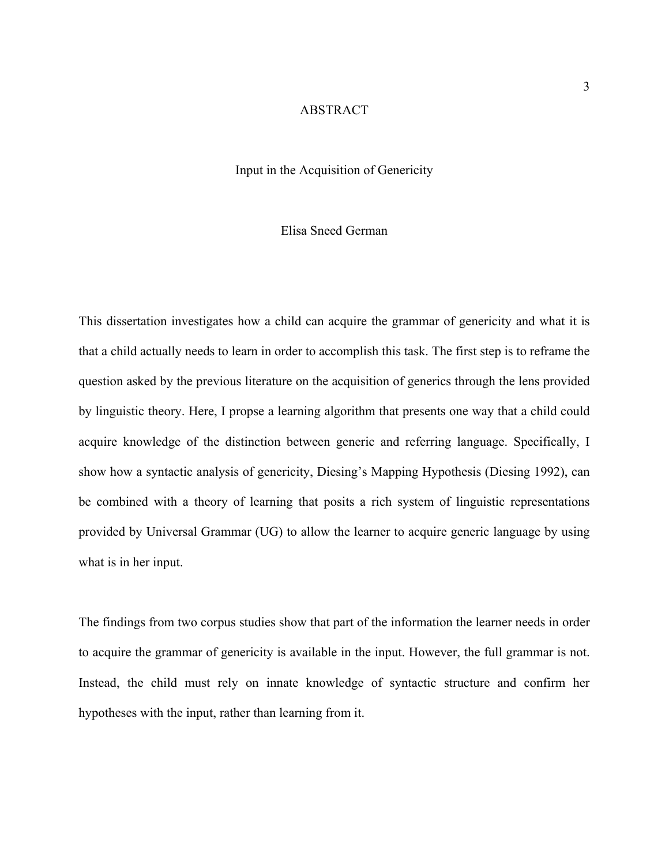#### ABSTRACT

## Input in the Acquisition of Genericity

## Elisa Sneed German

This dissertation investigates how a child can acquire the grammar of genericity and what it is that a child actually needs to learn in order to accomplish this task. The first step is to reframe the question asked by the previous literature on the acquisition of generics through the lens provided by linguistic theory. Here, I propse a learning algorithm that presents one way that a child could acquire knowledge of the distinction between generic and referring language. Specifically, I show how a syntactic analysis of genericity, Diesing's Mapping Hypothesis (Diesing 1992), can be combined with a theory of learning that posits a rich system of linguistic representations provided by Universal Grammar (UG) to allow the learner to acquire generic language by using what is in her input.

The findings from two corpus studies show that part of the information the learner needs in order to acquire the grammar of genericity is available in the input. However, the full grammar is not. Instead, the child must rely on innate knowledge of syntactic structure and confirm her hypotheses with the input, rather than learning from it.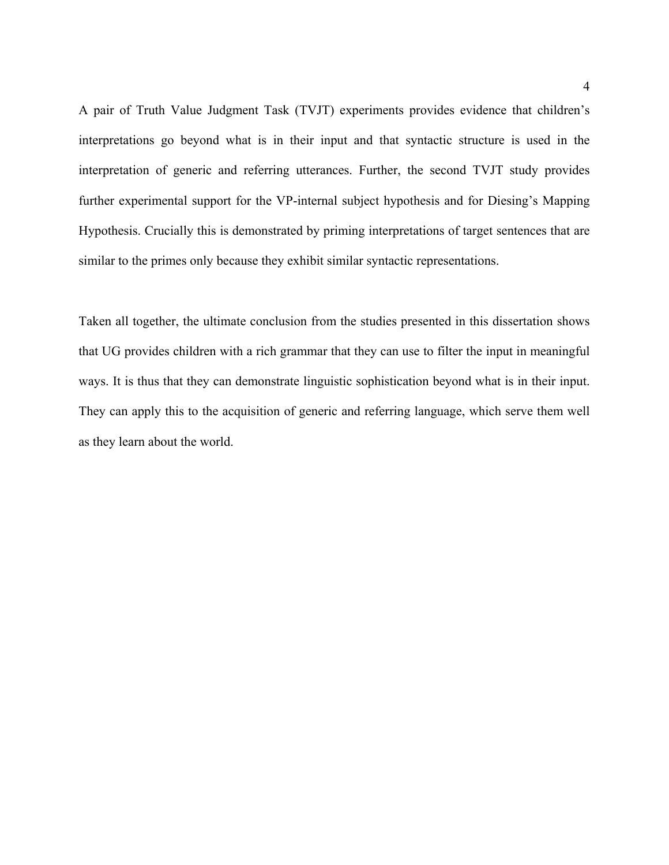A pair of Truth Value Judgment Task (TVJT) experiments provides evidence that children's interpretations go beyond what is in their input and that syntactic structure is used in the interpretation of generic and referring utterances. Further, the second TVJT study provides further experimental support for the VP-internal subject hypothesis and for Diesing's Mapping Hypothesis. Crucially this is demonstrated by priming interpretations of target sentences that are similar to the primes only because they exhibit similar syntactic representations.

Taken all together, the ultimate conclusion from the studies presented in this dissertation shows that UG provides children with a rich grammar that they can use to filter the input in meaningful ways. It is thus that they can demonstrate linguistic sophistication beyond what is in their input. They can apply this to the acquisition of generic and referring language, which serve them well as they learn about the world.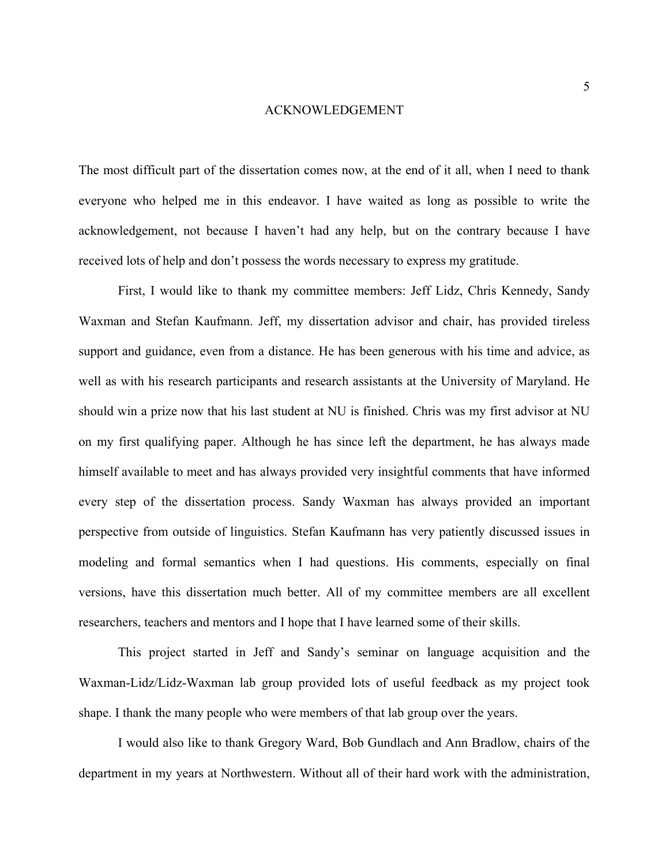#### ACKNOWLEDGEMENT

The most difficult part of the dissertation comes now, at the end of it all, when I need to thank everyone who helped me in this endeavor. I have waited as long as possible to write the acknowledgement, not because I haven't had any help, but on the contrary because I have received lots of help and don't possess the words necessary to express my gratitude.

First, I would like to thank my committee members: Jeff Lidz, Chris Kennedy, Sandy Waxman and Stefan Kaufmann. Jeff, my dissertation advisor and chair, has provided tireless support and guidance, even from a distance. He has been generous with his time and advice, as well as with his research participants and research assistants at the University of Maryland. He should win a prize now that his last student at NU is finished. Chris was my first advisor at NU on my first qualifying paper. Although he has since left the department, he has always made himself available to meet and has always provided very insightful comments that have informed every step of the dissertation process. Sandy Waxman has always provided an important perspective from outside of linguistics. Stefan Kaufmann has very patiently discussed issues in modeling and formal semantics when I had questions. His comments, especially on final versions, have this dissertation much better. All of my committee members are all excellent researchers, teachers and mentors and I hope that I have learned some of their skills.

This project started in Jeff and Sandy's seminar on language acquisition and the Waxman-Lidz/Lidz-Waxman lab group provided lots of useful feedback as my project took shape. I thank the many people who were members of that lab group over the years.

I would also like to thank Gregory Ward, Bob Gundlach and Ann Bradlow, chairs of the department in my years at Northwestern. Without all of their hard work with the administration,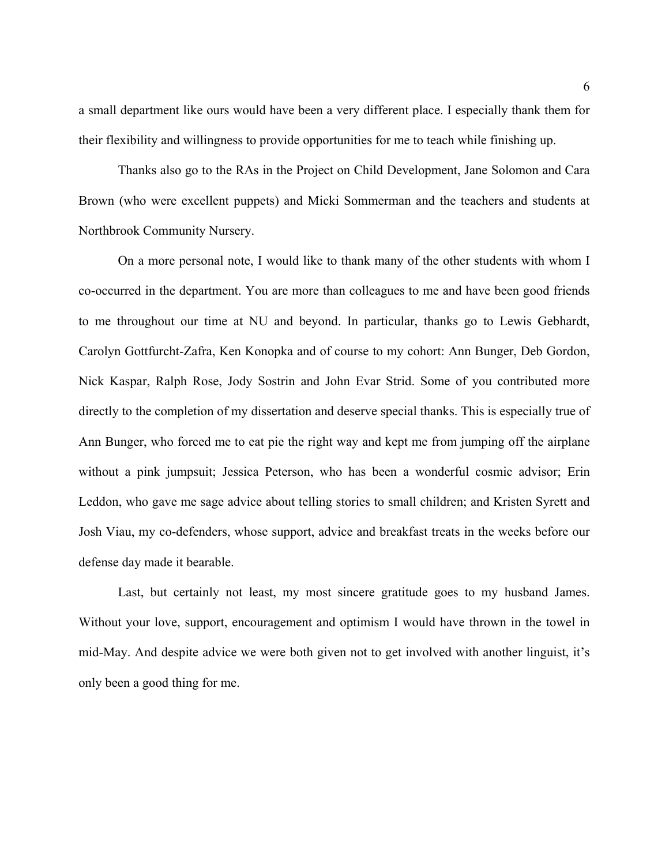a small department like ours would have been a very different place. I especially thank them for their flexibility and willingness to provide opportunities for me to teach while finishing up.

Thanks also go to the RAs in the Project on Child Development, Jane Solomon and Cara Brown (who were excellent puppets) and Micki Sommerman and the teachers and students at Northbrook Community Nursery.

On a more personal note, I would like to thank many of the other students with whom I co-occurred in the department. You are more than colleagues to me and have been good friends to me throughout our time at NU and beyond. In particular, thanks go to Lewis Gebhardt, Carolyn Gottfurcht-Zafra, Ken Konopka and of course to my cohort: Ann Bunger, Deb Gordon, Nick Kaspar, Ralph Rose, Jody Sostrin and John Evar Strid. Some of you contributed more directly to the completion of my dissertation and deserve special thanks. This is especially true of Ann Bunger, who forced me to eat pie the right way and kept me from jumping off the airplane without a pink jumpsuit; Jessica Peterson, who has been a wonderful cosmic advisor; Erin Leddon, who gave me sage advice about telling stories to small children; and Kristen Syrett and Josh Viau, my co-defenders, whose support, advice and breakfast treats in the weeks before our defense day made it bearable.

Last, but certainly not least, my most sincere gratitude goes to my husband James. Without your love, support, encouragement and optimism I would have thrown in the towel in mid-May. And despite advice we were both given not to get involved with another linguist, it's only been a good thing for me.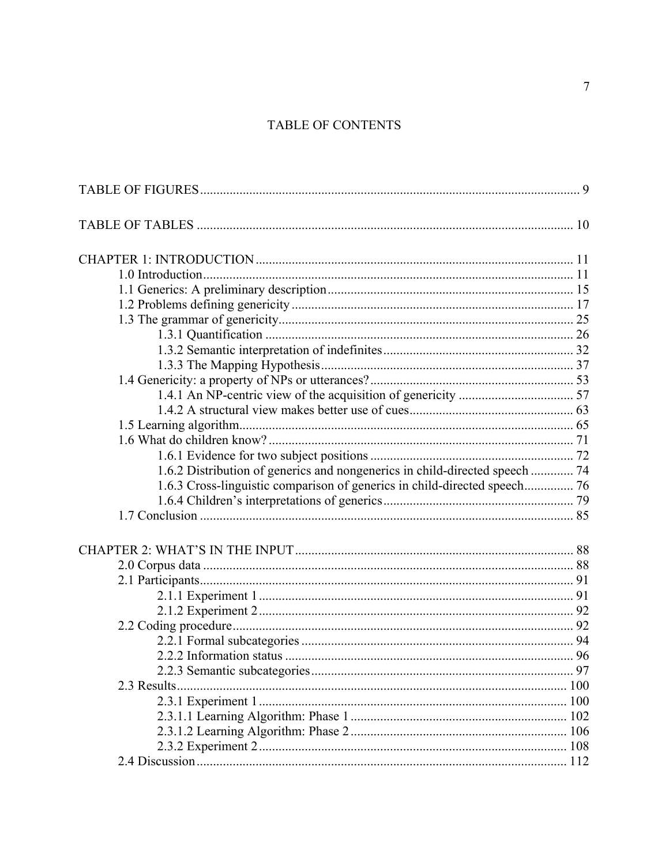# TABLE OF CONTENTS

| 1.6.2 Distribution of generics and nongenerics in child-directed speech  74 |  |
|-----------------------------------------------------------------------------|--|
| 1.6.3 Cross-linguistic comparison of generics in child-directed speech 76   |  |
|                                                                             |  |
|                                                                             |  |
|                                                                             |  |
|                                                                             |  |
|                                                                             |  |
|                                                                             |  |
|                                                                             |  |
|                                                                             |  |
|                                                                             |  |
|                                                                             |  |
|                                                                             |  |
| 2.3 Results                                                                 |  |
|                                                                             |  |
|                                                                             |  |
|                                                                             |  |
|                                                                             |  |
|                                                                             |  |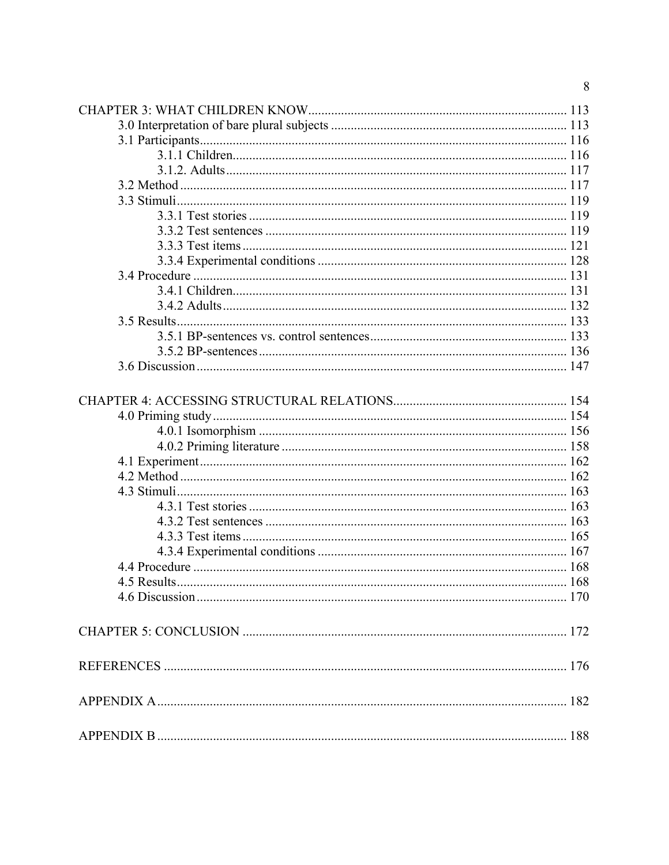| 8 |
|---|
|   |
|   |
|   |
|   |
|   |
|   |
|   |
|   |
|   |
|   |
|   |
|   |
|   |
|   |
|   |
|   |
|   |
|   |
|   |
|   |
|   |
|   |
|   |
|   |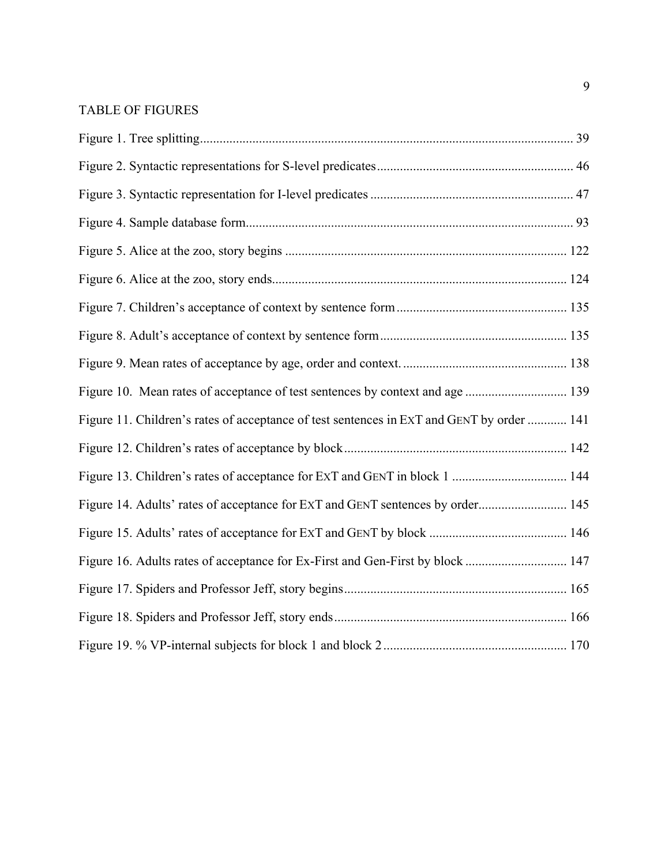# <span id="page-8-0"></span>TABLE OF FIGURES

| Figure 11. Children's rates of acceptance of test sentences in ExT and GENT by order  141 |  |
|-------------------------------------------------------------------------------------------|--|
|                                                                                           |  |
|                                                                                           |  |
| Figure 14. Adults' rates of acceptance for ExT and GENT sentences by order 145            |  |
|                                                                                           |  |
| Figure 16. Adults rates of acceptance for Ex-First and Gen-First by block  147            |  |
|                                                                                           |  |
|                                                                                           |  |
|                                                                                           |  |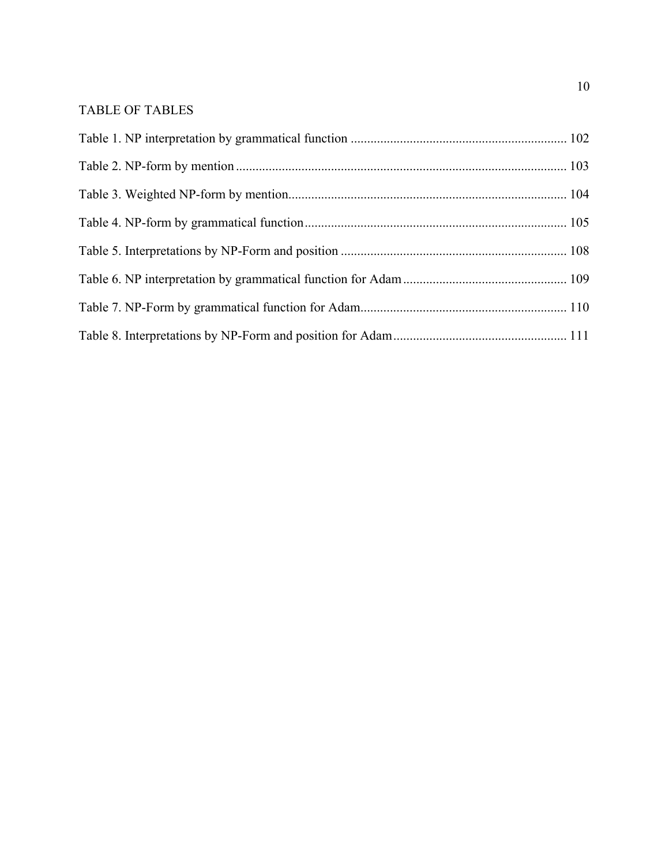# <span id="page-9-0"></span>TABLE OF TABLES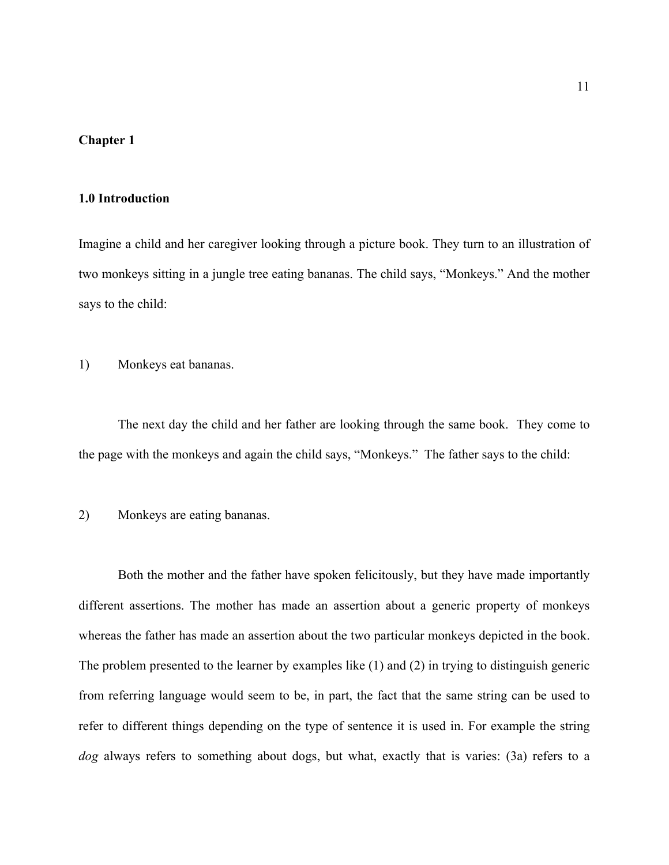## <span id="page-10-0"></span>**Chapter 1:**

## **1.0 Introduction**

Imagine a child and her caregiver looking through a picture book. They turn to an illustration of two monkeys sitting in a jungle tree eating bananas. The child says, "Monkeys." And the mother says to the child:

<span id="page-10-1"></span>1) Monkeys eat bananas.

The next day the child and her father are looking through the same book. They come to the page with the monkeys and again the child says, "Monkeys." The father says to the child:

## <span id="page-10-2"></span>2) Monkeys are eating bananas.

Both the mother and the father have spoken felicitously, but they have made importantly different assertions. The mother has made an assertion about a generic property of monkeys whereas the father has made an assertion about the two particular monkeys depicted in the book. The problem presented to the learner by examples like [\(1](#page-10-1)) and [\(2](#page-10-2)) in trying to distinguish generic from referring language would seem to be, in part, the fact that the same string can be used to refer to different things depending on the type of sentence it is used in. For example the string *dog* always refers to something about dogs, but what, exactly that is varies: [\(3](#page-11-0)a) refers to a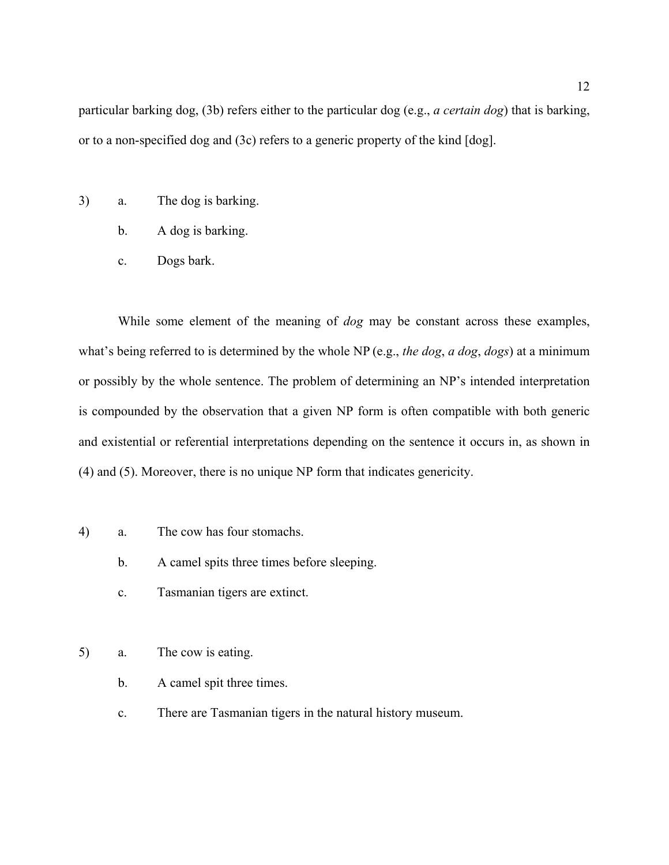particular barking dog, [\(3](#page-11-0)b) refers either to the particular dog (e.g., *a certain dog*) that is barking, or to a non-specified dog and [\(3](#page-11-0)c) refers to a generic property of the kind [dog].

- <span id="page-11-0"></span>3) a. The dog is barking.
	- b. A dog is barking.
	- c. Dogs bark.

While some element of the meaning of *dog* may be constant across these examples, what's being referred to is determined by the whole NP (e.g., *the dog*, *a dog*, *dogs*) at a minimum or possibly by the whole sentence. The problem of determining an NP's intended interpretation is compounded by the observation that a given NP form is often compatible with both generic and existential or referential interpretations depending on the sentence it occurs in, as shown in ([4](#page-11-1)) and [\(5](#page-11-2)). Moreover, there is no unique NP form that indicates genericity.

- <span id="page-11-1"></span>4) a. The cow has four stomachs.
	- b. A camel spits three times before sleeping.
	- c. Tasmanian tigers are extinct.
- <span id="page-11-2"></span>5) a. The cow is eating.
	- b. A camel spit three times.
	- c. There are Tasmanian tigers in the natural history museum.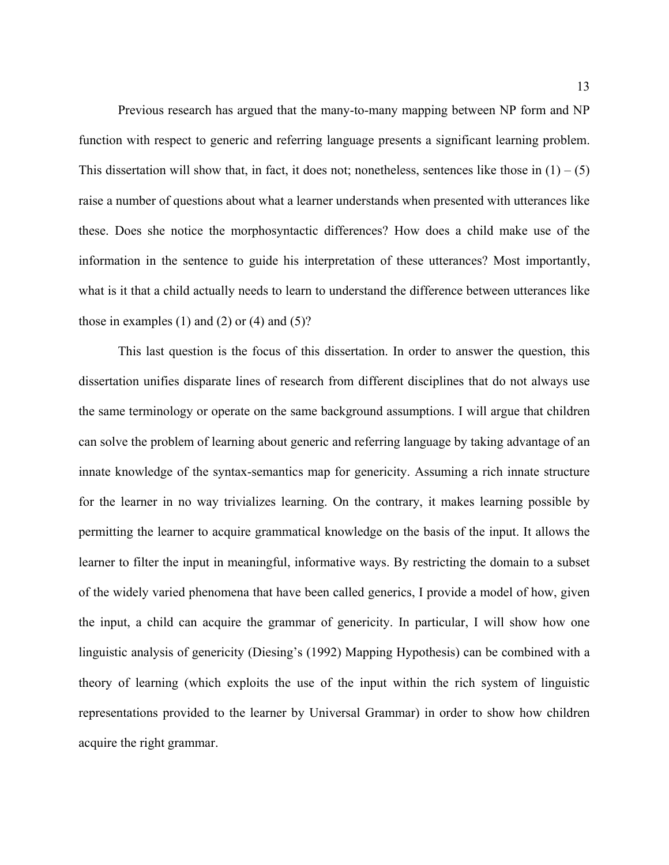Previous research has argued that the many-to-many mapping between NP form and NP function with respect to generic and referring language presents a significant learning problem. This dissertation will show that, in fact, it does not; nonetheless, sentences like those in  $(1) - (5)$  $(1) - (5)$  $(1) - (5)$ raise a number of questions about what a learner understands when presented with utterances like these. Does she notice the morphosyntactic differences? How does a child make use of the information in the sentence to guide his interpretation of these utterances? Most importantly, what is it that a child actually needs to learn to understand the difference between utterances like those in examples  $(1)$  $(1)$  and  $(2)$  $(2)$  or  $(4)$  $(4)$  and  $(5)$  $(5)$ ?

This last question is the focus of this dissertation. In order to answer the question, this dissertation unifies disparate lines of research from different disciplines that do not always use the same terminology or operate on the same background assumptions. I will argue that children can solve the problem of learning about generic and referring language by taking advantage of an innate knowledge of the syntax-semantics map for genericity. Assuming a rich innate structure for the learner in no way trivializes learning. On the contrary, it makes learning possible by permitting the learner to acquire grammatical knowledge on the basis of the input. It allows the learner to filter the input in meaningful, informative ways. By restricting the domain to a subset of the widely varied phenomena that have been called generics, I provide a model of how, given the input, a child can acquire the grammar of genericity. In particular, I will show how one linguistic analysis of genericity (Diesing's (1992) Mapping Hypothesis) can be combined with a theory of learning (which exploits the use of the input within the rich system of linguistic representations provided to the learner by Universal Grammar) in order to show how children acquire the right grammar.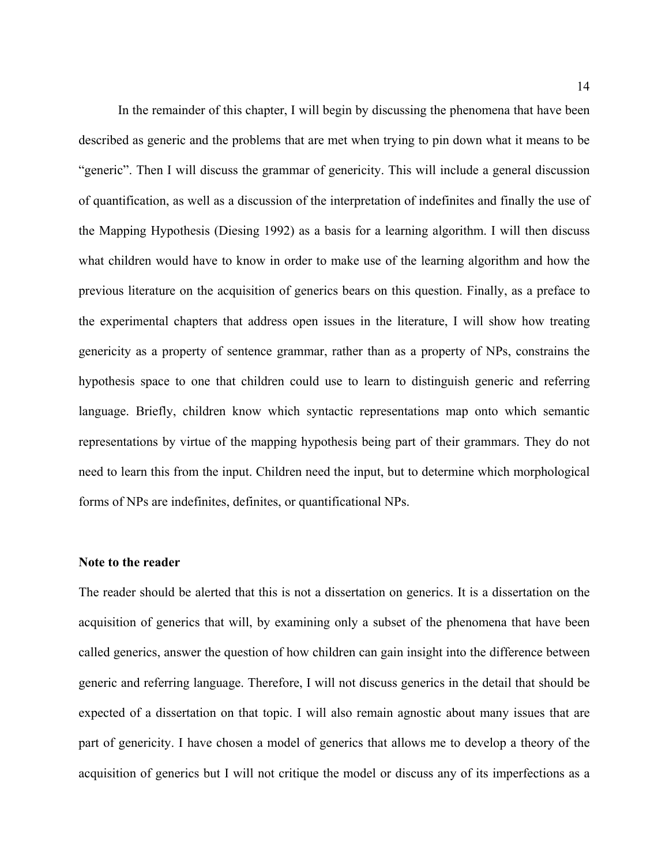In the remainder of this chapter, I will begin by discussing the phenomena that have been described as generic and the problems that are met when trying to pin down what it means to be "generic". Then I will discuss the grammar of genericity. This will include a general discussion of quantification, as well as a discussion of the interpretation of indefinites and finally the use of the Mapping Hypothesis (Diesing 1992) as a basis for a learning algorithm. I will then discuss what children would have to know in order to make use of the learning algorithm and how the previous literature on the acquisition of generics bears on this question. Finally, as a preface to the experimental chapters that address open issues in the literature, I will show how treating genericity as a property of sentence grammar, rather than as a property of NPs, constrains the hypothesis space to one that children could use to learn to distinguish generic and referring language. Briefly, children know which syntactic representations map onto which semantic representations by virtue of the mapping hypothesis being part of their grammars. They do not need to learn this from the input. Children need the input, but to determine which morphological forms of NPs are indefinites, definites, or quantificational NPs.

#### **Note to the reader**

The reader should be alerted that this is not a dissertation on generics. It is a dissertation on the acquisition of generics that will, by examining only a subset of the phenomena that have been called generics, answer the question of how children can gain insight into the difference between generic and referring language. Therefore, I will not discuss generics in the detail that should be expected of a dissertation on that topic. I will also remain agnostic about many issues that are part of genericity. I have chosen a model of generics that allows me to develop a theory of the acquisition of generics but I will not critique the model or discuss any of its imperfections as a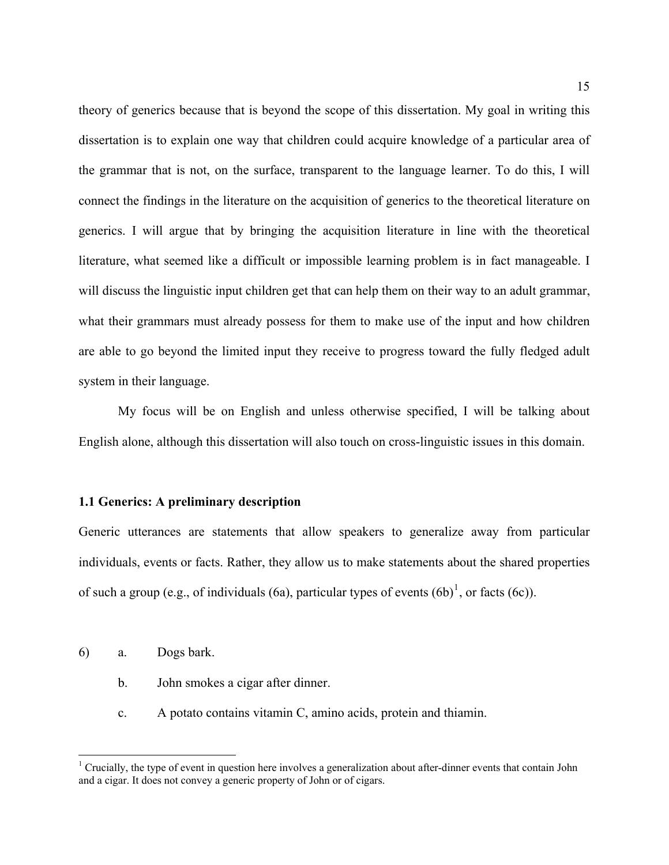<span id="page-14-0"></span>theory of generics because that is beyond the scope of this dissertation. My goal in writing this dissertation is to explain one way that children could acquire knowledge of a particular area of the grammar that is not, on the surface, transparent to the language learner. To do this, I will connect the findings in the literature on the acquisition of generics to the theoretical literature on generics. I will argue that by bringing the acquisition literature in line with the theoretical literature, what seemed like a difficult or impossible learning problem is in fact manageable. I will discuss the linguistic input children get that can help them on their way to an adult grammar, what their grammars must already possess for them to make use of the input and how children are able to go beyond the limited input they receive to progress toward the fully fledged adult system in their language.

My focus will be on English and unless otherwise specified, I will be talking about English alone, although this dissertation will also touch on cross-linguistic issues in this domain.

## **1.1 Generics: A preliminary description**

Generic utterances are statements that allow speakers to generalize away from particular individuals, events or facts. Rather, they allow us to make statements about the shared properties of such a group (e.g., of individuals [\(6a](#page-14-2)), particular types of events  $(6b)^1$  $(6b)^1$  $(6b)^1$ , or facts ([6c](#page-14-2))).

- <span id="page-14-2"></span>6) a. Dogs bark.
	- b. John smokes a cigar after dinner.
	- c. A potato contains vitamin C, amino acids, protein and thiamin.

<span id="page-14-1"></span><sup>&</sup>lt;sup>1</sup> Crucially, the type of event in question here involves a generalization about after-dinner events that contain John and a cigar. It does not convey a generic property of John or of cigars.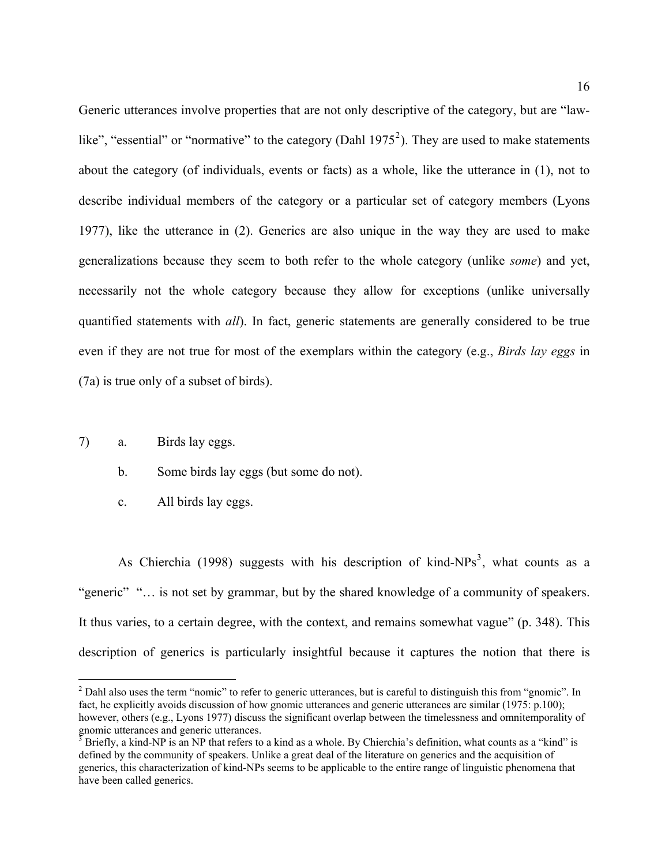Generic utterances involve properties that are not only descriptive of the category, but are "law-like", "essential" or "normative" to the category (Dahl 1975<sup>[2](#page-15-0)</sup>). They are used to make statements about the category (of individuals, events or facts) as a whole, like the utterance in ([1\)](#page-10-1), not to describe individual members of the category or a particular set of category members (Lyons 1977), like the utterance in ([2\)](#page-10-2). Generics are also unique in the way they are used to make generalizations because they seem to both refer to the whole category (unlike *some*) and yet, necessarily not the whole category because they allow for exceptions (unlike universally quantified statements with *all*). In fact, generic statements are generally considered to be true even if they are not true for most of the exemplars within the category (e.g., *Birds lay eggs* in ([7](#page-15-1)a) is true only of a subset of birds).

<span id="page-15-1"></span>7) a. Birds lay eggs.

 $\overline{a}$ 

- b. Some birds lay eggs (but some do not).
- c. All birds lay eggs.

As Chierchia (1998) suggests with his description of kind- $NPs<sup>3</sup>$  $NPs<sup>3</sup>$  $NPs<sup>3</sup>$ , what counts as a "generic" "... is not set by grammar, but by the shared knowledge of a community of speakers. It thus varies, to a certain degree, with the context, and remains somewhat vague" (p. 348). This description of generics is particularly insightful because it captures the notion that there is

<span id="page-15-0"></span> $2$  Dahl also uses the term "nomic" to refer to generic utterances, but is careful to distinguish this from "gnomic". In fact, he explicitly avoids discussion of how gnomic utterances and generic utterances are similar (1975: p.100); however, others (e.g., Lyons 1977) discuss the significant overlap between the timelessness and omnitemporality of gnomic utterances and generic utterances.

<span id="page-15-2"></span> $3$  Briefly, a kind-NP is an NP that refers to a kind as a whole. By Chierchia's definition, what counts as a "kind" is defined by the community of speakers. Unlike a great deal of the literature on generics and the acquisition of generics, this characterization of kind-NPs seems to be applicable to the entire range of linguistic phenomena that have been called generics.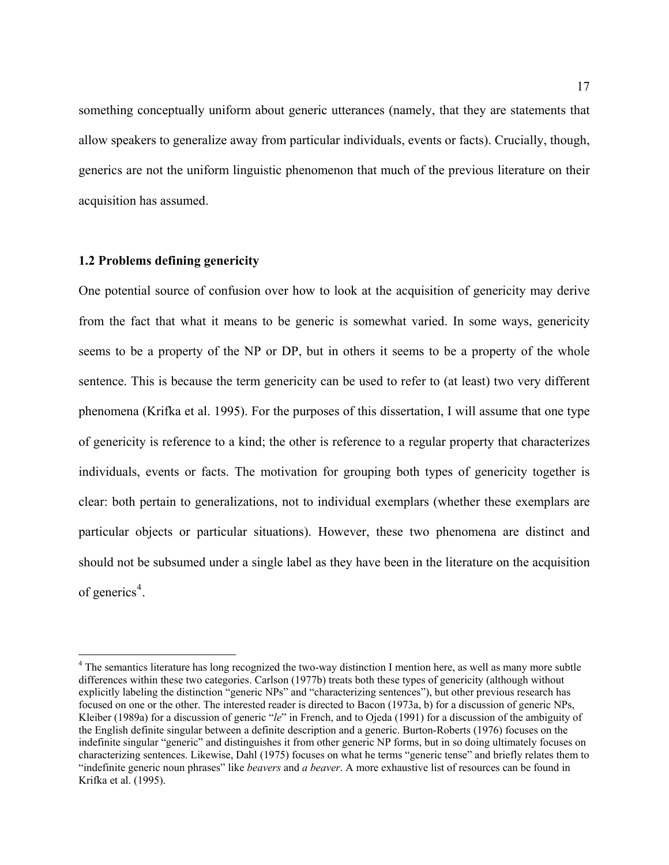<span id="page-16-0"></span>something conceptually uniform about generic utterances (namely, that they are statements that allow speakers to generalize away from particular individuals, events or facts). Crucially, though, generics are not the uniform linguistic phenomenon that much of the previous literature on their acquisition has assumed.

## **1.2 Problems defining genericity**

 $\overline{a}$ 

One potential source of confusion over how to look at the acquisition of genericity may derive from the fact that what it means to be generic is somewhat varied. In some ways, genericity seems to be a property of the NP or DP, but in others it seems to be a property of the whole sentence. This is because the term genericity can be used to refer to (at least) two very different phenomena (Krifka et al. 1995). For the purposes of this dissertation, I will assume that one type of genericity is reference to a kind; the other is reference to a regular property that characterizes individuals, events or facts. The motivation for grouping both types of genericity together is clear: both pertain to generalizations, not to individual exemplars (whether these exemplars are particular objects or particular situations). However, these two phenomena are distinct and should not be subsumed under a single label as they have been in the literature on the acquisition of generics<sup>[4](#page-16-1)</sup>.

<span id="page-16-1"></span><sup>&</sup>lt;sup>4</sup> The semantics literature has long recognized the two-way distinction I mention here, as well as many more subtle differences within these two categories. Carlson (1977b) treats both these types of genericity (although without explicitly labeling the distinction "generic NPs" and "characterizing sentences"), but other previous research has focused on one or the other. The interested reader is directed to Bacon (1973a, b) for a discussion of generic NPs, Kleiber (1989a) for a discussion of generic "*le*" in French, and to Ojeda (1991) for a discussion of the ambiguity of the English definite singular between a definite description and a generic. Burton-Roberts (1976) focuses on the indefinite singular "generic" and distinguishes it from other generic NP forms, but in so doing ultimately focuses on characterizing sentences. Likewise, Dahl (1975) focuses on what he terms "generic tense" and briefly relates them to "indefinite generic noun phrases" like *beavers* and *a beaver*. A more exhaustive list of resources can be found in Krifka et al. (1995).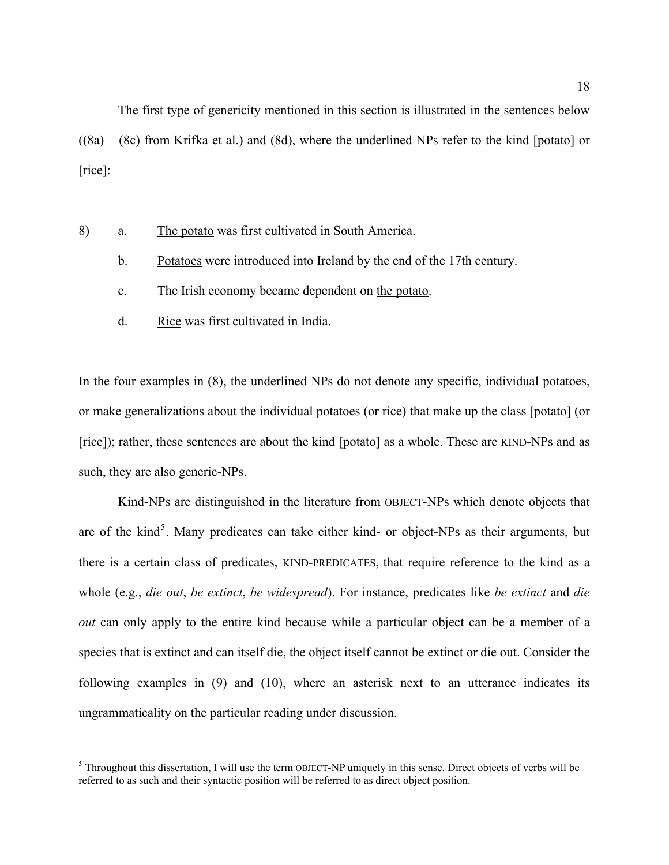The first type of genericity mentioned in this section is illustrated in the sentences below  $((8a) - (8c)$  $((8a) - (8c)$  $((8a) - (8c)$  $((8a) - (8c)$  $((8a) - (8c)$  from Krifka et al.) and  $(8d)$  $(8d)$  $(8d)$ , where the underlined NPs refer to the kind [potato] or [rice]:

- <span id="page-17-0"></span>8) a. The potato was first cultivated in South America.
	- b. Potatoes were introduced into Ireland by the end of the 17th century.
	- c. The Irish economy became dependent on the potato.
	- d. Rice was first cultivated in India.

In the four examples in [\(8](#page-17-0)), the underlined NPs do not denote any specific, individual potatoes, or make generalizations about the individual potatoes (or rice) that make up the class [potato] (or [rice]); rather, these sentences are about the kind [potato] as a whole. These are KIND-NPs and as such, they are also generic-NPs.

Kind-NPs are distinguished in the literature from OBJECT-NPs which denote objects that are of the kind<sup>[5](#page-17-1)</sup>. Many predicates can take either kind- or object-NPs as their arguments, but there is a certain class of predicates, KIND-PREDICATES, that require reference to the kind as a whole (e.g., *die out*, *be extinct*, *be widespread*). For instance, predicates like *be extinct* and *die out* can only apply to the entire kind because while a particular object can be a member of a species that is extinct and can itself die, the object itself cannot be extinct or die out. Consider the following examples in ([9\)](#page-18-0) and ([10\)](#page-18-1), where an asterisk next to an utterance indicates its ungrammaticality on the particular reading under discussion.

<span id="page-17-1"></span><sup>&</sup>lt;sup>5</sup> Throughout this dissertation, I will use the term OBJECT-NP uniquely in this sense. Direct objects of verbs will be referred to as such and their syntactic position will be referred to as direct object position.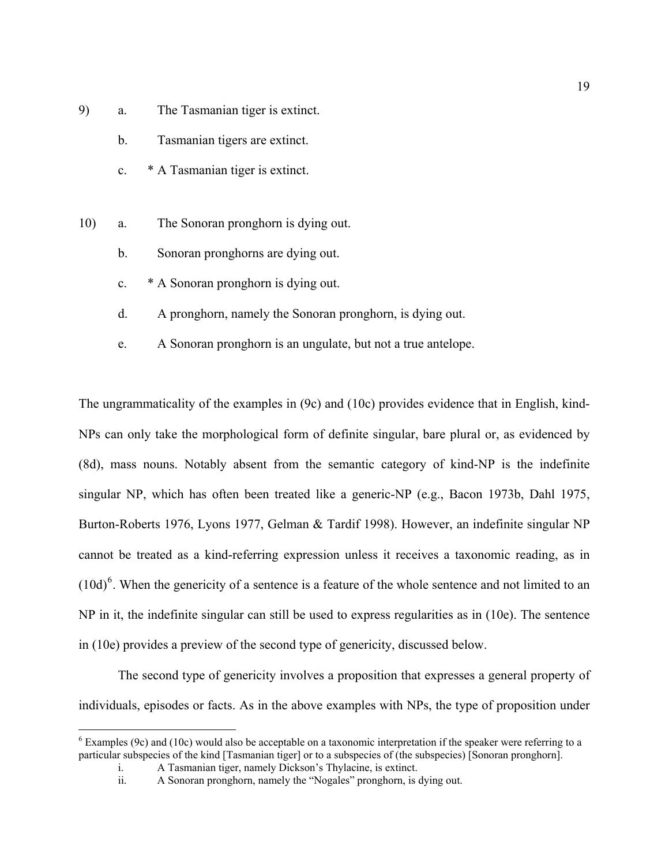- <span id="page-18-0"></span>9) a. The Tasmanian tiger is extinct.
	- b. Tasmanian tigers are extinct.
	- c. \* A Tasmanian tiger is extinct.
- <span id="page-18-1"></span>10) a. The Sonoran pronghorn is dying out.
	- b. Sonoran pronghorns are dying out.
	- c. \* A Sonoran pronghorn is dying out.
	- d. A pronghorn, namely the Sonoran pronghorn, is dying out.
	- e. A Sonoran pronghorn is an ungulate, but not a true antelope.

The ungrammaticality of the examples in ([9c](#page-18-0)) and [\(10](#page-18-1)c) provides evidence that in English, kind-NPs can only take the morphological form of definite singular, bare plural or, as evidenced by ([8](#page-17-0)d), mass nouns. Notably absent from the semantic category of kind-NP is the indefinite singular NP, which has often been treated like a generic-NP (e.g., Bacon 1973b, Dahl 1975, Burton-Roberts 1976, Lyons 1977, Gelman & Tardif 1998). However, an indefinite singular NP cannot be treated as a kind-referring expression unless it receives a taxonomic reading, as in  $(10d)$  $(10d)$  $(10d)$ <sup>[6](#page-18-2)</sup>. When the genericity of a sentence is a feature of the whole sentence and not limited to an NP in it, the indefinite singular can still be used to express regularities as in ([10e](#page-18-1)). The sentence in [\(10](#page-18-1)e) provides a preview of the second type of genericity, discussed below.

 The second type of genericity involves a proposition that expresses a general property of individuals, episodes or facts. As in the above examples with NPs, the type of proposition under

<span id="page-18-2"></span> 6 Examples (9c) and (10c) would also be acceptable on a taxonomic interpretation if the speaker were referring to a particular subspecies of the kind [Tasmanian tiger] or to a subspecies of (the subspecies) [Sonoran pronghorn].

i. A Tasmanian tiger, namely Dickson's Thylacine, is extinct.

ii. A Sonoran pronghorn, namely the "Nogales" pronghorn, is dying out.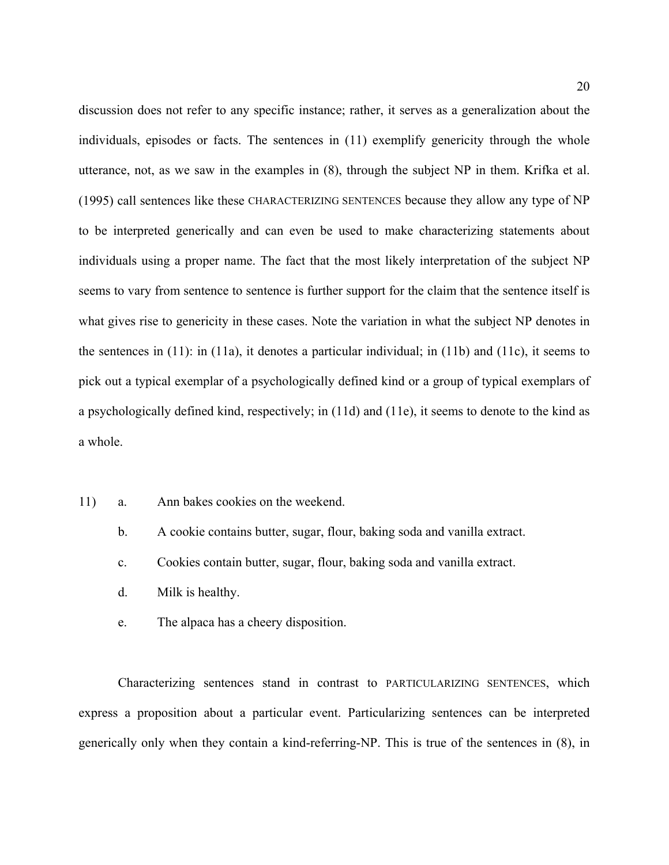discussion does not refer to any specific instance; rather, it serves as a generalization about the individuals, episodes or facts. The sentences in ([11\)](#page-19-0) exemplify genericity through the whole utterance, not, as we saw in the examples in [\(8](#page-17-0)), through the subject NP in them. Krifka et al. (1995) call sentences like these CHARACTERIZING SENTENCES because they allow any type of NP to be interpreted generically and can even be used to make characterizing statements about individuals using a proper name. The fact that the most likely interpretation of the subject NP seems to vary from sentence to sentence is further support for the claim that the sentence itself is what gives rise to genericity in these cases. Note the variation in what the subject NP denotes in the sentences in [\(11](#page-19-0)): in [\(11](#page-19-0)a), it denotes a particular individual; in [\(11](#page-19-0)b) and [\(11](#page-19-0)c), it seems to pick out a typical exemplar of a psychologically defined kind or a group of typical exemplars of a psychologically defined kind, respectively; in ([11d](#page-19-0)) and [\(11](#page-19-0)e), it seems to denote to the kind as a whole.

- <span id="page-19-0"></span>11) a. Ann bakes cookies on the weekend.
	- b. A cookie contains butter, sugar, flour, baking soda and vanilla extract.
	- c. Cookies contain butter, sugar, flour, baking soda and vanilla extract.
	- d. Milk is healthy.
	- e. The alpaca has a cheery disposition.

Characterizing sentences stand in contrast to PARTICULARIZING SENTENCES, which express a proposition about a particular event. Particularizing sentences can be interpreted generically only when they contain a kind-referring-NP. This is true of the sentences in [\(8](#page-17-0)), in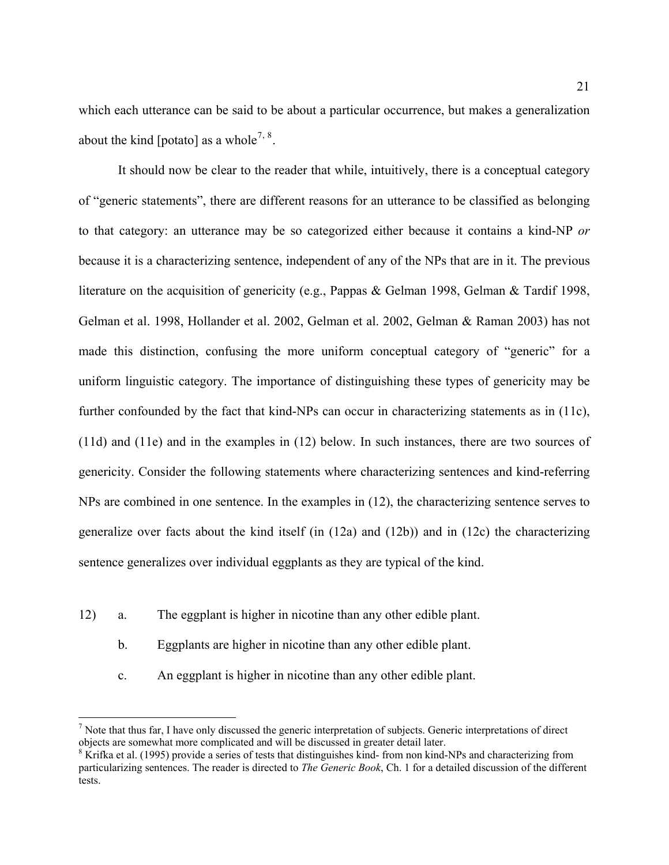which each utterance can be said to be about a particular occurrence, but makes a generalization about the kind [potato] as a whole<sup>[7](#page-20-0), [8](#page-20-1)</sup>.

It should now be clear to the reader that while, intuitively, there is a conceptual category of "generic statements", there are different reasons for an utterance to be classified as belonging to that category: an utterance may be so categorized either because it contains a kind-NP *or* because it is a characterizing sentence, independent of any of the NPs that are in it. The previous literature on the acquisition of genericity (e.g., Pappas & Gelman 1998, Gelman & Tardif 1998, Gelman et al. 1998, Hollander et al. 2002, Gelman et al. 2002, Gelman & Raman 2003) has not made this distinction, confusing the more uniform conceptual category of "generic" for a uniform linguistic category. The importance of distinguishing these types of genericity may be further confounded by the fact that kind-NPs can occur in characterizing statements as in ([11c](#page-19-0)), ([11](#page-19-0)d) and ([11e](#page-19-0)) and in the examples in [\(12](#page-20-2)) below. In such instances, there are two sources of genericity. Consider the following statements where characterizing sentences and kind-referring NPs are combined in one sentence. In the examples in [\(12](#page-20-2)), the characterizing sentence serves to generalize over facts about the kind itself (in [\(12](#page-20-2)a) and ([12b](#page-20-2))) and in [\(12](#page-20-2)c) the characterizing sentence generalizes over individual eggplants as they are typical of the kind.

<span id="page-20-2"></span>12) a. The eggplant is higher in nicotine than any other edible plant.

1

- b. Eggplants are higher in nicotine than any other edible plant.
- c. An eggplant is higher in nicotine than any other edible plant.

<span id="page-20-0"></span> $<sup>7</sup>$  Note that thus far, I have only discussed the generic interpretation of subjects. Generic interpretations of direct</sup> objects are somewhat more complicated and will be discussed in greater detail later.

<span id="page-20-1"></span> $8$  Krifka et al. (1995) provide a series of tests that distinguishes kind-from non kind-NPs and characterizing from particularizing sentences. The reader is directed to *The Generic Book*, Ch. 1 for a detailed discussion of the different tests.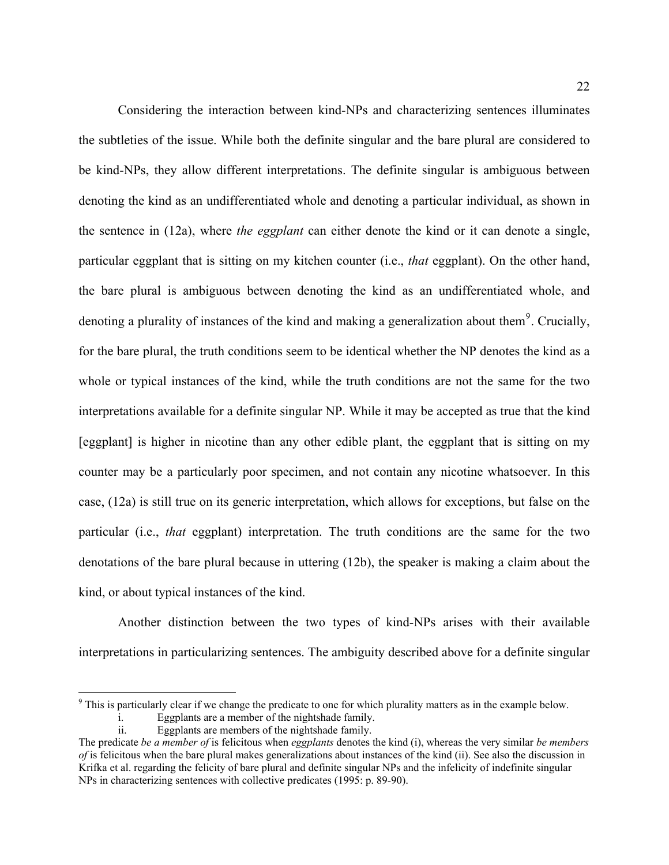Considering the interaction between kind-NPs and characterizing sentences illuminates the subtleties of the issue. While both the definite singular and the bare plural are considered to be kind-NPs, they allow different interpretations. The definite singular is ambiguous between denoting the kind as an undifferentiated whole and denoting a particular individual, as shown in the sentence in [\(12](#page-20-2)a), where *the eggplant* can either denote the kind or it can denote a single, particular eggplant that is sitting on my kitchen counter (i.e., *that* eggplant). On the other hand, the bare plural is ambiguous between denoting the kind as an undifferentiated whole, and denoting a plurality of instances of the kind and making a generalization about them<sup>[9](#page-21-0)</sup>. Crucially, for the bare plural, the truth conditions seem to be identical whether the NP denotes the kind as a whole or typical instances of the kind, while the truth conditions are not the same for the two interpretations available for a definite singular NP. While it may be accepted as true that the kind [eggplant] is higher in nicotine than any other edible plant, the eggplant that is sitting on my counter may be a particularly poor specimen, and not contain any nicotine whatsoever. In this case, [\(12](#page-20-2)a) is still true on its generic interpretation, which allows for exceptions, but false on the particular (i.e., *that* eggplant) interpretation. The truth conditions are the same for the two denotations of the bare plural because in uttering ([12b](#page-20-2)), the speaker is making a claim about the kind, or about typical instances of the kind.

 Another distinction between the two types of kind-NPs arises with their available interpretations in particularizing sentences. The ambiguity described above for a definite singular

 $\overline{a}$ 

<span id="page-21-0"></span> $9$ <sup>9</sup> This is particularly clear if we change the predicate to one for which plurality matters as in the example below. i. Eggplants are a member of the nightshade family.

ii. Eggplants are members of the nightshade family.

The predicate *be a member of* is felicitous when *eggplants* denotes the kind (i), whereas the very similar *be members of* is felicitous when the bare plural makes generalizations about instances of the kind (ii). See also the discussion in Krifka et al. regarding the felicity of bare plural and definite singular NPs and the infelicity of indefinite singular NPs in characterizing sentences with collective predicates (1995: p. 89-90).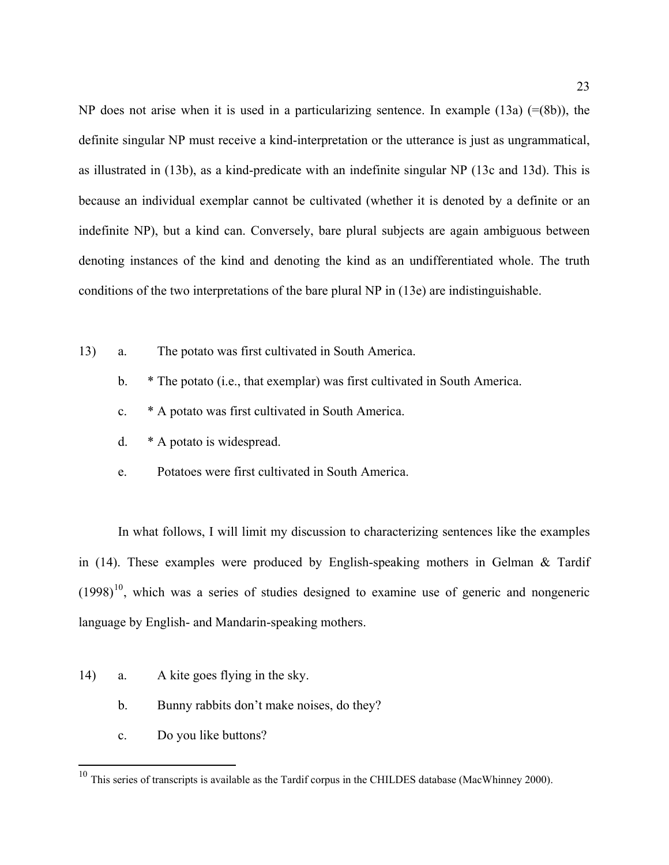NP does not arise when it is used in a particularizing sentence. In example  $(13a)$  $(13a)$  (=([8b](#page-17-0))), the definite singular NP must receive a kind-interpretation or the utterance is just as ungrammatical, as illustrated in ([13b](#page-22-0)), as a kind-predicate with an indefinite singular NP ([13c](#page-22-0) and [13d](#page-22-0)). This is because an individual exemplar cannot be cultivated (whether it is denoted by a definite or an indefinite NP), but a kind can. Conversely, bare plural subjects are again ambiguous between denoting instances of the kind and denoting the kind as an undifferentiated whole. The truth conditions of the two interpretations of the bare plural NP in ([13e](#page-22-0)) are indistinguishable.

- <span id="page-22-0"></span>13) a. The potato was first cultivated in South America.
	- b. \* The potato (i.e., that exemplar) was first cultivated in South America.
	- c. \* A potato was first cultivated in South America.
	- d. \* A potato is widespread.
	- e. Potatoes were first cultivated in South America.

In what follows, I will limit my discussion to characterizing sentences like the examples in [\(14](#page-22-2)). These examples were produced by English-speaking mothers in Gelman & Tardif  $(1998)^{10}$  $(1998)^{10}$  $(1998)^{10}$ , which was a series of studies designed to examine use of generic and nongeneric language by English- and Mandarin-speaking mothers.

- <span id="page-22-2"></span>14) a. A kite goes flying in the sky.
	- b. Bunny rabbits don't make noises, do they?
	- c. Do you like buttons?

 $\overline{a}$ 

<span id="page-22-1"></span> $10$  This series of transcripts is available as the Tardif corpus in the CHILDES database (MacWhinney 2000).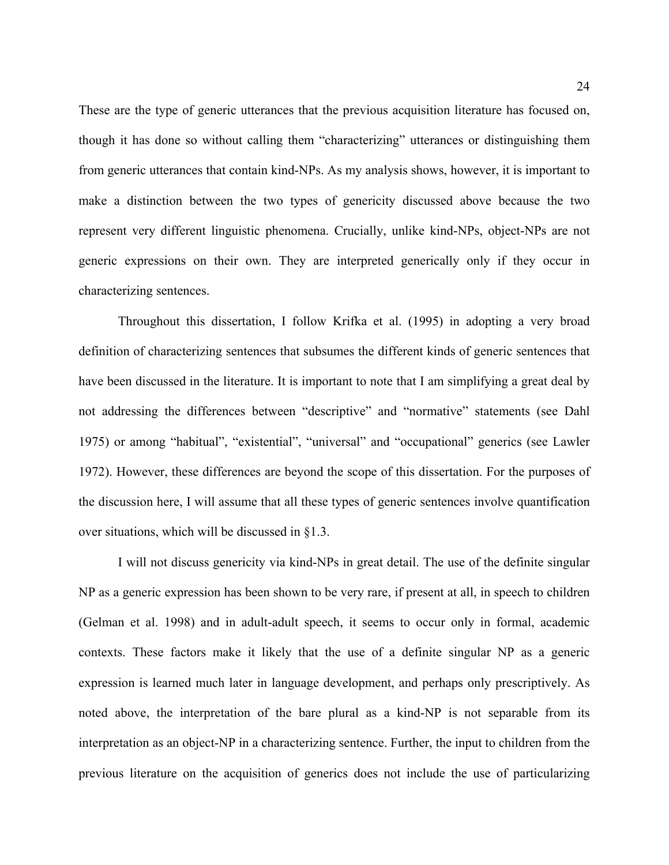These are the type of generic utterances that the previous acquisition literature has focused on, though it has done so without calling them "characterizing" utterances or distinguishing them from generic utterances that contain kind-NPs. As my analysis shows, however, it is important to make a distinction between the two types of genericity discussed above because the two represent very different linguistic phenomena. Crucially, unlike kind-NPs, object-NPs are not generic expressions on their own. They are interpreted generically only if they occur in characterizing sentences.

Throughout this dissertation, I follow Krifka et al. (1995) in adopting a very broad definition of characterizing sentences that subsumes the different kinds of generic sentences that have been discussed in the literature. It is important to note that I am simplifying a great deal by not addressing the differences between "descriptive" and "normative" statements (see Dahl 1975) or among "habitual", "existential", "universal" and "occupational" generics (see Lawler 1972). However, these differences are beyond the scope of this dissertation. For the purposes of the discussion here, I will assume that all these types of generic sentences involve quantification over situations, which will be discussed in §1.3.

 I will not discuss genericity via kind-NPs in great detail. The use of the definite singular NP as a generic expression has been shown to be very rare, if present at all, in speech to children (Gelman et al. 1998) and in adult-adult speech, it seems to occur only in formal, academic contexts. These factors make it likely that the use of a definite singular NP as a generic expression is learned much later in language development, and perhaps only prescriptively. As noted above, the interpretation of the bare plural as a kind-NP is not separable from its interpretation as an object-NP in a characterizing sentence. Further, the input to children from the previous literature on the acquisition of generics does not include the use of particularizing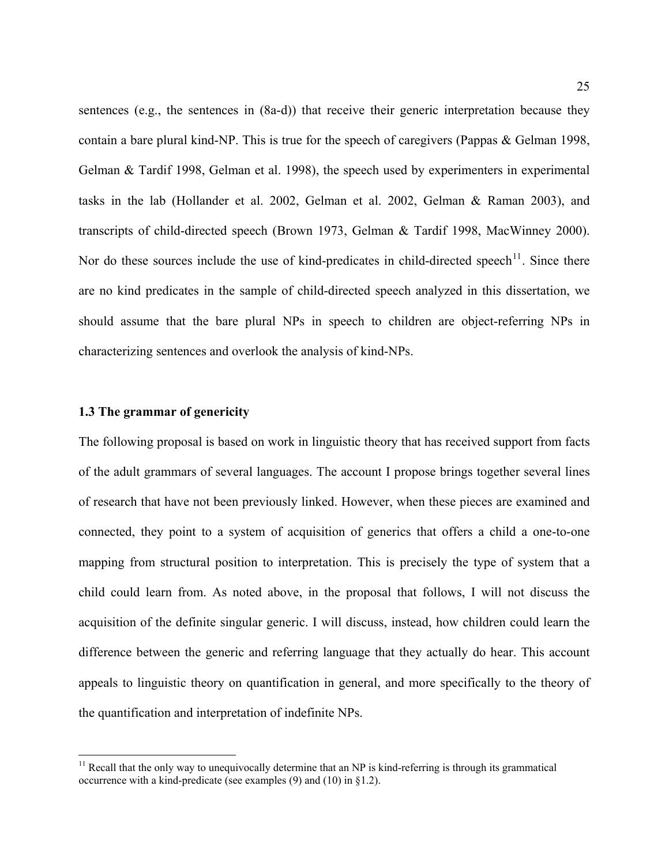<span id="page-24-0"></span>sentences (e.g., the sentences in ([8a](#page-17-0)-d)) that receive their generic interpretation because they contain a bare plural kind-NP. This is true for the speech of caregivers (Pappas & Gelman 1998, Gelman & Tardif 1998, Gelman et al. 1998), the speech used by experimenters in experimental tasks in the lab (Hollander et al. 2002, Gelman et al. 2002, Gelman & Raman 2003), and transcripts of child-directed speech (Brown 1973, Gelman & Tardif 1998, MacWinney 2000). Nor do these sources include the use of kind-predicates in child-directed speech<sup>[11](#page-24-1)</sup>. Since there are no kind predicates in the sample of child-directed speech analyzed in this dissertation, we should assume that the bare plural NPs in speech to children are object-referring NPs in characterizing sentences and overlook the analysis of kind-NPs.

## **1.3 The grammar of genericity**

 $\overline{a}$ 

The following proposal is based on work in linguistic theory that has received support from facts of the adult grammars of several languages. The account I propose brings together several lines of research that have not been previously linked. However, when these pieces are examined and connected, they point to a system of acquisition of generics that offers a child a one-to-one mapping from structural position to interpretation. This is precisely the type of system that a child could learn from. As noted above, in the proposal that follows, I will not discuss the acquisition of the definite singular generic. I will discuss, instead, how children could learn the difference between the generic and referring language that they actually do hear. This account appeals to linguistic theory on quantification in general, and more specifically to the theory of the quantification and interpretation of indefinite NPs.

<span id="page-24-1"></span> $11$  Recall that the only way to unequivocally determine that an NP is kind-referring is through its grammatical occurrence with a kind-predicate (see examples  $(9)$  and  $(10)$  in §1.2).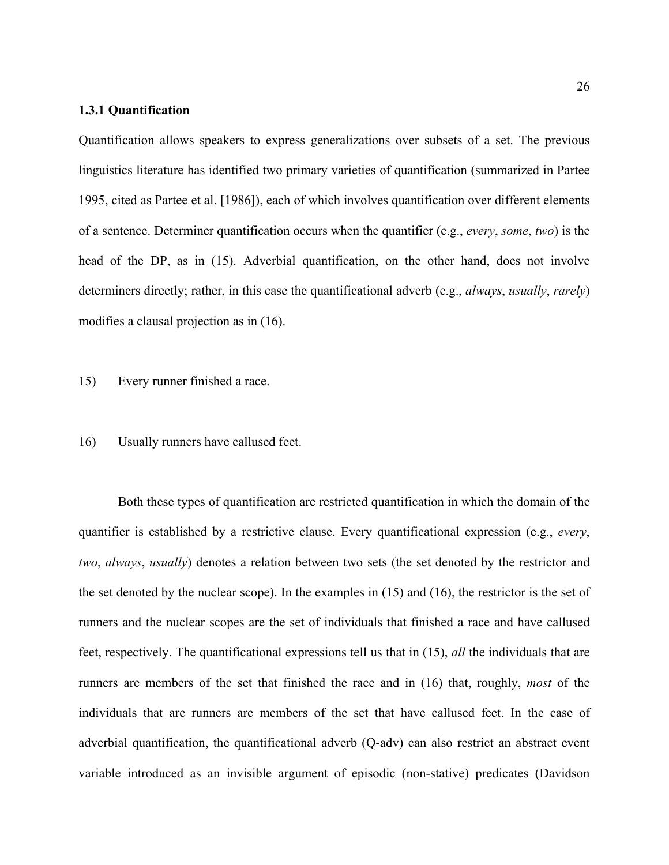## <span id="page-25-0"></span>**1.3.1 Quantification**

Quantification allows speakers to express generalizations over subsets of a set. The previous linguistics literature has identified two primary varieties of quantification (summarized in Partee 1995, cited as Partee et al. [1986]), each of which involves quantification over different elements of a sentence. Determiner quantification occurs when the quantifier (e.g., *every*, *some*, *two*) is the head of the DP, as in ([15\)](#page-25-1). Adverbial quantification, on the other hand, does not involve determiners directly; rather, in this case the quantificational adverb (e.g., *always*, *usually*, *rarely*) modifies a clausal projection as in ([16\)](#page-25-2).

<span id="page-25-1"></span>15) Every runner finished a race.

## <span id="page-25-2"></span>16) Usually runners have callused feet.

Both these types of quantification are restricted quantification in which the domain of the quantifier is established by a restrictive clause. Every quantificational expression (e.g., *every*, *two*, *always*, *usually*) denotes a relation between two sets (the set denoted by the restrictor and the set denoted by the nuclear scope). In the examples in ([15\)](#page-25-1) and [\(16](#page-25-2)), the restrictor is the set of runners and the nuclear scopes are the set of individuals that finished a race and have callused feet, respectively. The quantificational expressions tell us that in [\(15](#page-25-1)), *all* the individuals that are runners are members of the set that finished the race and in [\(16](#page-25-2)) that, roughly, *most* of the individuals that are runners are members of the set that have callused feet. In the case of adverbial quantification, the quantificational adverb (Q-adv) can also restrict an abstract event variable introduced as an invisible argument of episodic (non-stative) predicates (Davidson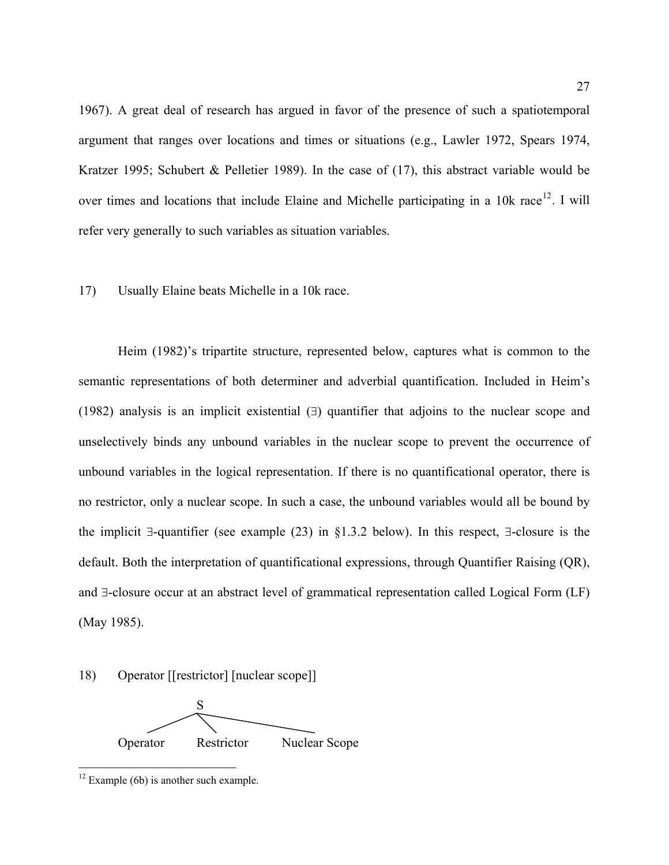1967). A great deal of research has argued in favor of the presence of such a spatiotemporal argument that ranges over locations and times or situations (e.g., Lawler 1972, Spears 1974, Kratzer 1995; Schubert & Pelletier 1989). In the case of  $(17)$  $(17)$ , this abstract variable would be over times and locations that include Elaine and Michelle participating in a  $10k$  race<sup>[12](#page-26-0)</sup>. I will refer very generally to such variables as situation variables.

## <span id="page-26-1"></span>17) Usually Elaine beats Michelle in a 10k race.

Heim (1982)'s tripartite structure, represented below, captures what is common to the semantic representations of both determiner and adverbial quantification. Included in Heim's (1982) analysis is an implicit existential (∃) quantifier that adjoins to the nuclear scope and unselectively binds any unbound variables in the nuclear scope to prevent the occurrence of unbound variables in the logical representation. If there is no quantificational operator, there is no restrictor, only a nuclear scope. In such a case, the unbound variables would all be bound by the implicit ∃-quantifier (see example [\(23](#page-32-0)) in §1.3.2 below). In this respect, ∃-closure is the default. Both the interpretation of quantificational expressions, through Quantifier Raising (QR), and ∃-closure occur at an abstract level of grammatical representation called Logical Form (LF) (May 1985).

## <span id="page-26-2"></span>18) Operator [[restrictor] [nuclear scope]]



<span id="page-26-0"></span> $12$  Example (6b) is another such example.

<u>.</u>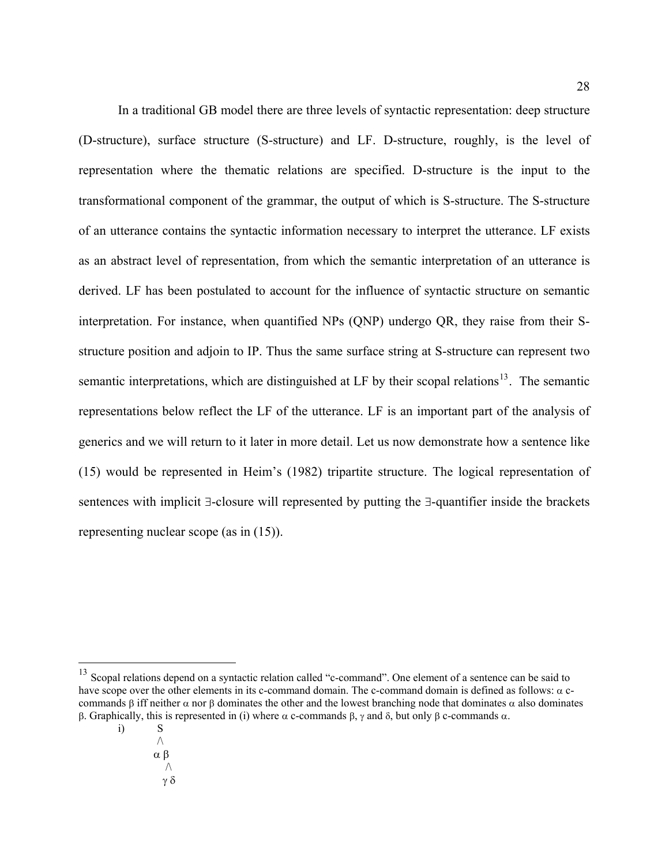In a traditional GB model there are three levels of syntactic representation: deep structure (D-structure), surface structure (S-structure) and LF. D-structure, roughly, is the level of representation where the thematic relations are specified. D-structure is the input to the transformational component of the grammar, the output of which is S-structure. The S-structure of an utterance contains the syntactic information necessary to interpret the utterance. LF exists as an abstract level of representation, from which the semantic interpretation of an utterance is derived. LF has been postulated to account for the influence of syntactic structure on semantic interpretation. For instance, when quantified NPs (QNP) undergo QR, they raise from their Sstructure position and adjoin to IP. Thus the same surface string at S-structure can represent two semantic interpretations, which are distinguished at LF by their scopal relations<sup>[13](#page-27-0)</sup>. The semantic representations below reflect the LF of the utterance. LF is an important part of the analysis of generics and we will return to it later in more detail. Let us now demonstrate how a sentence like ([15](#page-25-1)) would be represented in Heim's (1982) tripartite structure. The logical representation of sentences with implicit ∃-closure will represented by putting the ∃-quantifier inside the brackets representing nuclear scope (as in [\(15](#page-25-1))).

γ δ

 $\overline{a}$ 

<span id="page-27-0"></span><sup>&</sup>lt;sup>13</sup> Scopal relations depend on a syntactic relation called "c-command". One element of a sentence can be said to have scope over the other elements in its c-command domain. The c-command domain is defined as follows:  $\alpha$  ccommands β iff neither  $\alpha$  nor β dominates the other and the lowest branching node that dominates  $\alpha$  also dominates β. Graphically, this is represented in (i) where α c-commands β, γ and δ, but only β c-commands α.

i) S  $\wedge$  α β  $\wedge$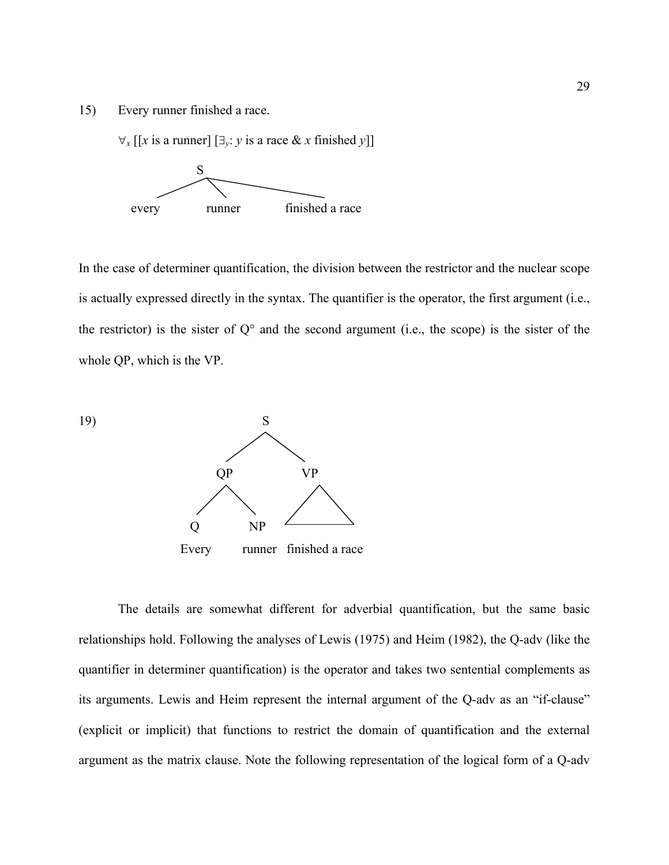[15](#page-25-1)) Every runner finished a race.

 $\forall$ *x* [[*x* is a runner] [∃<sub>*v*</sub>: *y* is a race & *x* finished *y*]]



In the case of determiner quantification, the division between the restrictor and the nuclear scope is actually expressed directly in the syntax. The quantifier is the operator, the first argument (i.e., the restrictor) is the sister of  $Q^{\circ}$  and the second argument (i.e., the scope) is the sister of the whole QP, which is the VP.



The details are somewhat different for adverbial quantification, but the same basic relationships hold. Following the analyses of Lewis (1975) and Heim (1982), the Q-adv (like the quantifier in determiner quantification) is the operator and takes two sentential complements as its arguments. Lewis and Heim represent the internal argument of the Q-adv as an "if-clause" (explicit or implicit) that functions to restrict the domain of quantification and the external argument as the matrix clause. Note the following representation of the logical form of a Q-adv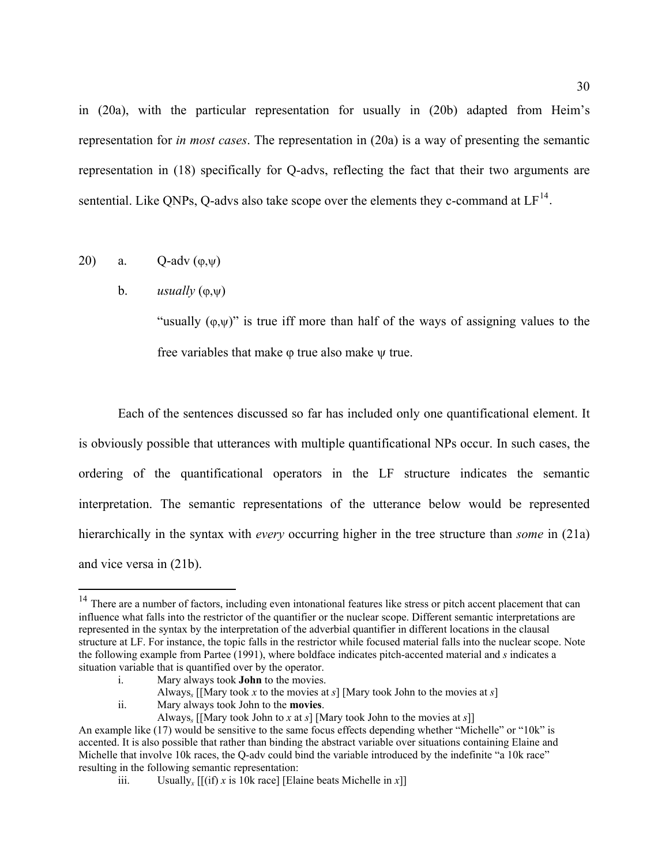in ([20a](#page-29-1)), with the particular representation for usually in ([20b](#page-29-1)) adapted from Heim's representation for *in most cases*. The representation in [\(20](#page-29-1)a) is a way of presenting the semantic representation in ([18\)](#page-26-2) specifically for Q-advs, reflecting the fact that their two arguments are sentential. Like QNPs, Q-advs also take scope over the elements they c-command at  $LF^{14}$  $LF^{14}$  $LF^{14}$ .

## <span id="page-29-1"></span>20) a.  $Q$ -adv  $(\varphi,\psi)$

1

## b. *usually* (ϕ,ψ)

"usually  $(\varphi,\psi)$ " is true iff more than half of the ways of assigning values to the free variables that make ϕ true also make ψ true.

Each of the sentences discussed so far has included only one quantificational element. It is obviously possible that utterances with multiple quantificational NPs occur. In such cases, the ordering of the quantificational operators in the LF structure indicates the semantic interpretation. The semantic representations of the utterance below would be represented hierarchically in the syntax with *every* occurring higher in the tree structure than *some* in ([21a](#page-30-0)) and vice versa in [\(21b](#page-30-0)).

ii. Mary always took John to the **movies**.

<span id="page-29-0"></span><sup>&</sup>lt;sup>14</sup> There are a number of factors, including even intonational features like stress or pitch accent placement that can influence what falls into the restrictor of the quantifier or the nuclear scope. Different semantic interpretations are represented in the syntax by the interpretation of the adverbial quantifier in different locations in the clausal structure at LF. For instance, the topic falls in the restrictor while focused material falls into the nuclear scope. Note the following example from Partee (1991), where boldface indicates pitch-accented material and *s* indicates a situation variable that is quantified over by the operator.

i. Mary always took **John** to the movies.

Always<sub>s</sub> [[Mary took *x* to the movies at *s*] [Mary took John to the movies at *s*] Mary always took John to the **movies**.

Always*s* [[Mary took John to *x* at *s*] [Mary took John to the movies at *s*]]

An example like (17) would be sensitive to the same focus effects depending whether "Michelle" or "10k" is accented. It is also possible that rather than binding the abstract variable over situations containing Elaine and Michelle that involve 10k races, the O-adv could bind the variable introduced by the indefinite "a 10k race" resulting in the following semantic representation:

iii. Usually<sub>*x*</sub>  $[(if) x is 10k race]$  [Elaine beats Michelle in *x*]]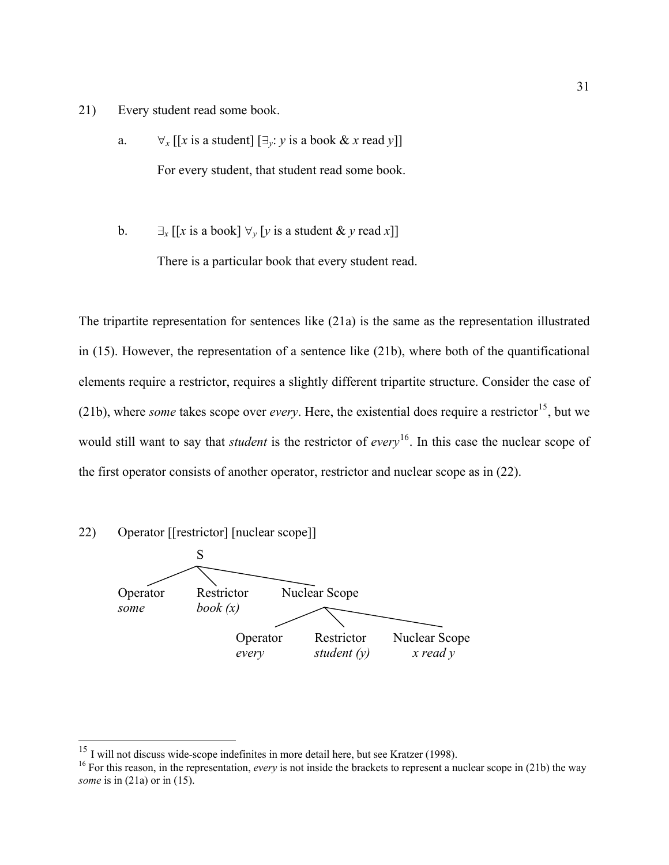- <span id="page-30-0"></span>21) Every student read some book.
	- a.  $\forall$ *x* [[*x* is a student]  $[\exists$ *y*: *y* is a book & *x* read *y*]] For every student, that student read some book.
	- b.  $\exists_x [[x \text{ is a book}] \ \forall_y [y \text{ is a student } \& y \text{ read } x]]$ There is a particular book that every student read.

The tripartite representation for sentences like [\(21](#page-30-0)a) is the same as the representation illustrated in [\(15](#page-25-1)). However, the representation of a sentence like ([21b](#page-30-0)), where both of the quantificational elements require a restrictor, requires a slightly different tripartite structure. Consider the case of ([21](#page-30-0)b), where *some* takes scope over *every*. Here, the existential does require a restrictor<sup>[15](#page-30-1)</sup>, but we would still want to say that *student* is the restrictor of *every* [16](#page-30-2). In this case the nuclear scope of the first operator consists of another operator, restrictor and nuclear scope as in ([22\)](#page-30-3).

<span id="page-30-3"></span>

 $\overline{a}$ 

 $15$  I will not discuss wide-scope indefinites in more detail here, but see Kratzer (1998).

<span id="page-30-2"></span><span id="page-30-1"></span><sup>&</sup>lt;sup>16</sup> For this reason, in the representation, *every* is not inside the brackets to represent a nuclear scope in (21b) the way *some* is in (21a) or in (15).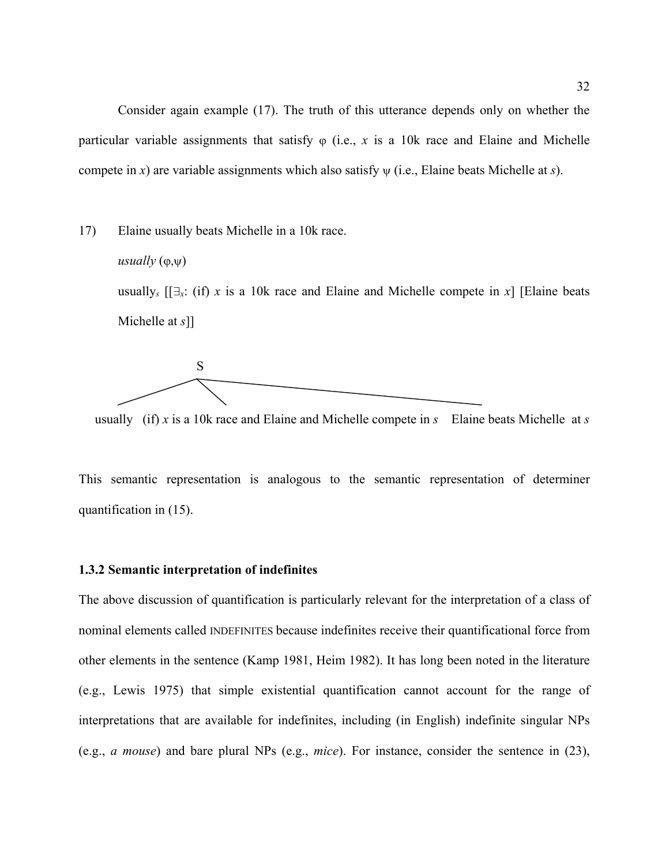<span id="page-31-0"></span>Consider again example ([17\)](#page-26-1). The truth of this utterance depends only on whether the particular variable assignments that satisfy  $\varphi$  (i.e., x is a 10k race and Elaine and Michelle compete in *x*) are variable assignments which also satisfy ψ (i.e., Elaine beats Michelle at *s*).

[17](#page-26-1)) Elaine usually beats Michelle in a 10k race. *usually*  $(\varphi, \psi)$ usually<sub>s</sub>  $[\exists x: (if) \; x \; is \; a \; 10k \; race \; and \; Eliane \; and \; Michelle \; compete \; in \; x]$  [Elaine beats] Michelle at *s*]]



usually (if) *x* is a 10k race and Elaine and Michelle compete in *s* Elaine beats Michelle at *s*

This semantic representation is analogous to the semantic representation of determiner quantification in [\(15\)](#page-25-1).

## **1.3.2 Semantic interpretation of indefinites**

The above discussion of quantification is particularly relevant for the interpretation of a class of nominal elements called INDEFINITES because indefinites receive their quantificational force from other elements in the sentence (Kamp 1981, Heim 1982). It has long been noted in the literature (e.g., Lewis 1975) that simple existential quantification cannot account for the range of interpretations that are available for indefinites, including (in English) indefinite singular NPs (e.g., *a mouse*) and bare plural NPs (e.g., *mice*). For instance, consider the sentence in [\(23](#page-32-0)),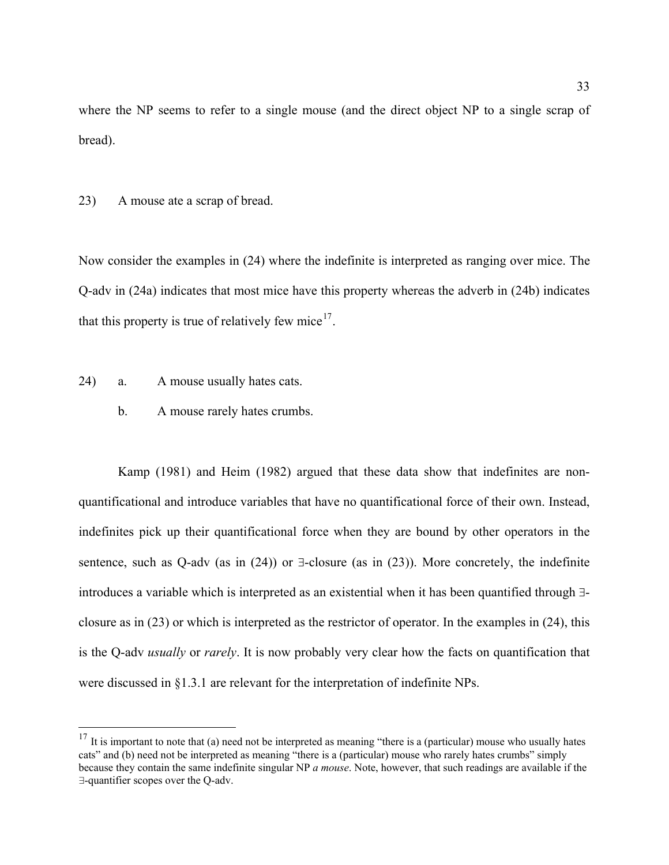where the NP seems to refer to a single mouse (and the direct object NP to a single scrap of bread).

<span id="page-32-0"></span>23) A mouse ate a scrap of bread.

Now consider the examples in ([24\)](#page-32-2) where the indefinite is interpreted as ranging over mice. The Q-adv in [\(24](#page-32-2)a) indicates that most mice have this property whereas the adverb in [\(24](#page-32-2)b) indicates that this property is true of relatively few mice<sup>[17](#page-32-1)</sup>.

<span id="page-32-2"></span>24) a. A mouse usually hates cats.

1

b. A mouse rarely hates crumbs.

Kamp (1981) and Heim (1982) argued that these data show that indefinites are nonquantificational and introduce variables that have no quantificational force of their own. Instead, indefinites pick up their quantificational force when they are bound by other operators in the sentence, such as Q-adv (as in  $(24)$  $(24)$ ) or  $\exists$ -closure (as in  $(23)$  $(23)$ ). More concretely, the indefinite introduces a variable which is interpreted as an existential when it has been quantified through ∃ closure as in [\(23](#page-32-0)) or which is interpreted as the restrictor of operator. In the examples in ([24\)](#page-32-2), this is the Q-adv *usually* or *rarely*. It is now probably very clear how the facts on quantification that were discussed in §1.3.1 are relevant for the interpretation of indefinite NPs.

<span id="page-32-1"></span> $17$  It is important to note that (a) need not be interpreted as meaning "there is a (particular) mouse who usually hates cats" and (b) need not be interpreted as meaning "there is a (particular) mouse who rarely hates crumbs" simply because they contain the same indefinite singular NP *a mouse*. Note, however, that such readings are available if the  $\exists$ -quantifier scopes over the Q-adv.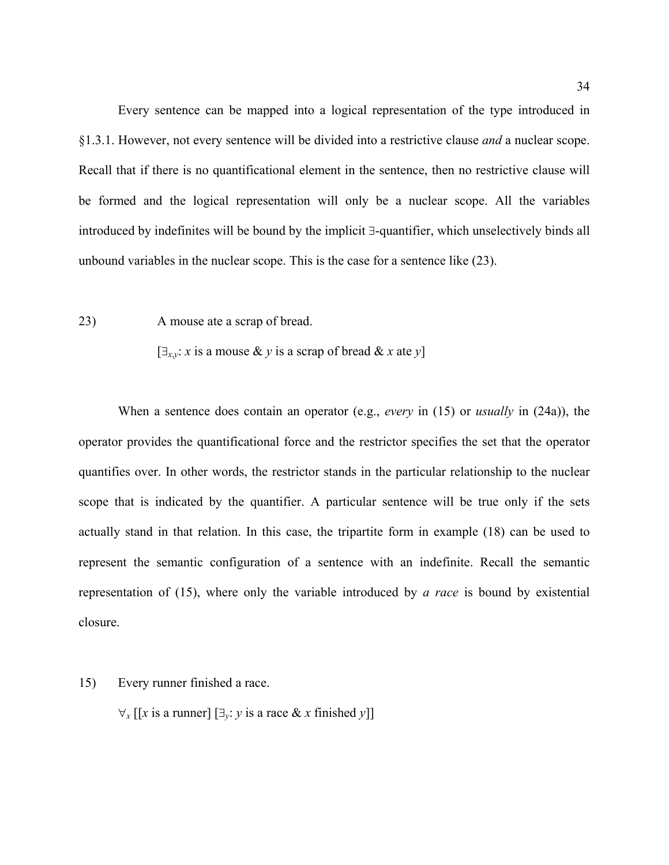Every sentence can be mapped into a logical representation of the type introduced in §1.3.1. However, not every sentence will be divided into a restrictive clause *and* a nuclear scope. Recall that if there is no quantificational element in the sentence, then no restrictive clause will be formed and the logical representation will only be a nuclear scope. All the variables introduced by indefinites will be bound by the implicit ∃-quantifier, which unselectively binds all unbound variables in the nuclear scope. This is the case for a sentence like [\(23](#page-32-0)).

[23](#page-32-0)) A mouse ate a scrap of bread.

 $[\exists_{x,y}: x \text{ is a mouse } \& y \text{ is a scrap of bread } \& x \text{ at } y]$ 

When a sentence does contain an operator (e.g., *every* in [\(15](#page-25-1)) or *usually* in [\(24](#page-32-2)a)), the operator provides the quantificational force and the restrictor specifies the set that the operator quantifies over. In other words, the restrictor stands in the particular relationship to the nuclear scope that is indicated by the quantifier. A particular sentence will be true only if the sets actually stand in that relation. In this case, the tripartite form in example [\(18](#page-26-2)) can be used to represent the semantic configuration of a sentence with an indefinite. Recall the semantic representation of [\(15](#page-25-1)), where only the variable introduced by *a race* is bound by existential closure.

[15](#page-25-1)) Every runner finished a race.

 $\forall$ *x* [[*x* is a runner] [∃*<sub><i>y*</sub>: *y* is a race & *x* finished *y*]]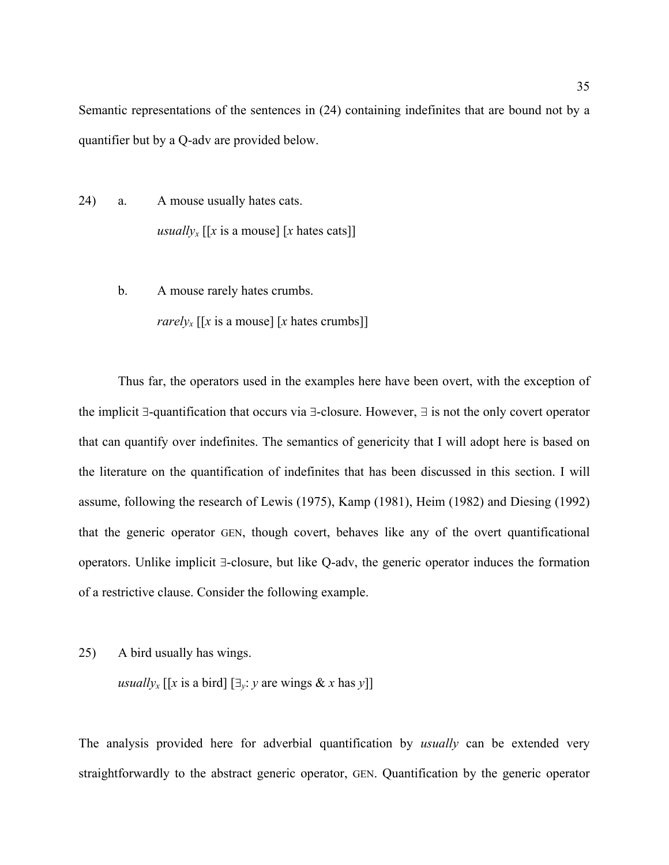Semantic representations of the sentences in [\(24](#page-32-2)) containing indefinites that are bound not by a quantifier but by a Q-adv are provided below.

- [24](#page-32-2)) a. A mouse usually hates cats. *usually<sub>x</sub>* [[x is a mouse] [x hates cats]]
	- b. A mouse rarely hates crumbs. *rarely<sub>x</sub>* [[*x* is a mouse] [*x* hates crumbs]]

Thus far, the operators used in the examples here have been overt, with the exception of the implicit ∃-quantification that occurs via ∃-closure. However,  $\exists$  is not the only covert operator that can quantify over indefinites. The semantics of genericity that I will adopt here is based on the literature on the quantification of indefinites that has been discussed in this section. I will assume, following the research of Lewis (1975), Kamp (1981), Heim (1982) and Diesing (1992) that the generic operator GEN, though covert, behaves like any of the overt quantificational operators. Unlike implicit ∃-closure, but like Q-adv, the generic operator induces the formation of a restrictive clause. Consider the following example.

25) A bird usually has wings.

*usually<sub>x</sub>* [[*x* is a bird]  $[\exists_y : y \text{ are wings } \& x \text{ has } y]$ ]

The analysis provided here for adverbial quantification by *usually* can be extended very straightforwardly to the abstract generic operator, GEN. Quantification by the generic operator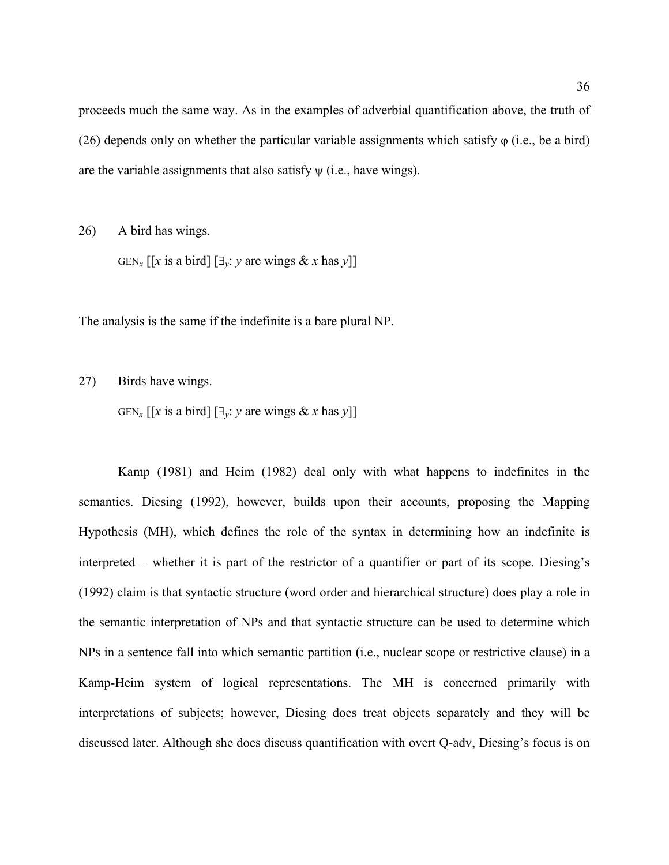proceeds much the same way. As in the examples of adverbial quantification above, the truth of ([26](#page-35-0)) depends only on whether the particular variable assignments which satisfy  $\varphi$  (i.e., be a bird) are the variable assignments that also satisfy  $\psi$  (i.e., have wings).

<span id="page-35-0"></span>26) A bird has wings.

GEN<sub>x</sub> [[x is a bird]  $[\exists_{y}: y \text{ are wings } \& x \text{ has } y]$ ]

The analysis is the same if the indefinite is a bare plural NP.

27) Birds have wings.

GEN<sub>x</sub> [[x is a bird]  $[\exists_{y}: y \text{ are wings } \& x \text{ has } y]$ ]

Kamp (1981) and Heim (1982) deal only with what happens to indefinites in the semantics. Diesing (1992), however, builds upon their accounts, proposing the Mapping Hypothesis (MH), which defines the role of the syntax in determining how an indefinite is interpreted – whether it is part of the restrictor of a quantifier or part of its scope. Diesing's (1992) claim is that syntactic structure (word order and hierarchical structure) does play a role in the semantic interpretation of NPs and that syntactic structure can be used to determine which NPs in a sentence fall into which semantic partition (i.e., nuclear scope or restrictive clause) in a Kamp-Heim system of logical representations. The MH is concerned primarily with interpretations of subjects; however, Diesing does treat objects separately and they will be discussed later. Although she does discuss quantification with overt Q-adv, Diesing's focus is on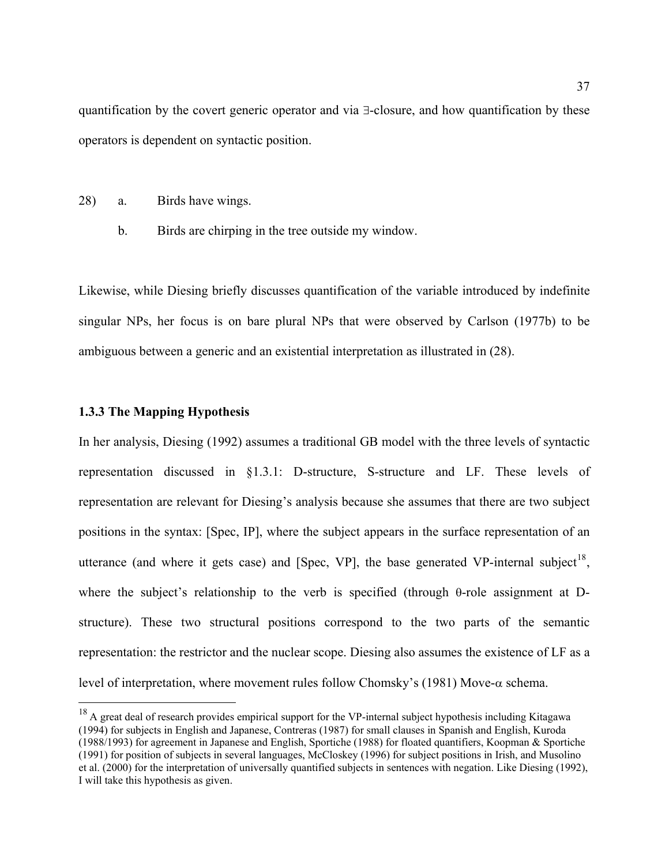quantification by the covert generic operator and via ∃-closure, and how quantification by these operators is dependent on syntactic position.

- <span id="page-36-0"></span>28) a. Birds have wings.
	- b. Birds are chirping in the tree outside my window.

Likewise, while Diesing briefly discusses quantification of the variable introduced by indefinite singular NPs, her focus is on bare plural NPs that were observed by Carlson (1977b) to be ambiguous between a generic and an existential interpretation as illustrated in [\(28](#page-36-0)).

## **1.3.3 The Mapping Hypothesis**

 $\overline{a}$ 

In her analysis, Diesing (1992) assumes a traditional GB model with the three levels of syntactic representation discussed in §1.3.1: D-structure, S-structure and LF. These levels of representation are relevant for Diesing's analysis because she assumes that there are two subject positions in the syntax: [Spec, IP], where the subject appears in the surface representation of an utterance (and where it gets case) and [Spec, VP], the base generated VP-internal subject<sup>[18](#page-36-1)</sup>. where the subject's relationship to the verb is specified (through θ-role assignment at Dstructure). These two structural positions correspond to the two parts of the semantic representation: the restrictor and the nuclear scope. Diesing also assumes the existence of LF as a level of interpretation, where movement rules follow Chomsky's (1981) Move-α schema.

<span id="page-36-1"></span> $18$  A great deal of research provides empirical support for the VP-internal subject hypothesis including Kitagawa (1994) for subjects in English and Japanese, Contreras (1987) for small clauses in Spanish and English, Kuroda (1988/1993) for agreement in Japanese and English, Sportiche (1988) for floated quantifiers, Koopman & Sportiche (1991) for position of subjects in several languages, McCloskey (1996) for subject positions in Irish, and Musolino et al. (2000) for the interpretation of universally quantified subjects in sentences with negation. Like Diesing (1992), I will take this hypothesis as given.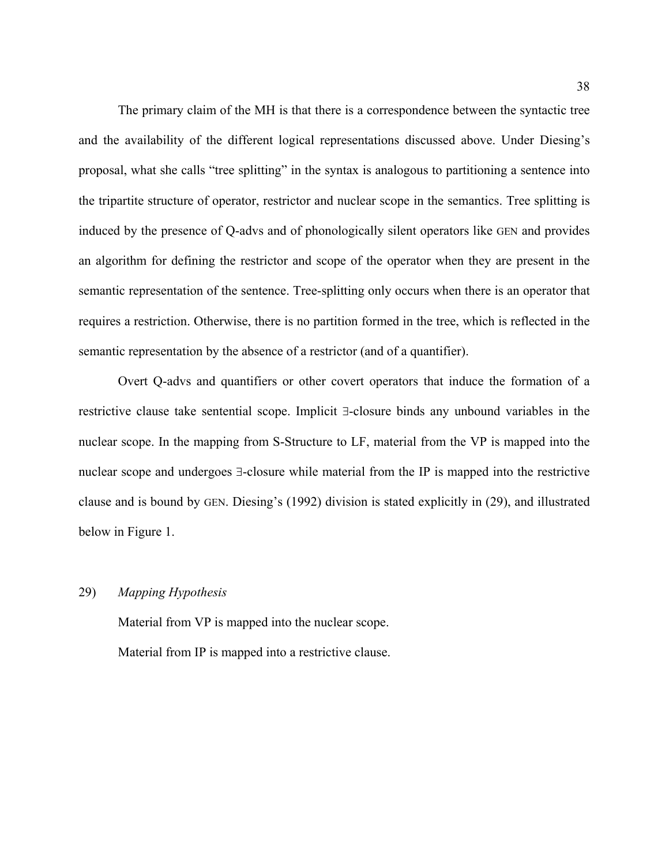The primary claim of the MH is that there is a correspondence between the syntactic tree and the availability of the different logical representations discussed above. Under Diesing's proposal, what she calls "tree splitting" in the syntax is analogous to partitioning a sentence into the tripartite structure of operator, restrictor and nuclear scope in the semantics. Tree splitting is induced by the presence of Q-advs and of phonologically silent operators like GEN and provides an algorithm for defining the restrictor and scope of the operator when they are present in the semantic representation of the sentence. Tree-splitting only occurs when there is an operator that requires a restriction. Otherwise, there is no partition formed in the tree, which is reflected in the semantic representation by the absence of a restrictor (and of a quantifier).

Overt Q-advs and quantifiers or other covert operators that induce the formation of a restrictive clause take sentential scope. Implicit ∃-closure binds any unbound variables in the nuclear scope. In the mapping from S-Structure to LF, material from the VP is mapped into the nuclear scope and undergoes ∃-closure while material from the IP is mapped into the restrictive clause and is bound by GEN. Diesing's (1992) division is stated explicitly in ([29\)](#page-37-0), and illustrated below in [Figure 1.](#page-38-0)

## <span id="page-37-0"></span>29) *Mapping Hypothesis*

 Material from VP is mapped into the nuclear scope. Material from IP is mapped into a restrictive clause.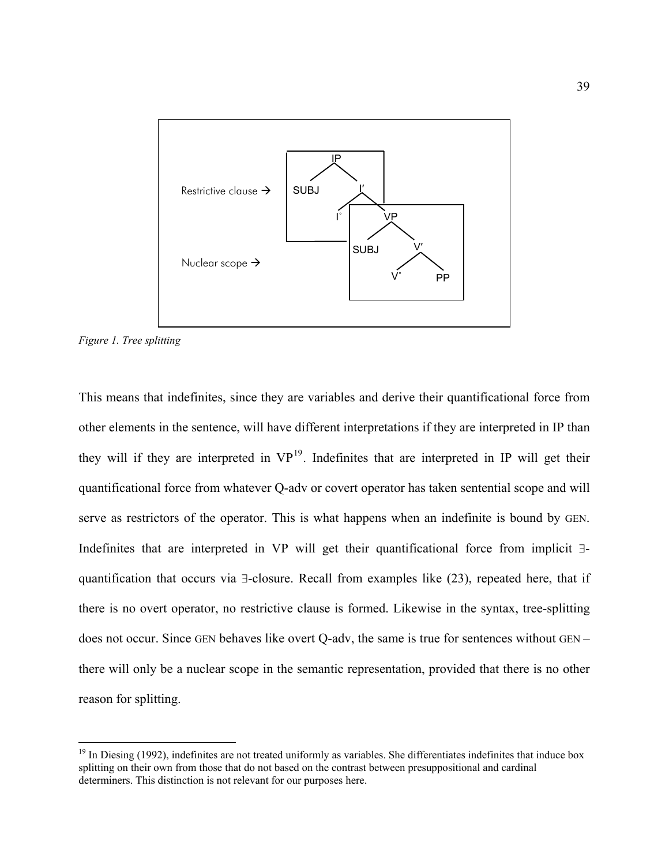

<span id="page-38-0"></span>*Figure 1. Tree splitting* 

 $\overline{a}$ 

This means that indefinites, since they are variables and derive their quantificational force from other elements in the sentence, will have different interpretations if they are interpreted in IP than they will if they are interpreted in  $VP<sup>19</sup>$  $VP<sup>19</sup>$  $VP<sup>19</sup>$ . Indefinites that are interpreted in IP will get their quantificational force from whatever Q-adv or covert operator has taken sentential scope and will serve as restrictors of the operator. This is what happens when an indefinite is bound by GEN. Indefinites that are interpreted in VP will get their quantificational force from implicit ∃ quantification that occurs via ∃-closure. Recall from examples like [\(23](#page-32-0)), repeated here, that if there is no overt operator, no restrictive clause is formed. Likewise in the syntax, tree-splitting does not occur. Since GEN behaves like overt Q-adv, the same is true for sentences without GEN – there will only be a nuclear scope in the semantic representation, provided that there is no other reason for splitting.

<span id="page-38-1"></span> $19$  In Diesing (1992), indefinites are not treated uniformly as variables. She differentiates indefinites that induce box splitting on their own from those that do not based on the contrast between presuppositional and cardinal determiners. This distinction is not relevant for our purposes here.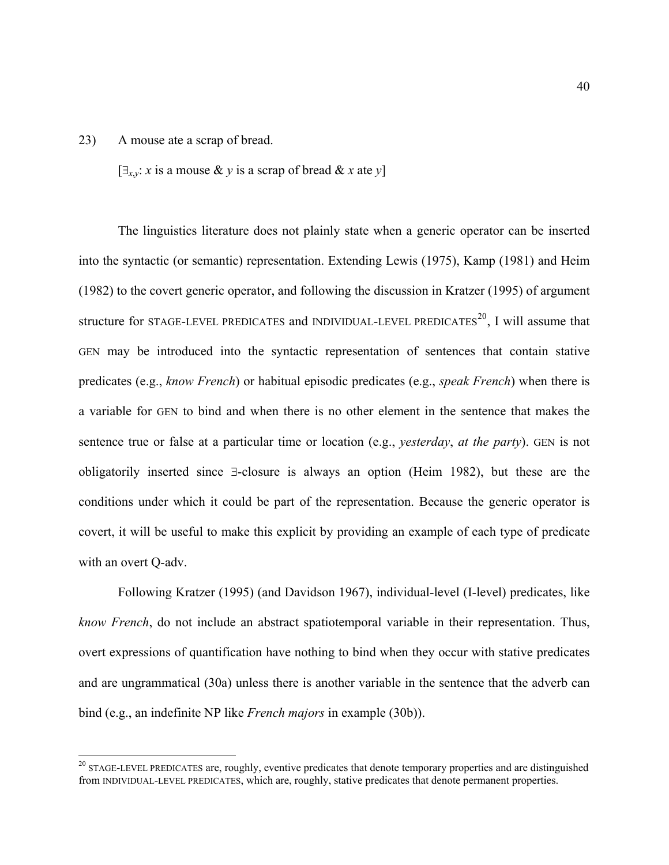#### [23](#page-32-0)) A mouse ate a scrap of bread.

 $\overline{a}$ 

 $[\exists_{x,y}: x \text{ is a mouse } \& y \text{ is a scrap of bread } \& x \text{ at } y]$ 

The linguistics literature does not plainly state when a generic operator can be inserted into the syntactic (or semantic) representation. Extending Lewis (1975), Kamp (1981) and Heim (1982) to the covert generic operator, and following the discussion in Kratzer (1995) of argument structure for STAGE-LEVEL PREDICATES and INDIVIDUAL-LEVEL PREDICATES<sup>[20](#page-39-0)</sup>, I will assume that GEN may be introduced into the syntactic representation of sentences that contain stative predicates (e.g., *know French*) or habitual episodic predicates (e.g., *speak French*) when there is a variable for GEN to bind and when there is no other element in the sentence that makes the sentence true or false at a particular time or location (e.g., *yesterday*, *at the party*). GEN is not obligatorily inserted since ∃-closure is always an option (Heim 1982), but these are the conditions under which it could be part of the representation. Because the generic operator is covert, it will be useful to make this explicit by providing an example of each type of predicate with an overt Q-adv.

Following Kratzer (1995) (and Davidson 1967), individual-level (I-level) predicates, like *know French*, do not include an abstract spatiotemporal variable in their representation. Thus, overt expressions of quantification have nothing to bind when they occur with stative predicates and are ungrammatical ([30a](#page-40-0)) unless there is another variable in the sentence that the adverb can bind (e.g., an indefinite NP like *French majors* in example [\(30](#page-40-0)b)).

<span id="page-39-0"></span> $20$  STAGE-LEVEL PREDICATES are, roughly, eventive predicates that denote temporary properties and are distinguished from INDIVIDUAL-LEVEL PREDICATES, which are, roughly, stative predicates that denote permanent properties.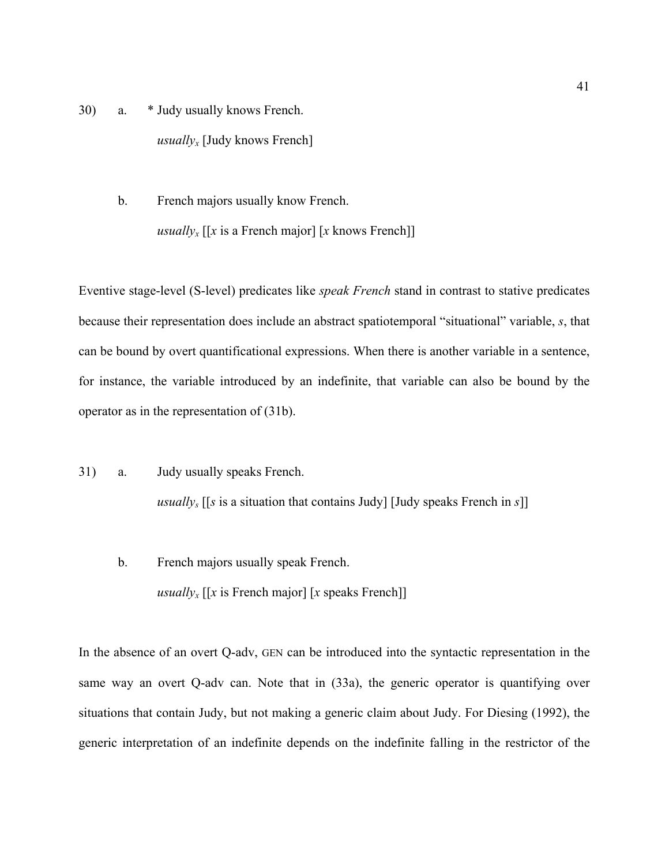- <span id="page-40-0"></span>30) a. \* Judy usually knows French. *usually<sub>x</sub>* [Judy knows French]
	- b. French majors usually know French. *usuallyx* [[*x* is a French major] [*x* knows French]]

Eventive stage-level (S-level) predicates like *speak French* stand in contrast to stative predicates because their representation does include an abstract spatiotemporal "situational" variable, *s*, that can be bound by overt quantificational expressions. When there is another variable in a sentence, for instance, the variable introduced by an indefinite, that variable can also be bound by the operator as in the representation of ([31b](#page-40-1)).

- <span id="page-40-1"></span>31) a. Judy usually speaks French. *usuallys* [[*s* is a situation that contains Judy] [Judy speaks French in *s*]]
	- b. French majors usually speak French. *usuallyx* [[*x* is French major] [*x* speaks French]]

In the absence of an overt Q-adv, GEN can be introduced into the syntactic representation in the same way an overt Q-adv can. Note that in [\(33](#page-41-0)a), the generic operator is quantifying over situations that contain Judy, but not making a generic claim about Judy. For Diesing (1992), the generic interpretation of an indefinite depends on the indefinite falling in the restrictor of the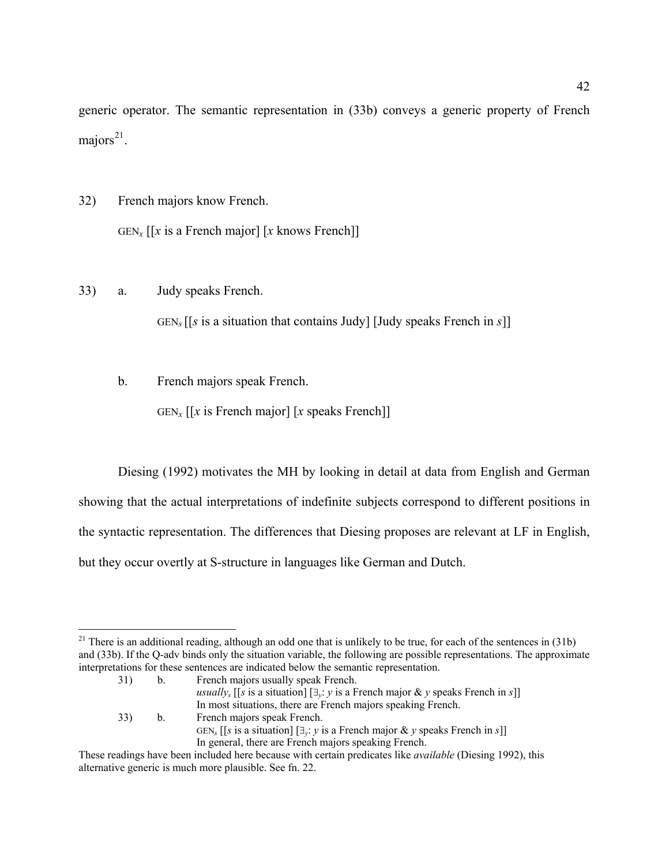generic operator. The semantic representation in [\(33](#page-41-0)b) conveys a generic property of French majors $^{21}$  $^{21}$  $^{21}$ .

- 32) French majors know French.  $GEN_x$  [[x is a French major] [x knows French]]
- <span id="page-41-0"></span>33) a. Judy speaks French.

GEN*<sup>s</sup>* [[*s* is a situation that contains Judy] [Judy speaks French in *s*]]

b. French majors speak French.

 $GEN_x$  [[x is French major] [x speaks French]]

Diesing (1992) motivates the MH by looking in detail at data from English and German showing that the actual interpretations of indefinite subjects correspond to different positions in the syntactic representation. The differences that Diesing proposes are relevant at LF in English, but they occur overtly at S-structure in languages like German and Dutch.

GEN*s* [[*s* is a situation] [∃*y*: *y* is a French major & *y* speaks French in *s*]] In general, there are French majors speaking French.

<span id="page-41-1"></span> $\overline{a}$ <sup>21</sup> There is an additional reading, although an odd one that is unlikely to be true, for each of the sentences in  $(31b)$ and (33b). If the Q-adv binds only the situation variable, the following are possible representations. The approximate interpretations for these sentences are indicated below the semantic representation.

<sup>31)</sup> b. French majors usually speak French.

*usuallys* [[*s* is a situation] [∃*y*: *y* is a French major & *y* speaks French in *s*]] In most situations, there are French majors speaking French. 33) b. French majors speak French.

These readings have been included here because with certain predicates like *available* (Diesing 1992), this alternative generic is much more plausible. See fn. 22.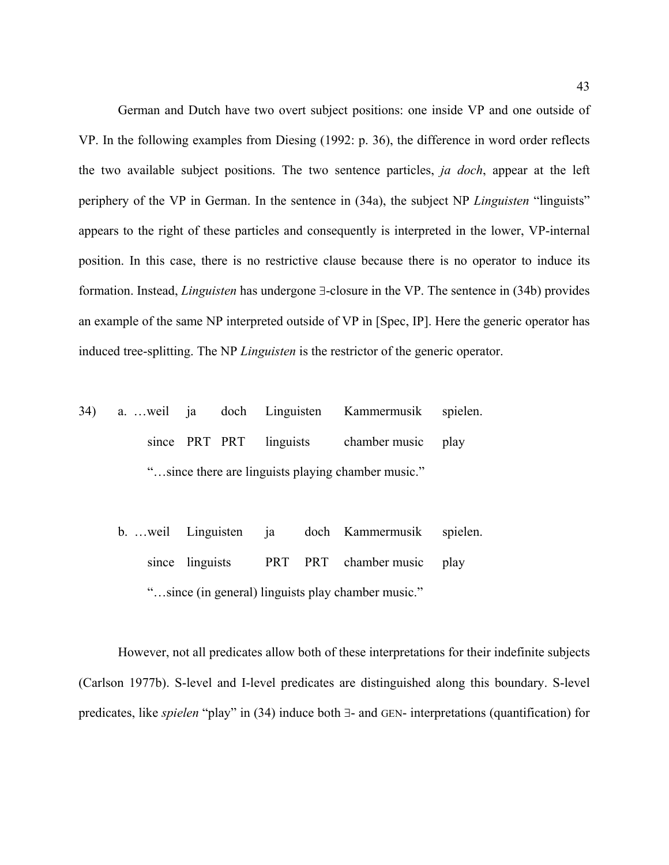German and Dutch have two overt subject positions: one inside VP and one outside of VP. In the following examples from Diesing (1992: p. 36), the difference in word order reflects the two available subject positions. The two sentence particles, *ja doch*, appear at the left periphery of the VP in German. In the sentence in [\(34](#page-42-0)a), the subject NP *Linguisten* "linguists" appears to the right of these particles and consequently is interpreted in the lower, VP-internal position. In this case, there is no restrictive clause because there is no operator to induce its formation. Instead, *Linguisten* has undergone ∃-closure in the VP. The sentence in ([34b](#page-42-0)) provides an example of the same NP interpreted outside of VP in [Spec, IP]. Here the generic operator has induced tree-splitting. The NP *Linguisten* is the restrictor of the generic operator.

- <span id="page-42-0"></span>34) a. …weil ja doch Linguisten Kammermusik spielen. since PRT PRT linguists chamber music play "…since there are linguists playing chamber music."
	- b. …weil Linguisten ja doch Kammermusik spielen. since linguists PRT PRT chamber music play "…since (in general) linguists play chamber music."

 However, not all predicates allow both of these interpretations for their indefinite subjects (Carlson 1977b). S-level and I-level predicates are distinguished along this boundary. S-level predicates, like *spielen* "play" in [\(34](#page-42-0)) induce both ∃- and GEN- interpretations (quantification) for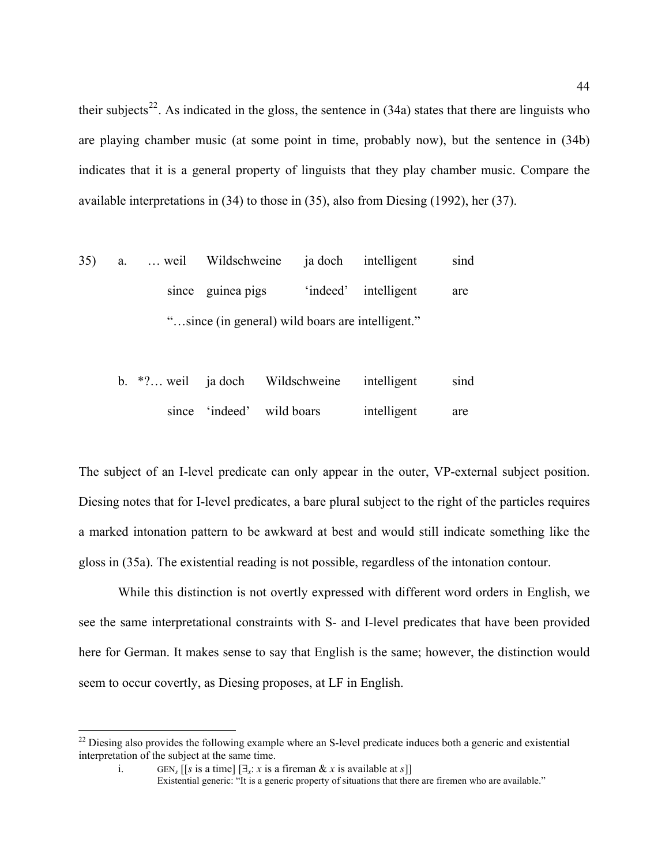their subjects<sup>[22](#page-43-0)</sup>. As indicated in the gloss, the sentence in  $(34a)$  $(34a)$  $(34a)$  states that there are linguists who are playing chamber music (at some point in time, probably now), but the sentence in [\(34](#page-42-0)b) indicates that it is a general property of linguists that they play chamber music. Compare the available interpretations in ([34\)](#page-42-0) to those in ([35\)](#page-43-1), also from Diesing (1992), her (37).

<span id="page-43-1"></span>

| 35) | а. | weil Wildschweine ja doch intelligent            |                      | sind |
|-----|----|--------------------------------------------------|----------------------|------|
|     |    | since guinea pigs                                | 'indeed' intelligent | are  |
|     |    | "since (in general) wild boars are intelligent." |                      |      |

|  | b. $*$ ? weil ja doch Wildschweine intelligent |             | sind |
|--|------------------------------------------------|-------------|------|
|  | since 'indeed' wild boars                      | intelligent | are  |

The subject of an I-level predicate can only appear in the outer, VP-external subject position. Diesing notes that for I-level predicates, a bare plural subject to the right of the particles requires a marked intonation pattern to be awkward at best and would still indicate something like the gloss in ([35a](#page-43-1)). The existential reading is not possible, regardless of the intonation contour.

 While this distinction is not overtly expressed with different word orders in English, we see the same interpretational constraints with S- and I-level predicates that have been provided here for German. It makes sense to say that English is the same; however, the distinction would seem to occur covertly, as Diesing proposes, at LF in English.

 $\overline{a}$ 

<span id="page-43-0"></span> $22$  Diesing also provides the following example where an S-level predicate induces both a generic and existential interpretation of the subject at the same time.

i. GEN<sub>s</sub> [[s is a time]  $[\exists x : x \text{ is a fireman } \& x \text{ is available at s}]$ ]

Existential generic: "It is a generic property of situations that there are firemen who are available."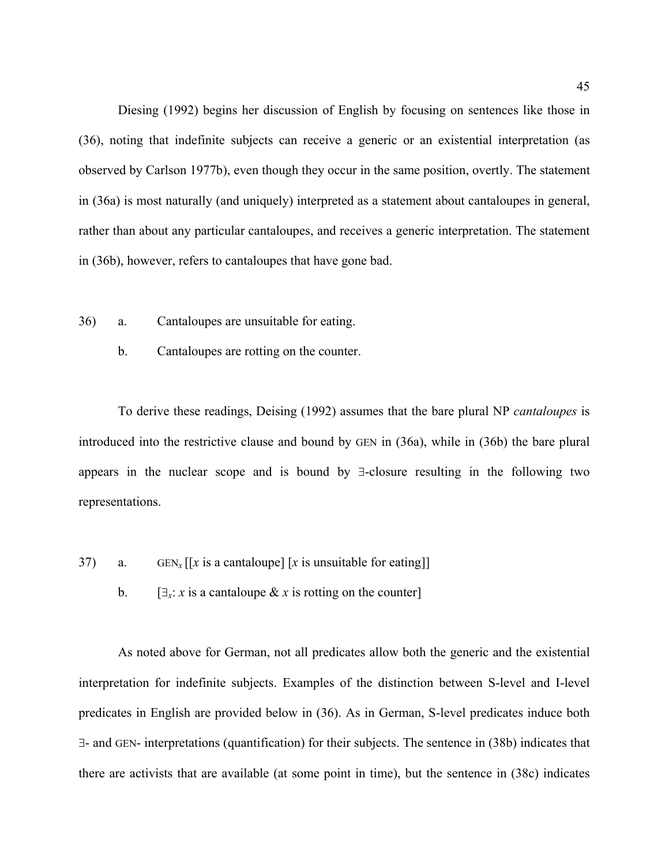Diesing (1992) begins her discussion of English by focusing on sentences like those in ([36](#page-44-0)), noting that indefinite subjects can receive a generic or an existential interpretation (as observed by Carlson 1977b), even though they occur in the same position, overtly. The statement in ([36a](#page-44-0)) is most naturally (and uniquely) interpreted as a statement about cantaloupes in general, rather than about any particular cantaloupes, and receives a generic interpretation. The statement in [\(36](#page-44-0)b), however, refers to cantaloupes that have gone bad.

- <span id="page-44-0"></span>36) a. Cantaloupes are unsuitable for eating.
	- b. Cantaloupes are rotting on the counter.

To derive these readings, Deising (1992) assumes that the bare plural NP *cantaloupes* is introduced into the restrictive clause and bound by GEN in ([36a](#page-44-0)), while in ([36b](#page-44-0)) the bare plural appears in the nuclear scope and is bound by ∃-closure resulting in the following two representations.

- 37) a. GEN<sub>x</sub>  $\left[ \int x \right]$  is a cantaloupe]  $\left[ x \right]$  is unsuitable for eating]
	- b.  $[\exists_x : x \text{ is a cantalouple } \& x \text{ is rotating on the counter}]$

 As noted above for German, not all predicates allow both the generic and the existential interpretation for indefinite subjects. Examples of the distinction between S-level and I-level predicates in English are provided below in ([36\)](#page-44-0). As in German, S-level predicates induce both ∃- and GEN- interpretations (quantification) for their subjects. The sentence in [\(38](#page-45-0)b) indicates that there are activists that are available (at some point in time), but the sentence in [\(38c](#page-45-0)) indicates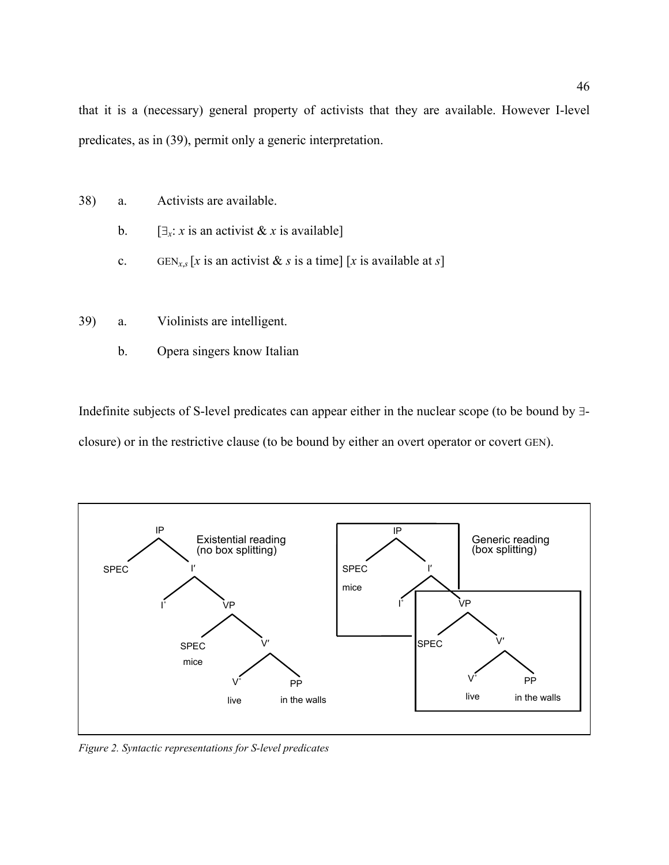that it is a (necessary) general property of activists that they are available. However I-level predicates, as in ([39\)](#page-45-1), permit only a generic interpretation.

- <span id="page-45-0"></span>38) a. Activists are available.
	- b.  $[\exists_x : x \text{ is an activity at } \& x \text{ is available}]$
	- c. GEN<sub>*x*,*s*</sub> [*x* is an activist & *s* is a time] [*x* is available at *s*]
- <span id="page-45-1"></span>39) a. Violinists are intelligent.
	- b. Opera singers know Italian

Indefinite subjects of S-level predicates can appear either in the nuclear scope (to be bound by ∃ closure) or in the restrictive clause (to be bound by either an overt operator or covert GEN).



*Figure 2. Syntactic representations for S-level predicates*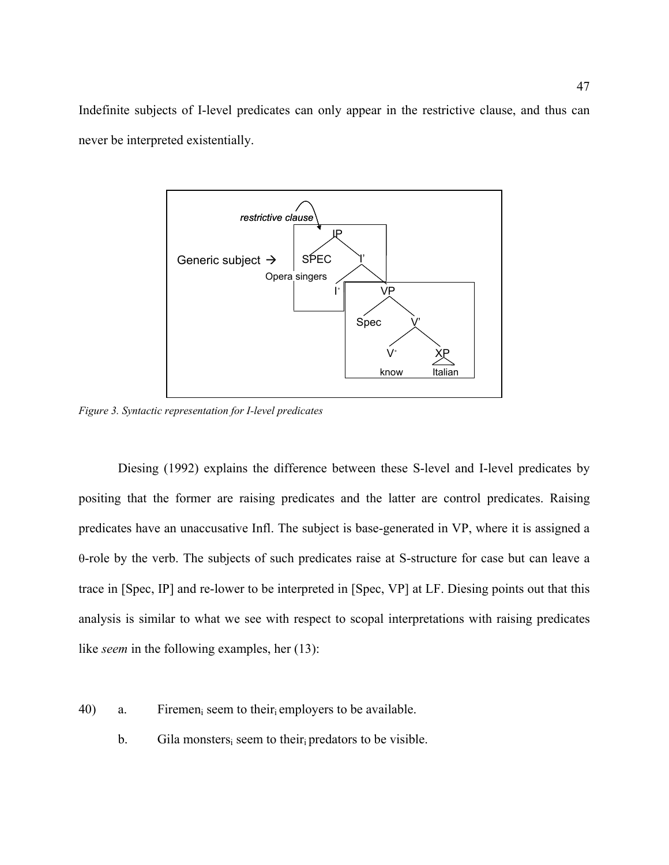Indefinite subjects of I-level predicates can only appear in the restrictive clause, and thus can never be interpreted existentially.



*Figure 3. Syntactic representation for I-level predicates* 

Diesing (1992) explains the difference between these S-level and I-level predicates by positing that the former are raising predicates and the latter are control predicates. Raising predicates have an unaccusative Infl. The subject is base-generated in VP, where it is assigned a θ-role by the verb. The subjects of such predicates raise at S-structure for case but can leave a trace in [Spec, IP] and re-lower to be interpreted in [Spec, VP] at LF. Diesing points out that this analysis is similar to what we see with respect to scopal interpretations with raising predicates like *seem* in the following examples, her (13):

- 40) a. Firemen<sub>i</sub> seem to their<sub>i</sub> employers to be available.
	- b. Gila monsters, seem to their predators to be visible.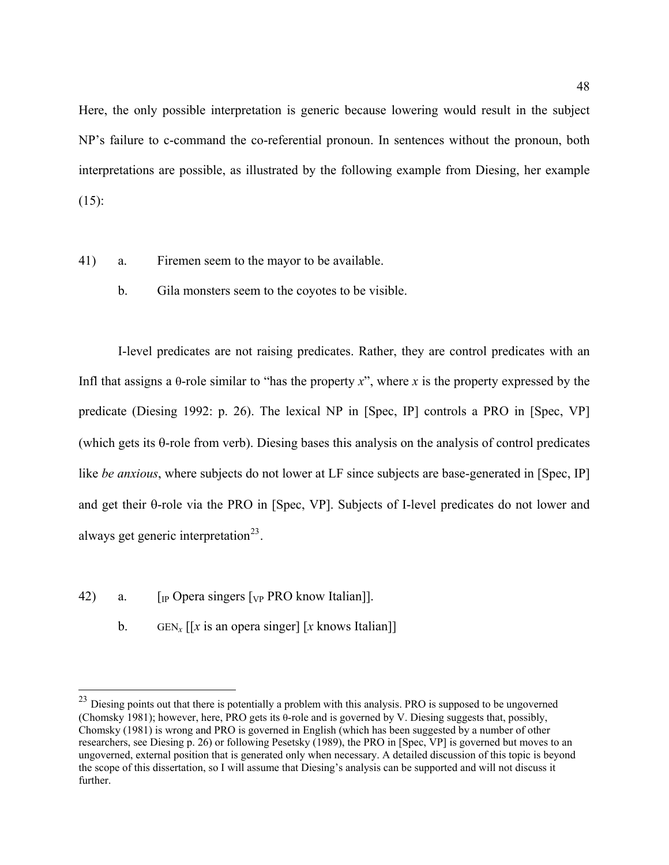Here, the only possible interpretation is generic because lowering would result in the subject NP's failure to c-command the co-referential pronoun. In sentences without the pronoun, both interpretations are possible, as illustrated by the following example from Diesing, her example  $(15)$ :

- 41) a. Firemen seem to the mayor to be available.
	- b. Gila monsters seem to the coyotes to be visible.

I-level predicates are not raising predicates. Rather, they are control predicates with an Infl that assigns a  $\theta$ -role similar to "has the property *x*", where *x* is the property expressed by the predicate (Diesing 1992: p. 26). The lexical NP in [Spec, IP] controls a PRO in [Spec, VP] (which gets its θ-role from verb). Diesing bases this analysis on the analysis of control predicates like *be anxious*, where subjects do not lower at LF since subjects are base-generated in [Spec, IP] and get their θ-role via the PRO in [Spec, VP]. Subjects of I-level predicates do not lower and always get generic interpretation<sup>[23](#page-47-0)</sup>.

42) a.  $\left[\right]$  [IP Opera singers  $\left[\right]$  p PRO know Italian]].

<u>.</u>

b. GEN<sub>x</sub>  $\left[ x \right]$  is an opera singer  $\left[ x \right]$  knows Italian

<span id="page-47-0"></span><sup>&</sup>lt;sup>23</sup> Diesing points out that there is potentially a problem with this analysis. PRO is supposed to be ungoverned (Chomsky 1981); however, here, PRO gets its θ-role and is governed by V. Diesing suggests that, possibly, Chomsky (1981) is wrong and PRO is governed in English (which has been suggested by a number of other researchers, see Diesing p. 26) or following Pesetsky (1989), the PRO in [Spec, VP] is governed but moves to an ungoverned, external position that is generated only when necessary. A detailed discussion of this topic is beyond the scope of this dissertation, so I will assume that Diesing's analysis can be supported and will not discuss it further.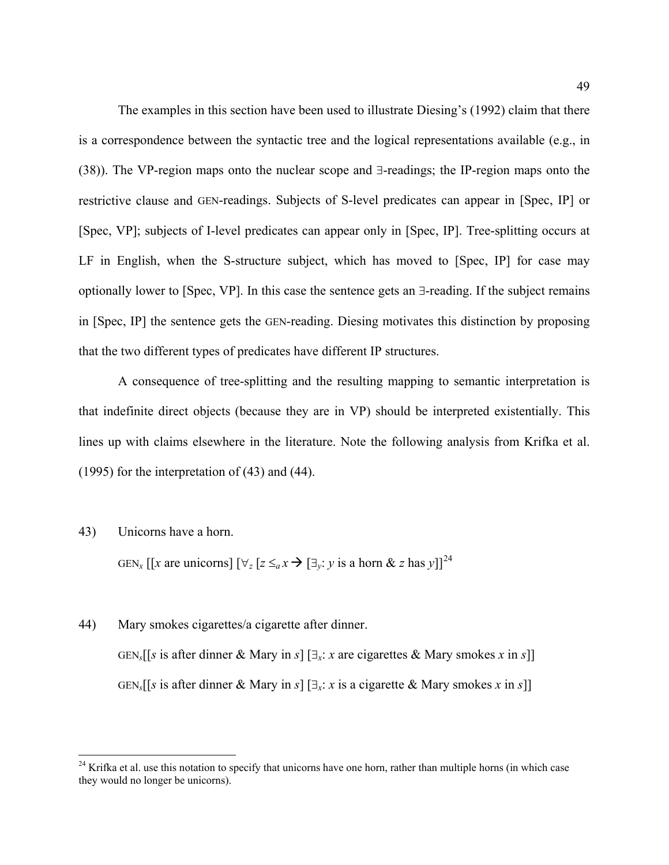The examples in this section have been used to illustrate Diesing's (1992) claim that there is a correspondence between the syntactic tree and the logical representations available (e.g., in ([38](#page-45-0))). The VP-region maps onto the nuclear scope and ∃-readings; the IP-region maps onto the restrictive clause and GEN-readings. Subjects of S-level predicates can appear in [Spec, IP] or [Spec, VP]; subjects of I-level predicates can appear only in [Spec, IP]. Tree-splitting occurs at LF in English, when the S-structure subject, which has moved to [Spec, IP] for case may optionally lower to [Spec, VP]. In this case the sentence gets an ∃-reading. If the subject remains in [Spec, IP] the sentence gets the GEN-reading. Diesing motivates this distinction by proposing that the two different types of predicates have different IP structures.

A consequence of tree-splitting and the resulting mapping to semantic interpretation is that indefinite direct objects (because they are in VP) should be interpreted existentially. This lines up with claims elsewhere in the literature. Note the following analysis from Krifka et al. (1995) for the interpretation of [\(43](#page-48-0)) and ([44\)](#page-48-1).

#### <span id="page-48-0"></span>43) Unicorns have a horn.

 $\overline{a}$ 

GEN<sub>x</sub></sub> [[*x* are unicorns]  $[\forall_z$  [ $z \leq_a x \rightarrow [\exists_y: y \text{ is a horn } \& z \text{ has } y]$ ]<sup>[24](#page-48-2)</sup>

## <span id="page-48-1"></span>44) Mary smokes cigarettes/a cigarette after dinner.

GEN*s*[[*s* is after dinner & Mary in *s*] [∃*x*: *x* are cigarettes & Mary smokes *x* in *s*]] GEN*s*[[*s* is after dinner & Mary in *s*] [∃*x*: *x* is a cigarette & Mary smokes *x* in *s*]]

<span id="page-48-2"></span> $24$  Krifka et al. use this notation to specify that unicorns have one horn, rather than multiple horns (in which case they would no longer be unicorns).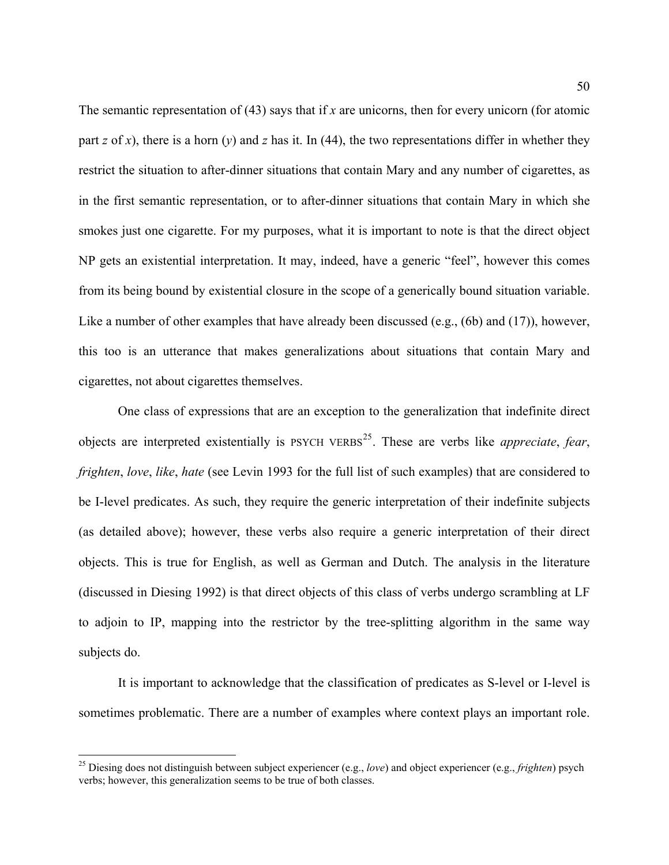The semantic representation of ([43\)](#page-48-0) says that if *x* are unicorns, then for every unicorn (for atomic part *z* of *x*), there is a horn (*y*) and *z* has it. In ([44\)](#page-48-1), the two representations differ in whether they restrict the situation to after-dinner situations that contain Mary and any number of cigarettes, as in the first semantic representation, or to after-dinner situations that contain Mary in which she smokes just one cigarette. For my purposes, what it is important to note is that the direct object NP gets an existential interpretation. It may, indeed, have a generic "feel", however this comes from its being bound by existential closure in the scope of a generically bound situation variable. Like a number of other examples that have already been discussed (e.g., [\(6](#page-14-0)b) and ([17\)](#page-26-0)), however, this too is an utterance that makes generalizations about situations that contain Mary and cigarettes, not about cigarettes themselves.

One class of expressions that are an exception to the generalization that indefinite direct objects are interpreted existentially is PSYCH VERBS[25](#page-49-0). These are verbs like *appreciate*, *fear*, *frighten*, *love*, *like*, *hate* (see Levin 1993 for the full list of such examples) that are considered to be I-level predicates. As such, they require the generic interpretation of their indefinite subjects (as detailed above); however, these verbs also require a generic interpretation of their direct objects. This is true for English, as well as German and Dutch. The analysis in the literature (discussed in Diesing 1992) is that direct objects of this class of verbs undergo scrambling at LF to adjoin to IP, mapping into the restrictor by the tree-splitting algorithm in the same way subjects do.

It is important to acknowledge that the classification of predicates as S-level or I-level is sometimes problematic. There are a number of examples where context plays an important role.

 $\overline{a}$ 

<span id="page-49-0"></span><sup>25</sup> Diesing does not distinguish between subject experiencer (e.g., *love*) and object experiencer (e.g., *frighten*) psych verbs; however, this generalization seems to be true of both classes.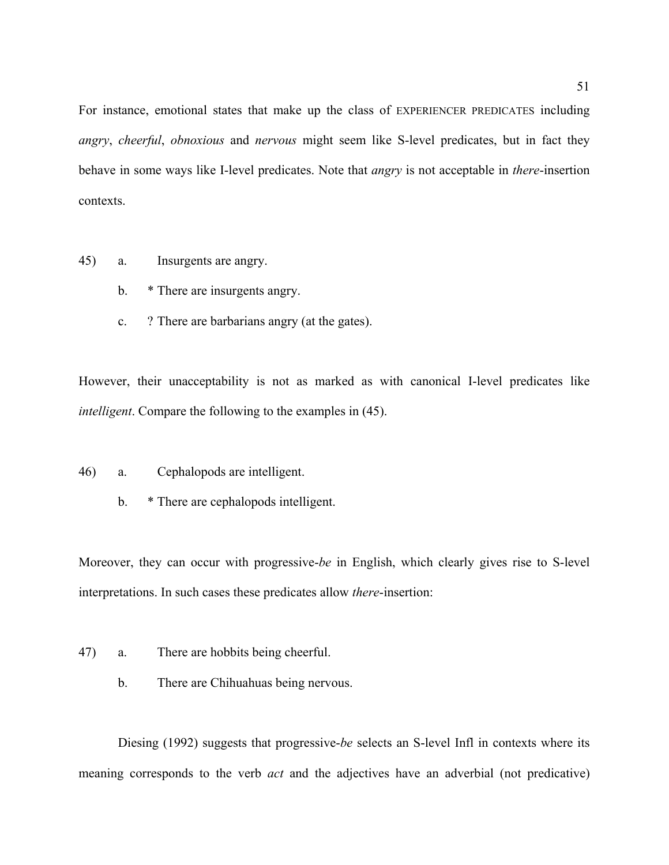For instance, emotional states that make up the class of EXPERIENCER PREDICATES including *angry*, *cheerful*, *obnoxious* and *nervous* might seem like S-level predicates, but in fact they behave in some ways like I-level predicates. Note that *angry* is not acceptable in *there*-insertion contexts.

- <span id="page-50-0"></span>45) a. Insurgents are angry.
	- b. \* There are insurgents angry.
	- c. ? There are barbarians angry (at the gates).

However, their unacceptability is not as marked as with canonical I-level predicates like *intelligent*. Compare the following to the examples in ([45\)](#page-50-0).

- 46) a. Cephalopods are intelligent.
	- b. \* There are cephalopods intelligent.

Moreover, they can occur with progressive-*be* in English, which clearly gives rise to S-level interpretations. In such cases these predicates allow *there*-insertion:

- 47) a. There are hobbits being cheerful.
	- b. There are Chihuahuas being nervous.

Diesing (1992) suggests that progressive-*be* selects an S-level Infl in contexts where its meaning corresponds to the verb *act* and the adjectives have an adverbial (not predicative)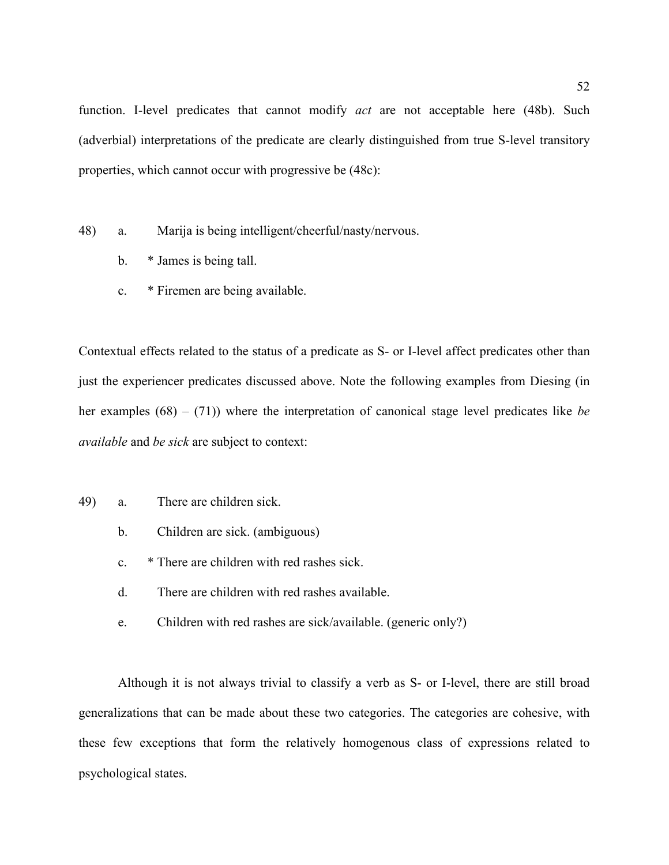function. I-level predicates that cannot modify *act* are not acceptable here [\(48](#page-51-0)b). Such (adverbial) interpretations of the predicate are clearly distinguished from true S-level transitory properties, which cannot occur with progressive be ([48c](#page-51-0)):

- <span id="page-51-0"></span>48) a. Marija is being intelligent/cheerful/nasty/nervous.
	- b. \* James is being tall.
	- c. \* Firemen are being available.

Contextual effects related to the status of a predicate as S- or I-level affect predicates other than just the experiencer predicates discussed above. Note the following examples from Diesing (in her examples (68) – (71)) where the interpretation of canonical stage level predicates like *be available* and *be sick* are subject to context:

- 49) a. There are children sick.
	- b. Children are sick. (ambiguous)
	- c. \* There are children with red rashes sick.
	- d. There are children with red rashes available.
	- e. Children with red rashes are sick/available. (generic only?)

Although it is not always trivial to classify a verb as S- or I-level, there are still broad generalizations that can be made about these two categories. The categories are cohesive, with these few exceptions that form the relatively homogenous class of expressions related to psychological states.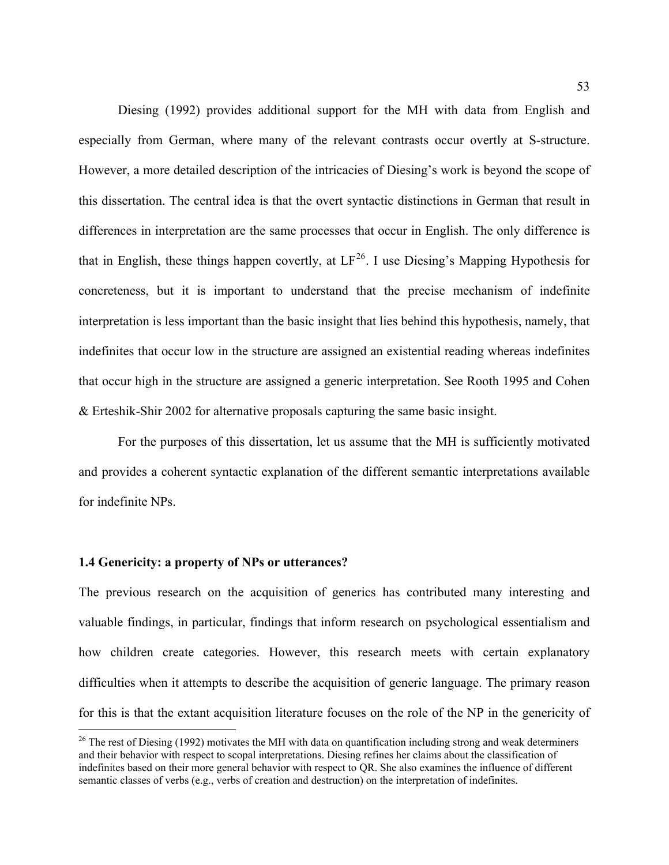Diesing (1992) provides additional support for the MH with data from English and especially from German, where many of the relevant contrasts occur overtly at S-structure. However, a more detailed description of the intricacies of Diesing's work is beyond the scope of this dissertation. The central idea is that the overt syntactic distinctions in German that result in differences in interpretation are the same processes that occur in English. The only difference is that in English, these things happen covertly, at  $LF^{26}$  $LF^{26}$  $LF^{26}$ . I use Diesing's Mapping Hypothesis for concreteness, but it is important to understand that the precise mechanism of indefinite interpretation is less important than the basic insight that lies behind this hypothesis, namely, that indefinites that occur low in the structure are assigned an existential reading whereas indefinites that occur high in the structure are assigned a generic interpretation. See Rooth 1995 and Cohen & Erteshik-Shir 2002 for alternative proposals capturing the same basic insight.

For the purposes of this dissertation, let us assume that the MH is sufficiently motivated and provides a coherent syntactic explanation of the different semantic interpretations available for indefinite NPs.

## **1.4 Genericity: a property of NPs or utterances?**

<u>.</u>

The previous research on the acquisition of generics has contributed many interesting and valuable findings, in particular, findings that inform research on psychological essentialism and how children create categories. However, this research meets with certain explanatory difficulties when it attempts to describe the acquisition of generic language. The primary reason for this is that the extant acquisition literature focuses on the role of the NP in the genericity of

<span id="page-52-0"></span><sup>&</sup>lt;sup>26</sup> The rest of Diesing (1992) motivates the MH with data on quantification including strong and weak determiners and their behavior with respect to scopal interpretations. Diesing refines her claims about the classification of indefinites based on their more general behavior with respect to QR. She also examines the influence of different semantic classes of verbs (e.g., verbs of creation and destruction) on the interpretation of indefinites.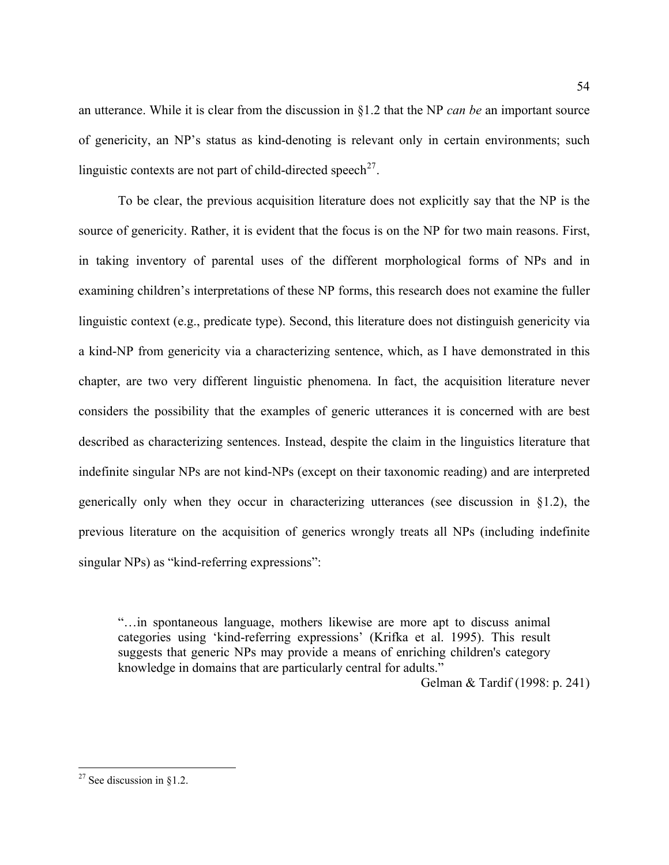an utterance. While it is clear from the discussion in §1.2 that the NP *can be* an important source of genericity, an NP's status as kind-denoting is relevant only in certain environments; such linguistic contexts are not part of child-directed speech<sup>[27](#page-53-0)</sup>.

To be clear, the previous acquisition literature does not explicitly say that the NP is the source of genericity. Rather, it is evident that the focus is on the NP for two main reasons. First, in taking inventory of parental uses of the different morphological forms of NPs and in examining children's interpretations of these NP forms, this research does not examine the fuller linguistic context (e.g., predicate type). Second, this literature does not distinguish genericity via a kind-NP from genericity via a characterizing sentence, which, as I have demonstrated in this chapter, are two very different linguistic phenomena. In fact, the acquisition literature never considers the possibility that the examples of generic utterances it is concerned with are best described as characterizing sentences. Instead, despite the claim in the linguistics literature that indefinite singular NPs are not kind-NPs (except on their taxonomic reading) and are interpreted generically only when they occur in characterizing utterances (see discussion in §1.2), the previous literature on the acquisition of generics wrongly treats all NPs (including indefinite singular NPs) as "kind-referring expressions":

"…in spontaneous language, mothers likewise are more apt to discuss animal categories using 'kind-referring expressions' (Krifka et al. 1995). This result suggests that generic NPs may provide a means of enriching children's category knowledge in domains that are particularly central for adults."

Gelman & Tardif (1998: p. 241)

 $\overline{a}$ 

<span id="page-53-0"></span><sup>&</sup>lt;sup>27</sup> See discussion in §1.2.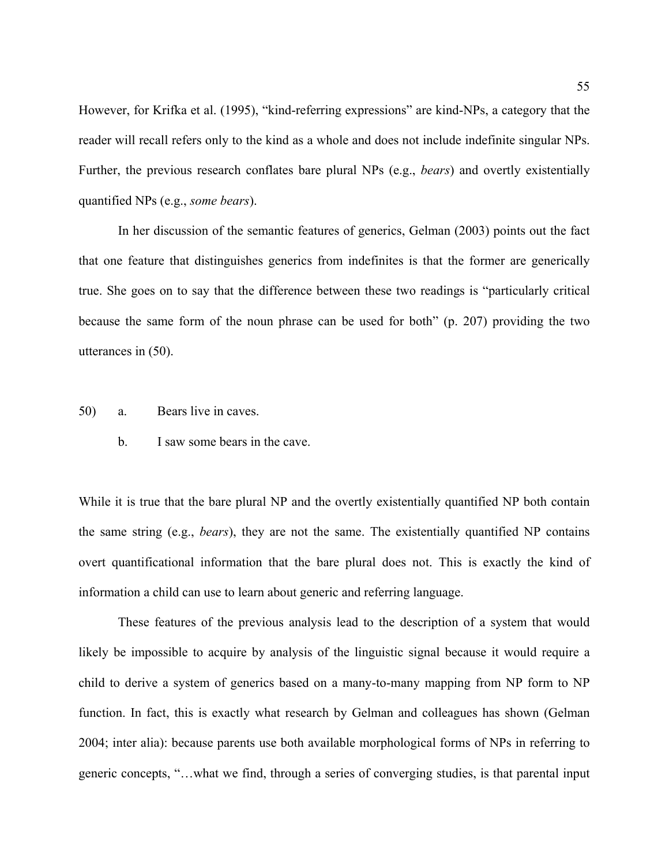However, for Krifka et al. (1995), "kind-referring expressions" are kind-NPs, a category that the reader will recall refers only to the kind as a whole and does not include indefinite singular NPs. Further, the previous research conflates bare plural NPs (e.g., *bears*) and overtly existentially quantified NPs (e.g., *some bears*).

In her discussion of the semantic features of generics, Gelman (2003) points out the fact that one feature that distinguishes generics from indefinites is that the former are generically true. She goes on to say that the difference between these two readings is "particularly critical because the same form of the noun phrase can be used for both" (p. 207) providing the two utterances in ([50\)](#page-54-0).

- <span id="page-54-0"></span>50) a. Bears live in caves.
	- b. I saw some bears in the cave.

While it is true that the bare plural NP and the overtly existentially quantified NP both contain the same string (e.g., *bears*), they are not the same. The existentially quantified NP contains overt quantificational information that the bare plural does not. This is exactly the kind of information a child can use to learn about generic and referring language.

These features of the previous analysis lead to the description of a system that would likely be impossible to acquire by analysis of the linguistic signal because it would require a child to derive a system of generics based on a many-to-many mapping from NP form to NP function. In fact, this is exactly what research by Gelman and colleagues has shown (Gelman 2004; inter alia): because parents use both available morphological forms of NPs in referring to generic concepts, "…what we find, through a series of converging studies, is that parental input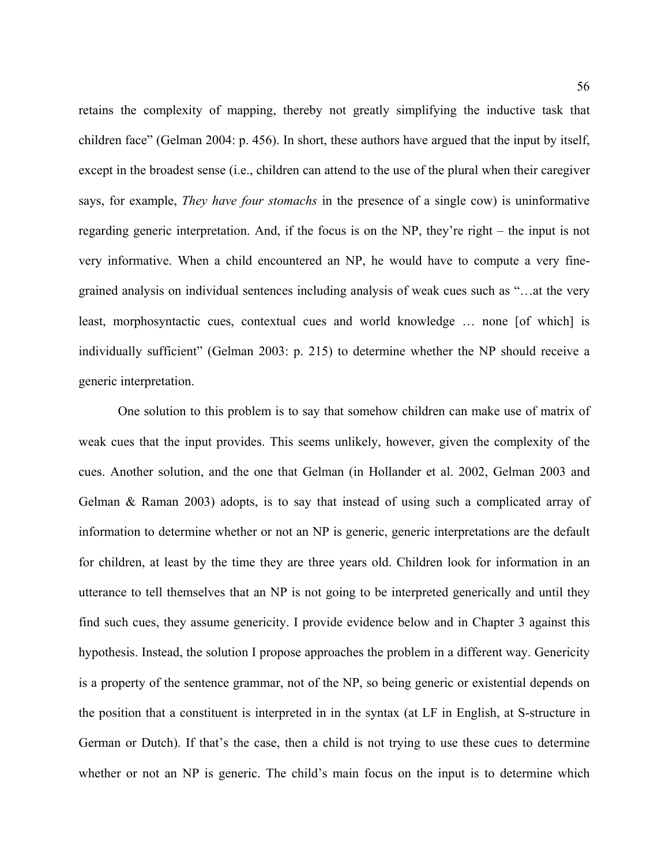retains the complexity of mapping, thereby not greatly simplifying the inductive task that children face" (Gelman 2004: p. 456). In short, these authors have argued that the input by itself, except in the broadest sense (i.e., children can attend to the use of the plural when their caregiver says, for example, *They have four stomachs* in the presence of a single cow) is uninformative regarding generic interpretation. And, if the focus is on the NP, they're right – the input is not very informative. When a child encountered an NP, he would have to compute a very finegrained analysis on individual sentences including analysis of weak cues such as "…at the very least, morphosyntactic cues, contextual cues and world knowledge … none [of which] is individually sufficient" (Gelman 2003: p. 215) to determine whether the NP should receive a generic interpretation.

One solution to this problem is to say that somehow children can make use of matrix of weak cues that the input provides. This seems unlikely, however, given the complexity of the cues. Another solution, and the one that Gelman (in Hollander et al. 2002, Gelman 2003 and Gelman & Raman 2003) adopts, is to say that instead of using such a complicated array of information to determine whether or not an NP is generic, generic interpretations are the default for children, at least by the time they are three years old. Children look for information in an utterance to tell themselves that an NP is not going to be interpreted generically and until they find such cues, they assume genericity. I provide evidence below and in Chapter 3 against this hypothesis. Instead, the solution I propose approaches the problem in a different way. Genericity is a property of the sentence grammar, not of the NP, so being generic or existential depends on the position that a constituent is interpreted in in the syntax (at LF in English, at S-structure in German or Dutch). If that's the case, then a child is not trying to use these cues to determine whether or not an NP is generic. The child's main focus on the input is to determine which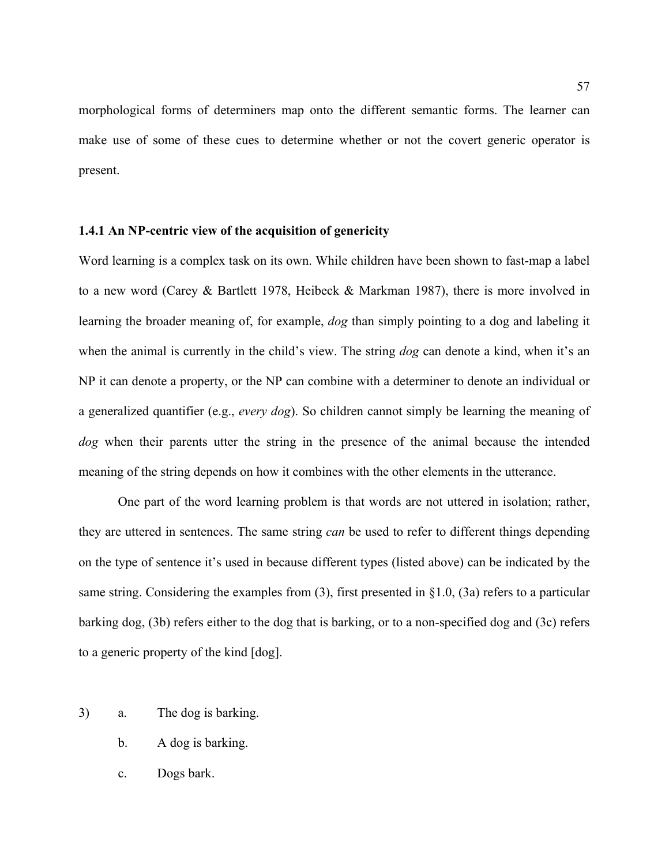morphological forms of determiners map onto the different semantic forms. The learner can make use of some of these cues to determine whether or not the covert generic operator is present.

## **1.4.1 An NP-centric view of the acquisition of genericity**

Word learning is a complex task on its own. While children have been shown to fast-map a label to a new word (Carey & Bartlett 1978, Heibeck & Markman 1987), there is more involved in learning the broader meaning of, for example, *dog* than simply pointing to a dog and labeling it when the animal is currently in the child's view. The string *dog* can denote a kind, when it's an NP it can denote a property, or the NP can combine with a determiner to denote an individual or a generalized quantifier (e.g., *every dog*). So children cannot simply be learning the meaning of *dog* when their parents utter the string in the presence of the animal because the intended meaning of the string depends on how it combines with the other elements in the utterance.

One part of the word learning problem is that words are not uttered in isolation; rather, they are uttered in sentences. The same string *can* be used to refer to different things depending on the type of sentence it's used in because different types (listed above) can be indicated by the same string. Considering the examples from [\(3](#page-11-0)), first presented in §1.0, ([3a](#page-11-0)) refers to a particular barking dog, ([3b](#page-11-0)) refers either to the dog that is barking, or to a non-specified dog and [\(3](#page-11-0)c) refers to a generic property of the kind [dog].

- [3](#page-11-0)) a. The dog is barking.
	- b. A dog is barking.
	- c. Dogs bark.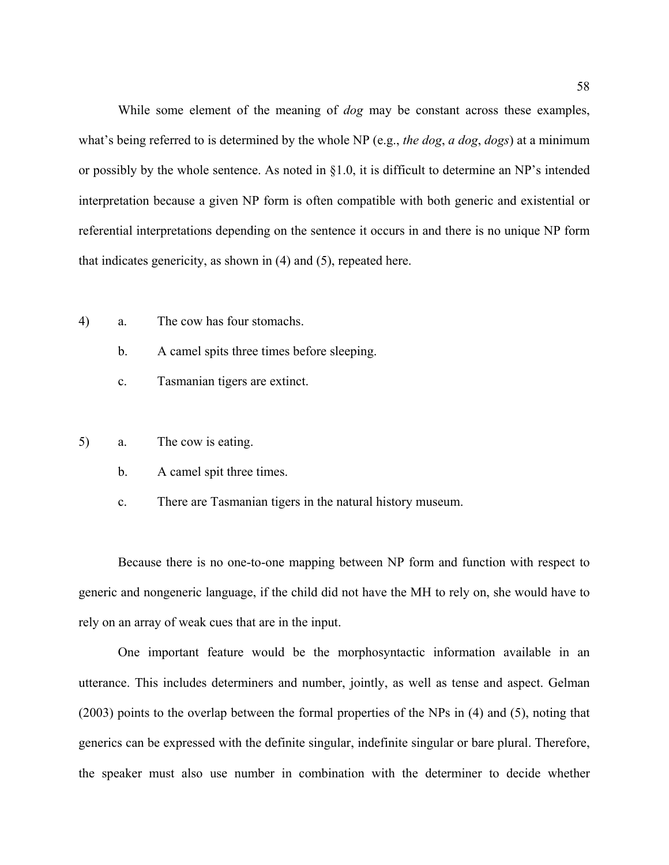While some element of the meaning of *dog* may be constant across these examples, what's being referred to is determined by the whole NP (e.g., *the dog*, *a dog*, *dogs*) at a minimum or possibly by the whole sentence. As noted in §1.0, it is difficult to determine an NP's intended interpretation because a given NP form is often compatible with both generic and existential or referential interpretations depending on the sentence it occurs in and there is no unique NP form that indicates genericity, as shown in [\(4](#page-11-1)) and ([5\)](#page-11-2), repeated here.

- [4](#page-11-1)) a. The cow has four stomachs.
	- b. A camel spits three times before sleeping.
	- c. Tasmanian tigers are extinct.
- [5](#page-11-2)) a. The cow is eating.
	- b. A camel spit three times.
	- c. There are Tasmanian tigers in the natural history museum.

 Because there is no one-to-one mapping between NP form and function with respect to generic and nongeneric language, if the child did not have the MH to rely on, she would have to rely on an array of weak cues that are in the input.

One important feature would be the morphosyntactic information available in an utterance. This includes determiners and number, jointly, as well as tense and aspect. Gelman (2003) points to the overlap between the formal properties of the NPs in ([4\)](#page-11-1) and [\(5](#page-11-2)), noting that generics can be expressed with the definite singular, indefinite singular or bare plural. Therefore, the speaker must also use number in combination with the determiner to decide whether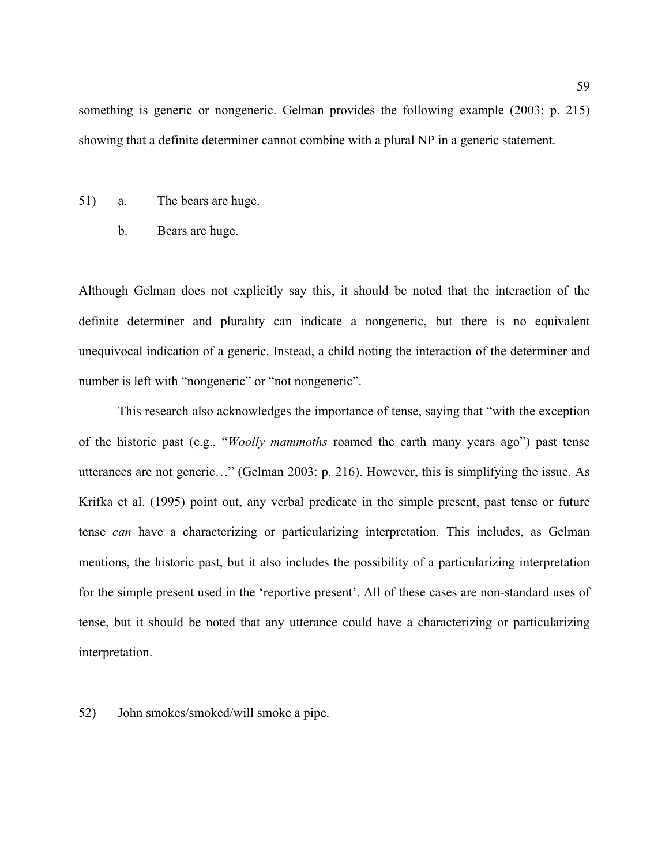something is generic or nongeneric. Gelman provides the following example (2003: p. 215) showing that a definite determiner cannot combine with a plural NP in a generic statement.

- 51) a. The bears are huge.
	- b. Bears are huge.

Although Gelman does not explicitly say this, it should be noted that the interaction of the definite determiner and plurality can indicate a nongeneric, but there is no equivalent unequivocal indication of a generic. Instead, a child noting the interaction of the determiner and number is left with "nongeneric" or "not nongeneric".

 This research also acknowledges the importance of tense, saying that "with the exception of the historic past (e.g., "*Woolly mammoths* roamed the earth many years ago") past tense utterances are not generic…" (Gelman 2003: p. 216). However, this is simplifying the issue. As Krifka et al. (1995) point out, any verbal predicate in the simple present, past tense or future tense *can* have a characterizing or particularizing interpretation. This includes, as Gelman mentions, the historic past, but it also includes the possibility of a particularizing interpretation for the simple present used in the 'reportive present'. All of these cases are non-standard uses of tense, but it should be noted that any utterance could have a characterizing or particularizing interpretation.

52) John smokes/smoked/will smoke a pipe.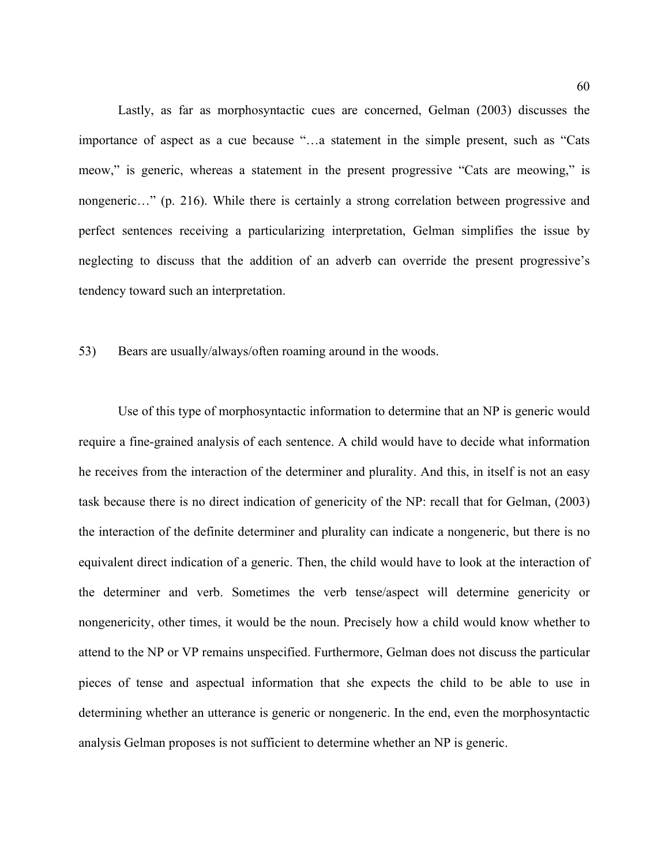Lastly, as far as morphosyntactic cues are concerned, Gelman (2003) discusses the importance of aspect as a cue because "…a statement in the simple present, such as "Cats meow," is generic, whereas a statement in the present progressive "Cats are meowing," is nongeneric…" (p. 216). While there is certainly a strong correlation between progressive and perfect sentences receiving a particularizing interpretation, Gelman simplifies the issue by neglecting to discuss that the addition of an adverb can override the present progressive's tendency toward such an interpretation.

## 53) Bears are usually/always/often roaming around in the woods.

 Use of this type of morphosyntactic information to determine that an NP is generic would require a fine-grained analysis of each sentence. A child would have to decide what information he receives from the interaction of the determiner and plurality. And this, in itself is not an easy task because there is no direct indication of genericity of the NP: recall that for Gelman, (2003) the interaction of the definite determiner and plurality can indicate a nongeneric, but there is no equivalent direct indication of a generic. Then, the child would have to look at the interaction of the determiner and verb. Sometimes the verb tense/aspect will determine genericity or nongenericity, other times, it would be the noun. Precisely how a child would know whether to attend to the NP or VP remains unspecified. Furthermore, Gelman does not discuss the particular pieces of tense and aspectual information that she expects the child to be able to use in determining whether an utterance is generic or nongeneric. In the end, even the morphosyntactic analysis Gelman proposes is not sufficient to determine whether an NP is generic.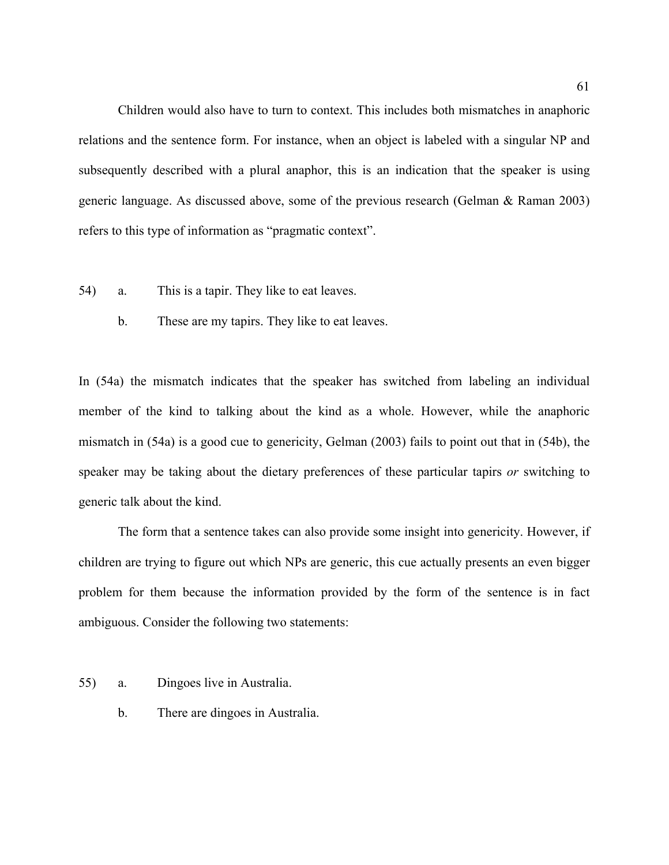Children would also have to turn to context. This includes both mismatches in anaphoric relations and the sentence form. For instance, when an object is labeled with a singular NP and subsequently described with a plural anaphor, this is an indication that the speaker is using generic language. As discussed above, some of the previous research (Gelman & Raman 2003) refers to this type of information as "pragmatic context".

- <span id="page-60-0"></span>54) a. This is a tapir. They like to eat leaves.
	- b. These are my tapirs. They like to eat leaves.

In [\(54](#page-60-0)a) the mismatch indicates that the speaker has switched from labeling an individual member of the kind to talking about the kind as a whole. However, while the anaphoric mismatch in ([54a](#page-60-0)) is a good cue to genericity, Gelman (2003) fails to point out that in ([54b](#page-60-0)), the speaker may be taking about the dietary preferences of these particular tapirs *or* switching to generic talk about the kind.

The form that a sentence takes can also provide some insight into genericity. However, if children are trying to figure out which NPs are generic, this cue actually presents an even bigger problem for them because the information provided by the form of the sentence is in fact ambiguous. Consider the following two statements:

- <span id="page-60-1"></span>55) a. Dingoes live in Australia.
	- b. There are dingoes in Australia.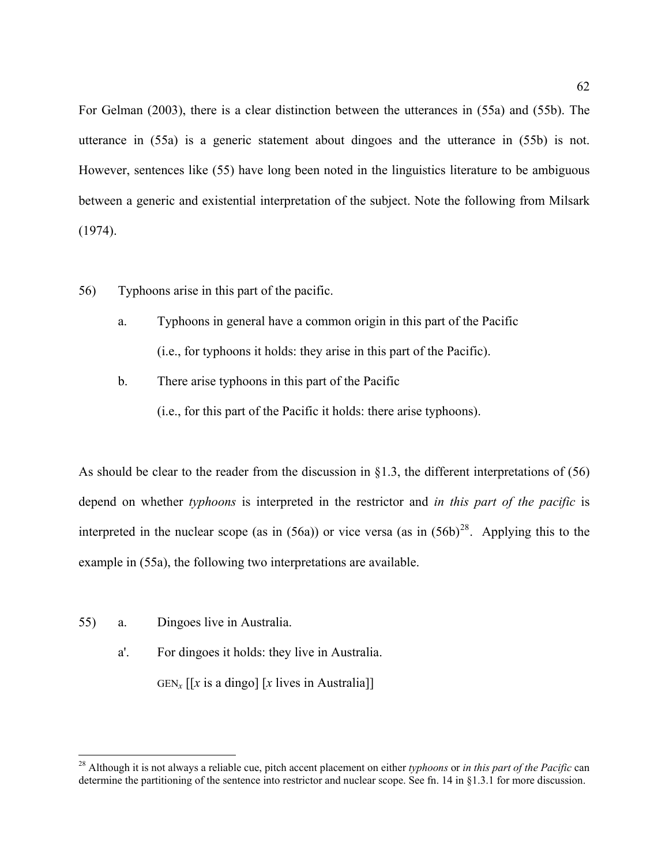For Gelman (2003), there is a clear distinction between the utterances in ([55a](#page-60-1)) and [\(55](#page-60-1)b). The utterance in ([55a](#page-60-1)) is a generic statement about dingoes and the utterance in [\(55](#page-60-1)b) is not. However, sentences like ([55\)](#page-60-1) have long been noted in the linguistics literature to be ambiguous between a generic and existential interpretation of the subject. Note the following from Milsark (1974).

- <span id="page-61-1"></span>56) Typhoons arise in this part of the pacific.
	- a. Typhoons in general have a common origin in this part of the Pacific (i.e., for typhoons it holds: they arise in this part of the Pacific).
	- b. There arise typhoons in this part of the Pacific

(i.e., for this part of the Pacific it holds: there arise typhoons).

As should be clear to the reader from the discussion in  $\S$ 1.3, the different interpretations of [\(56](#page-61-1)) depend on whether *typhoons* is interpreted in the restrictor and *in this part of the pacific* is interpreted in the nuclear scope (as in  $(56a)$  $(56a)$  $(56a)$ ) or vice versa (as in  $(56b)^{28}$  $(56b)^{28}$  $(56b)^{28}$  $(56b)^{28}$ . Applying this to the example in ([55](#page-60-1)a), the following two interpretations are available.

[55](#page-60-1)) a. Dingoes live in Australia.

 $\overline{a}$ 

a'. For dingoes it holds: they live in Australia.

GEN<sub>x</sub>  $\left[ x \right]$  is a dingo  $\left[ x \right]$  lives in Australia

<span id="page-61-0"></span><sup>28</sup> Although it is not always a reliable cue, pitch accent placement on either *typhoons* or *in this part of the Pacific* can determine the partitioning of the sentence into restrictor and nuclear scope. See fn. 14 in §1.3.1 for more discussion.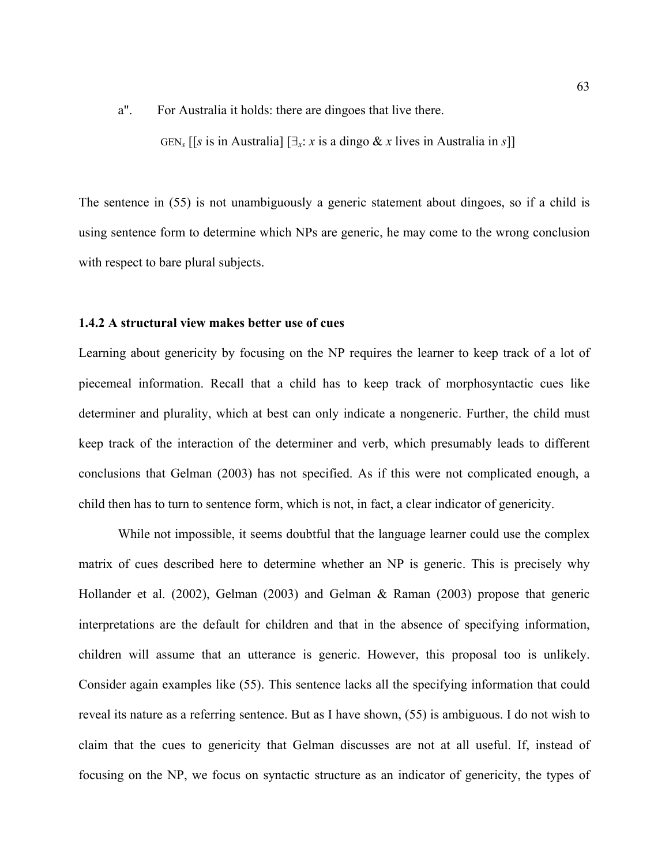a". For Australia it holds: there are dingoes that live there.

GEN<sub>s</sub> [[s is in Australia]  $[\exists_x : x \text{ is a } \text{dingo } \& x \text{ lives in Australia in s}$ ]]

The sentence in ([55\)](#page-60-1) is not unambiguously a generic statement about dingoes, so if a child is using sentence form to determine which NPs are generic, he may come to the wrong conclusion with respect to bare plural subjects.

## **1.4.2 A structural view makes better use of cues**

Learning about genericity by focusing on the NP requires the learner to keep track of a lot of piecemeal information. Recall that a child has to keep track of morphosyntactic cues like determiner and plurality, which at best can only indicate a nongeneric. Further, the child must keep track of the interaction of the determiner and verb, which presumably leads to different conclusions that Gelman (2003) has not specified. As if this were not complicated enough, a child then has to turn to sentence form, which is not, in fact, a clear indicator of genericity.

While not impossible, it seems doubtful that the language learner could use the complex matrix of cues described here to determine whether an NP is generic. This is precisely why Hollander et al. (2002), Gelman (2003) and Gelman & Raman (2003) propose that generic interpretations are the default for children and that in the absence of specifying information, children will assume that an utterance is generic. However, this proposal too is unlikely. Consider again examples like [\(55](#page-60-1)). This sentence lacks all the specifying information that could reveal its nature as a referring sentence. But as I have shown, ([55\)](#page-60-1) is ambiguous. I do not wish to claim that the cues to genericity that Gelman discusses are not at all useful. If, instead of focusing on the NP, we focus on syntactic structure as an indicator of genericity, the types of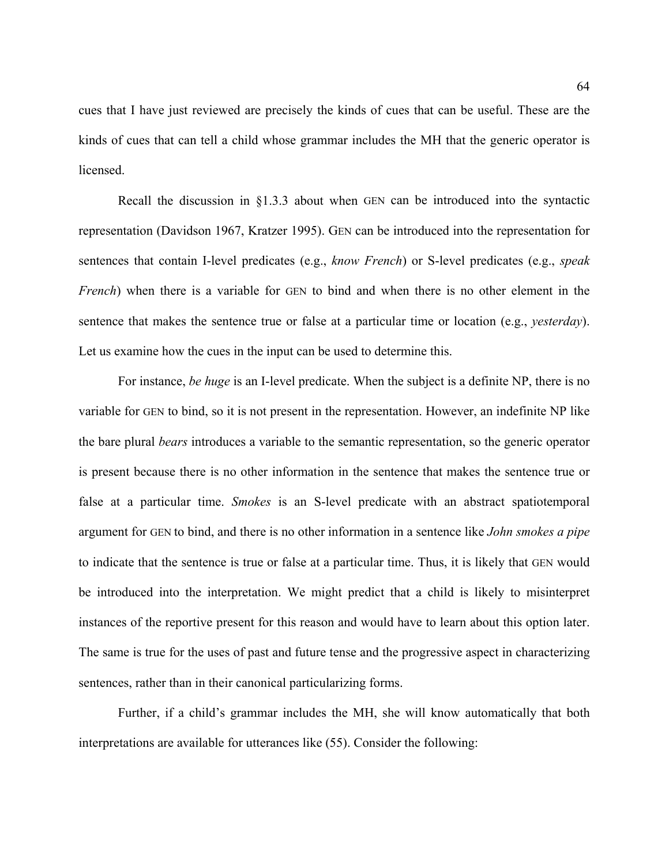cues that I have just reviewed are precisely the kinds of cues that can be useful. These are the kinds of cues that can tell a child whose grammar includes the MH that the generic operator is **licensed** 

Recall the discussion in §1.3.3 about when GEN can be introduced into the syntactic representation (Davidson 1967, Kratzer 1995). GEN can be introduced into the representation for sentences that contain I-level predicates (e.g., *know French*) or S-level predicates (e.g., *speak French*) when there is a variable for GEN to bind and when there is no other element in the sentence that makes the sentence true or false at a particular time or location (e.g., *yesterday*). Let us examine how the cues in the input can be used to determine this.

For instance, *be huge* is an I-level predicate. When the subject is a definite NP, there is no variable for GEN to bind, so it is not present in the representation. However, an indefinite NP like the bare plural *bears* introduces a variable to the semantic representation, so the generic operator is present because there is no other information in the sentence that makes the sentence true or false at a particular time. *Smokes* is an S-level predicate with an abstract spatiotemporal argument for GEN to bind, and there is no other information in a sentence like *John smokes a pipe* to indicate that the sentence is true or false at a particular time. Thus, it is likely that GEN would be introduced into the interpretation. We might predict that a child is likely to misinterpret instances of the reportive present for this reason and would have to learn about this option later. The same is true for the uses of past and future tense and the progressive aspect in characterizing sentences, rather than in their canonical particularizing forms.

Further, if a child's grammar includes the MH, she will know automatically that both interpretations are available for utterances like [\(55\)](#page-60-1). Consider the following: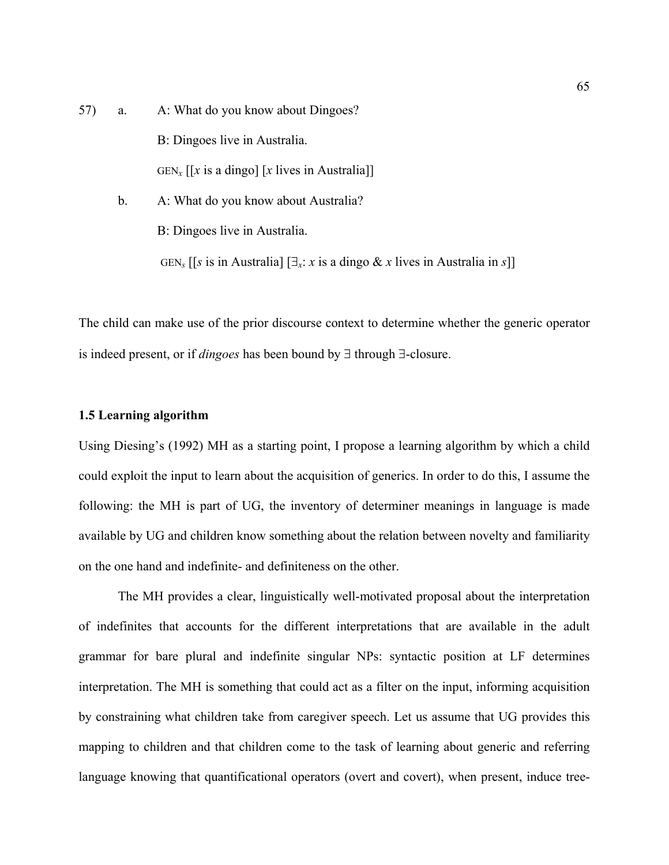- 57) a. A: What do you know about Dingoes? B: Dingoes live in Australia. GEN<sub>x</sub>  $\left[ x \right]$  is a dingo  $\left[ x \right]$  lives in Australia b. A: What do you know about Australia?
	- B: Dingoes live in Australia.

GEN<sub>s</sub> [[*s* is in Australia]  $[\exists_x : x \text{ is a } \text{dingo } \& x \text{ lives in Australia in } s$ ]]

The child can make use of the prior discourse context to determine whether the generic operator is indeed present, or if *dingoes* has been bound by ∃ through ∃-closure.

## **1.5 Learning algorithm**

Using Diesing's (1992) MH as a starting point, I propose a learning algorithm by which a child could exploit the input to learn about the acquisition of generics. In order to do this, I assume the following: the MH is part of UG, the inventory of determiner meanings in language is made available by UG and children know something about the relation between novelty and familiarity on the one hand and indefinite- and definiteness on the other.

The MH provides a clear, linguistically well-motivated proposal about the interpretation of indefinites that accounts for the different interpretations that are available in the adult grammar for bare plural and indefinite singular NPs: syntactic position at LF determines interpretation. The MH is something that could act as a filter on the input, informing acquisition by constraining what children take from caregiver speech. Let us assume that UG provides this mapping to children and that children come to the task of learning about generic and referring language knowing that quantificational operators (overt and covert), when present, induce tree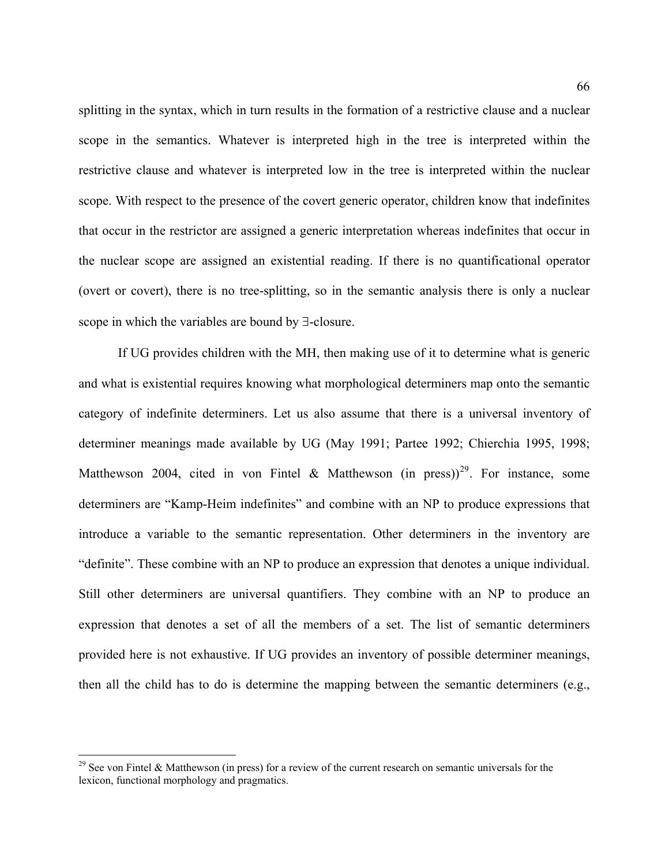splitting in the syntax, which in turn results in the formation of a restrictive clause and a nuclear scope in the semantics. Whatever is interpreted high in the tree is interpreted within the restrictive clause and whatever is interpreted low in the tree is interpreted within the nuclear scope. With respect to the presence of the covert generic operator, children know that indefinites that occur in the restrictor are assigned a generic interpretation whereas indefinites that occur in the nuclear scope are assigned an existential reading. If there is no quantificational operator (overt or covert), there is no tree-splitting, so in the semantic analysis there is only a nuclear scope in which the variables are bound by ∃-closure.

If UG provides children with the MH, then making use of it to determine what is generic and what is existential requires knowing what morphological determiners map onto the semantic category of indefinite determiners. Let us also assume that there is a universal inventory of determiner meanings made available by UG (May 1991; Partee 1992; Chierchia 1995, 1998; Matthewson 2004, cited in von Fintel & Matthewson (in press))<sup>[29](#page-65-0)</sup>. For instance, some determiners are "Kamp-Heim indefinites" and combine with an NP to produce expressions that introduce a variable to the semantic representation. Other determiners in the inventory are "definite". These combine with an NP to produce an expression that denotes a unique individual. Still other determiners are universal quantifiers. They combine with an NP to produce an expression that denotes a set of all the members of a set. The list of semantic determiners provided here is not exhaustive. If UG provides an inventory of possible determiner meanings, then all the child has to do is determine the mapping between the semantic determiners (e.g.,

 $\overline{a}$ 

<span id="page-65-0"></span> $29$  See von Fintel & Matthewson (in press) for a review of the current research on semantic universals for the lexicon, functional morphology and pragmatics.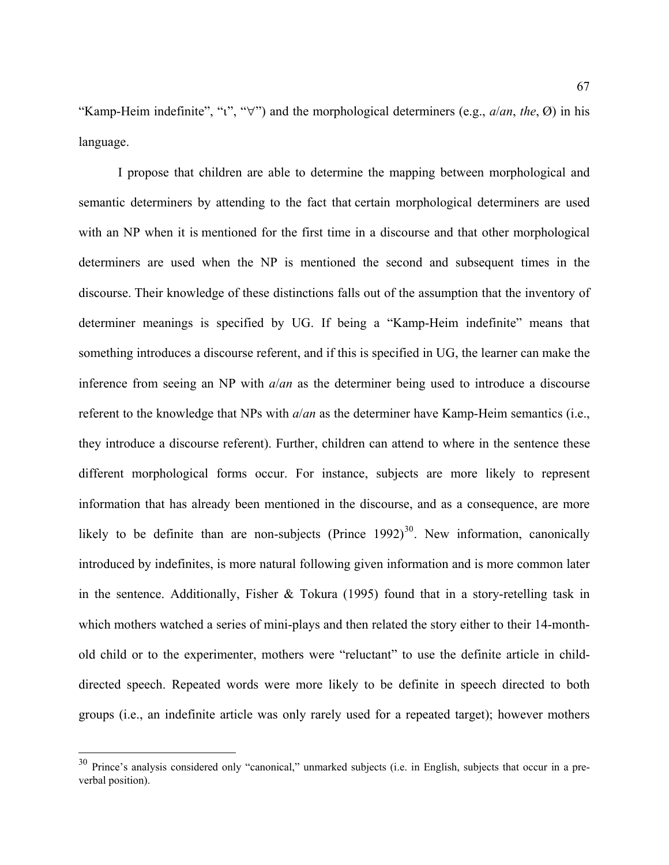"Kamp-Heim indefinite", "ι", "∀") and the morphological determiners (e.g., *a*/*an*, *the*, Ø) in his language.

I propose that children are able to determine the mapping between morphological and semantic determiners by attending to the fact that certain morphological determiners are used with an NP when it is mentioned for the first time in a discourse and that other morphological determiners are used when the NP is mentioned the second and subsequent times in the discourse. Their knowledge of these distinctions falls out of the assumption that the inventory of determiner meanings is specified by UG. If being a "Kamp-Heim indefinite" means that something introduces a discourse referent, and if this is specified in UG, the learner can make the inference from seeing an NP with *a*/*an* as the determiner being used to introduce a discourse referent to the knowledge that NPs with *a*/*an* as the determiner have Kamp-Heim semantics (i.e., they introduce a discourse referent). Further, children can attend to where in the sentence these different morphological forms occur. For instance, subjects are more likely to represent information that has already been mentioned in the discourse, and as a consequence, are more likely to be definite than are non-subjects (Prince  $1992$ )<sup>[30](#page-66-0)</sup>. New information, canonically introduced by indefinites, is more natural following given information and is more common later in the sentence. Additionally, Fisher & Tokura (1995) found that in a story-retelling task in which mothers watched a series of mini-plays and then related the story either to their 14-monthold child or to the experimenter, mothers were "reluctant" to use the definite article in childdirected speech. Repeated words were more likely to be definite in speech directed to both groups (i.e., an indefinite article was only rarely used for a repeated target); however mothers

 $\overline{a}$ 

<span id="page-66-0"></span> $30$  Prince's analysis considered only "canonical," unmarked subjects (i.e. in English, subjects that occur in a preverbal position).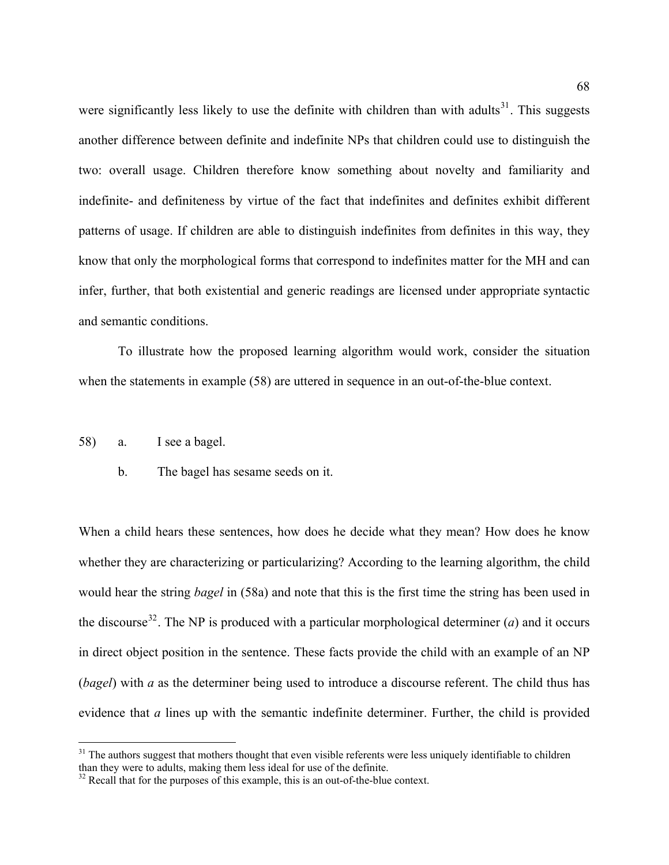were significantly less likely to use the definite with children than with adults<sup>[31](#page-67-0)</sup>. This suggests another difference between definite and indefinite NPs that children could use to distinguish the two: overall usage. Children therefore know something about novelty and familiarity and indefinite- and definiteness by virtue of the fact that indefinites and definites exhibit different patterns of usage. If children are able to distinguish indefinites from definites in this way, they know that only the morphological forms that correspond to indefinites matter for the MH and can infer, further, that both existential and generic readings are licensed under appropriate syntactic and semantic conditions.

To illustrate how the proposed learning algorithm would work, consider the situation when the statements in example [\(58](#page-67-1)) are uttered in sequence in an out-of-the-blue context.

<span id="page-67-1"></span>58) a. I see a bagel.

 $\overline{a}$ 

b. The bagel has sesame seeds on it.

When a child hears these sentences, how does he decide what they mean? How does he know whether they are characterizing or particularizing? According to the learning algorithm, the child would hear the string *bagel* in [\(58](#page-67-1)a) and note that this is the first time the string has been used in the discourse<sup>[32](#page-67-2)</sup>. The NP is produced with a particular morphological determiner (*a*) and it occurs in direct object position in the sentence. These facts provide the child with an example of an NP (*bagel*) with *a* as the determiner being used to introduce a discourse referent. The child thus has evidence that *a* lines up with the semantic indefinite determiner. Further, the child is provided

<span id="page-67-0"></span> $31$  The authors suggest that mothers thought that even visible referents were less uniquely identifiable to children than they were to adults, making them less ideal for use of the definite.

<span id="page-67-2"></span> $32$  Recall that for the purposes of this example, this is an out-of-the-blue context.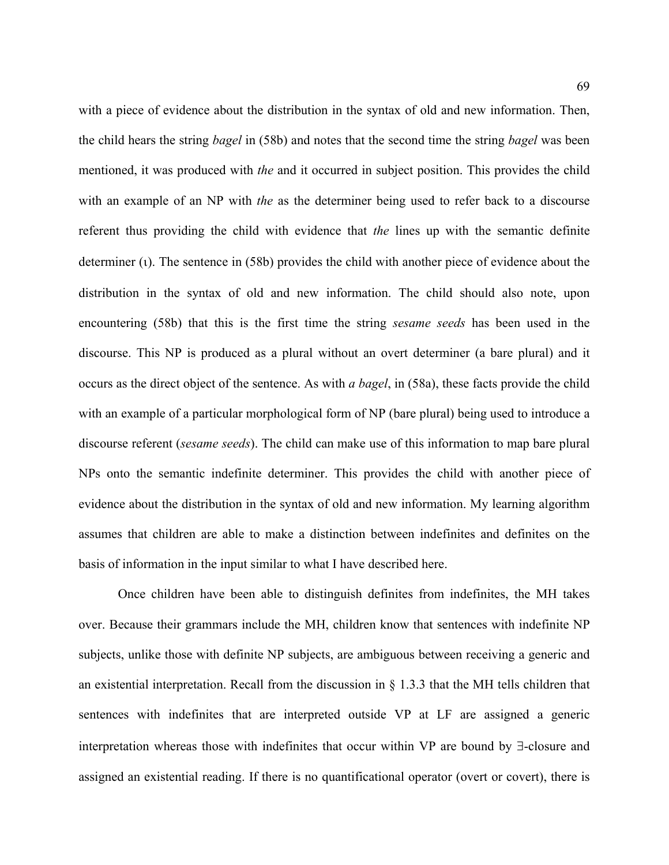with a piece of evidence about the distribution in the syntax of old and new information. Then, the child hears the string *bagel* in [\(58](#page-67-1)b) and notes that the second time the string *bagel* was been mentioned, it was produced with *the* and it occurred in subject position. This provides the child with an example of an NP with *the* as the determiner being used to refer back to a discourse referent thus providing the child with evidence that *the* lines up with the semantic definite determiner (ι). The sentence in ([58b](#page-67-1)) provides the child with another piece of evidence about the distribution in the syntax of old and new information. The child should also note, upon encountering [\(58](#page-67-1)b) that this is the first time the string *sesame seeds* has been used in the discourse. This NP is produced as a plural without an overt determiner (a bare plural) and it occurs as the direct object of the sentence. As with *a bagel*, in [\(58](#page-67-1)a), these facts provide the child with an example of a particular morphological form of NP (bare plural) being used to introduce a discourse referent (*sesame seeds*). The child can make use of this information to map bare plural NPs onto the semantic indefinite determiner. This provides the child with another piece of evidence about the distribution in the syntax of old and new information. My learning algorithm assumes that children are able to make a distinction between indefinites and definites on the basis of information in the input similar to what I have described here.

Once children have been able to distinguish definites from indefinites, the MH takes over. Because their grammars include the MH, children know that sentences with indefinite NP subjects, unlike those with definite NP subjects, are ambiguous between receiving a generic and an existential interpretation. Recall from the discussion in § 1.3.3 that the MH tells children that sentences with indefinites that are interpreted outside VP at LF are assigned a generic interpretation whereas those with indefinites that occur within VP are bound by ∃-closure and assigned an existential reading. If there is no quantificational operator (overt or covert), there is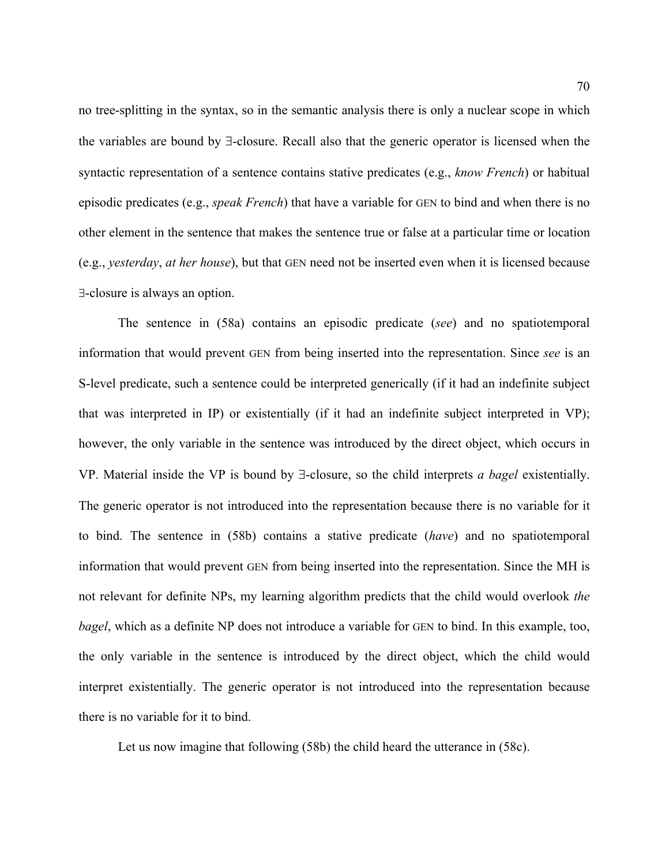no tree-splitting in the syntax, so in the semantic analysis there is only a nuclear scope in which the variables are bound by ∃-closure. Recall also that the generic operator is licensed when the syntactic representation of a sentence contains stative predicates (e.g., *know French*) or habitual episodic predicates (e.g., *speak French*) that have a variable for GEN to bind and when there is no other element in the sentence that makes the sentence true or false at a particular time or location (e.g., *yesterday*, *at her house*), but that GEN need not be inserted even when it is licensed because ∃-closure is always an option.

The sentence in ([58a](#page-67-1)) contains an episodic predicate (*see*) and no spatiotemporal information that would prevent GEN from being inserted into the representation. Since *see* is an S-level predicate, such a sentence could be interpreted generically (if it had an indefinite subject that was interpreted in IP) or existentially (if it had an indefinite subject interpreted in VP); however, the only variable in the sentence was introduced by the direct object, which occurs in VP. Material inside the VP is bound by ∃-closure, so the child interprets *a bagel* existentially. The generic operator is not introduced into the representation because there is no variable for it to bind. The sentence in ([58b](#page-67-1)) contains a stative predicate (*have*) and no spatiotemporal information that would prevent GEN from being inserted into the representation. Since the MH is not relevant for definite NPs, my learning algorithm predicts that the child would overlook *the bagel*, which as a definite NP does not introduce a variable for GEN to bind. In this example, too, the only variable in the sentence is introduced by the direct object, which the child would interpret existentially. The generic operator is not introduced into the representation because there is no variable for it to bind.

Let us now imagine that following ([58b](#page-67-1)) the child heard the utterance in ([58c](#page-67-1)).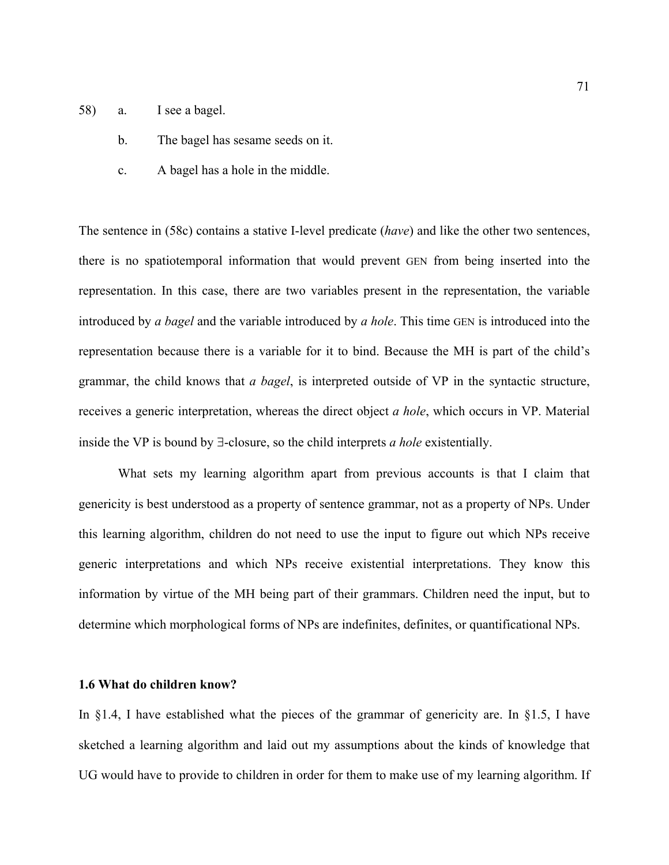- [58](#page-67-1)) a. I see a bagel.
	- b. The bagel has sesame seeds on it.
	- c. A bagel has a hole in the middle.

The sentence in [\(58](#page-67-1)c) contains a stative I-level predicate (*have*) and like the other two sentences, there is no spatiotemporal information that would prevent GEN from being inserted into the representation. In this case, there are two variables present in the representation, the variable introduced by *a bagel* and the variable introduced by *a hole*. This time GEN is introduced into the representation because there is a variable for it to bind. Because the MH is part of the child's grammar, the child knows that *a bagel*, is interpreted outside of VP in the syntactic structure, receives a generic interpretation, whereas the direct object *a hole*, which occurs in VP. Material inside the VP is bound by ∃-closure, so the child interprets *a hole* existentially.

What sets my learning algorithm apart from previous accounts is that I claim that genericity is best understood as a property of sentence grammar, not as a property of NPs. Under this learning algorithm, children do not need to use the input to figure out which NPs receive generic interpretations and which NPs receive existential interpretations. They know this information by virtue of the MH being part of their grammars. Children need the input, but to determine which morphological forms of NPs are indefinites, definites, or quantificational NPs.

# **1.6 What do children know?**

In §1.4, I have established what the pieces of the grammar of genericity are. In §1.5, I have sketched a learning algorithm and laid out my assumptions about the kinds of knowledge that UG would have to provide to children in order for them to make use of my learning algorithm. If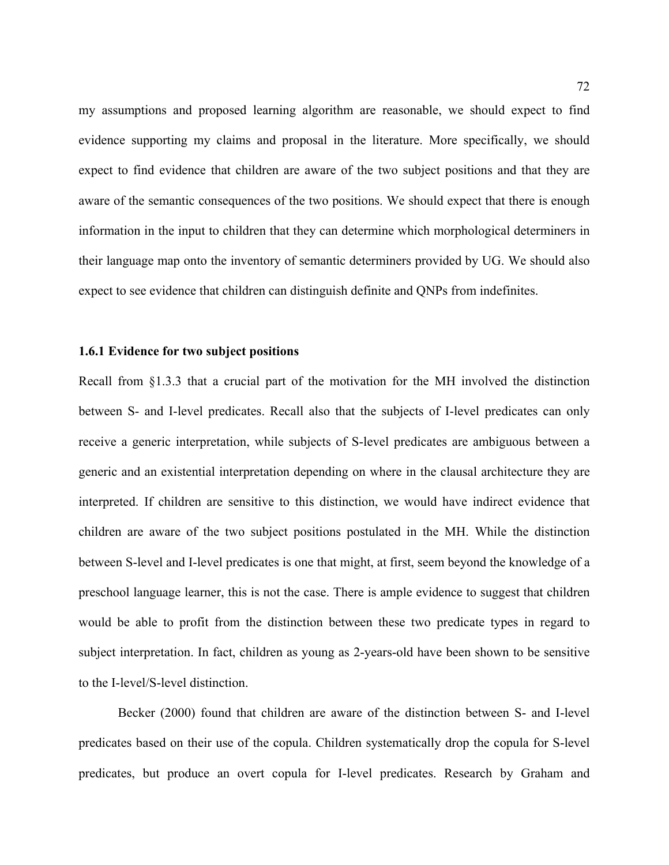my assumptions and proposed learning algorithm are reasonable, we should expect to find evidence supporting my claims and proposal in the literature. More specifically, we should expect to find evidence that children are aware of the two subject positions and that they are aware of the semantic consequences of the two positions. We should expect that there is enough information in the input to children that they can determine which morphological determiners in their language map onto the inventory of semantic determiners provided by UG. We should also expect to see evidence that children can distinguish definite and QNPs from indefinites.

#### **1.6.1 Evidence for two subject positions**

Recall from §1.3.3 that a crucial part of the motivation for the MH involved the distinction between S- and I-level predicates. Recall also that the subjects of I-level predicates can only receive a generic interpretation, while subjects of S-level predicates are ambiguous between a generic and an existential interpretation depending on where in the clausal architecture they are interpreted. If children are sensitive to this distinction, we would have indirect evidence that children are aware of the two subject positions postulated in the MH. While the distinction between S-level and I-level predicates is one that might, at first, seem beyond the knowledge of a preschool language learner, this is not the case. There is ample evidence to suggest that children would be able to profit from the distinction between these two predicate types in regard to subject interpretation. In fact, children as young as 2-years-old have been shown to be sensitive to the I-level/S-level distinction.

Becker (2000) found that children are aware of the distinction between S- and I-level predicates based on their use of the copula. Children systematically drop the copula for S-level predicates, but produce an overt copula for I-level predicates. Research by Graham and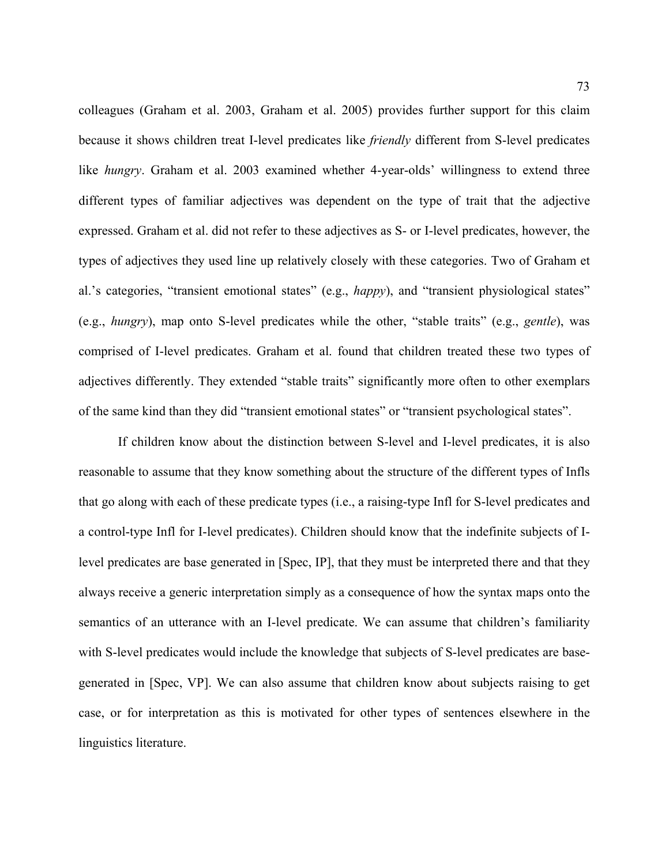colleagues (Graham et al. 2003, Graham et al. 2005) provides further support for this claim because it shows children treat I-level predicates like *friendly* different from S-level predicates like *hungry*. Graham et al. 2003 examined whether 4-year-olds' willingness to extend three different types of familiar adjectives was dependent on the type of trait that the adjective expressed. Graham et al. did not refer to these adjectives as S- or I-level predicates, however, the types of adjectives they used line up relatively closely with these categories. Two of Graham et al.'s categories, "transient emotional states" (e.g., *happy*), and "transient physiological states" (e.g., *hungry*), map onto S-level predicates while the other, "stable traits" (e.g., *gentle*), was comprised of I-level predicates. Graham et al. found that children treated these two types of adjectives differently. They extended "stable traits" significantly more often to other exemplars of the same kind than they did "transient emotional states" or "transient psychological states".

If children know about the distinction between S-level and I-level predicates, it is also reasonable to assume that they know something about the structure of the different types of Infls that go along with each of these predicate types (i.e., a raising-type Infl for S-level predicates and a control-type Infl for I-level predicates). Children should know that the indefinite subjects of Ilevel predicates are base generated in [Spec, IP], that they must be interpreted there and that they always receive a generic interpretation simply as a consequence of how the syntax maps onto the semantics of an utterance with an I-level predicate. We can assume that children's familiarity with S-level predicates would include the knowledge that subjects of S-level predicates are basegenerated in [Spec, VP]. We can also assume that children know about subjects raising to get case, or for interpretation as this is motivated for other types of sentences elsewhere in the linguistics literature.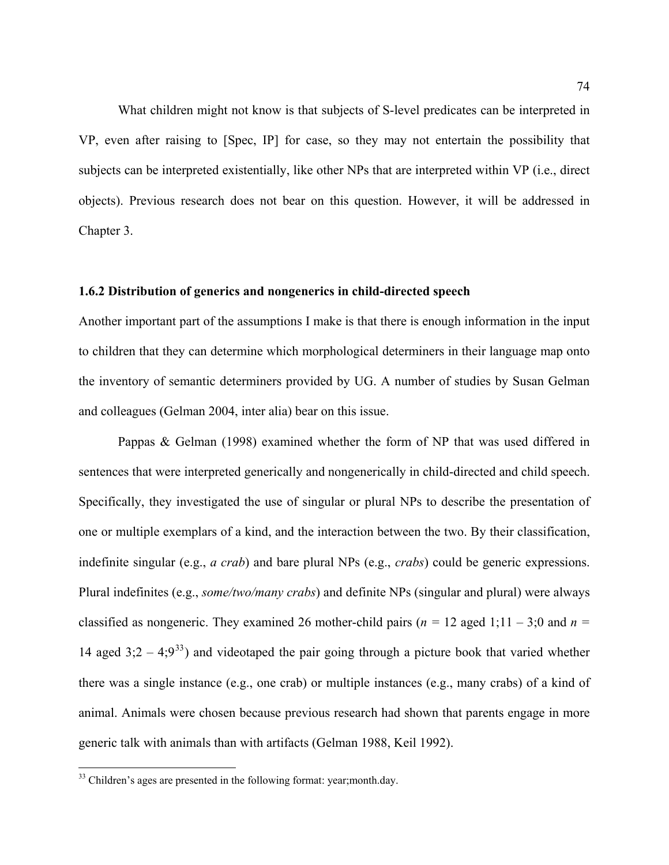What children might not know is that subjects of S-level predicates can be interpreted in VP, even after raising to [Spec, IP] for case, so they may not entertain the possibility that subjects can be interpreted existentially, like other NPs that are interpreted within VP (i.e., direct objects). Previous research does not bear on this question. However, it will be addressed in Chapter 3.

### **1.6.2 Distribution of generics and nongenerics in child-directed speech**

Another important part of the assumptions I make is that there is enough information in the input to children that they can determine which morphological determiners in their language map onto the inventory of semantic determiners provided by UG. A number of studies by Susan Gelman and colleagues (Gelman 2004, inter alia) bear on this issue.

Pappas & Gelman (1998) examined whether the form of NP that was used differed in sentences that were interpreted generically and nongenerically in child-directed and child speech. Specifically, they investigated the use of singular or plural NPs to describe the presentation of one or multiple exemplars of a kind, and the interaction between the two. By their classification, indefinite singular (e.g., *a crab*) and bare plural NPs (e.g., *crabs*) could be generic expressions. Plural indefinites (e.g., *some/two/many crabs*) and definite NPs (singular and plural) were always classified as nongeneric. They examined 26 mother-child pairs ( $n = 12$  aged 1;11 – 3;0 and  $n =$ 14 aged  $3:2 - 4:9^{33}$  $3:2 - 4:9^{33}$  $3:2 - 4:9^{33}$  and videotaped the pair going through a picture book that varied whether there was a single instance (e.g., one crab) or multiple instances (e.g., many crabs) of a kind of animal. Animals were chosen because previous research had shown that parents engage in more generic talk with animals than with artifacts (Gelman 1988, Keil 1992).

<u>.</u>

<span id="page-73-0"></span><sup>&</sup>lt;sup>33</sup> Children's ages are presented in the following format: year;month.day.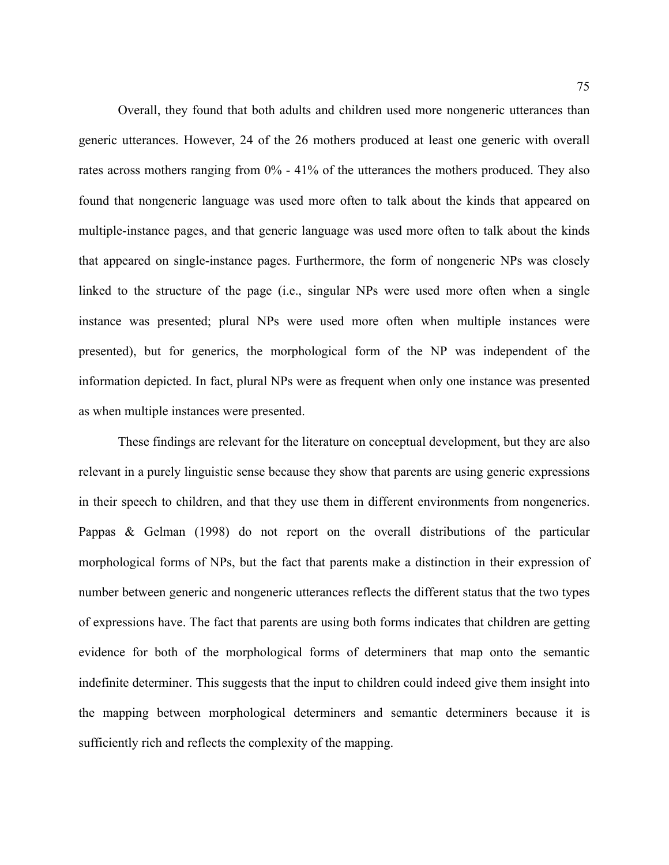Overall, they found that both adults and children used more nongeneric utterances than generic utterances. However, 24 of the 26 mothers produced at least one generic with overall rates across mothers ranging from 0% - 41% of the utterances the mothers produced. They also found that nongeneric language was used more often to talk about the kinds that appeared on multiple-instance pages, and that generic language was used more often to talk about the kinds that appeared on single-instance pages. Furthermore, the form of nongeneric NPs was closely linked to the structure of the page (i.e., singular NPs were used more often when a single instance was presented; plural NPs were used more often when multiple instances were presented), but for generics, the morphological form of the NP was independent of the information depicted. In fact, plural NPs were as frequent when only one instance was presented as when multiple instances were presented.

 These findings are relevant for the literature on conceptual development, but they are also relevant in a purely linguistic sense because they show that parents are using generic expressions in their speech to children, and that they use them in different environments from nongenerics. Pappas & Gelman (1998) do not report on the overall distributions of the particular morphological forms of NPs, but the fact that parents make a distinction in their expression of number between generic and nongeneric utterances reflects the different status that the two types of expressions have. The fact that parents are using both forms indicates that children are getting evidence for both of the morphological forms of determiners that map onto the semantic indefinite determiner. This suggests that the input to children could indeed give them insight into the mapping between morphological determiners and semantic determiners because it is sufficiently rich and reflects the complexity of the mapping.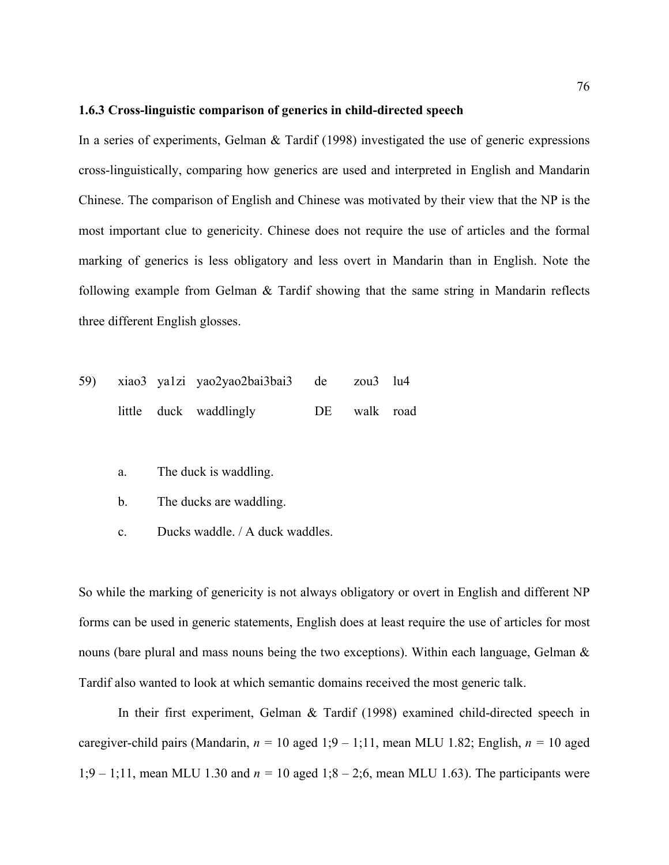### **1.6.3 Cross-linguistic comparison of generics in child-directed speech**

In a series of experiments, Gelman & Tardif (1998) investigated the use of generic expressions cross-linguistically, comparing how generics are used and interpreted in English and Mandarin Chinese. The comparison of English and Chinese was motivated by their view that the NP is the most important clue to genericity. Chinese does not require the use of articles and the formal marking of generics is less obligatory and less overt in Mandarin than in English. Note the following example from Gelman & Tardif showing that the same string in Mandarin reflects three different English glosses.

|  | 59) xiao3 ya1zi yao2yao2bai3bai3 de zou3 lu4 |              |  |
|--|----------------------------------------------|--------------|--|
|  | little duck waddlingly                       | DE walk road |  |

- a. The duck is waddling.
- b. The ducks are waddling.
- c. Ducks waddle. / A duck waddles.

So while the marking of genericity is not always obligatory or overt in English and different NP forms can be used in generic statements, English does at least require the use of articles for most nouns (bare plural and mass nouns being the two exceptions). Within each language, Gelman  $\&$ Tardif also wanted to look at which semantic domains received the most generic talk.

 In their first experiment, Gelman & Tardif (1998) examined child-directed speech in caregiver-child pairs (Mandarin, *n =* 10 aged 1;9 – 1;11, mean MLU 1.82; English, *n =* 10 aged 1;9 – 1;11, mean MLU 1.30 and *n =* 10 aged 1;8 – 2;6, mean MLU 1.63). The participants were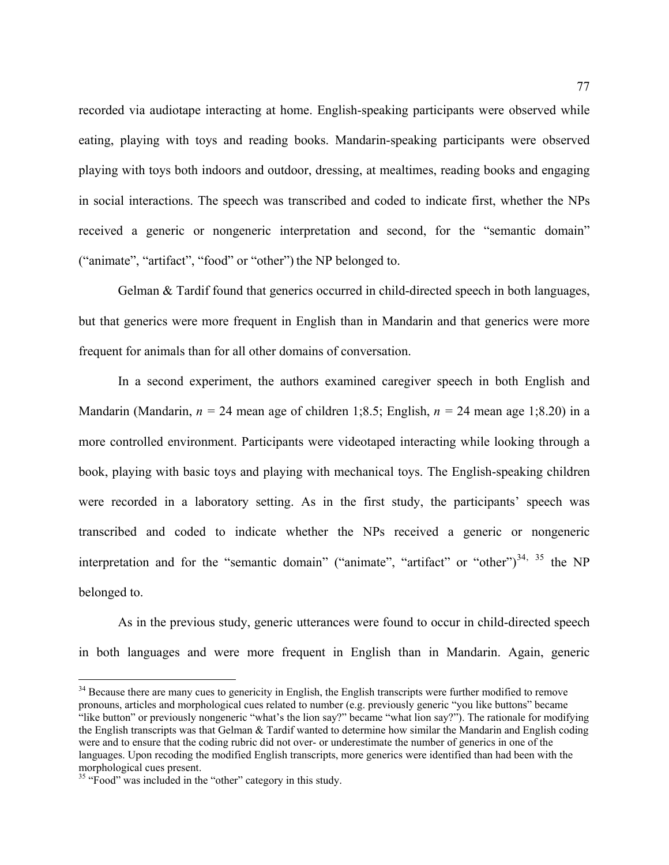recorded via audiotape interacting at home. English-speaking participants were observed while eating, playing with toys and reading books. Mandarin-speaking participants were observed playing with toys both indoors and outdoor, dressing, at mealtimes, reading books and engaging in social interactions. The speech was transcribed and coded to indicate first, whether the NPs received a generic or nongeneric interpretation and second, for the "semantic domain" ("animate", "artifact", "food" or "other") the NP belonged to.

Gelman & Tardif found that generics occurred in child-directed speech in both languages, but that generics were more frequent in English than in Mandarin and that generics were more frequent for animals than for all other domains of conversation.

 In a second experiment, the authors examined caregiver speech in both English and Mandarin (Mandarin,  $n = 24$  mean age of children 1;8.5; English,  $n = 24$  mean age 1;8.20) in a more controlled environment. Participants were videotaped interacting while looking through a book, playing with basic toys and playing with mechanical toys. The English-speaking children were recorded in a laboratory setting. As in the first study, the participants' speech was transcribed and coded to indicate whether the NPs received a generic or nongeneric interpretation and for the "semantic domain" ("animate", "artifact" or "other") $^{34}$  $^{34}$  $^{34}$ ,  $^{35}$  $^{35}$  $^{35}$  the NP belonged to.

 As in the previous study, generic utterances were found to occur in child-directed speech in both languages and were more frequent in English than in Mandarin. Again, generic

1

<span id="page-76-0"></span><sup>&</sup>lt;sup>34</sup> Because there are many cues to genericity in English, the English transcripts were further modified to remove pronouns, articles and morphological cues related to number (e.g. previously generic "you like buttons" became "like button" or previously nongeneric "what's the lion say?" became "what lion say?"). The rationale for modifying the English transcripts was that Gelman & Tardif wanted to determine how similar the Mandarin and English coding were and to ensure that the coding rubric did not over- or underestimate the number of generics in one of the languages. Upon recoding the modified English transcripts, more generics were identified than had been with the morphological cues present.

<span id="page-76-1"></span><sup>&</sup>lt;sup>35</sup> "Food" was included in the "other" category in this study.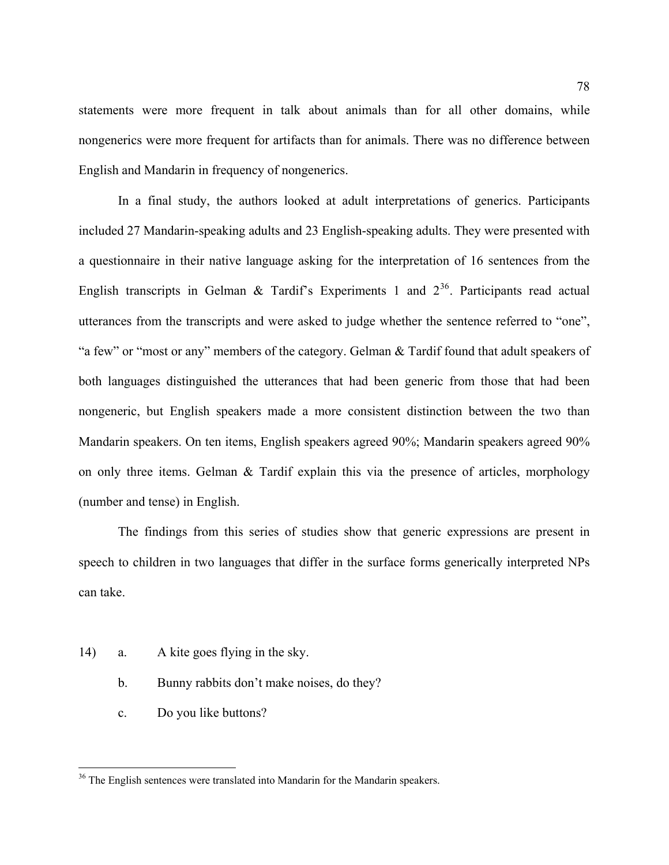statements were more frequent in talk about animals than for all other domains, while nongenerics were more frequent for artifacts than for animals. There was no difference between English and Mandarin in frequency of nongenerics.

 In a final study, the authors looked at adult interpretations of generics. Participants included 27 Mandarin-speaking adults and 23 English-speaking adults. They were presented with a questionnaire in their native language asking for the interpretation of 16 sentences from the English transcripts in Gelman & Tardif's Experiments 1 and  $2^{36}$  $2^{36}$  $2^{36}$ . Participants read actual utterances from the transcripts and were asked to judge whether the sentence referred to "one", "a few" or "most or any" members of the category. Gelman & Tardif found that adult speakers of both languages distinguished the utterances that had been generic from those that had been nongeneric, but English speakers made a more consistent distinction between the two than Mandarin speakers. On ten items, English speakers agreed 90%; Mandarin speakers agreed 90% on only three items. Gelman & Tardif explain this via the presence of articles, morphology (number and tense) in English.

 The findings from this series of studies show that generic expressions are present in speech to children in two languages that differ in the surface forms generically interpreted NPs can take.

- [14](#page-22-0)) a. A kite goes flying in the sky.
	- b. Bunny rabbits don't make noises, do they?
	- c. Do you like buttons?

 $\overline{a}$ 

<span id="page-77-0"></span><sup>&</sup>lt;sup>36</sup> The English sentences were translated into Mandarin for the Mandarin speakers.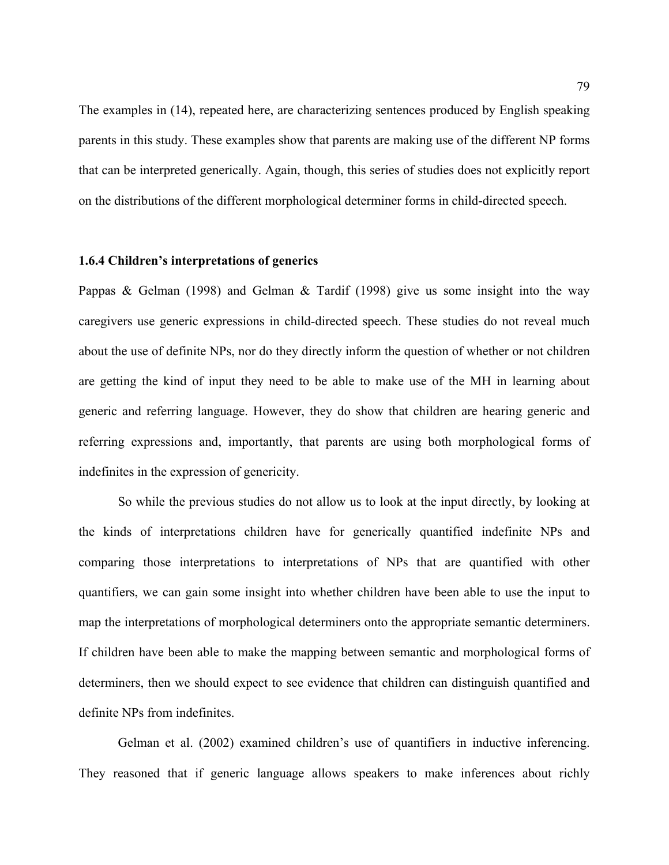The examples in [\(14](#page-22-0)), repeated here, are characterizing sentences produced by English speaking parents in this study. These examples show that parents are making use of the different NP forms that can be interpreted generically. Again, though, this series of studies does not explicitly report on the distributions of the different morphological determiner forms in child-directed speech.

## **1.6.4 Children's interpretations of generics**

Pappas & Gelman (1998) and Gelman & Tardif (1998) give us some insight into the way caregivers use generic expressions in child-directed speech. These studies do not reveal much about the use of definite NPs, nor do they directly inform the question of whether or not children are getting the kind of input they need to be able to make use of the MH in learning about generic and referring language. However, they do show that children are hearing generic and referring expressions and, importantly, that parents are using both morphological forms of indefinites in the expression of genericity.

So while the previous studies do not allow us to look at the input directly, by looking at the kinds of interpretations children have for generically quantified indefinite NPs and comparing those interpretations to interpretations of NPs that are quantified with other quantifiers, we can gain some insight into whether children have been able to use the input to map the interpretations of morphological determiners onto the appropriate semantic determiners. If children have been able to make the mapping between semantic and morphological forms of determiners, then we should expect to see evidence that children can distinguish quantified and definite NPs from indefinites.

Gelman et al. (2002) examined children's use of quantifiers in inductive inferencing. They reasoned that if generic language allows speakers to make inferences about richly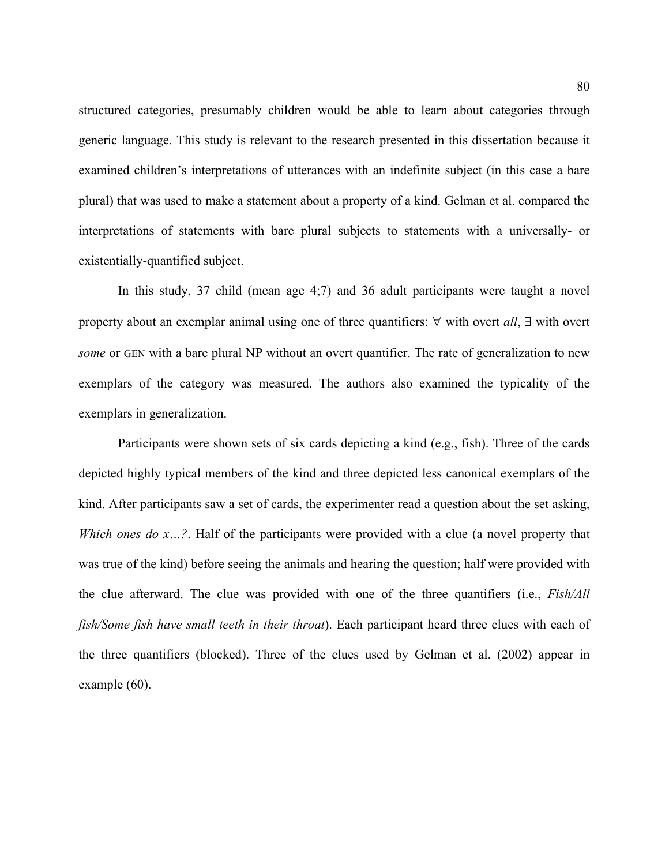structured categories, presumably children would be able to learn about categories through generic language. This study is relevant to the research presented in this dissertation because it examined children's interpretations of utterances with an indefinite subject (in this case a bare plural) that was used to make a statement about a property of a kind. Gelman et al. compared the interpretations of statements with bare plural subjects to statements with a universally- or existentially-quantified subject.

In this study, 37 child (mean age 4;7) and 36 adult participants were taught a novel property about an exemplar animal using one of three quantifiers: ∀ with overt *all*, ∃ with overt *some* or GEN with a bare plural NP without an overt quantifier. The rate of generalization to new exemplars of the category was measured. The authors also examined the typicality of the exemplars in generalization.

Participants were shown sets of six cards depicting a kind (e.g., fish). Three of the cards depicted highly typical members of the kind and three depicted less canonical exemplars of the kind. After participants saw a set of cards, the experimenter read a question about the set asking, *Which ones do x...?*. Half of the participants were provided with a clue (a novel property that was true of the kind) before seeing the animals and hearing the question; half were provided with the clue afterward. The clue was provided with one of the three quantifiers (i.e., *Fish/All fish/Some fish have small teeth in their throat*). Each participant heard three clues with each of the three quantifiers (blocked). Three of the clues used by Gelman et al. (2002) appear in example ([60\)](#page-80-0).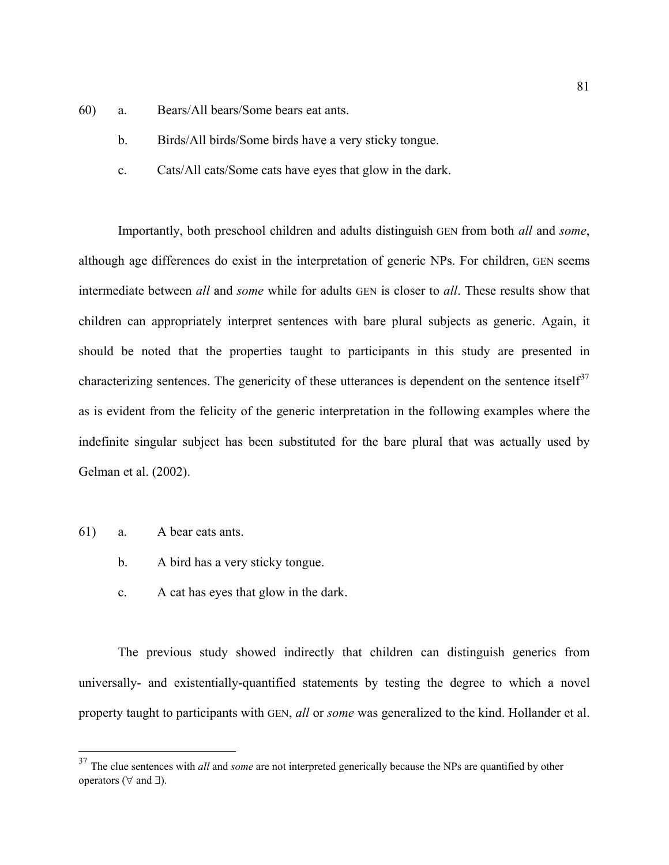- <span id="page-80-0"></span>60) a. Bears/All bears/Some bears eat ants.
	- b. Birds/All birds/Some birds have a very sticky tongue.
	- c. Cats/All cats/Some cats have eyes that glow in the dark.

Importantly, both preschool children and adults distinguish GEN from both *all* and *some*, although age differences do exist in the interpretation of generic NPs. For children, GEN seems intermediate between *all* and *some* while for adults GEN is closer to *all*. These results show that children can appropriately interpret sentences with bare plural subjects as generic. Again, it should be noted that the properties taught to participants in this study are presented in characterizing sentences. The genericity of these utterances is dependent on the sentence itself<sup>[37](#page-80-1)</sup> as is evident from the felicity of the generic interpretation in the following examples where the indefinite singular subject has been substituted for the bare plural that was actually used by Gelman et al. (2002).

61) a. A bear eats ants.

1

- b. A bird has a very sticky tongue.
- c. A cat has eyes that glow in the dark.

The previous study showed indirectly that children can distinguish generics from universally- and existentially-quantified statements by testing the degree to which a novel property taught to participants with GEN, *all* or *some* was generalized to the kind. Hollander et al.

<span id="page-80-1"></span><sup>&</sup>lt;sup>37</sup> The clue sentences with *all* and *some* are not interpreted generically because the NPs are quantified by other operators ( $\forall$  and  $\exists$ ).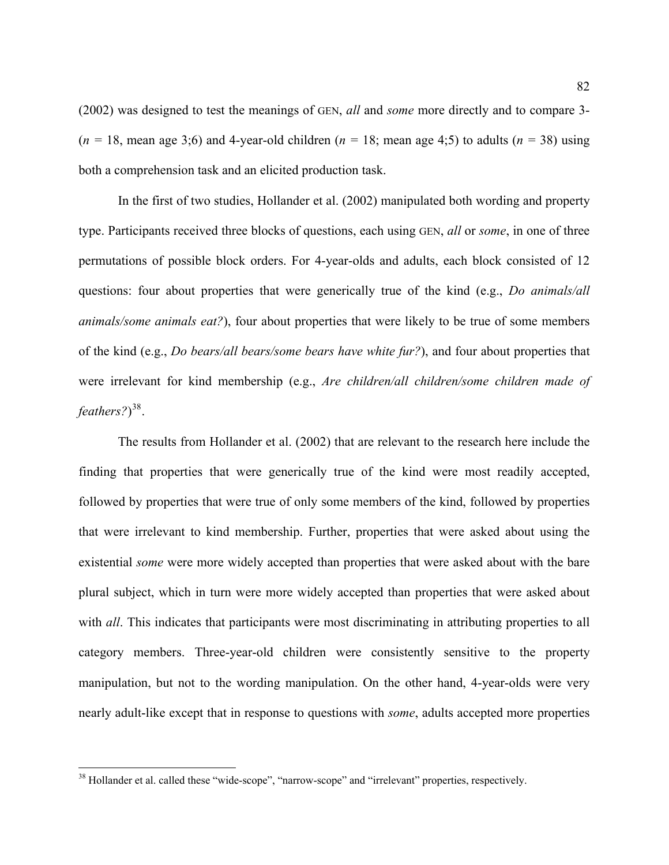(2002) was designed to test the meanings of GEN, *all* and *some* more directly and to compare 3-  $(n = 18, \text{ mean age } 3; 6)$  and 4-year-old children  $(n = 18, \text{ mean age } 4; 5)$  to adults  $(n = 38)$  using both a comprehension task and an elicited production task.

In the first of two studies, Hollander et al. (2002) manipulated both wording and property type. Participants received three blocks of questions, each using GEN, *all* or *some*, in one of three permutations of possible block orders. For 4-year-olds and adults, each block consisted of 12 questions: four about properties that were generically true of the kind (e.g., *Do animals/all animals/some animals eat?*), four about properties that were likely to be true of some members of the kind (e.g., *Do bears/all bears/some bears have white fur?*), and four about properties that were irrelevant for kind membership (e.g., *Are children/all children/some children made of feathers?*) [38](#page-81-0).

The results from Hollander et al. (2002) that are relevant to the research here include the finding that properties that were generically true of the kind were most readily accepted, followed by properties that were true of only some members of the kind, followed by properties that were irrelevant to kind membership. Further, properties that were asked about using the existential *some* were more widely accepted than properties that were asked about with the bare plural subject, which in turn were more widely accepted than properties that were asked about with *all*. This indicates that participants were most discriminating in attributing properties to all category members. Three-year-old children were consistently sensitive to the property manipulation, but not to the wording manipulation. On the other hand, 4-year-olds were very nearly adult-like except that in response to questions with *some*, adults accepted more properties

 $\overline{a}$ 

<span id="page-81-0"></span><sup>&</sup>lt;sup>38</sup> Hollander et al. called these "wide-scope", "narrow-scope" and "irrelevant" properties, respectively.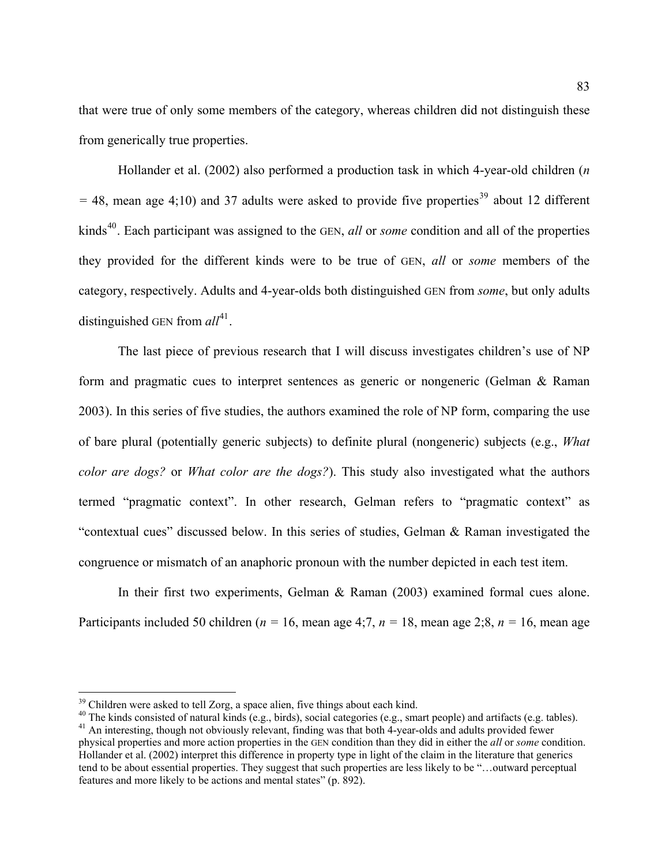that were true of only some members of the category, whereas children did not distinguish these from generically true properties.

Hollander et al. (2002) also performed a production task in which 4-year-old children (*n*   $=$  48, mean age 4;10) and 37 adults were asked to provide five properties<sup>[39](#page-82-0)</sup> about 12 different kinds<sup>[40](#page-82-1)</sup>. Each participant was assigned to the GEN, *all* or *some* condition and all of the properties they provided for the different kinds were to be true of GEN, *all* or *some* members of the category, respectively. Adults and 4-year-olds both distinguished GEN from *some*, but only adults distinguished GEN from  $all^{41}$  $all^{41}$  $all^{41}$ .

The last piece of previous research that I will discuss investigates children's use of NP form and pragmatic cues to interpret sentences as generic or nongeneric (Gelman & Raman 2003). In this series of five studies, the authors examined the role of NP form, comparing the use of bare plural (potentially generic subjects) to definite plural (nongeneric) subjects (e.g., *What color are dogs?* or *What color are the dogs?*). This study also investigated what the authors termed "pragmatic context". In other research, Gelman refers to "pragmatic context" as "contextual cues" discussed below. In this series of studies, Gelman & Raman investigated the congruence or mismatch of an anaphoric pronoun with the number depicted in each test item.

In their first two experiments, Gelman & Raman (2003) examined formal cues alone. Participants included 50 children ( $n = 16$ , mean age 4;7,  $n = 18$ , mean age 2;8,  $n = 16$ , mean age

 $\overline{a}$ 

<span id="page-82-2"></span>

<span id="page-82-1"></span><span id="page-82-0"></span><sup>&</sup>lt;sup>39</sup> Children were asked to tell Zorg, a space alien, five things about each kind.<br><sup>40</sup> The kinds consisted of natural kinds (e.g., birds), social categories (e.g., smart people) and artifacts (e.g. tables).<br><sup>41</sup> An inter physical properties and more action properties in the GEN condition than they did in either the *all* or *some* condition. Hollander et al. (2002) interpret this difference in property type in light of the claim in the literature that generics tend to be about essential properties. They suggest that such properties are less likely to be "…outward perceptual features and more likely to be actions and mental states" (p. 892).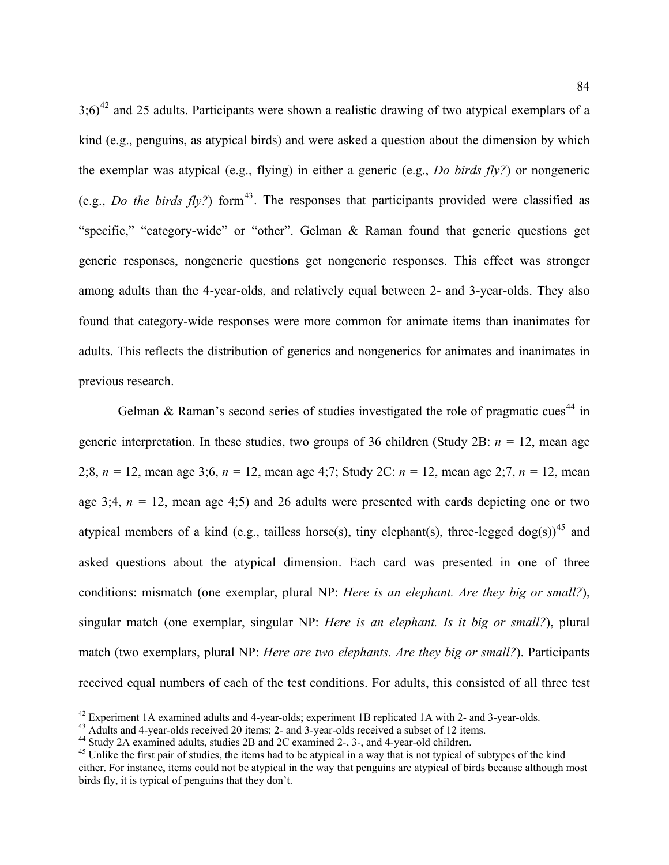$3;6)^{42}$  $3;6)^{42}$  $3;6)^{42}$  and 25 adults. Participants were shown a realistic drawing of two atypical exemplars of a kind (e.g., penguins, as atypical birds) and were asked a question about the dimension by which the exemplar was atypical (e.g., flying) in either a generic (e.g., *Do birds fly?*) or nongeneric (e.g., *Do the birds fly?*) form<sup>[43](#page-83-1)</sup>. The responses that participants provided were classified as "specific," "category-wide" or "other". Gelman & Raman found that generic questions get generic responses, nongeneric questions get nongeneric responses. This effect was stronger among adults than the 4-year-olds, and relatively equal between 2- and 3-year-olds. They also found that category-wide responses were more common for animate items than inanimates for adults. This reflects the distribution of generics and nongenerics for animates and inanimates in previous research.

Gelman & Raman's second series of studies investigated the role of pragmatic cues<sup>[44](#page-83-2)</sup> in generic interpretation. In these studies, two groups of 36 children (Study 2B: *n =* 12, mean age 2;8, *n =* 12, mean age 3;6, *n =* 12, mean age 4;7; Study 2C: *n =* 12, mean age 2;7, *n =* 12, mean age 3;4,  $n = 12$ , mean age 4;5) and 26 adults were presented with cards depicting one or two atypical members of a kind (e.g., tailless horse(s), tiny elephant(s), three-legged dog(s))<sup>[45](#page-83-3)</sup> and asked questions about the atypical dimension. Each card was presented in one of three conditions: mismatch (one exemplar, plural NP: *Here is an elephant. Are they big or small?*), singular match (one exemplar, singular NP: *Here is an elephant. Is it big or small?*), plural match (two exemplars, plural NP: *Here are two elephants. Are they big or small?*). Participants received equal numbers of each of the test conditions. For adults, this consisted of all three test

1

<span id="page-83-0"></span><sup>&</sup>lt;sup>42</sup> Experiment 1A examined adults and 4-year-olds; experiment 1B replicated 1A with 2- and 3-year-olds.<br><sup>43</sup> Adults and 4-year-olds received 20 items; 2- and 3-year-olds received a subset of 12 items.<br><sup>44</sup> Study 2A exami

<span id="page-83-1"></span>

<span id="page-83-2"></span>

<span id="page-83-3"></span><sup>&</sup>lt;sup>45</sup> Unlike the first pair of studies, the items had to be atypical in a way that is not typical of subtypes of the kind either. For instance, items could not be atypical in the way that penguins are atypical of birds because although most birds fly, it is typical of penguins that they don't.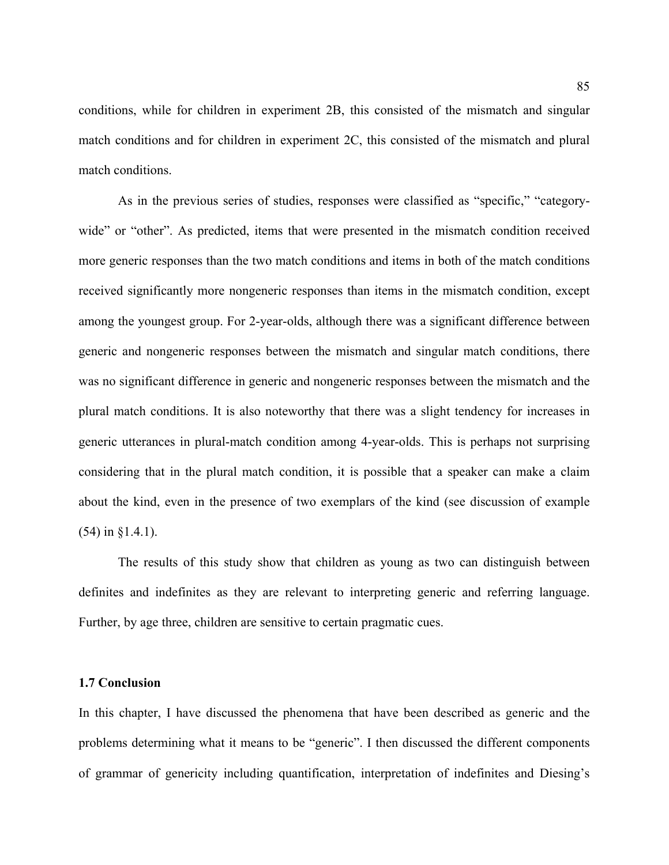conditions, while for children in experiment 2B, this consisted of the mismatch and singular match conditions and for children in experiment 2C, this consisted of the mismatch and plural match conditions.

As in the previous series of studies, responses were classified as "specific," "categorywide" or "other". As predicted, items that were presented in the mismatch condition received more generic responses than the two match conditions and items in both of the match conditions received significantly more nongeneric responses than items in the mismatch condition, except among the youngest group. For 2-year-olds, although there was a significant difference between generic and nongeneric responses between the mismatch and singular match conditions, there was no significant difference in generic and nongeneric responses between the mismatch and the plural match conditions. It is also noteworthy that there was a slight tendency for increases in generic utterances in plural-match condition among 4-year-olds. This is perhaps not surprising considering that in the plural match condition, it is possible that a speaker can make a claim about the kind, even in the presence of two exemplars of the kind (see discussion of example ([54](#page-60-0)) in §1.4.1).

The results of this study show that children as young as two can distinguish between definites and indefinites as they are relevant to interpreting generic and referring language. Further, by age three, children are sensitive to certain pragmatic cues.

#### **1.7 Conclusion**

In this chapter, I have discussed the phenomena that have been described as generic and the problems determining what it means to be "generic". I then discussed the different components of grammar of genericity including quantification, interpretation of indefinites and Diesing's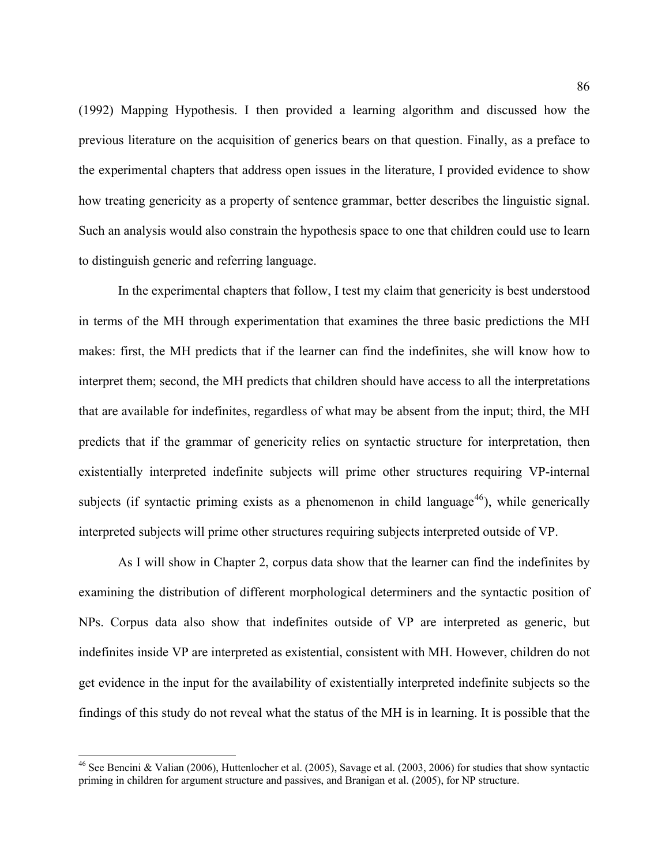(1992) Mapping Hypothesis. I then provided a learning algorithm and discussed how the previous literature on the acquisition of generics bears on that question. Finally, as a preface to the experimental chapters that address open issues in the literature, I provided evidence to show how treating genericity as a property of sentence grammar, better describes the linguistic signal. Such an analysis would also constrain the hypothesis space to one that children could use to learn to distinguish generic and referring language.

In the experimental chapters that follow, I test my claim that genericity is best understood in terms of the MH through experimentation that examines the three basic predictions the MH makes: first, the MH predicts that if the learner can find the indefinites, she will know how to interpret them; second, the MH predicts that children should have access to all the interpretations that are available for indefinites, regardless of what may be absent from the input; third, the MH predicts that if the grammar of genericity relies on syntactic structure for interpretation, then existentially interpreted indefinite subjects will prime other structures requiring VP-internal subjects (if syntactic priming exists as a phenomenon in child language<sup>[46](#page-85-0)</sup>), while generically interpreted subjects will prime other structures requiring subjects interpreted outside of VP.

As I will show in Chapter 2, corpus data show that the learner can find the indefinites by examining the distribution of different morphological determiners and the syntactic position of NPs. Corpus data also show that indefinites outside of VP are interpreted as generic, but indefinites inside VP are interpreted as existential, consistent with MH. However, children do not get evidence in the input for the availability of existentially interpreted indefinite subjects so the findings of this study do not reveal what the status of the MH is in learning. It is possible that the

 $\overline{a}$ 

<span id="page-85-0"></span><sup>&</sup>lt;sup>46</sup> See Bencini & Valian (2006), Huttenlocher et al. (2005), Savage et al. (2003, 2006) for studies that show syntactic priming in children for argument structure and passives, and Branigan et al. (2005), for NP structure.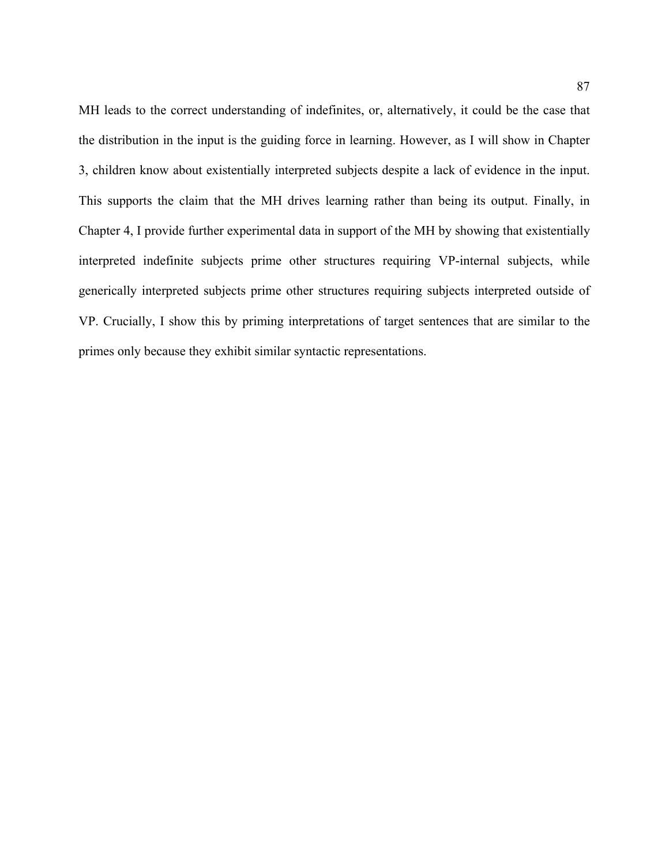MH leads to the correct understanding of indefinites, or, alternatively, it could be the case that the distribution in the input is the guiding force in learning. However, as I will show in Chapter 3, children know about existentially interpreted subjects despite a lack of evidence in the input. This supports the claim that the MH drives learning rather than being its output. Finally, in Chapter 4, I provide further experimental data in support of the MH by showing that existentially interpreted indefinite subjects prime other structures requiring VP-internal subjects, while generically interpreted subjects prime other structures requiring subjects interpreted outside of VP. Crucially, I show this by priming interpretations of target sentences that are similar to the primes only because they exhibit similar syntactic representations.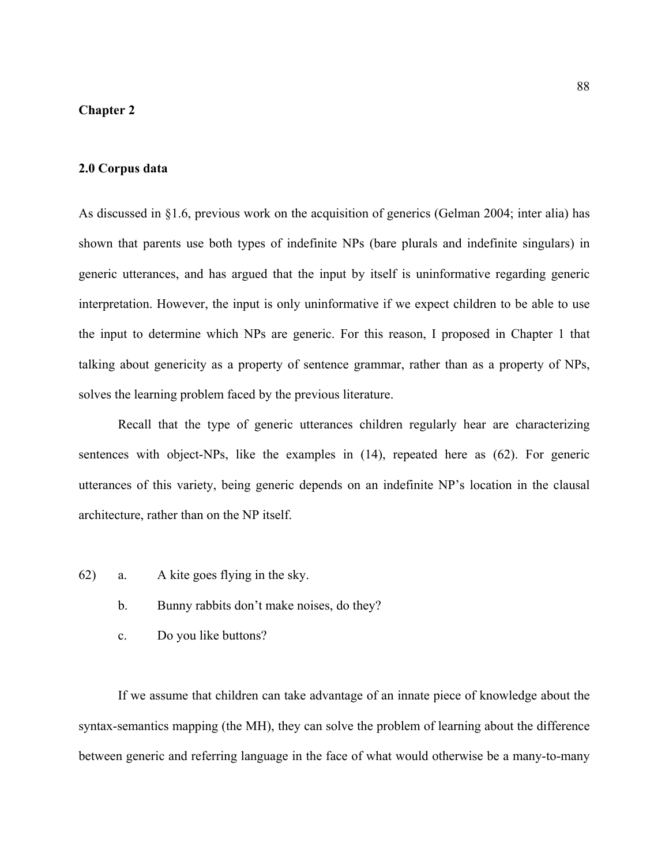# **Chapter 2**

## **2.0 Corpus data**

As discussed in §1.6, previous work on the acquisition of generics (Gelman 2004; inter alia) has shown that parents use both types of indefinite NPs (bare plurals and indefinite singulars) in generic utterances, and has argued that the input by itself is uninformative regarding generic interpretation. However, the input is only uninformative if we expect children to be able to use the input to determine which NPs are generic. For this reason, I proposed in Chapter 1 that talking about genericity as a property of sentence grammar, rather than as a property of NPs, solves the learning problem faced by the previous literature.

Recall that the type of generic utterances children regularly hear are characterizing sentences with object-NPs, like the examples in [\(14](#page-22-0)), repeated here as [\(62](#page-87-0)). For generic utterances of this variety, being generic depends on an indefinite NP's location in the clausal architecture, rather than on the NP itself.

- <span id="page-87-0"></span>62) a. A kite goes flying in the sky.
	- b. Bunny rabbits don't make noises, do they?
	- c. Do you like buttons?

If we assume that children can take advantage of an innate piece of knowledge about the syntax-semantics mapping (the MH), they can solve the problem of learning about the difference between generic and referring language in the face of what would otherwise be a many-to-many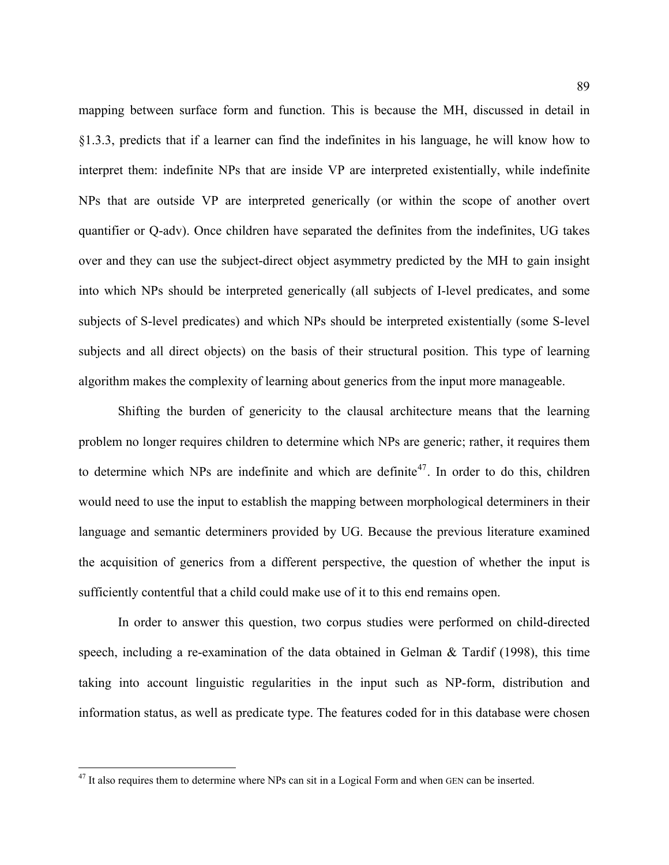mapping between surface form and function. This is because the MH, discussed in detail in §1.3.3, predicts that if a learner can find the indefinites in his language, he will know how to interpret them: indefinite NPs that are inside VP are interpreted existentially, while indefinite NPs that are outside VP are interpreted generically (or within the scope of another overt quantifier or Q-adv). Once children have separated the definites from the indefinites, UG takes over and they can use the subject-direct object asymmetry predicted by the MH to gain insight into which NPs should be interpreted generically (all subjects of I-level predicates, and some subjects of S-level predicates) and which NPs should be interpreted existentially (some S-level subjects and all direct objects) on the basis of their structural position. This type of learning algorithm makes the complexity of learning about generics from the input more manageable.

Shifting the burden of genericity to the clausal architecture means that the learning problem no longer requires children to determine which NPs are generic; rather, it requires them to determine which NPs are indefinite and which are definite<sup>[47](#page-88-0)</sup>. In order to do this, children would need to use the input to establish the mapping between morphological determiners in their language and semantic determiners provided by UG. Because the previous literature examined the acquisition of generics from a different perspective, the question of whether the input is sufficiently contentful that a child could make use of it to this end remains open.

In order to answer this question, two corpus studies were performed on child-directed speech, including a re-examination of the data obtained in Gelman  $\&$  Tardif (1998), this time taking into account linguistic regularities in the input such as NP-form, distribution and information status, as well as predicate type. The features coded for in this database were chosen

 $\overline{a}$ 

<span id="page-88-0"></span><sup>&</sup>lt;sup>47</sup> It also requires them to determine where NPs can sit in a Logical Form and when GEN can be inserted.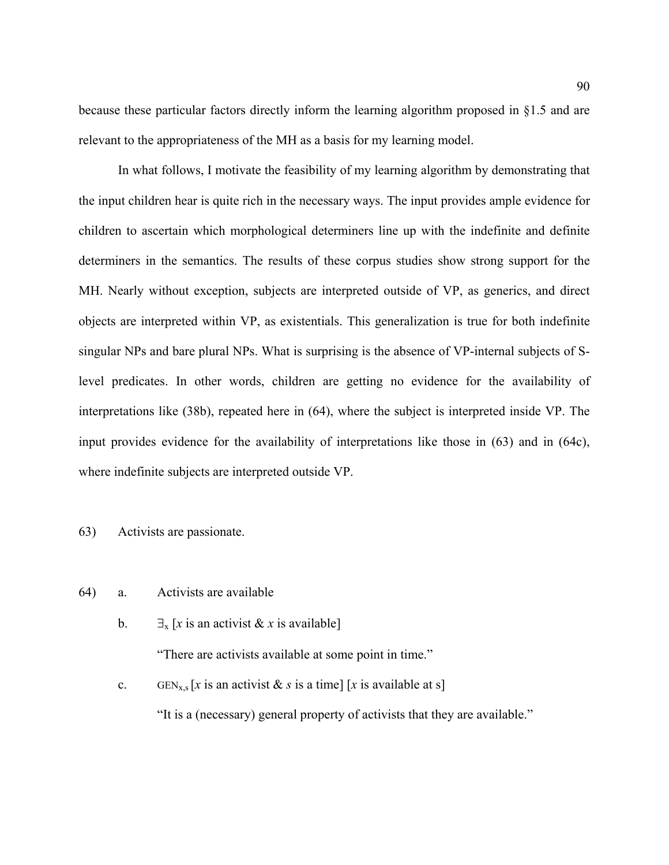because these particular factors directly inform the learning algorithm proposed in §1.5 and are relevant to the appropriateness of the MH as a basis for my learning model.

 In what follows, I motivate the feasibility of my learning algorithm by demonstrating that the input children hear is quite rich in the necessary ways. The input provides ample evidence for children to ascertain which morphological determiners line up with the indefinite and definite determiners in the semantics. The results of these corpus studies show strong support for the MH. Nearly without exception, subjects are interpreted outside of VP, as generics, and direct objects are interpreted within VP, as existentials. This generalization is true for both indefinite singular NPs and bare plural NPs. What is surprising is the absence of VP-internal subjects of Slevel predicates. In other words, children are getting no evidence for the availability of interpretations like [\(38](#page-45-0)b), repeated here in [\(64](#page-89-0)), where the subject is interpreted inside VP. The input provides evidence for the availability of interpretations like those in ([63\)](#page-89-1) and in ([64c](#page-89-0)), where indefinite subjects are interpreted outside VP.

### <span id="page-89-1"></span>63) Activists are passionate.

- <span id="page-89-0"></span>64) a. Activists are available
	- b.  $\exists$ <sub>x</sub> [*x* is an activist & *x* is available]

"There are activists available at some point in time."

c. GEN<sub>x,s</sub> [x is an activist & s is a time] [x is available at s] "It is a (necessary) general property of activists that they are available."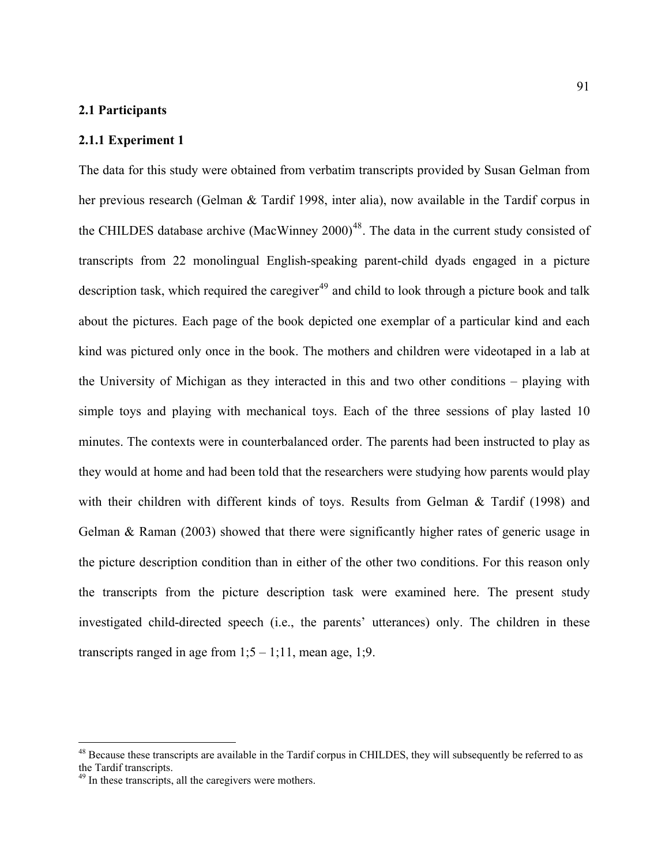## **2.1 Participants**

#### **2.1.1 Experiment 1**

The data for this study were obtained from verbatim transcripts provided by Susan Gelman from her previous research (Gelman & Tardif 1998, inter alia), now available in the Tardif corpus in the CHILDES database archive (MacWinney  $2000$ )<sup>[48](#page-90-0)</sup>. The data in the current study consisted of transcripts from 22 monolingual English-speaking parent-child dyads engaged in a picture description task, which required the caregiver<sup>[49](#page-90-1)</sup> and child to look through a picture book and talk about the pictures. Each page of the book depicted one exemplar of a particular kind and each kind was pictured only once in the book. The mothers and children were videotaped in a lab at the University of Michigan as they interacted in this and two other conditions – playing with simple toys and playing with mechanical toys. Each of the three sessions of play lasted 10 minutes. The contexts were in counterbalanced order. The parents had been instructed to play as they would at home and had been told that the researchers were studying how parents would play with their children with different kinds of toys. Results from Gelman & Tardif (1998) and Gelman & Raman (2003) showed that there were significantly higher rates of generic usage in the picture description condition than in either of the other two conditions. For this reason only the transcripts from the picture description task were examined here. The present study investigated child-directed speech (i.e., the parents' utterances) only. The children in these transcripts ranged in age from  $1; 5 - 1; 11$ , mean age, 1;9.

 $\overline{a}$ 

<span id="page-90-0"></span><sup>&</sup>lt;sup>48</sup> Because these transcripts are available in the Tardif corpus in CHILDES, they will subsequently be referred to as the Tardif transcripts.

<span id="page-90-1"></span><sup>&</sup>lt;sup>49</sup> In these transcripts, all the caregivers were mothers.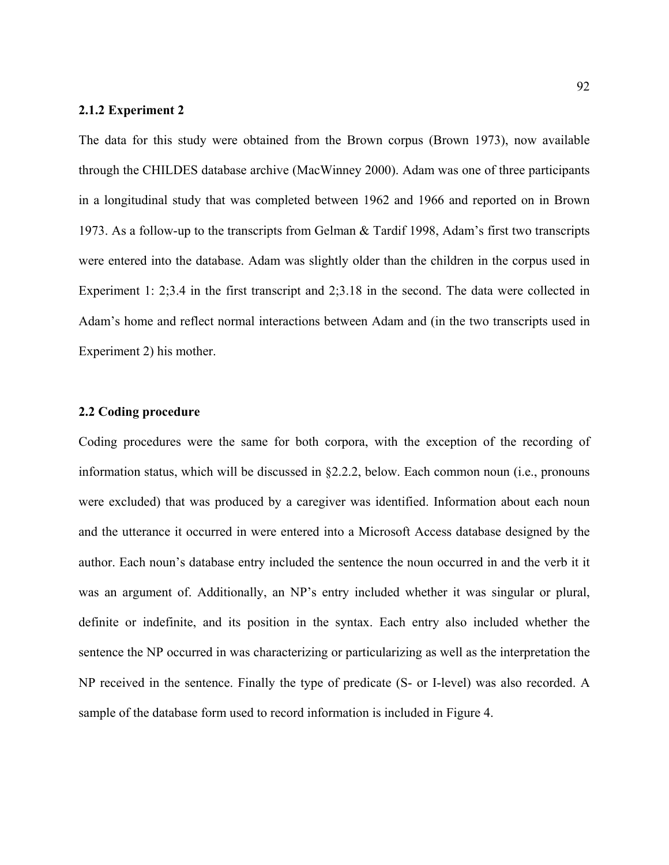### **2.1.2 Experiment 2**

The data for this study were obtained from the Brown corpus (Brown 1973), now available through the CHILDES database archive (MacWinney 2000). Adam was one of three participants in a longitudinal study that was completed between 1962 and 1966 and reported on in Brown 1973. As a follow-up to the transcripts from Gelman & Tardif 1998, Adam's first two transcripts were entered into the database. Adam was slightly older than the children in the corpus used in Experiment 1: 2;3.4 in the first transcript and 2;3.18 in the second. The data were collected in Adam's home and reflect normal interactions between Adam and (in the two transcripts used in Experiment 2) his mother.

### **2.2 Coding procedure**

Coding procedures were the same for both corpora, with the exception of the recording of information status, which will be discussed in §2.2.2, below. Each common noun (i.e., pronouns were excluded) that was produced by a caregiver was identified. Information about each noun and the utterance it occurred in were entered into a Microsoft Access database designed by the author. Each noun's database entry included the sentence the noun occurred in and the verb it it was an argument of. Additionally, an NP's entry included whether it was singular or plural, definite or indefinite, and its position in the syntax. Each entry also included whether the sentence the NP occurred in was characterizing or particularizing as well as the interpretation the NP received in the sentence. Finally the type of predicate (S- or I-level) was also recorded. A sample of the database form used to record information is included in [Figure 4.](#page-92-0)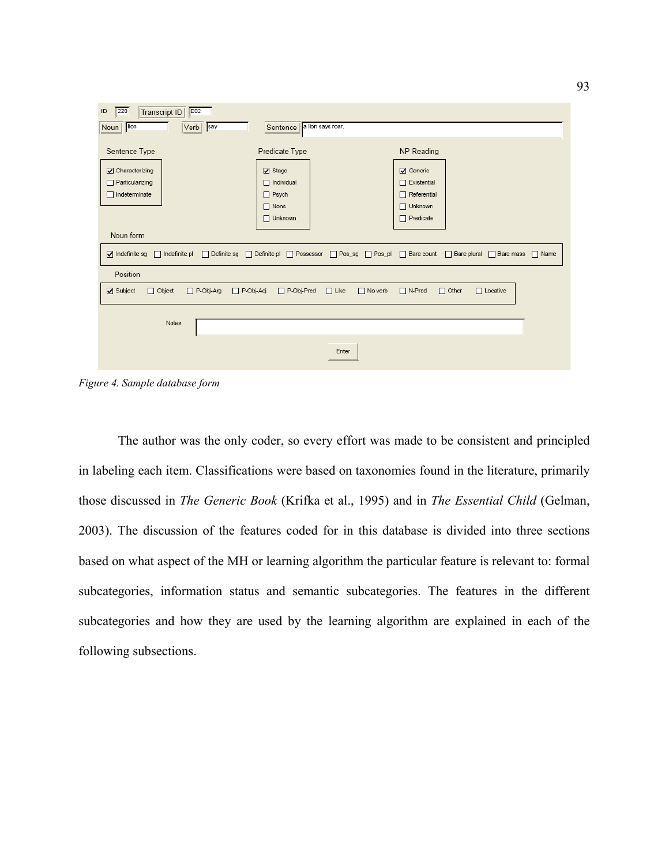

<span id="page-92-0"></span>*Figure 4. Sample database form* 

The author was the only coder, so every effort was made to be consistent and principled in labeling each item. Classifications were based on taxonomies found in the literature, primarily those discussed in *The Generic Book* (Krifka et al., 1995) and in *The Essential Child* (Gelman, 2003). The discussion of the features coded for in this database is divided into three sections based on what aspect of the MH or learning algorithm the particular feature is relevant to: formal subcategories, information status and semantic subcategories. The features in the different subcategories and how they are used by the learning algorithm are explained in each of the following subsections.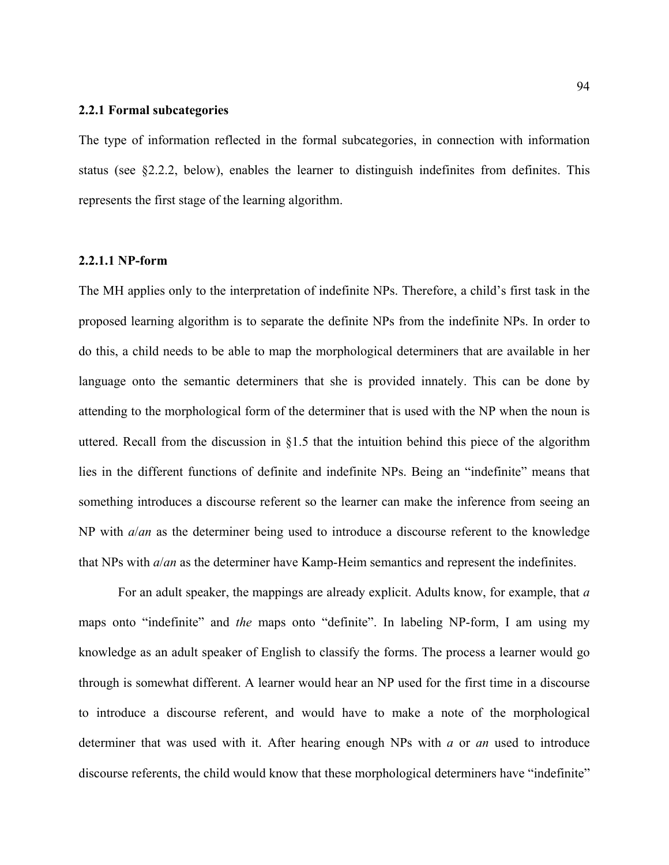#### **2.2.1 Formal subcategories**

The type of information reflected in the formal subcategories, in connection with information status (see §2.2.2, below), enables the learner to distinguish indefinites from definites. This represents the first stage of the learning algorithm.

## **2.2.1.1 NP-form**

The MH applies only to the interpretation of indefinite NPs. Therefore, a child's first task in the proposed learning algorithm is to separate the definite NPs from the indefinite NPs. In order to do this, a child needs to be able to map the morphological determiners that are available in her language onto the semantic determiners that she is provided innately. This can be done by attending to the morphological form of the determiner that is used with the NP when the noun is uttered. Recall from the discussion in §1.5 that the intuition behind this piece of the algorithm lies in the different functions of definite and indefinite NPs. Being an "indefinite" means that something introduces a discourse referent so the learner can make the inference from seeing an NP with *a*/*an* as the determiner being used to introduce a discourse referent to the knowledge that NPs with *a*/*an* as the determiner have Kamp-Heim semantics and represent the indefinites.

 For an adult speaker, the mappings are already explicit. Adults know, for example, that *a* maps onto "indefinite" and *the* maps onto "definite". In labeling NP-form, I am using my knowledge as an adult speaker of English to classify the forms. The process a learner would go through is somewhat different. A learner would hear an NP used for the first time in a discourse to introduce a discourse referent, and would have to make a note of the morphological determiner that was used with it. After hearing enough NPs with *a* or *an* used to introduce discourse referents, the child would know that these morphological determiners have "indefinite"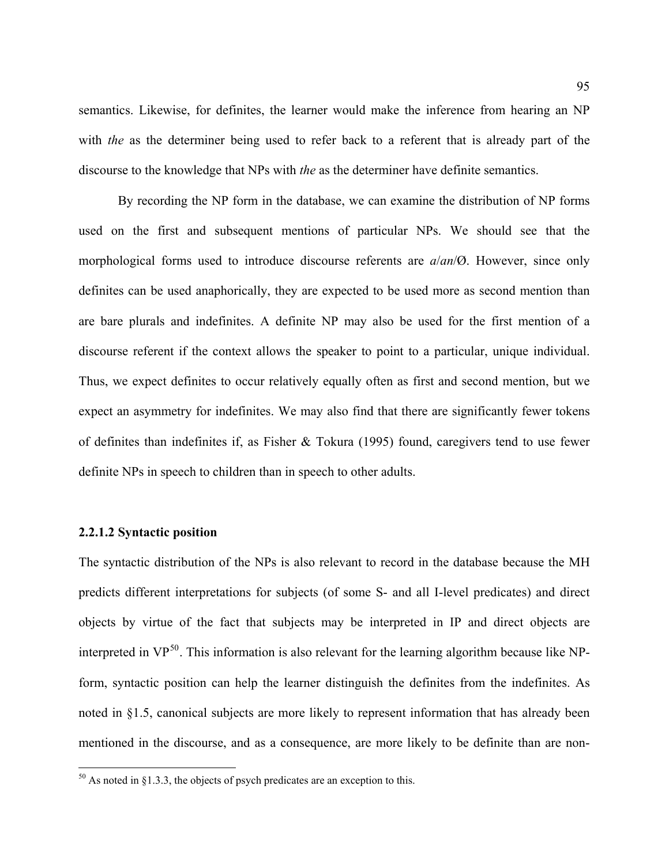semantics. Likewise, for definites, the learner would make the inference from hearing an NP with *the* as the determiner being used to refer back to a referent that is already part of the discourse to the knowledge that NPs with *the* as the determiner have definite semantics.

 By recording the NP form in the database, we can examine the distribution of NP forms used on the first and subsequent mentions of particular NPs. We should see that the morphological forms used to introduce discourse referents are *a*/*an*/Ø. However, since only definites can be used anaphorically, they are expected to be used more as second mention than are bare plurals and indefinites. A definite NP may also be used for the first mention of a discourse referent if the context allows the speaker to point to a particular, unique individual. Thus, we expect definites to occur relatively equally often as first and second mention, but we expect an asymmetry for indefinites. We may also find that there are significantly fewer tokens of definites than indefinites if, as Fisher & Tokura (1995) found, caregivers tend to use fewer definite NPs in speech to children than in speech to other adults.

### **2.2.1.2 Syntactic position**

 $\overline{a}$ 

The syntactic distribution of the NPs is also relevant to record in the database because the MH predicts different interpretations for subjects (of some S- and all I-level predicates) and direct objects by virtue of the fact that subjects may be interpreted in IP and direct objects are interpreted in  $VP^{50}$  $VP^{50}$  $VP^{50}$ . This information is also relevant for the learning algorithm because like NPform, syntactic position can help the learner distinguish the definites from the indefinites. As noted in §1.5, canonical subjects are more likely to represent information that has already been mentioned in the discourse, and as a consequence, are more likely to be definite than are non-

<span id="page-94-0"></span> $50$  As noted in §1.3.3, the objects of psych predicates are an exception to this.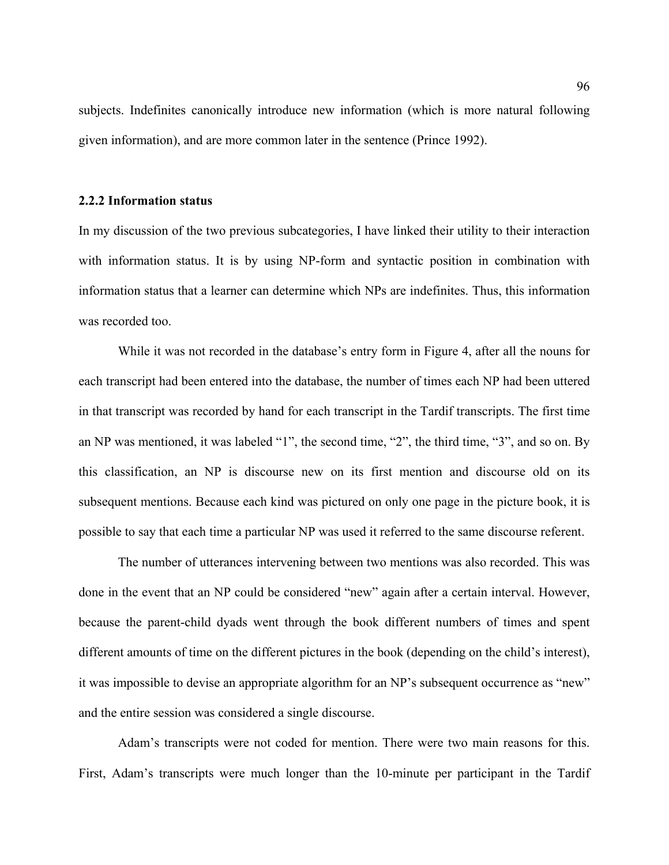subjects. Indefinites canonically introduce new information (which is more natural following given information), and are more common later in the sentence (Prince 1992).

#### **2.2.2 Information status**

In my discussion of the two previous subcategories, I have linked their utility to their interaction with information status. It is by using NP-form and syntactic position in combination with information status that a learner can determine which NPs are indefinites. Thus, this information was recorded too.

While it was not recorded in the database's entry form in [Figure 4,](#page-92-0) after all the nouns for each transcript had been entered into the database, the number of times each NP had been uttered in that transcript was recorded by hand for each transcript in the Tardif transcripts. The first time an NP was mentioned, it was labeled "1", the second time, "2", the third time, "3", and so on. By this classification, an NP is discourse new on its first mention and discourse old on its subsequent mentions. Because each kind was pictured on only one page in the picture book, it is possible to say that each time a particular NP was used it referred to the same discourse referent.

The number of utterances intervening between two mentions was also recorded. This was done in the event that an NP could be considered "new" again after a certain interval. However, because the parent-child dyads went through the book different numbers of times and spent different amounts of time on the different pictures in the book (depending on the child's interest), it was impossible to devise an appropriate algorithm for an NP's subsequent occurrence as "new" and the entire session was considered a single discourse.

Adam's transcripts were not coded for mention. There were two main reasons for this. First, Adam's transcripts were much longer than the 10-minute per participant in the Tardif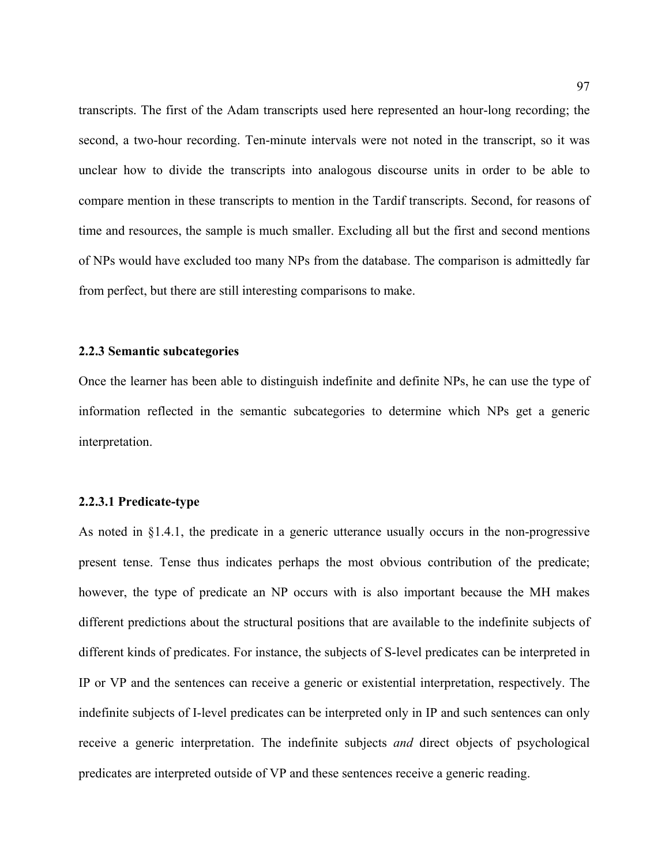transcripts. The first of the Adam transcripts used here represented an hour-long recording; the second, a two-hour recording. Ten-minute intervals were not noted in the transcript, so it was unclear how to divide the transcripts into analogous discourse units in order to be able to compare mention in these transcripts to mention in the Tardif transcripts. Second, for reasons of time and resources, the sample is much smaller. Excluding all but the first and second mentions of NPs would have excluded too many NPs from the database. The comparison is admittedly far from perfect, but there are still interesting comparisons to make.

#### **2.2.3 Semantic subcategories**

Once the learner has been able to distinguish indefinite and definite NPs, he can use the type of information reflected in the semantic subcategories to determine which NPs get a generic interpretation.

#### **2.2.3.1 Predicate-type**

As noted in §1.4.1, the predicate in a generic utterance usually occurs in the non-progressive present tense. Tense thus indicates perhaps the most obvious contribution of the predicate; however, the type of predicate an NP occurs with is also important because the MH makes different predictions about the structural positions that are available to the indefinite subjects of different kinds of predicates. For instance, the subjects of S-level predicates can be interpreted in IP or VP and the sentences can receive a generic or existential interpretation, respectively. The indefinite subjects of I-level predicates can be interpreted only in IP and such sentences can only receive a generic interpretation. The indefinite subjects *and* direct objects of psychological predicates are interpreted outside of VP and these sentences receive a generic reading.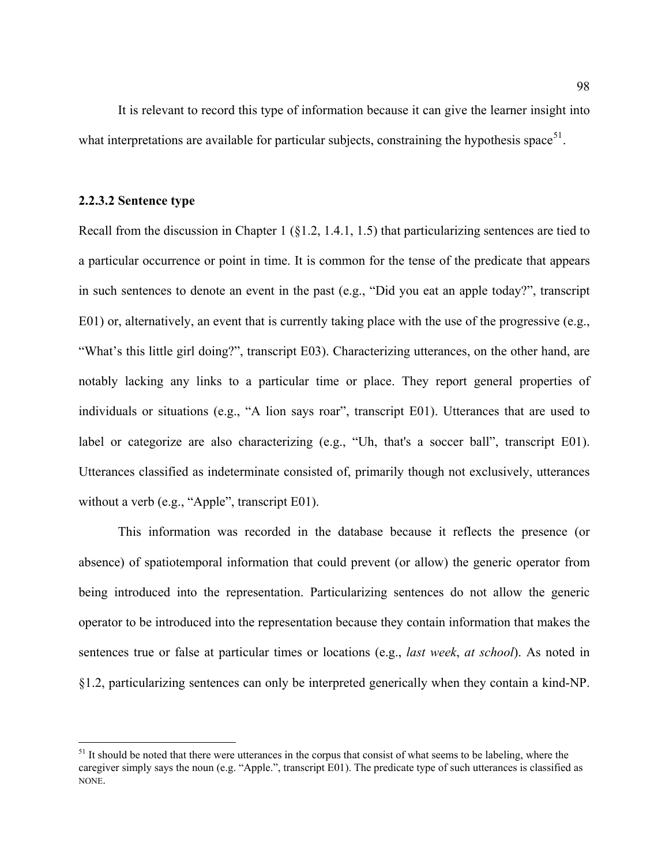It is relevant to record this type of information because it can give the learner insight into what interpretations are available for particular subjects, constraining the hypothesis space<sup>[51](#page-97-0)</sup>.

### **2.2.3.2 Sentence type**

1

Recall from the discussion in Chapter 1 (§1.2, 1.4.1, 1.5) that particularizing sentences are tied to a particular occurrence or point in time. It is common for the tense of the predicate that appears in such sentences to denote an event in the past (e.g., "Did you eat an apple today?", transcript E01) or, alternatively, an event that is currently taking place with the use of the progressive (e.g., "What's this little girl doing?", transcript E03). Characterizing utterances, on the other hand, are notably lacking any links to a particular time or place. They report general properties of individuals or situations (e.g., "A lion says roar", transcript E01). Utterances that are used to label or categorize are also characterizing (e.g., "Uh, that's a soccer ball", transcript E01). Utterances classified as indeterminate consisted of, primarily though not exclusively, utterances without a verb (e.g., "Apple", transcript E01).

This information was recorded in the database because it reflects the presence (or absence) of spatiotemporal information that could prevent (or allow) the generic operator from being introduced into the representation. Particularizing sentences do not allow the generic operator to be introduced into the representation because they contain information that makes the sentences true or false at particular times or locations (e.g., *last week*, *at school*). As noted in §1.2, particularizing sentences can only be interpreted generically when they contain a kind-NP.

<span id="page-97-0"></span> $<sup>51</sup>$  It should be noted that there were utterances in the corpus that consist of what seems to be labeling, where the</sup> caregiver simply says the noun (e.g. "Apple.", transcript E01). The predicate type of such utterances is classified as NONE.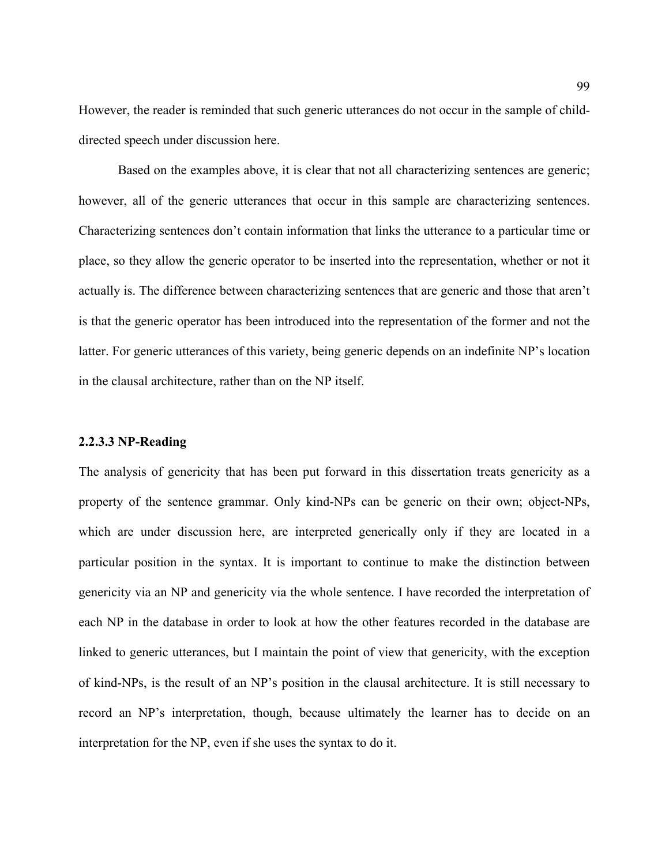However, the reader is reminded that such generic utterances do not occur in the sample of childdirected speech under discussion here.

Based on the examples above, it is clear that not all characterizing sentences are generic; however, all of the generic utterances that occur in this sample are characterizing sentences. Characterizing sentences don't contain information that links the utterance to a particular time or place, so they allow the generic operator to be inserted into the representation, whether or not it actually is. The difference between characterizing sentences that are generic and those that aren't is that the generic operator has been introduced into the representation of the former and not the latter. For generic utterances of this variety, being generic depends on an indefinite NP's location in the clausal architecture, rather than on the NP itself.

#### **2.2.3.3 NP-Reading**

The analysis of genericity that has been put forward in this dissertation treats genericity as a property of the sentence grammar. Only kind-NPs can be generic on their own; object-NPs, which are under discussion here, are interpreted generically only if they are located in a particular position in the syntax. It is important to continue to make the distinction between genericity via an NP and genericity via the whole sentence. I have recorded the interpretation of each NP in the database in order to look at how the other features recorded in the database are linked to generic utterances, but I maintain the point of view that genericity, with the exception of kind-NPs, is the result of an NP's position in the clausal architecture. It is still necessary to record an NP's interpretation, though, because ultimately the learner has to decide on an interpretation for the NP, even if she uses the syntax to do it.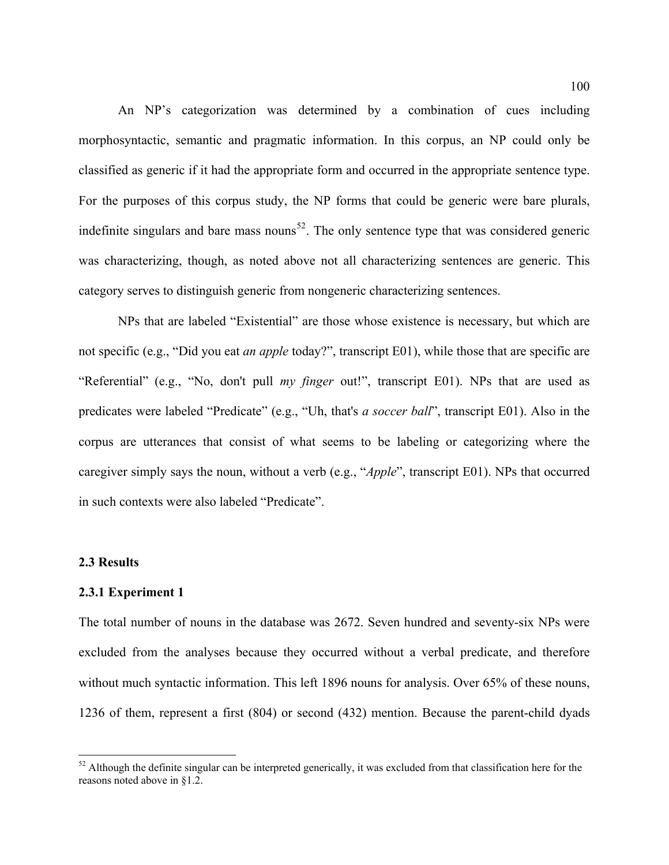An NP's categorization was determined by a combination of cues including morphosyntactic, semantic and pragmatic information. In this corpus, an NP could only be classified as generic if it had the appropriate form and occurred in the appropriate sentence type. For the purposes of this corpus study, the NP forms that could be generic were bare plurals, indefinite singulars and bare mass nouns<sup>[52](#page-99-0)</sup>. The only sentence type that was considered generic was characterizing, though, as noted above not all characterizing sentences are generic. This category serves to distinguish generic from nongeneric characterizing sentences.

NPs that are labeled "Existential" are those whose existence is necessary, but which are not specific (e.g., "Did you eat *an apple* today?", transcript E01), while those that are specific are "Referential" (e.g., "No, don't pull *my finger* out!", transcript E01). NPs that are used as predicates were labeled "Predicate" (e.g., "Uh, that's *a soccer ball*", transcript E01). Also in the corpus are utterances that consist of what seems to be labeling or categorizing where the caregiver simply says the noun, without a verb (e.g., "*Apple*", transcript E01). NPs that occurred in such contexts were also labeled "Predicate".

#### **2.3 Results**

 $\overline{a}$ 

#### **2.3.1 Experiment 1**

The total number of nouns in the database was 2672. Seven hundred and seventy-six NPs were excluded from the analyses because they occurred without a verbal predicate, and therefore without much syntactic information. This left 1896 nouns for analysis. Over 65% of these nouns, 1236 of them, represent a first (804) or second (432) mention. Because the parent-child dyads

<span id="page-99-0"></span> $52$  Although the definite singular can be interpreted generically, it was excluded from that classification here for the reasons noted above in §1.2.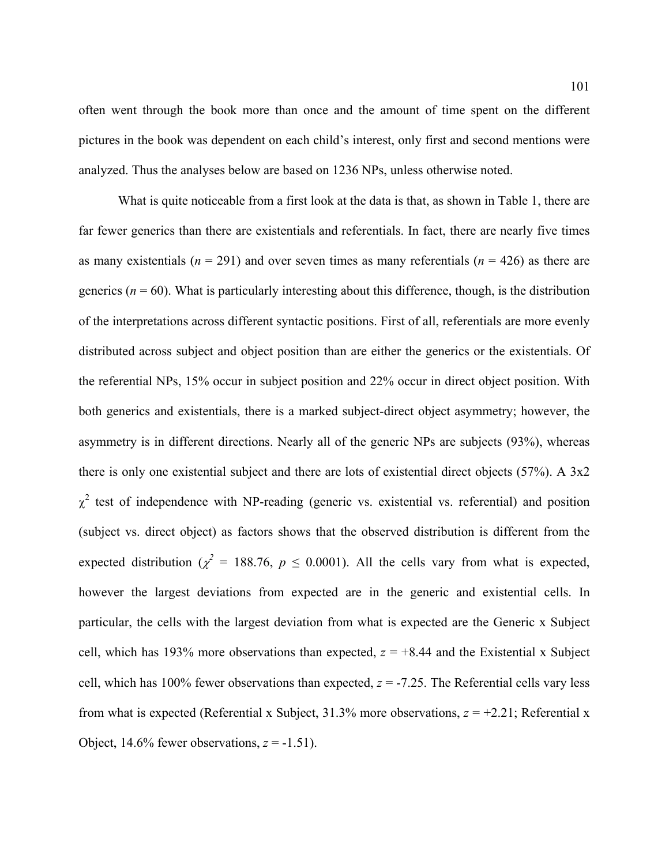often went through the book more than once and the amount of time spent on the different pictures in the book was dependent on each child's interest, only first and second mentions were analyzed. Thus the analyses below are based on 1236 NPs, unless otherwise noted.

 What is quite noticeable from a first look at the data is that, as shown in [Table 1](#page-101-0), there are far fewer generics than there are existentials and referentials. In fact, there are nearly five times as many existentials ( $n = 291$ ) and over seven times as many referentials ( $n = 426$ ) as there are generics  $(n = 60)$ . What is particularly interesting about this difference, though, is the distribution of the interpretations across different syntactic positions. First of all, referentials are more evenly distributed across subject and object position than are either the generics or the existentials. Of the referential NPs, 15% occur in subject position and 22% occur in direct object position. With both generics and existentials, there is a marked subject-direct object asymmetry; however, the asymmetry is in different directions. Nearly all of the generic NPs are subjects (93%), whereas there is only one existential subject and there are lots of existential direct objects (57%). A 3x2  $\chi^2$  test of independence with NP-reading (generic vs. existential vs. referential) and position (subject vs. direct object) as factors shows that the observed distribution is different from the expected distribution ( $\chi^2 = 188.76$ ,  $p \le 0.0001$ ). All the cells vary from what is expected, however the largest deviations from expected are in the generic and existential cells. In particular, the cells with the largest deviation from what is expected are the Generic x Subject cell, which has 193% more observations than expected,  $z = +8.44$  and the Existential x Subject cell, which has 100% fewer observations than expected,  $z = -7.25$ . The Referential cells vary less from what is expected (Referential x Subject, 31.3% more observations,  $z = +2.21$ ; Referential x Object,  $14.6\%$  fewer observations,  $z = -1.51$ ).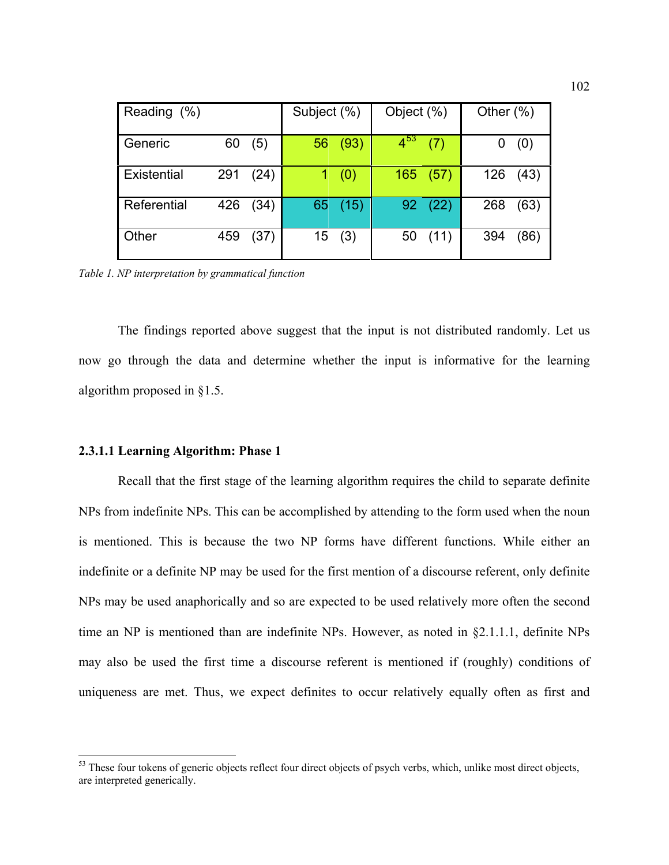| Reading (%) |     |      | Subject (%)      |         | Object (%) |      | Other $(\%)$ |      |
|-------------|-----|------|------------------|---------|------------|------|--------------|------|
| Generic     | 60  | (5)  |                  | 56 (93) | $4^{53}$   | (7)  |              | (0)  |
| Existential | 291 | (24) |                  | (0)     | 165        | (57) | 126          | (43) |
| Referential | 426 | (34) | 65               | (15)    | $92 -$     | (22) | 268          | (63) |
| Other       | 459 | (37) | 15 <sup>15</sup> | (3)     | 50         | (11) | 394          | (86) |

<span id="page-101-0"></span>*Table 1. NP interpretation by grammatical function* 

 The findings reported above suggest that the input is not distributed randomly. Let us now go through the data and determine whether the input is informative for the learning algorithm proposed in §1.5.

### **2.3.1.1 Learning Algorithm: Phase 1**

 $\overline{a}$ 

 Recall that the first stage of the learning algorithm requires the child to separate definite NPs from indefinite NPs. This can be accomplished by attending to the form used when the noun is mentioned. This is because the two NP forms have different functions. While either an indefinite or a definite NP may be used for the first mention of a discourse referent, only definite NPs may be used anaphorically and so are expected to be used relatively more often the second time an NP is mentioned than are indefinite NPs. However, as noted in §2.1.1.1, definite NPs may also be used the first time a discourse referent is mentioned if (roughly) conditions of uniqueness are met. Thus, we expect definites to occur relatively equally often as first and

<span id="page-101-1"></span><sup>&</sup>lt;sup>53</sup> These four tokens of generic objects reflect four direct objects of psych verbs, which, unlike most direct objects, are interpreted generically.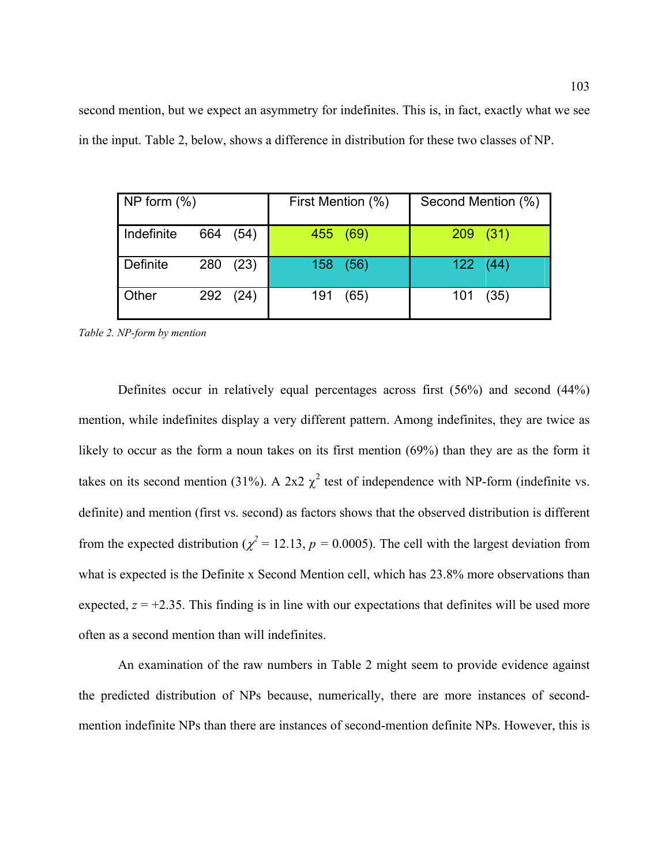second mention, but we expect an asymmetry for indefinites. This is, in fact, exactly what we see in the input. [Table 2,](#page-102-0) below, shows a difference in distribution for these two classes of NP.

| NP form $(\%)$ |     |          | First Mention (%) |          | Second Mention (%) |              |  |
|----------------|-----|----------|-------------------|----------|--------------------|--------------|--|
| Indefinite     | 664 | (54)     |                   | 455 (69) |                    | 209(31)      |  |
| Definite       | 280 | (23)     |                   | 158 (56) |                    | $122 \t(44)$ |  |
| Other          |     | 292 (24) | 191               | (65)     | 101                | (35)         |  |

<span id="page-102-0"></span>*Table 2. NP-form by mention* 

Definites occur in relatively equal percentages across first (56%) and second (44%) mention, while indefinites display a very different pattern. Among indefinites, they are twice as likely to occur as the form a noun takes on its first mention (69%) than they are as the form it takes on its second mention (31%). A 2x2  $\chi^2$  test of independence with NP-form (indefinite vs. definite) and mention (first vs. second) as factors shows that the observed distribution is different from the expected distribution ( $\chi^2$  = 12.13, *p* = 0.0005). The cell with the largest deviation from what is expected is the Definite x Second Mention cell, which has  $23.8\%$  more observations than expected,  $z = +2.35$ . This finding is in line with our expectations that definites will be used more often as a second mention than will indefinites.

An examination of the raw numbers in [Table 2](#page-102-0) might seem to provide evidence against the predicted distribution of NPs because, numerically, there are more instances of secondmention indefinite NPs than there are instances of second-mention definite NPs. However, this is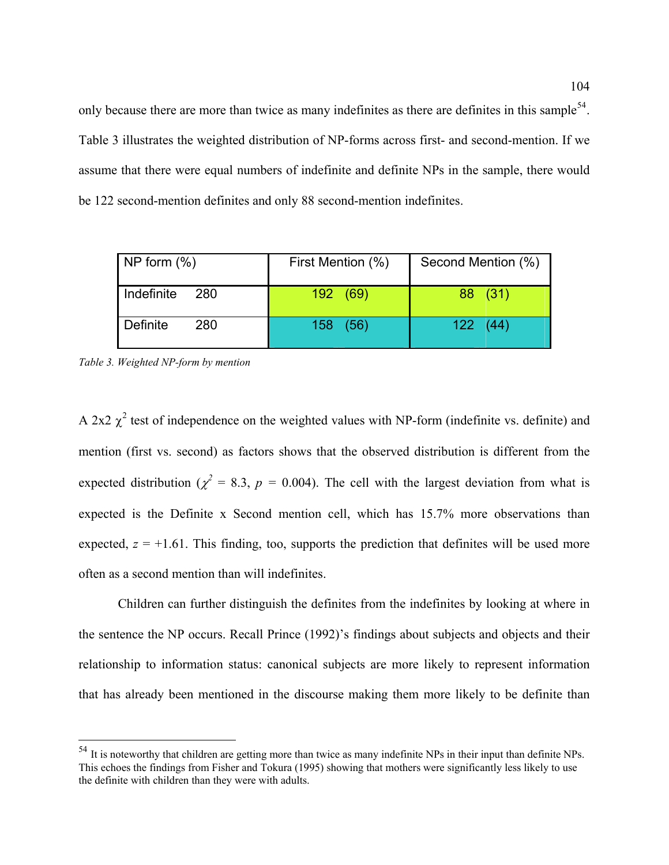only because there are more than twice as many indefinites as there are definites in this sample<sup>[54](#page-103-0)</sup>. [Table 3](#page-103-1) illustrates the weighted distribution of NP-forms across first- and second-mention. If we assume that there were equal numbers of indefinite and definite NPs in the sample, there would be 122 second-mention definites and only 88 second-mention indefinites.

| NP form $(\%)$    | First Mention (%) | Second Mention (%) |
|-------------------|-------------------|--------------------|
| Indefinite<br>280 | 192 (69)          | 88 (31)            |
| Definite<br>280   | 158 (56)          | 122(44)            |

<span id="page-103-1"></span>*Table 3. Weighted NP-form by mention* 

 $\overline{a}$ 

A 2x2  $\chi^2$  test of independence on the weighted values with NP-form (indefinite vs. definite) and mention (first vs. second) as factors shows that the observed distribution is different from the expected distribution ( $\chi^2 = 8.3$ ,  $p = 0.004$ ). The cell with the largest deviation from what is expected is the Definite x Second mention cell, which has 15.7% more observations than expected,  $z = +1.61$ . This finding, too, supports the prediction that definites will be used more often as a second mention than will indefinites.

Children can further distinguish the definites from the indefinites by looking at where in the sentence the NP occurs. Recall Prince (1992)'s findings about subjects and objects and their relationship to information status: canonical subjects are more likely to represent information that has already been mentioned in the discourse making them more likely to be definite than

<span id="page-103-0"></span> $54$  It is noteworthy that children are getting more than twice as many indefinite NPs in their input than definite NPs. This echoes the findings from Fisher and Tokura (1995) showing that mothers were significantly less likely to use the definite with children than they were with adults.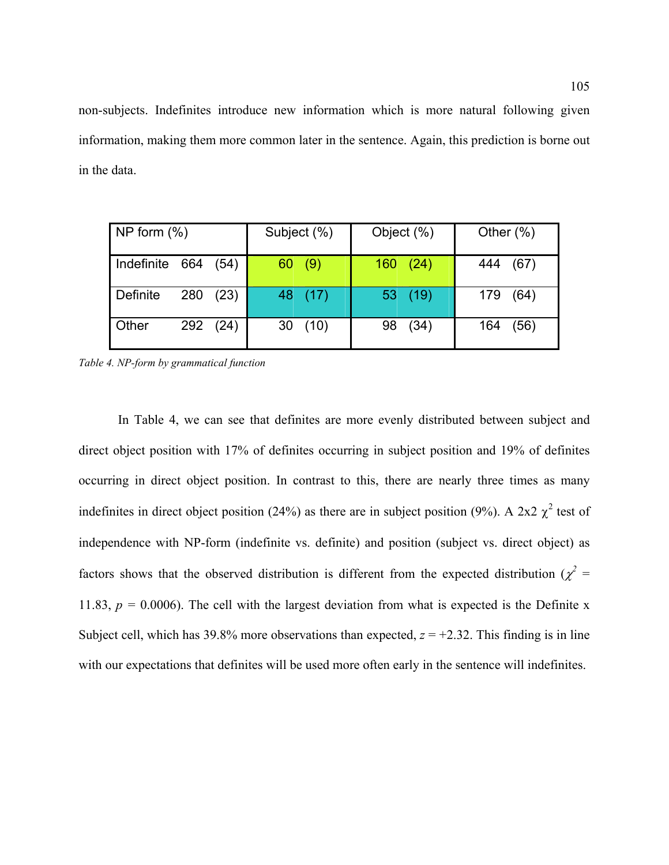non-subjects. Indefinites introduce new information which is more natural following given information, making them more common later in the sentence. Again, this prediction is borne out in the data.

| NP form $(\%)$ |             | Subject (%)        | Object (%) | Other $(\%)$ |  |
|----------------|-------------|--------------------|------------|--------------|--|
| Indefinite 664 | (54)        | 60(9)              | 160(24)    | 444<br>(67)  |  |
| Definite       | 280<br>(23) | $ 48 \rangle (17)$ | 53(19)     | (64)<br>179  |  |
| Other          | 292 (24)    | 30<br>(10)         | (34)<br>98 | (56)<br>164  |  |

<span id="page-104-0"></span>*Table 4. NP-form by grammatical function* 

In [Table 4,](#page-104-0) we can see that definites are more evenly distributed between subject and direct object position with 17% of definites occurring in subject position and 19% of definites occurring in direct object position. In contrast to this, there are nearly three times as many indefinites in direct object position (24%) as there are in subject position (9%). A 2x2  $\chi^2$  test of independence with NP-form (indefinite vs. definite) and position (subject vs. direct object) as factors shows that the observed distribution is different from the expected distribution ( $\chi^2$  = 11.83,  $p = 0.0006$ ). The cell with the largest deviation from what is expected is the Definite x Subject cell, which has  $39.8\%$  more observations than expected,  $z = +2.32$ . This finding is in line with our expectations that definites will be used more often early in the sentence will indefinites.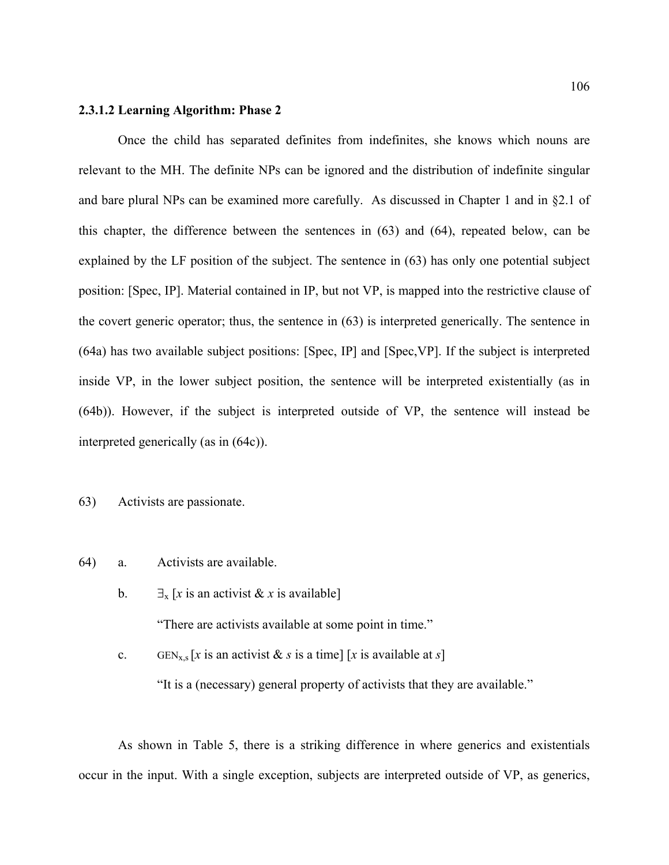#### **2.3.1.2 Learning Algorithm: Phase 2**

 Once the child has separated definites from indefinites, she knows which nouns are relevant to the MH. The definite NPs can be ignored and the distribution of indefinite singular and bare plural NPs can be examined more carefully. As discussed in Chapter 1 and in §2.1 of this chapter, the difference between the sentences in [\(63](#page-89-1)) and ([64\)](#page-89-0), repeated below, can be explained by the LF position of the subject. The sentence in ([63\)](#page-89-1) has only one potential subject position: [Spec, IP]. Material contained in IP, but not VP, is mapped into the restrictive clause of the covert generic operator; thus, the sentence in ([63\)](#page-89-1) is interpreted generically. The sentence in ([64](#page-89-0)a) has two available subject positions: [Spec, IP] and [Spec,VP]. If the subject is interpreted inside VP, in the lower subject position, the sentence will be interpreted existentially (as in ([64](#page-89-0)b)). However, if the subject is interpreted outside of VP, the sentence will instead be interpreted generically (as in ([64c](#page-89-0))).

[63](#page-89-1)) Activists are passionate.

- [64](#page-89-0)) a. Activists are available.
	- b.  $\exists$ <sub>x</sub> [*x* is an activist & *x* is available] "There are activists available at some point in time."

c. GEN<sub>x,s</sub> [x is an activist & s is a time] [x is available at s]

"It is a (necessary) general property of activists that they are available."

As shown in [Table 5](#page-107-0), there is a striking difference in where generics and existentials occur in the input. With a single exception, subjects are interpreted outside of VP, as generics,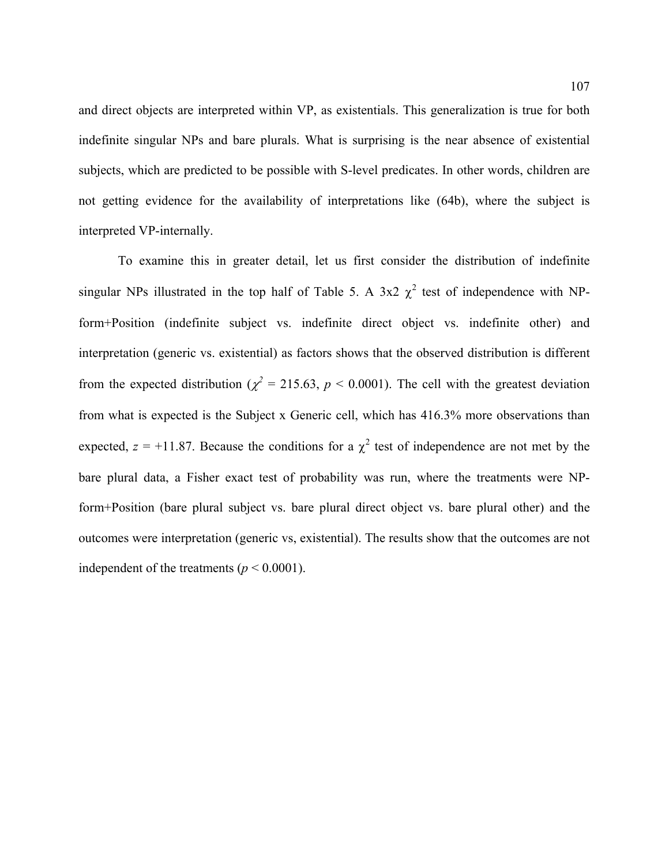and direct objects are interpreted within VP, as existentials. This generalization is true for both indefinite singular NPs and bare plurals. What is surprising is the near absence of existential subjects, which are predicted to be possible with S-level predicates. In other words, children are not getting evidence for the availability of interpretations like ([64b](#page-89-0)), where the subject is interpreted VP-internally.

To examine this in greater detail, let us first consider the distribution of indefinite singular NPs illustrated in the top half of [Table 5.](#page-107-0) A 3x2  $\chi^2$  test of independence with NPform+Position (indefinite subject vs. indefinite direct object vs. indefinite other) and interpretation (generic vs. existential) as factors shows that the observed distribution is different from the expected distribution ( $\chi^2$  = 215.63, *p* < 0.0001). The cell with the greatest deviation from what is expected is the Subject x Generic cell, which has 416.3% more observations than expected,  $z = +11.87$ . Because the conditions for a  $\chi^2$  test of independence are not met by the bare plural data, a Fisher exact test of probability was run, where the treatments were NPform+Position (bare plural subject vs. bare plural direct object vs. bare plural other) and the outcomes were interpretation (generic vs, existential). The results show that the outcomes are not independent of the treatments ( $p < 0.0001$ ).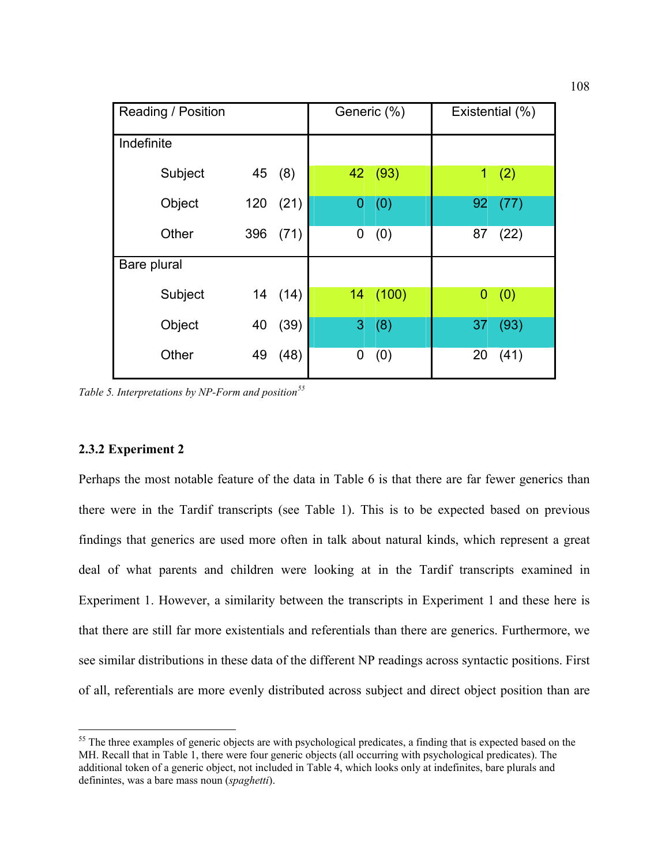| Reading / Position |     | Generic (%) | Existential (%) |         |              |      |
|--------------------|-----|-------------|-----------------|---------|--------------|------|
| Indefinite         |     |             |                 |         |              |      |
| Subject            | 45  | (8)         |                 | 42 (93) | $\mathbf{1}$ | (2)  |
| Object             | 120 | (21)        | 0               | (0)     | 92           | (77) |
| Other              | 396 | (71)        | 0               | (0)     | 87           | (22) |
| Bare plural        |     |             |                 |         |              |      |
| Subject            | 14  | (14)        | 14 <sup>°</sup> | (100)   | 0            | (0)  |
| Object             | 40  | (39)        | 3               | (8)     | 37           | (93) |
| Other              | 49  | (48)        | 0               | (0)     | 20           | (41) |

<span id="page-107-0"></span>*Table 5. Interpretations by NP-Form and position[55](#page-107-1)*

### **2.3.2 Experiment 2**

 $\overline{a}$ 

Perhaps the most notable feature of the data in [Table 6](#page-108-0) is that there are far fewer generics than there were in the Tardif transcripts (see [Table 1\)](#page-101-0). This is to be expected based on previous findings that generics are used more often in talk about natural kinds, which represent a great deal of what parents and children were looking at in the Tardif transcripts examined in Experiment 1. However, a similarity between the transcripts in Experiment 1 and these here is that there are still far more existentials and referentials than there are generics. Furthermore, we see similar distributions in these data of the different NP readings across syntactic positions. First of all, referentials are more evenly distributed across subject and direct object position than are

<span id="page-107-1"></span><sup>&</sup>lt;sup>55</sup> The three examples of generic objects are with psychological predicates, a finding that is expected based on the MH. Recall that in Table 1, there were four generic objects (all occurring with psychological predicates). The additional token of a generic object, not included in Table 4, which looks only at indefinites, bare plurals and definintes, was a bare mass noun (*spaghetti*).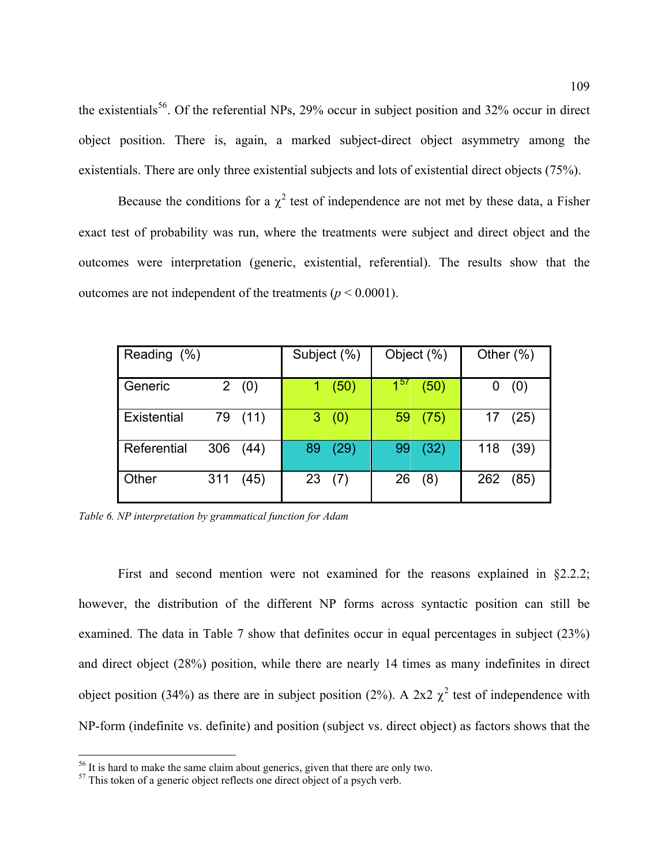the existentials<sup>[56](#page-108-0)</sup>. Of the referential NPs, 29% occur in subject position and 32% occur in direct object position. There is, again, a marked subject-direct object asymmetry among the existentials. There are only three existential subjects and lots of existential direct objects (75%).

Because the conditions for a  $\chi^2$  test of independence are not met by these data, a Fisher exact test of probability was run, where the treatments were subject and direct object and the outcomes were interpretation (generic, existential, referential). The results show that the outcomes are not independent of the treatments ( $p < 0.0001$ ).

| Reading (%) |             | Subject (%) | Object (%)       | Other $(\%)$ |
|-------------|-------------|-------------|------------------|--------------|
| Generic     | 2(0)        | (50)        | $1^{57}$<br>(50) | (0)          |
| Existential | 79 (11)     | 3(0)        | (75)<br>59       | (25)<br>17   |
| Referential | 306<br>(44) | (29)<br>89  | (32)<br>99       | 118<br>(39)  |
| Other       | 311<br>(45) | 23(7)       | 26<br>(8)        | 262<br>(85)  |

*Table 6. NP interpretation by grammatical function for Adam* 

First and second mention were not examined for the reasons explained in §2.2.2; however, the distribution of the different NP forms across syntactic position can still be examined. The data in [Table 7](#page-109-0) show that definites occur in equal percentages in subject (23%) and direct object (28%) position, while there are nearly 14 times as many indefinites in direct object position (34%) as there are in subject position (2%). A 2x2  $\chi^2$  test of independence with NP-form (indefinite vs. definite) and position (subject vs. direct object) as factors shows that the

1

<span id="page-108-0"></span><sup>&</sup>lt;sup>56</sup> It is hard to make the same claim about generics, given that there are only two.

<span id="page-108-1"></span> $57$  This token of a generic object reflects one direct object of a psych verb.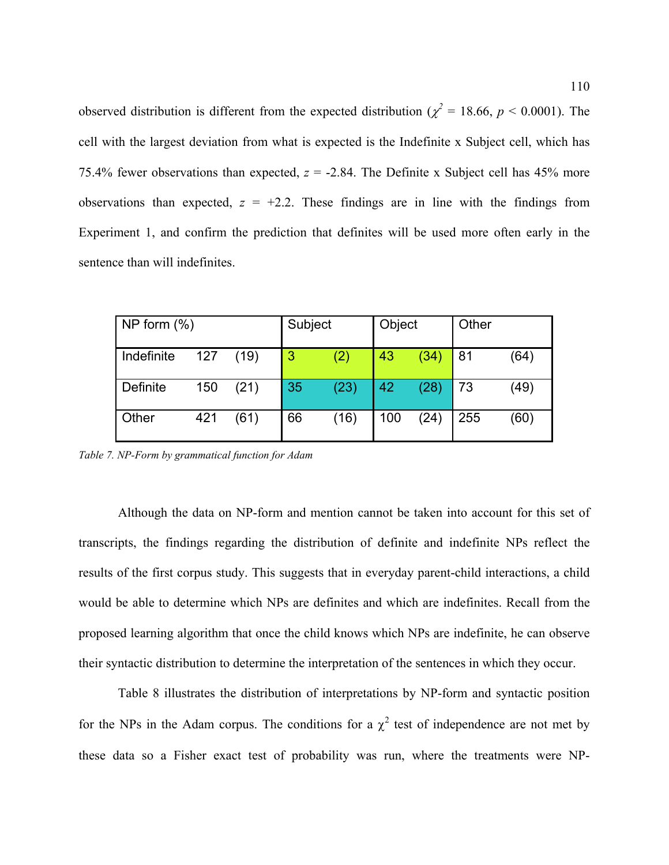observed distribution is different from the expected distribution ( $\chi^2$  = 18.66, *p* < 0.0001). The cell with the largest deviation from what is expected is the Indefinite x Subject cell, which has 75.4% fewer observations than expected,  $z = -2.84$ . The Definite x Subject cell has 45% more observations than expected,  $z = +2.2$ . These findings are in line with the findings from Experiment 1, and confirm the prediction that definites will be used more often early in the sentence than will indefinites.

| NP form $(\%)$ |     |      | Subject        |      | Object |      | Other |      |
|----------------|-----|------|----------------|------|--------|------|-------|------|
| Indefinite     | 127 | (19) | $\overline{3}$ | (2)  | 43     | (34) | 81    | (64) |
| Definite       | 150 | (21) | 35             | (23) | 42     | (28) | 73    | (49) |
| <b>Other</b>   | 421 | (61) | 66             | (16) | 100    | (24) | 255   | (60) |

<span id="page-109-0"></span>*Table 7. NP-Form by grammatical function for Adam* 

Although the data on NP-form and mention cannot be taken into account for this set of transcripts, the findings regarding the distribution of definite and indefinite NPs reflect the results of the first corpus study. This suggests that in everyday parent-child interactions, a child would be able to determine which NPs are definites and which are indefinites. Recall from the proposed learning algorithm that once the child knows which NPs are indefinite, he can observe their syntactic distribution to determine the interpretation of the sentences in which they occur.

[Table 8](#page-110-0) illustrates the distribution of interpretations by NP-form and syntactic position for the NPs in the Adam corpus. The conditions for a  $\chi^2$  test of independence are not met by these data so a Fisher exact test of probability was run, where the treatments were NP-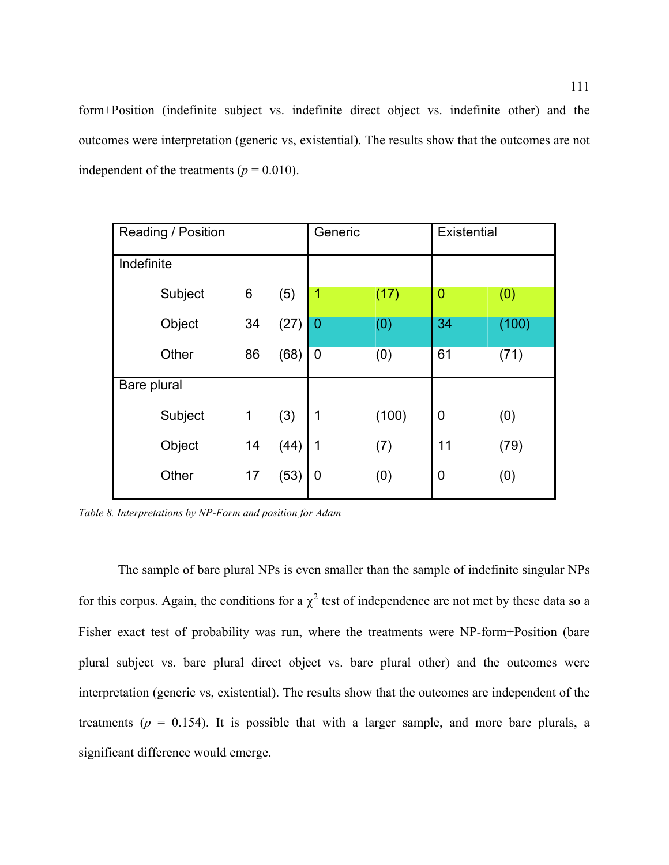form+Position (indefinite subject vs. indefinite direct object vs. indefinite other) and the outcomes were interpretation (generic vs, existential). The results show that the outcomes are not independent of the treatments ( $p = 0.010$ ).

| Reading / Position |         |             |      | Generic        |       | Existential    |       |
|--------------------|---------|-------------|------|----------------|-------|----------------|-------|
| Indefinite         |         |             |      |                |       |                |       |
|                    | Subject | 6           | (5)  | 1              | (17)  | $\overline{0}$ | (0)   |
|                    | Object  | 34          | (27) | $\overline{0}$ | (0)   | 34             | (100) |
|                    | Other   | 86          | (68) | $\overline{0}$ | (0)   | 61             | (71)  |
| Bare plural        |         |             |      |                |       |                |       |
|                    | Subject | $\mathbf 1$ | (3)  | 1              | (100) | 0              | (0)   |
|                    | Object  | 14          | (44) | 1              | (7)   | 11             | (79)  |
|                    | Other   | 17          | (53) | 0              | (0)   | 0              | (0)   |

<span id="page-110-0"></span>*Table 8. Interpretations by NP-Form and position for Adam* 

The sample of bare plural NPs is even smaller than the sample of indefinite singular NPs for this corpus. Again, the conditions for a  $\chi^2$  test of independence are not met by these data so a Fisher exact test of probability was run, where the treatments were NP-form+Position (bare plural subject vs. bare plural direct object vs. bare plural other) and the outcomes were interpretation (generic vs, existential). The results show that the outcomes are independent of the treatments ( $p = 0.154$ ). It is possible that with a larger sample, and more bare plurals, a significant difference would emerge.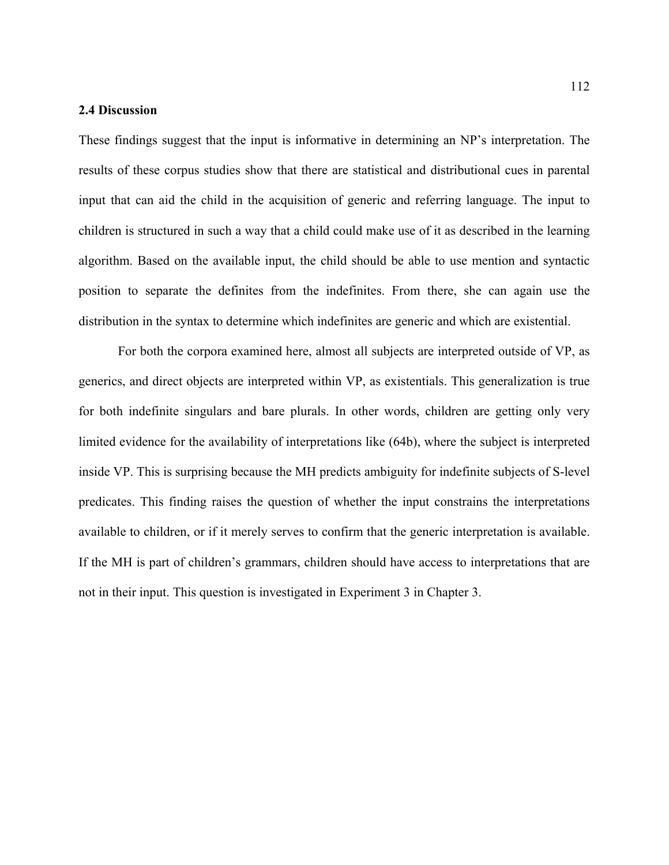## **2.4 Discussion**

These findings suggest that the input is informative in determining an NP's interpretation. The results of these corpus studies show that there are statistical and distributional cues in parental input that can aid the child in the acquisition of generic and referring language. The input to children is structured in such a way that a child could make use of it as described in the learning algorithm. Based on the available input, the child should be able to use mention and syntactic position to separate the definites from the indefinites. From there, she can again use the distribution in the syntax to determine which indefinites are generic and which are existential.

For both the corpora examined here, almost all subjects are interpreted outside of VP, as generics, and direct objects are interpreted within VP, as existentials. This generalization is true for both indefinite singulars and bare plurals. In other words, children are getting only very limited evidence for the availability of interpretations like [\(64](#page-89-0)b), where the subject is interpreted inside VP. This is surprising because the MH predicts ambiguity for indefinite subjects of S-level predicates. This finding raises the question of whether the input constrains the interpretations available to children, or if it merely serves to confirm that the generic interpretation is available. If the MH is part of children's grammars, children should have access to interpretations that are not in their input. This question is investigated in Experiment 3 in Chapter 3.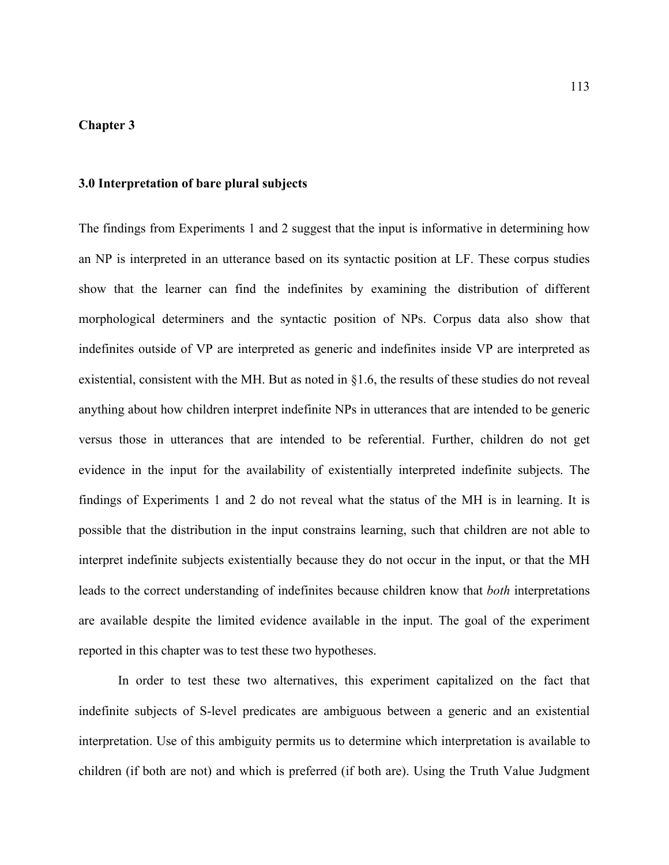## **Chapter 3**

# **3.0 Interpretation of bare plural subjects**

The findings from Experiments 1 and 2 suggest that the input is informative in determining how an NP is interpreted in an utterance based on its syntactic position at LF. These corpus studies show that the learner can find the indefinites by examining the distribution of different morphological determiners and the syntactic position of NPs. Corpus data also show that indefinites outside of VP are interpreted as generic and indefinites inside VP are interpreted as existential, consistent with the MH. But as noted in §1.6, the results of these studies do not reveal anything about how children interpret indefinite NPs in utterances that are intended to be generic versus those in utterances that are intended to be referential. Further, children do not get evidence in the input for the availability of existentially interpreted indefinite subjects. The findings of Experiments 1 and 2 do not reveal what the status of the MH is in learning. It is possible that the distribution in the input constrains learning, such that children are not able to interpret indefinite subjects existentially because they do not occur in the input, or that the MH leads to the correct understanding of indefinites because children know that *both* interpretations are available despite the limited evidence available in the input. The goal of the experiment reported in this chapter was to test these two hypotheses.

In order to test these two alternatives, this experiment capitalized on the fact that indefinite subjects of S-level predicates are ambiguous between a generic and an existential interpretation. Use of this ambiguity permits us to determine which interpretation is available to children (if both are not) and which is preferred (if both are). Using the Truth Value Judgment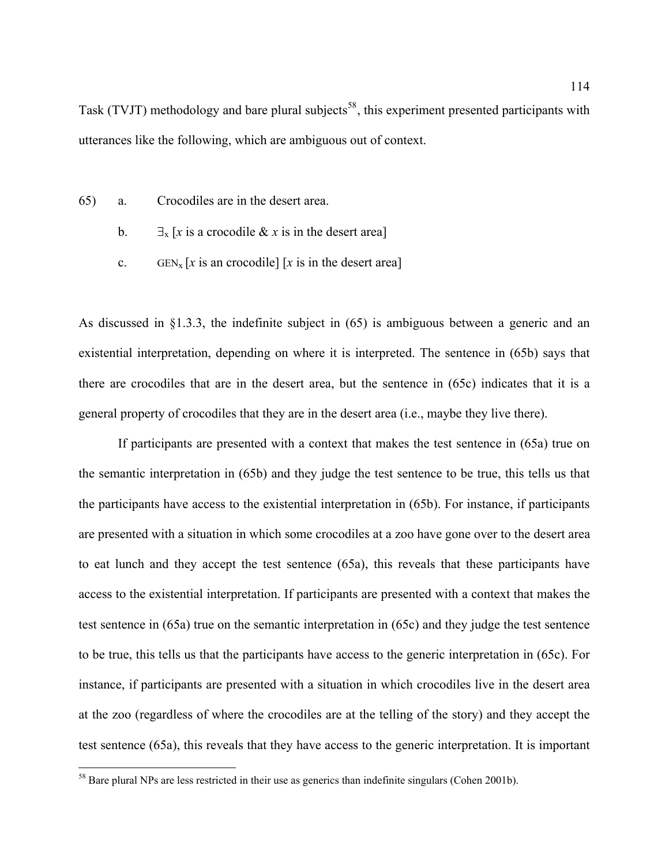Task (TVJT) methodology and bare plural subjects<sup>[58](#page-113-0)</sup>, this experiment presented participants with utterances like the following, which are ambiguous out of context.

- <span id="page-113-1"></span>65) a. Crocodiles are in the desert area.
	- b.  $\exists$ <sub>x</sub> [*x* is a crocodile & *x* is in the desert area]
	- c. GEN<sub>x</sub> [*x* is an crocodile] [*x* is in the desert area]

As discussed in §1.3.3, the indefinite subject in [\(65](#page-113-1)) is ambiguous between a generic and an existential interpretation, depending on where it is interpreted. The sentence in ([65b](#page-113-1)) says that there are crocodiles that are in the desert area, but the sentence in [\(65](#page-113-1)c) indicates that it is a general property of crocodiles that they are in the desert area (i.e., maybe they live there).

 If participants are presented with a context that makes the test sentence in [\(65](#page-113-1)a) true on the semantic interpretation in ([65b](#page-113-1)) and they judge the test sentence to be true, this tells us that the participants have access to the existential interpretation in ([65b](#page-113-1)). For instance, if participants are presented with a situation in which some crocodiles at a zoo have gone over to the desert area to eat lunch and they accept the test sentence ([65a](#page-113-1)), this reveals that these participants have access to the existential interpretation. If participants are presented with a context that makes the test sentence in ([65a](#page-113-1)) true on the semantic interpretation in [\(65](#page-113-1)c) and they judge the test sentence to be true, this tells us that the participants have access to the generic interpretation in ([65c](#page-113-1)). For instance, if participants are presented with a situation in which crocodiles live in the desert area at the zoo (regardless of where the crocodiles are at the telling of the story) and they accept the test sentence ([65a](#page-113-1)), this reveals that they have access to the generic interpretation. It is important

<u>.</u>

<span id="page-113-0"></span><sup>&</sup>lt;sup>58</sup> Bare plural NPs are less restricted in their use as generics than indefinite singulars (Cohen 2001b).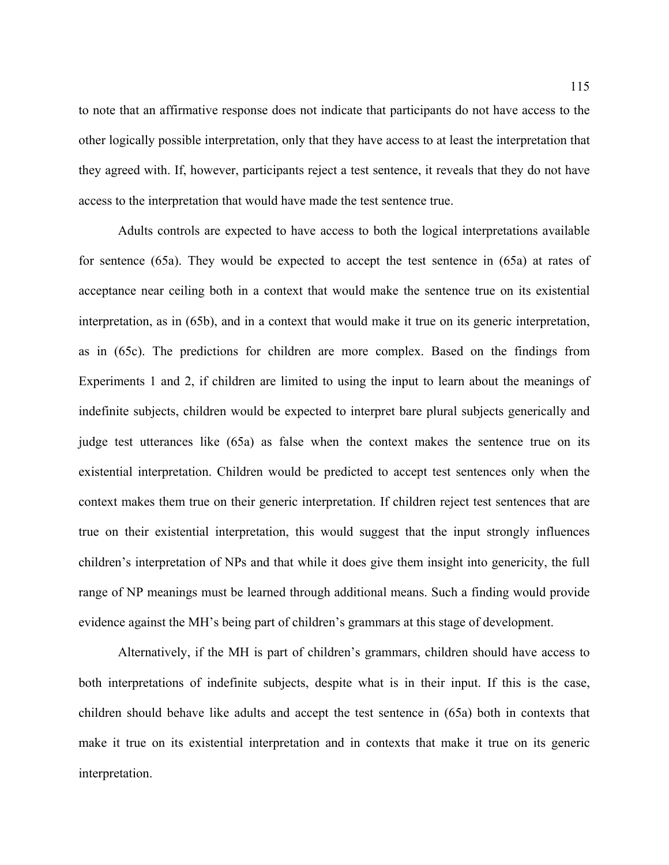to note that an affirmative response does not indicate that participants do not have access to the other logically possible interpretation, only that they have access to at least the interpretation that they agreed with. If, however, participants reject a test sentence, it reveals that they do not have access to the interpretation that would have made the test sentence true.

Adults controls are expected to have access to both the logical interpretations available for sentence [\(65](#page-113-1)a). They would be expected to accept the test sentence in [\(65a](#page-113-1)) at rates of acceptance near ceiling both in a context that would make the sentence true on its existential interpretation, as in [\(65](#page-113-1)b), and in a context that would make it true on its generic interpretation, as in ([65c](#page-113-1)). The predictions for children are more complex. Based on the findings from Experiments 1 and 2, if children are limited to using the input to learn about the meanings of indefinite subjects, children would be expected to interpret bare plural subjects generically and judge test utterances like [\(65](#page-113-1)a) as false when the context makes the sentence true on its existential interpretation. Children would be predicted to accept test sentences only when the context makes them true on their generic interpretation. If children reject test sentences that are true on their existential interpretation, this would suggest that the input strongly influences children's interpretation of NPs and that while it does give them insight into genericity, the full range of NP meanings must be learned through additional means. Such a finding would provide evidence against the MH's being part of children's grammars at this stage of development.

Alternatively, if the MH is part of children's grammars, children should have access to both interpretations of indefinite subjects, despite what is in their input. If this is the case, children should behave like adults and accept the test sentence in ([65a](#page-113-1)) both in contexts that make it true on its existential interpretation and in contexts that make it true on its generic interpretation.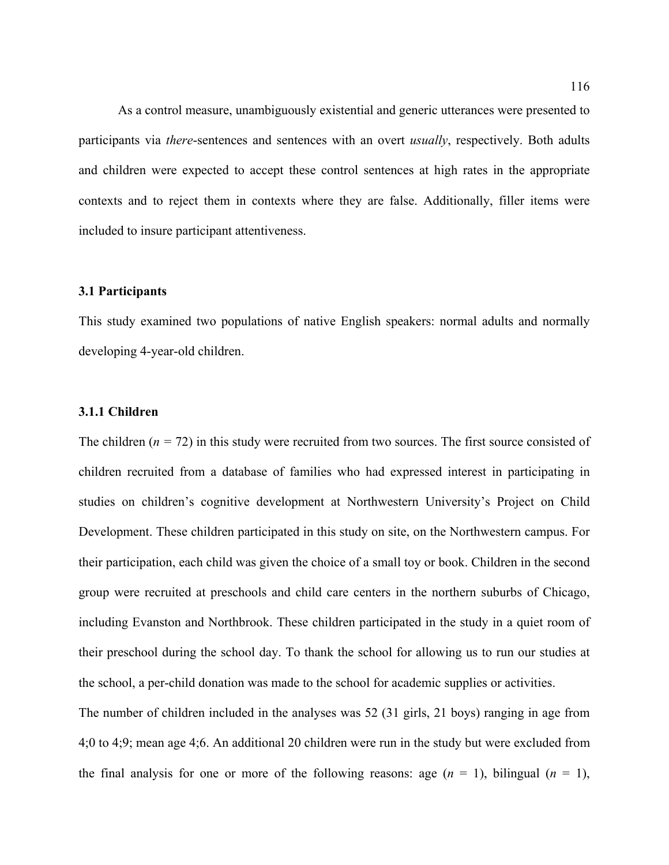As a control measure, unambiguously existential and generic utterances were presented to participants via *there*-sentences and sentences with an overt *usually*, respectively. Both adults and children were expected to accept these control sentences at high rates in the appropriate contexts and to reject them in contexts where they are false. Additionally, filler items were included to insure participant attentiveness.

# **3.1 Participants**

This study examined two populations of native English speakers: normal adults and normally developing 4-year-old children.

#### **3.1.1 Children**

The children (*n =* 72) in this study were recruited from two sources. The first source consisted of children recruited from a database of families who had expressed interest in participating in studies on children's cognitive development at Northwestern University's Project on Child Development. These children participated in this study on site, on the Northwestern campus. For their participation, each child was given the choice of a small toy or book. Children in the second group were recruited at preschools and child care centers in the northern suburbs of Chicago, including Evanston and Northbrook. These children participated in the study in a quiet room of their preschool during the school day. To thank the school for allowing us to run our studies at the school, a per-child donation was made to the school for academic supplies or activities.

The number of children included in the analyses was 52 (31 girls, 21 boys) ranging in age from 4;0 to 4;9; mean age 4;6. An additional 20 children were run in the study but were excluded from the final analysis for one or more of the following reasons: age  $(n = 1)$ , bilingual  $(n = 1)$ ,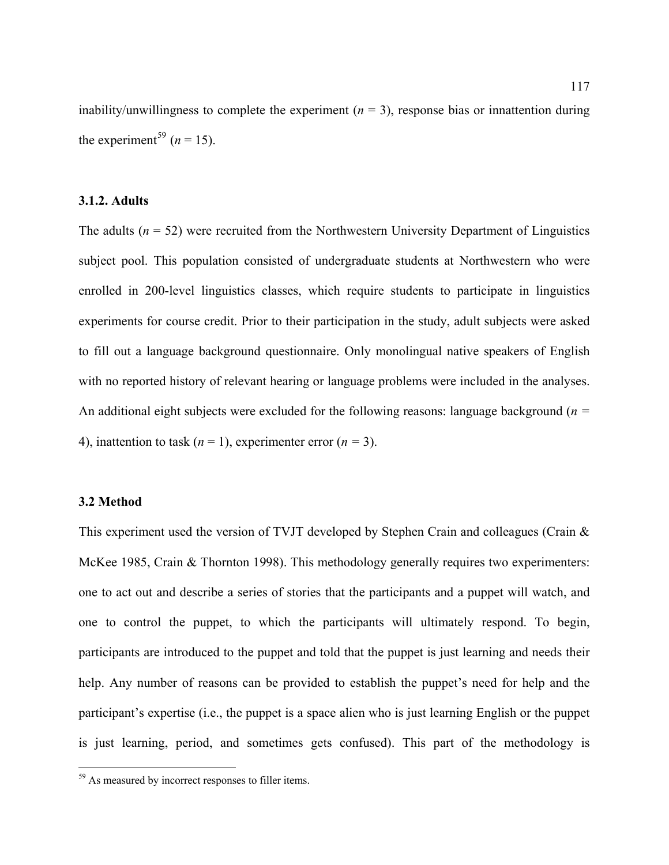inability/unwillingness to complete the experiment  $(n = 3)$ , response bias or innattention during the experiment<sup>[59](#page-116-0)</sup> ( $n = 15$ ).

# **3.1.2. Adults**

The adults  $(n = 52)$  were recruited from the Northwestern University Department of Linguistics subject pool. This population consisted of undergraduate students at Northwestern who were enrolled in 200-level linguistics classes, which require students to participate in linguistics experiments for course credit. Prior to their participation in the study, adult subjects were asked to fill out a language background questionnaire. Only monolingual native speakers of English with no reported history of relevant hearing or language problems were included in the analyses. An additional eight subjects were excluded for the following reasons: language background (*n =* 4), inattention to task  $(n = 1)$ , experimenter error  $(n = 3)$ .

### **3.2 Method**

 $\overline{a}$ 

This experiment used the version of TVJT developed by Stephen Crain and colleagues (Crain & McKee 1985, Crain & Thornton 1998). This methodology generally requires two experimenters: one to act out and describe a series of stories that the participants and a puppet will watch, and one to control the puppet, to which the participants will ultimately respond. To begin, participants are introduced to the puppet and told that the puppet is just learning and needs their help. Any number of reasons can be provided to establish the puppet's need for help and the participant's expertise (i.e., the puppet is a space alien who is just learning English or the puppet is just learning, period, and sometimes gets confused). This part of the methodology is

<span id="page-116-0"></span><sup>&</sup>lt;sup>59</sup> As measured by incorrect responses to filler items.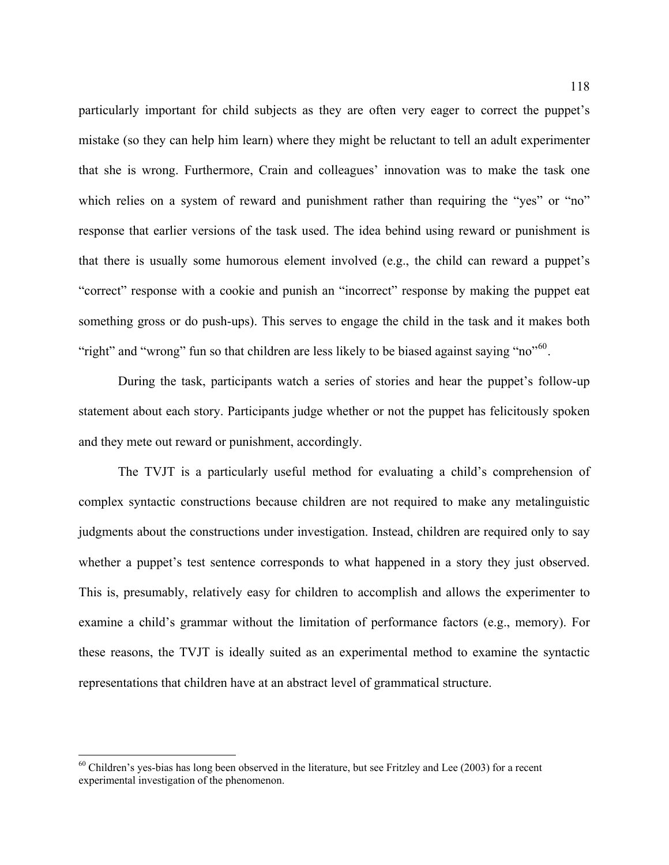particularly important for child subjects as they are often very eager to correct the puppet's mistake (so they can help him learn) where they might be reluctant to tell an adult experimenter that she is wrong. Furthermore, Crain and colleagues' innovation was to make the task one which relies on a system of reward and punishment rather than requiring the "yes" or "no" response that earlier versions of the task used. The idea behind using reward or punishment is that there is usually some humorous element involved (e.g., the child can reward a puppet's "correct" response with a cookie and punish an "incorrect" response by making the puppet eat something gross or do push-ups). This serves to engage the child in the task and it makes both "right" and "wrong" fun so that children are less likely to be biased against saying "no"<sup>[60](#page-117-0)</sup>.

During the task, participants watch a series of stories and hear the puppet's follow-up statement about each story. Participants judge whether or not the puppet has felicitously spoken and they mete out reward or punishment, accordingly.

 The TVJT is a particularly useful method for evaluating a child's comprehension of complex syntactic constructions because children are not required to make any metalinguistic judgments about the constructions under investigation. Instead, children are required only to say whether a puppet's test sentence corresponds to what happened in a story they just observed. This is, presumably, relatively easy for children to accomplish and allows the experimenter to examine a child's grammar without the limitation of performance factors (e.g., memory). For these reasons, the TVJT is ideally suited as an experimental method to examine the syntactic representations that children have at an abstract level of grammatical structure.

1

<span id="page-117-0"></span><sup>&</sup>lt;sup>60</sup> Children's yes-bias has long been observed in the literature, but see Fritzley and Lee (2003) for a recent experimental investigation of the phenomenon.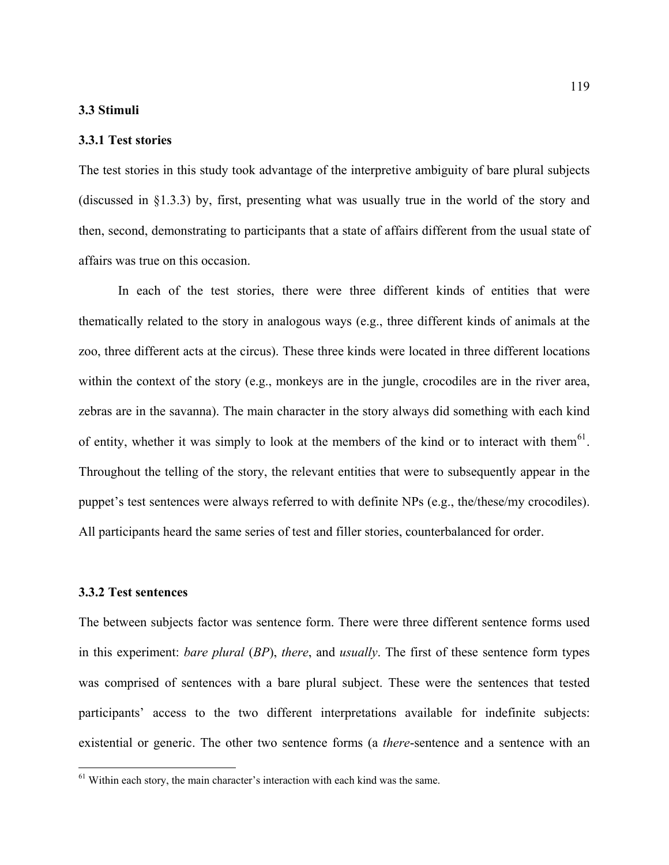## **3.3 Stimuli**

# **3.3.1 Test stories**

The test stories in this study took advantage of the interpretive ambiguity of bare plural subjects (discussed in §1.3.3) by, first, presenting what was usually true in the world of the story and then, second, demonstrating to participants that a state of affairs different from the usual state of affairs was true on this occasion.

In each of the test stories, there were three different kinds of entities that were thematically related to the story in analogous ways (e.g., three different kinds of animals at the zoo, three different acts at the circus). These three kinds were located in three different locations within the context of the story (e.g., monkeys are in the jungle, crocodiles are in the river area, zebras are in the savanna). The main character in the story always did something with each kind of entity, whether it was simply to look at the members of the kind or to interact with them $^{61}$  $^{61}$  $^{61}$ . Throughout the telling of the story, the relevant entities that were to subsequently appear in the puppet's test sentences were always referred to with definite NPs (e.g., the/these/my crocodiles). All participants heard the same series of test and filler stories, counterbalanced for order.

### **3.3.2 Test sentences**

<u>.</u>

The between subjects factor was sentence form. There were three different sentence forms used in this experiment: *bare plural* (*BP*), *there*, and *usually*. The first of these sentence form types was comprised of sentences with a bare plural subject. These were the sentences that tested participants' access to the two different interpretations available for indefinite subjects: existential or generic. The other two sentence forms (a *there*-sentence and a sentence with an

<span id="page-118-0"></span> $<sup>61</sup>$  Within each story, the main character's interaction with each kind was the same.</sup>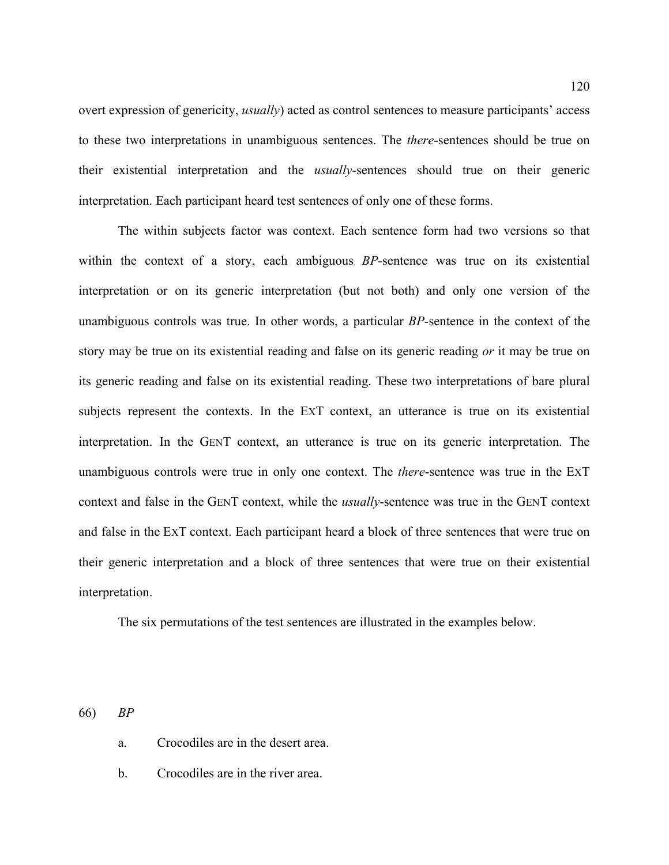overt expression of genericity, *usually*) acted as control sentences to measure participants' access to these two interpretations in unambiguous sentences. The *there*-sentences should be true on their existential interpretation and the *usually*-sentences should true on their generic interpretation. Each participant heard test sentences of only one of these forms.

The within subjects factor was context. Each sentence form had two versions so that within the context of a story, each ambiguous *BP-*sentence was true on its existential interpretation or on its generic interpretation (but not both) and only one version of the unambiguous controls was true. In other words, a particular *BP-*sentence in the context of the story may be true on its existential reading and false on its generic reading *or* it may be true on its generic reading and false on its existential reading. These two interpretations of bare plural subjects represent the contexts. In the EXT context, an utterance is true on its existential interpretation. In the GENT context, an utterance is true on its generic interpretation. The unambiguous controls were true in only one context. The *there*-sentence was true in the EXT context and false in the GENT context, while the *usually*-sentence was true in the GENT context and false in the EXT context. Each participant heard a block of three sentences that were true on their generic interpretation and a block of three sentences that were true on their existential interpretation.

The six permutations of the test sentences are illustrated in the examples below.

<span id="page-119-0"></span>66) *BP* 

a. Crocodiles are in the desert area.

b. Crocodiles are in the river area.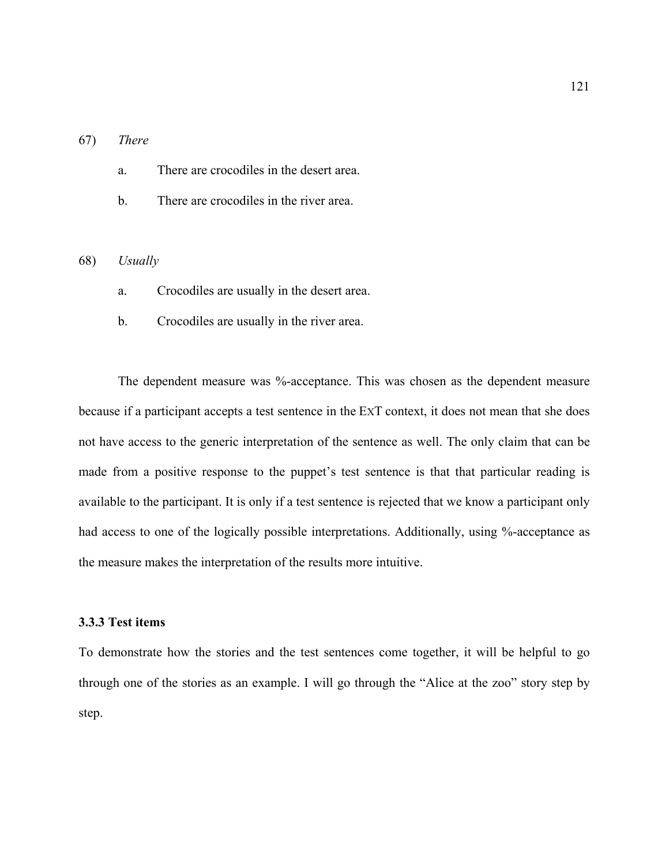# <span id="page-120-1"></span>67) *There*

a. There are crocodiles in the desert area.

b. There are crocodiles in the river area.

#### <span id="page-120-0"></span>68) *Usually*

- a. Crocodiles are usually in the desert area.
- b. Crocodiles are usually in the river area.

The dependent measure was %-acceptance. This was chosen as the dependent measure because if a participant accepts a test sentence in the EXT context, it does not mean that she does not have access to the generic interpretation of the sentence as well. The only claim that can be made from a positive response to the puppet's test sentence is that that particular reading is available to the participant. It is only if a test sentence is rejected that we know a participant only had access to one of the logically possible interpretations. Additionally, using %-acceptance as the measure makes the interpretation of the results more intuitive.

# **3.3.3 Test items**

To demonstrate how the stories and the test sentences come together, it will be helpful to go through one of the stories as an example. I will go through the "Alice at the zoo" story step by step.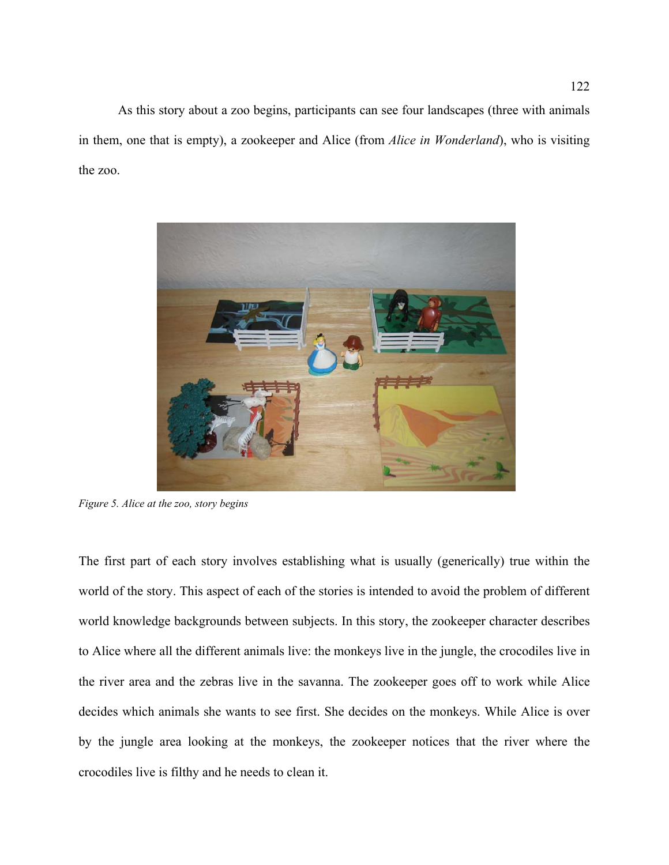As this story about a zoo begins, participants can see four landscapes (three with animals in them, one that is empty), a zookeeper and Alice (from *Alice in Wonderland*), who is visiting the zoo.



Figure 5. Alice at the zoo, story begins

The first part of each story involves establishing what is usually (generically) true within the crocodiles live is filthy and he needs to clean it. world of the story. This aspect of each of the stories is intended to avoid the problem of different world knowledge backgrounds between subjects. In this story, the zookeeper character describes to Alice where all the different animals live: the monkeys live in the jungle, the crocodiles live in the river area and the zebras live in the savanna. The zookeeper goes off to work while Alice decides which animals she wants to see first. She decides on the monkeys. While Alice is over by the jungle area looking at the monkeys, the zookeeper notices that the river where the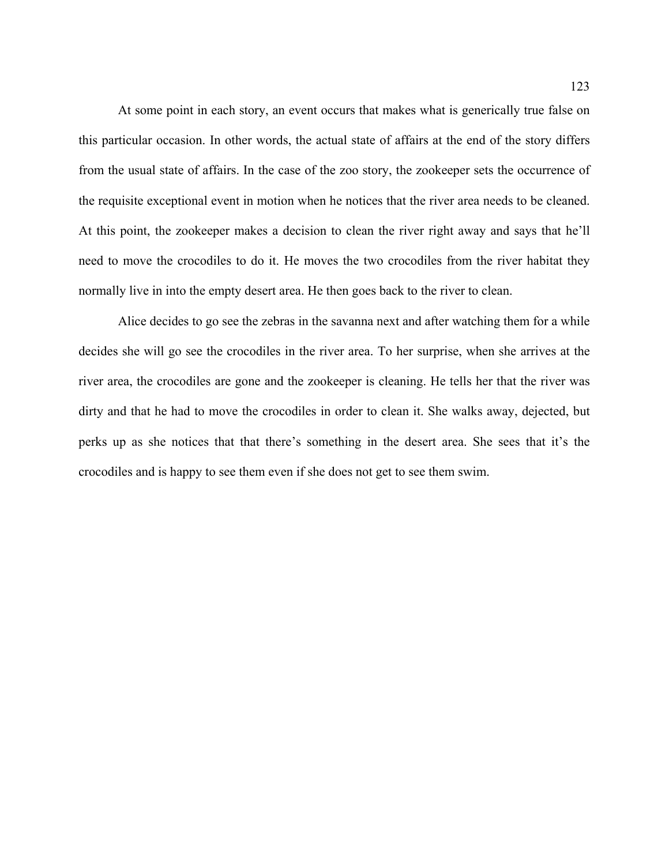At some point in each story, an event occurs that makes what is generically true false on this particular occasion. In other words, the actual state of affairs at the end of the story differs from th e usual state of affairs. In the case of the zoo story, the zookeeper sets the occurrence of the requisite exceptional event in motion when he notices that the river area needs to be cleaned. At this point, the zookeeper makes a decision to clean the river right away and says that he'll need to move the crocodiles to do it. He moves the two crocodiles from the river habitat they normally live in into the empty desert area. He then goes back to the river to clean.

decides she will go see the crocodiles in the river area. To her surprise, when she arrives at the river ar ea, the crocodiles are gone and the zookeeper is cleaning. He tells her that the river was Alice decides to go see the zebras in the savanna next and after watching them for a while dirty and that he had to move the crocodiles in order to clean it. She walks away, dejected, but perks up as she notices that that there's something in the desert area. She sees that it's the crocodiles and is happy to see them even if she does not get to see them swim.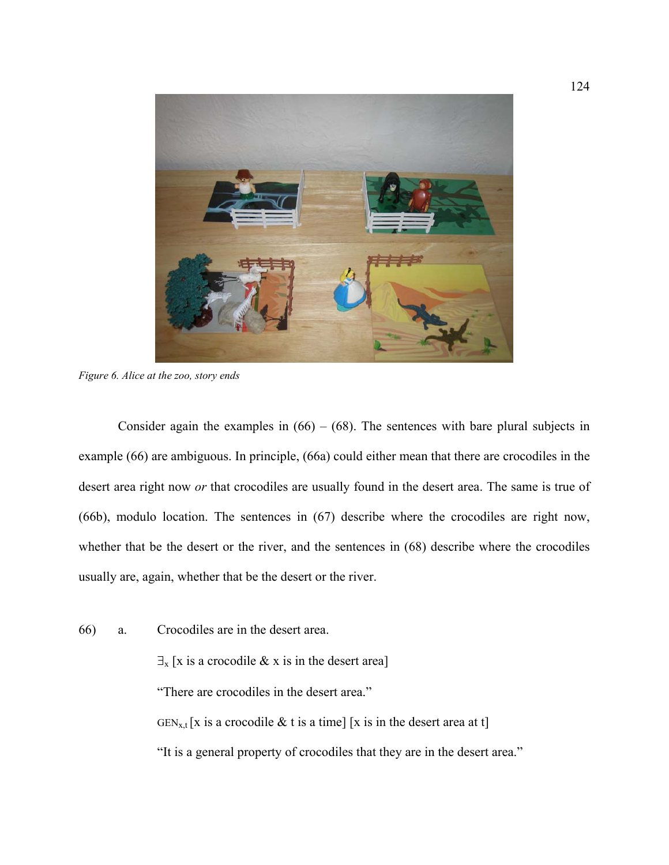

*Figure 6. Alice at the zoo, story ends* 

Consider again the examples in  $(66) - (68)$  $(66) - (68)$  $(66) - (68)$  $(66) - (68)$  $(66) - (68)$ . The sentences with bare plural subjects in example ([66\)](#page-119-0) are ambiguous. In principle, [\(66](#page-119-0)a) could either mean that there are crocodiles in the desert area right now *or* that crocodiles are usually found in the desert area. The same is true of ([66](#page-119-0)b), modulo location. The sentences in ([67\)](#page-120-1) describe where the crocodiles are right now, whether that be the desert or the river, and the sentences in [\(68](#page-120-0)) describe where the crocodiles usually are, again, whether that be the desert or the river.

[66\)](#page-119-0) a. Crocodiles are in the desert area.

 $\exists$ <sub>x</sub> [x is a crocodile & x is in the desert area]

"There are crocodiles in the desert area."

 $GEN_{x,t}$ [x is a crocodile & t is a time] [x is in the desert area at t]

"It is a general property of crocodiles that they are in the desert area."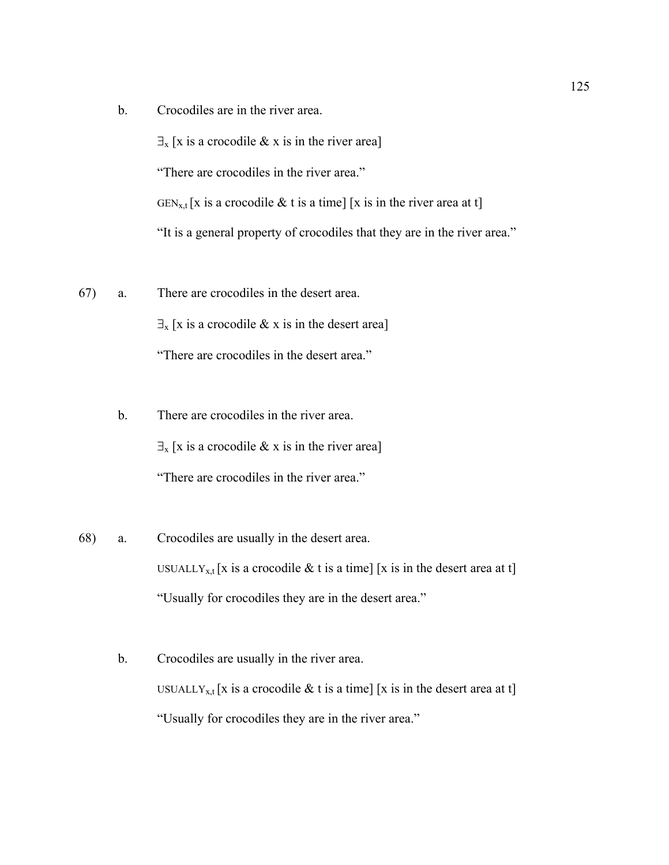b. Crocodiles are in the river area.

 $\exists$ <sub>x</sub> [x is a crocodile & x is in the river area]

"There are crocodiles in the river area."

GEN<sub>x,t</sub> [x is a crocodile & t is a time] [x is in the river area at t]

"It is a general property of crocodiles that they are in the river area."

- [67](#page-120-1)) a. There are crocodiles in the desert area.  $\exists$ <sub>x</sub> [x is a crocodile & x is in the desert area] "There are crocodiles in the desert area."
	- b. There are crocodiles in the river area.  $\exists$ <sub>x</sub> [x is a crocodile & x is in the river area] "There are crocodiles in the river area."
- [68](#page-120-0)) a. Crocodiles are usually in the desert area. USUALLY<sub>x,t</sub> [x is a crocodile & t is a time] [x is in the desert area at t] "Usually for crocodiles they are in the desert area."
	- b. Crocodiles are usually in the river area. USUALLY<sub>x,t</sub> [x is a crocodile & t is a time] [x is in the desert area at t] "Usually for crocodiles they are in the river area."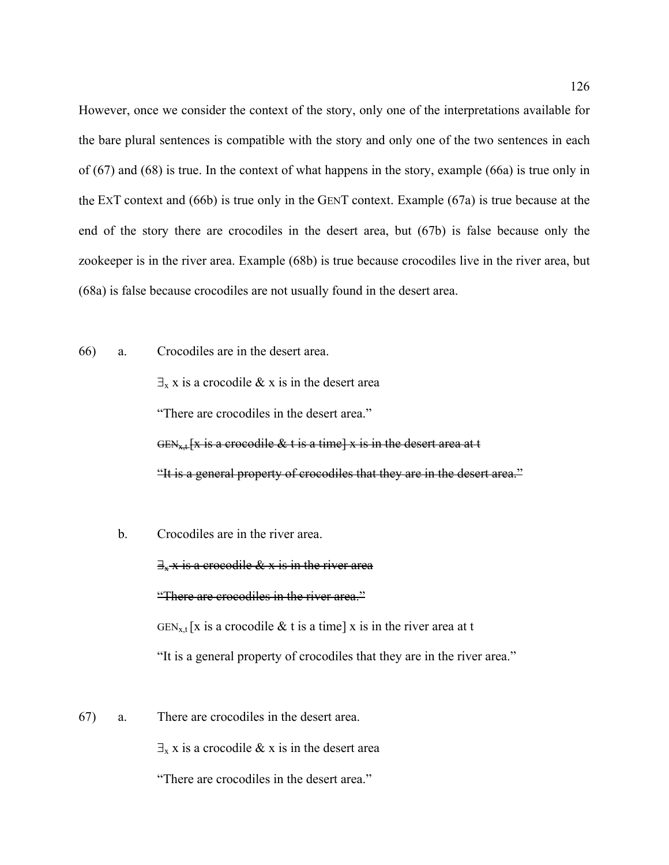However, once we consider the context of the story, only one of the interpretations available for the bare plural sentences is compatible with the story and only one of the two sentences in each of [\(67](#page-120-1)) and ([68\)](#page-120-0) is true. In the context of what happens in the story, example [\(66](#page-119-0)a) is true only in the EXT context and [\(66](#page-119-0)b) is true only in the GENT context. Example ([67a](#page-120-1)) is true because at the end of the story there are crocodiles in the desert area, but [\(67](#page-120-1)b) is false because only the zookeeper is in the river area. Example [\(68](#page-120-0)b) is true because crocodiles live in the river area, but ([68](#page-120-0)a) is false because crocodiles are not usually found in the desert area.

[66](#page-119-0)) a. Crocodiles are in the desert area.

 $\exists$ <sub>x</sub> x is a crocodile & x is in the desert area "There are crocodiles in the desert area." GEN<sub>x+</sub> [x is a crocodile & t is a time] x is in the desert area at t "It is a general property of crocodiles that they are in the desert area."

b. Crocodiles are in the river area.

 $\exists_{x}$  x is a crocodile & x is in the river area "There are crocodiles in the river area."  $GEN_{x,t}$ [x is a crocodile & t is a time] x is in the river area at t "It is a general property of crocodiles that they are in the river area."

[67](#page-120-1)) a. There are crocodiles in the desert area.

 $\exists$ <sub>x</sub> x is a crocodile & x is in the desert area

"There are crocodiles in the desert area."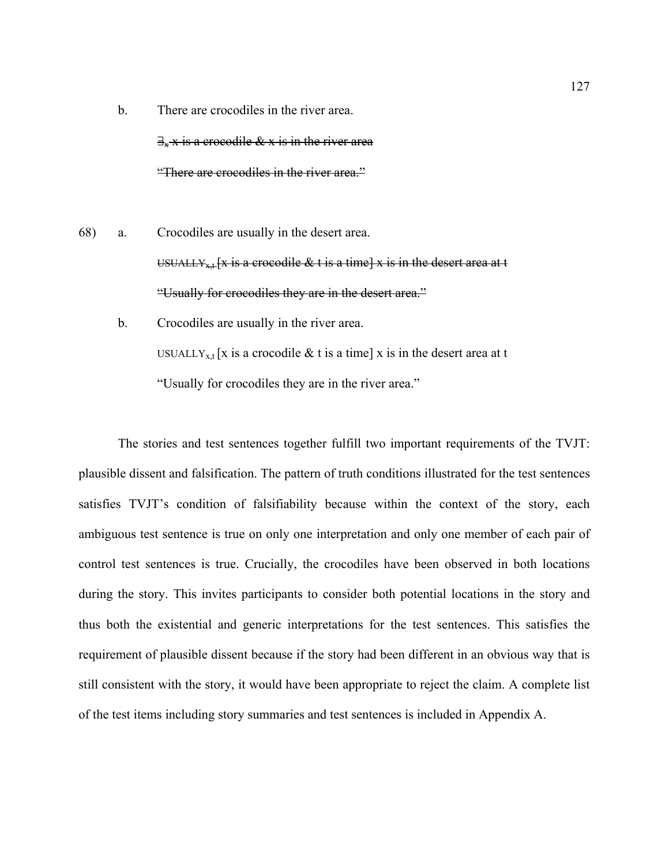- b. There are crocodiles in the river area.  $\exists_{x}$  x is a crocodile & x is in the river area "There are crocodiles in the river area."
- [68](#page-120-0)) a. Crocodiles are usually in the desert area. USUALLY<sub>x<sup>+</sub>[x is a crocodile & t is a time] x is in the desert area at t</sub></sup> "Usually for crocodiles they are in the desert area."
	- b. Crocodiles are usually in the river area. USUALLY<sub>x,t</sub> [x is a crocodile  $\&$  t is a time] x is in the desert area at t "Usually for crocodiles they are in the river area."

The stories and test sentences together fulfill two important requirements of the TVJT: plausible dissent and falsification. The pattern of truth conditions illustrated for the test sentences satisfies TVJT's condition of falsifiability because within the context of the story, each ambiguous test sentence is true on only one interpretation and only one member of each pair of control test sentences is true. Crucially, the crocodiles have been observed in both locations during the story. This invites participants to consider both potential locations in the story and thus both the existential and generic interpretations for the test sentences. This satisfies the requirement of plausible dissent because if the story had been different in an obvious way that is still consistent with the story, it would have been appropriate to reject the claim. A complete list of the test items including story summaries and test sentences is included in Appendix A.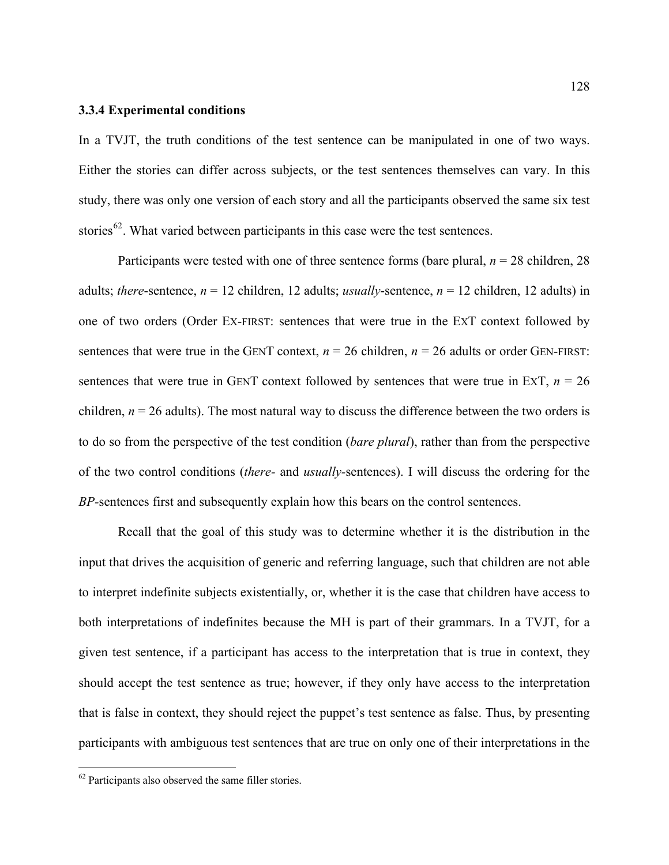### **3.3.4 Experimental conditions**

In a TVJT, the truth conditions of the test sentence can be manipulated in one of two ways. Either the stories can differ across subjects, or the test sentences themselves can vary. In this study, there was only one version of each story and all the participants observed the same six test stories<sup>[62](#page-127-0)</sup>. What varied between participants in this case were the test sentences.

Participants were tested with one of three sentence forms (bare plural, *n* = 28 children, 28 adults; *there*-sentence,  $n = 12$  children, 12 adults; *usually*-sentence,  $n = 12$  children, 12 adults) in one of two orders (Order EX-FIRST: sentences that were true in the EXT context followed by sentences that were true in the GENT context,  $n = 26$  children,  $n = 26$  adults or order GEN-FIRST: sentences that were true in GENT context followed by sentences that were true in ExT,  $n = 26$ children,  $n = 26$  adults). The most natural way to discuss the difference between the two orders is to do so from the perspective of the test condition (*bare plural*), rather than from the perspective of the two control conditions (*there-* and *usually-*sentences). I will discuss the ordering for the *BP-*sentences first and subsequently explain how this bears on the control sentences.

Recall that the goal of this study was to determine whether it is the distribution in the input that drives the acquisition of generic and referring language, such that children are not able to interpret indefinite subjects existentially, or, whether it is the case that children have access to both interpretations of indefinites because the MH is part of their grammars. In a TVJT, for a given test sentence, if a participant has access to the interpretation that is true in context, they should accept the test sentence as true; however, if they only have access to the interpretation that is false in context, they should reject the puppet's test sentence as false. Thus, by presenting participants with ambiguous test sentences that are true on only one of their interpretations in the

<u>.</u>

<span id="page-127-0"></span><sup>62</sup> Participants also observed the same filler stories.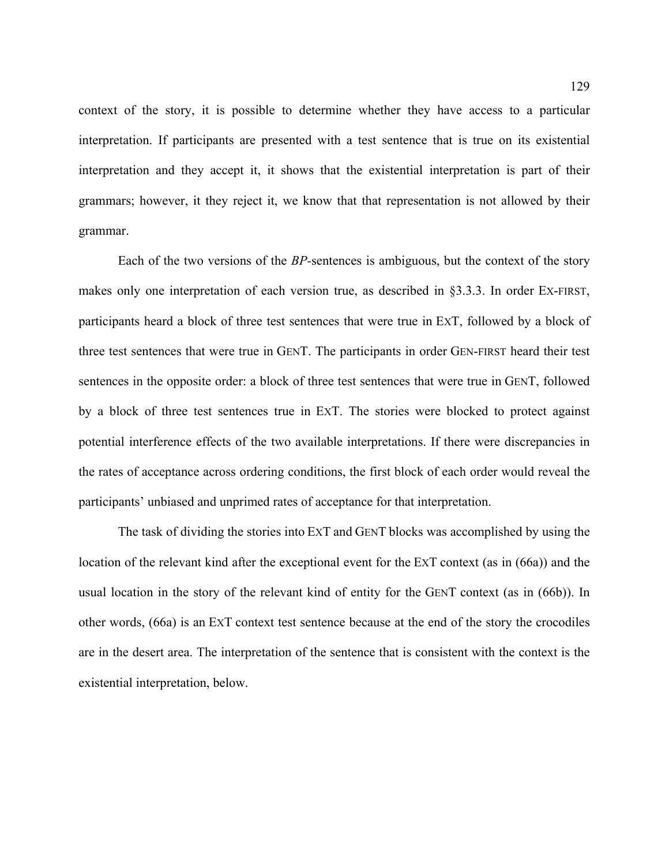context of the story, it is possible to determine whether they have access to a particular interpretation. If participants are presented with a test sentence that is true on its existential interpretation and they accept it, it shows that the existential interpretation is part of their grammars; however, it they reject it, we know that that representation is not allowed by their grammar.

Each of the two versions of the *BP-*sentences is ambiguous, but the context of the story makes only one interpretation of each version true, as described in §3.3.3. In order EX-FIRST, participants heard a block of three test sentences that were true in EXT, followed by a block of three test sentences that were true in GENT. The participants in order GEN-FIRST heard their test sentences in the opposite order: a block of three test sentences that were true in GENT, followed by a block of three test sentences true in EXT. The stories were blocked to protect against potential interference effects of the two available interpretations. If there were discrepancies in the rates of acceptance across ordering conditions, the first block of each order would reveal the participants' unbiased and unprimed rates of acceptance for that interpretation.

The task of dividing the stories into EXT and GENT blocks was accomplished by using the location of the relevant kind after the exceptional event for the EXT context (as in ([66a](#page-119-0))) and the usual location in the story of the relevant kind of entity for the GENT context (as in ([66b](#page-119-0))). In other words, [\(66](#page-119-0)a) is an EXT context test sentence because at the end of the story the crocodiles are in the desert area. The interpretation of the sentence that is consistent with the context is the existential interpretation, below.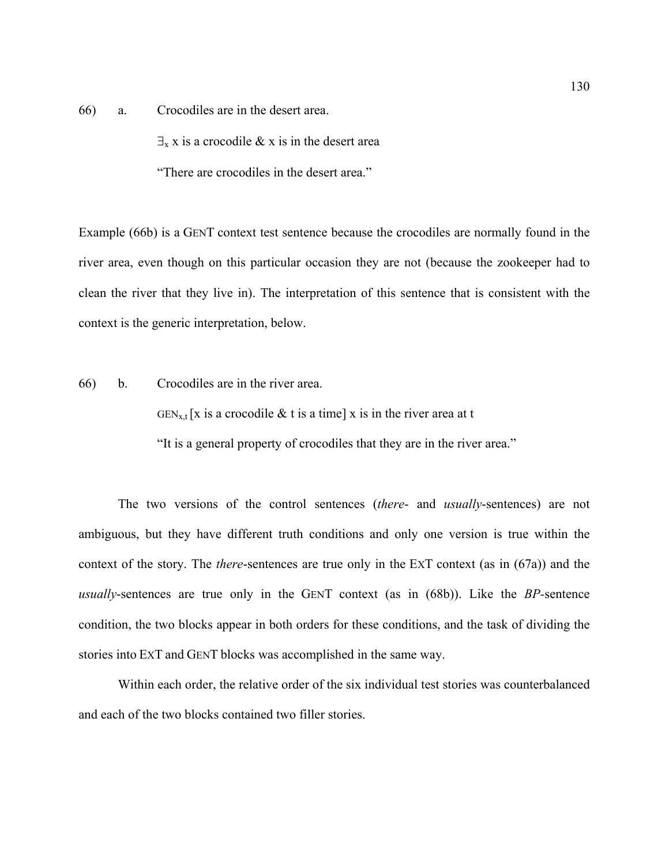[66](#page-119-0)) a. Crocodiles are in the desert area.

 $\exists$ <sub>x</sub> x is a crocodile & x is in the desert area

"There are crocodiles in the desert area."

Example [\(66](#page-119-0)b) is a GENT context test sentence because the crocodiles are normally found in the river area, even though on this particular occasion they are not (because the zookeeper had to clean the river that they live in). The interpretation of this sentence that is consistent with the context is the generic interpretation, below.

[66\)](#page-119-0) b. Crocodiles are in the river area.

 $GEN_{x,t}$ [x is a crocodile & t is a time] x is in the river area at t

"It is a general property of crocodiles that they are in the river area."

The two versions of the control sentences (*there*- and *usually*-sentences) are not ambiguous, but they have different truth conditions and only one version is true within the context of the story. The *there*-sentences are true only in the EXT context (as in ([67a](#page-120-1))) and the *usually*-sentences are true only in the GENT context (as in ([68b](#page-120-0))). Like the *BP-*sentence condition, the two blocks appear in both orders for these conditions, and the task of dividing the stories into EXT and GENT blocks was accomplished in the same way.

Within each order, the relative order of the six individual test stories was counterbalanced and each of the two blocks contained two filler stories.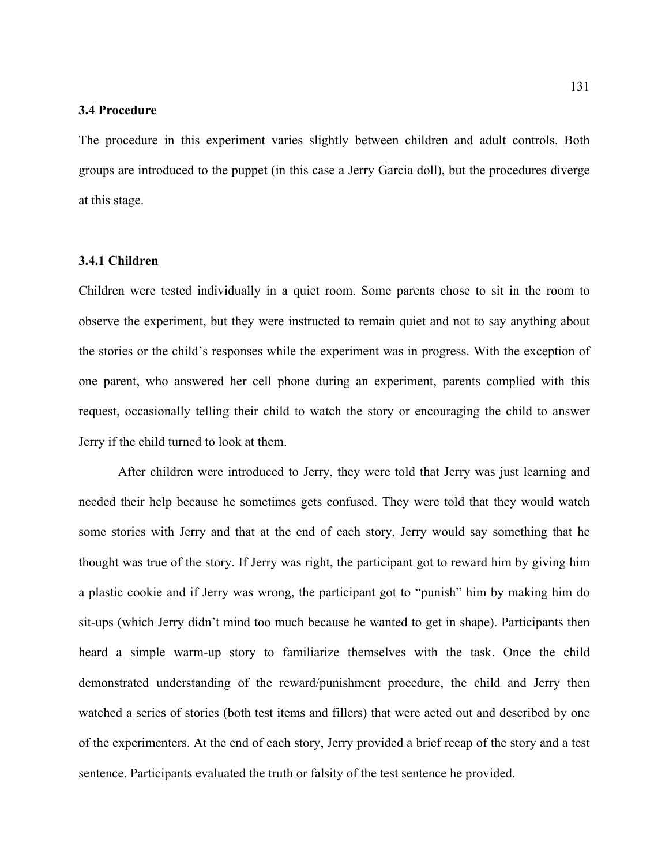#### **3.4 Procedure**

The procedure in this experiment varies slightly between children and adult controls. Both groups are introduced to the puppet (in this case a Jerry Garcia doll), but the procedures diverge at this stage.

# **3.4.1 Children**

Children were tested individually in a quiet room. Some parents chose to sit in the room to observe the experiment, but they were instructed to remain quiet and not to say anything about the stories or the child's responses while the experiment was in progress. With the exception of one parent, who answered her cell phone during an experiment, parents complied with this request, occasionally telling their child to watch the story or encouraging the child to answer Jerry if the child turned to look at them.

After children were introduced to Jerry, they were told that Jerry was just learning and needed their help because he sometimes gets confused. They were told that they would watch some stories with Jerry and that at the end of each story, Jerry would say something that he thought was true of the story. If Jerry was right, the participant got to reward him by giving him a plastic cookie and if Jerry was wrong, the participant got to "punish" him by making him do sit-ups (which Jerry didn't mind too much because he wanted to get in shape). Participants then heard a simple warm-up story to familiarize themselves with the task. Once the child demonstrated understanding of the reward/punishment procedure, the child and Jerry then watched a series of stories (both test items and fillers) that were acted out and described by one of the experimenters. At the end of each story, Jerry provided a brief recap of the story and a test sentence. Participants evaluated the truth or falsity of the test sentence he provided.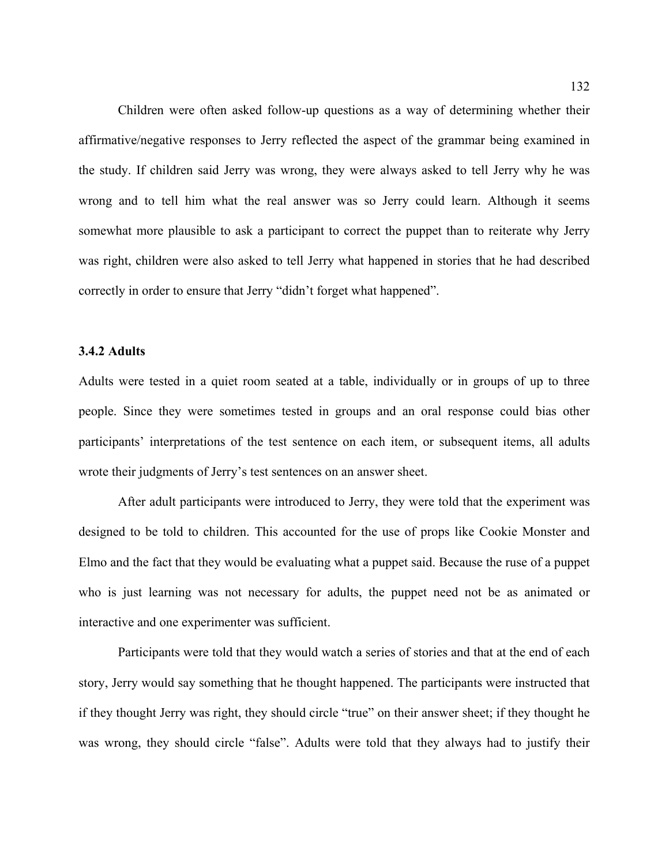Children were often asked follow-up questions as a way of determining whether their affirmative/negative responses to Jerry reflected the aspect of the grammar being examined in the study. If children said Jerry was wrong, they were always asked to tell Jerry why he was wrong and to tell him what the real answer was so Jerry could learn. Although it seems somewhat more plausible to ask a participant to correct the puppet than to reiterate why Jerry was right, children were also asked to tell Jerry what happened in stories that he had described correctly in order to ensure that Jerry "didn't forget what happened".

# **3.4.2 Adults**

Adults were tested in a quiet room seated at a table, individually or in groups of up to three people. Since they were sometimes tested in groups and an oral response could bias other participants' interpretations of the test sentence on each item, or subsequent items, all adults wrote their judgments of Jerry's test sentences on an answer sheet.

After adult participants were introduced to Jerry, they were told that the experiment was designed to be told to children. This accounted for the use of props like Cookie Monster and Elmo and the fact that they would be evaluating what a puppet said. Because the ruse of a puppet who is just learning was not necessary for adults, the puppet need not be as animated or interactive and one experimenter was sufficient.

Participants were told that they would watch a series of stories and that at the end of each story, Jerry would say something that he thought happened. The participants were instructed that if they thought Jerry was right, they should circle "true" on their answer sheet; if they thought he was wrong, they should circle "false". Adults were told that they always had to justify their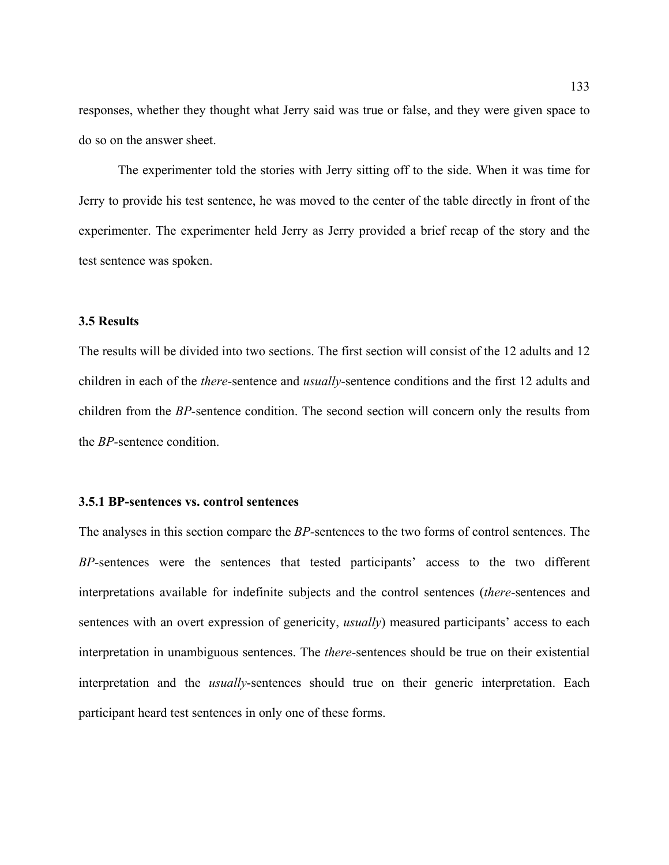responses, whether they thought what Jerry said was true or false, and they were given space to do so on the answer sheet.

The experimenter told the stories with Jerry sitting off to the side. When it was time for Jerry to provide his test sentence, he was moved to the center of the table directly in front of the experimenter. The experimenter held Jerry as Jerry provided a brief recap of the story and the test sentence was spoken.

# **3.5 Results**

The results will be divided into two sections. The first section will consist of the 12 adults and 12 children in each of the *there-*sentence and *usually*-sentence conditions and the first 12 adults and children from the *BP-*sentence condition. The second section will concern only the results from the *BP-*sentence condition.

### **3.5.1 BP-sentences vs. control sentences**

The analyses in this section compare the *BP-*sentences to the two forms of control sentences. The *BP-*sentences were the sentences that tested participants' access to the two different interpretations available for indefinite subjects and the control sentences (*there*-sentences and sentences with an overt expression of genericity, *usually*) measured participants' access to each interpretation in unambiguous sentences. The *there*-sentences should be true on their existential interpretation and the *usually*-sentences should true on their generic interpretation. Each participant heard test sentences in only one of these forms.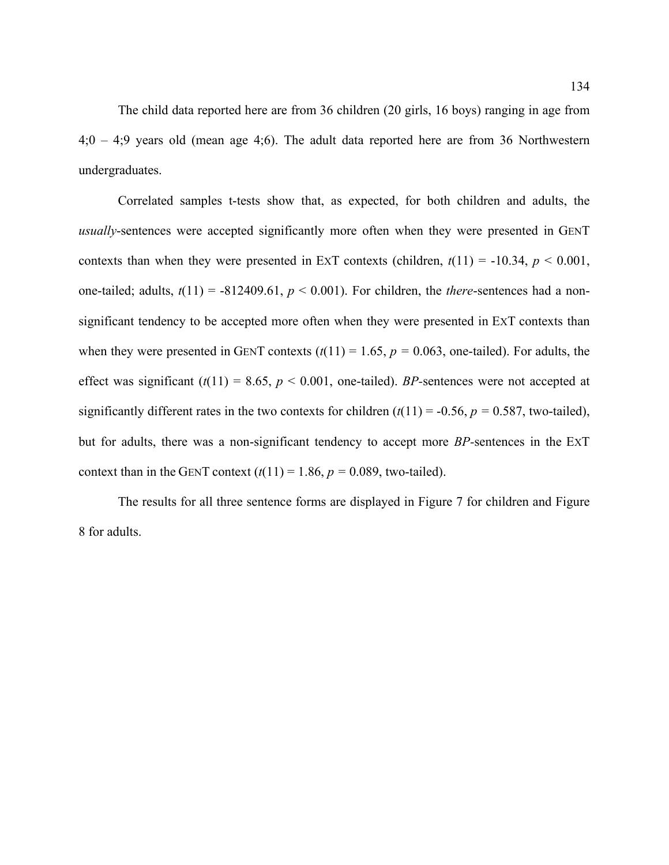The child data reported here are from 36 children (20 girls, 16 boys) ranging in age from 4;0 – 4;9 years old (mean age 4;6). The adult data reported here are from 36 Northwestern undergraduates.

 Correlated samples t-tests show that, as expected, for both children and adults, the *usually*-sentences were accepted significantly more often when they were presented in GENT contexts than when they were presented in ExT contexts (children,  $t(11) = -10.34$ ,  $p < 0.001$ , one-tailed; adults,  $t(11) = -812409.61$ ,  $p < 0.001$ ). For children, the *there*-sentences had a nonsignificant tendency to be accepted more often when they were presented in EXT contexts than when they were presented in GENT contexts  $(t(11) = 1.65, p = 0.063$ , one-tailed). For adults, the effect was significant  $(t(11) = 8.65, p < 0.001$ , one-tailed). *BP*-sentences were not accepted at significantly different rates in the two contexts for children  $(t(11) = -0.56, p = 0.587,$  two-tailed), but for adults, there was a non-significant tendency to accept more *BP-*sentences in the EXT context than in the GENT context  $(t(11) = 1.86, p = 0.089$ , two-tailed).

The results for all three sentence forms are displayed in [Figure 7](#page-134-0) for children and [Figure](#page-134-1)  [8](#page-134-1) for adults.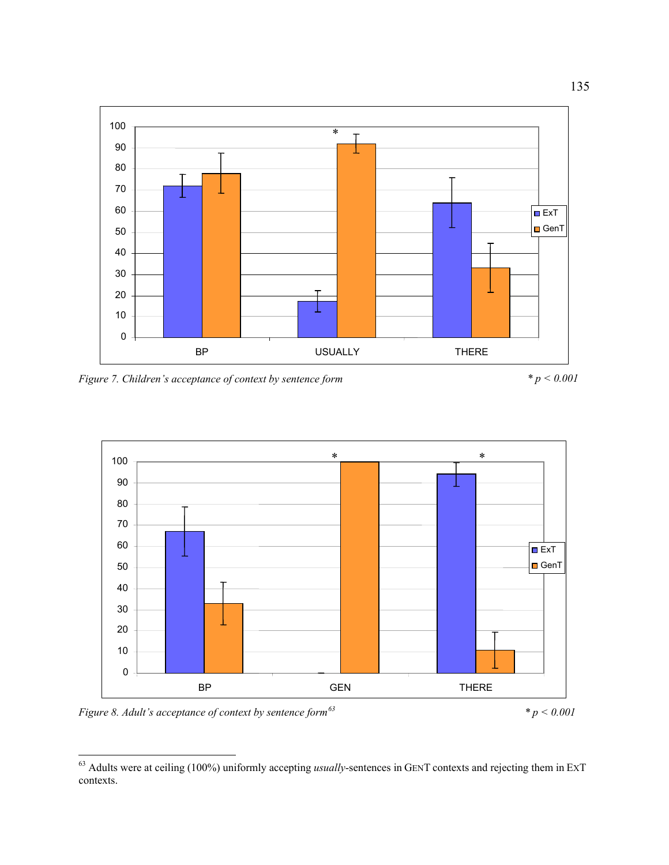

<span id="page-134-0"></span>*Figure 7. Children's acceptance of context by sentence form*  $p < 0.001$ 





<span id="page-134-1"></span>*Figure 8. Adult's acceptance of context by sentence form[63](#page-134-2) \* p < 0.001* 

 $\overline{a}$ 

<span id="page-134-2"></span><sup>63</sup> Adults were at ceiling (100%) uniformly accepting *usually*-sentences in GENT contexts and rejecting them in EXT contexts.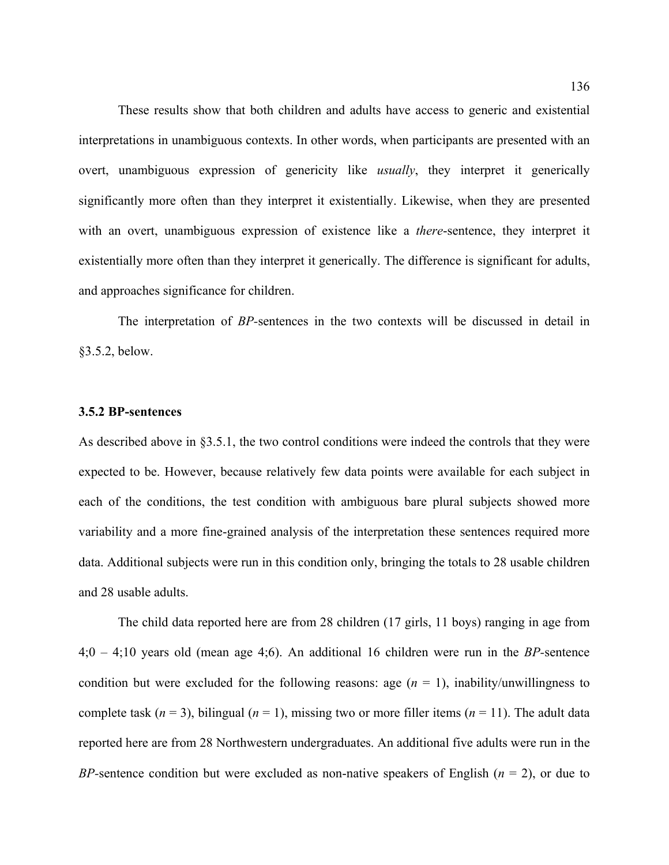These results show that both children and adults have access to generic and existential interpretations in unambiguous contexts. In other words, when participants are presented with an overt, unambiguous expression of genericity like *usually*, they interpret it generically significantly more often than they interpret it existentially. Likewise, when they are presented with an overt, unambiguous expression of existence like a *there*-sentence, they interpret it existentially more often than they interpret it generically. The difference is significant for adults, and approaches significance for children.

 The interpretation of *BP-*sentences in the two contexts will be discussed in detail in §3.5.2, below.

### **3.5.2 BP-sentences**

As described above in §3.5.1, the two control conditions were indeed the controls that they were expected to be. However, because relatively few data points were available for each subject in each of the conditions, the test condition with ambiguous bare plural subjects showed more variability and a more fine-grained analysis of the interpretation these sentences required more data. Additional subjects were run in this condition only, bringing the totals to 28 usable children and 28 usable adults.

 The child data reported here are from 28 children (17 girls, 11 boys) ranging in age from 4;0 – 4;10 years old (mean age 4;6). An additional 16 children were run in the *BP-*sentence condition but were excluded for the following reasons: age  $(n = 1)$ , inability/unwillingness to complete task  $(n = 3)$ , bilingual  $(n = 1)$ , missing two or more filler items  $(n = 11)$ . The adult data reported here are from 28 Northwestern undergraduates. An additional five adults were run in the *BP-*sentence condition but were excluded as non-native speakers of English (*n* = 2), or due to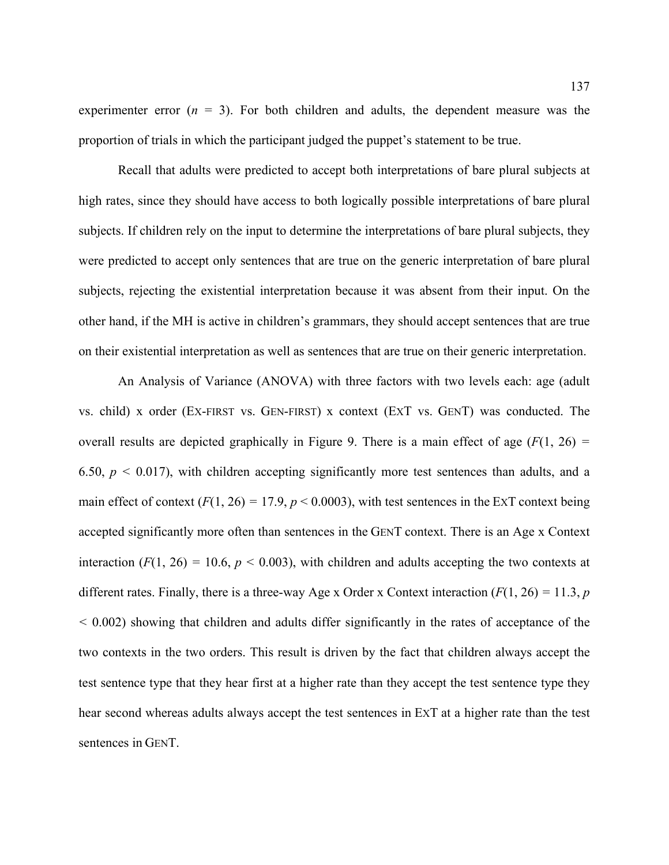experimenter error  $(n = 3)$ . For both children and adults, the dependent measure was the proportion of trials in which the participant judged the puppet's statement to be true.

 Recall that adults were predicted to accept both interpretations of bare plural subjects at high rates, since they should have access to both logically possible interpretations of bare plural subjects. If children rely on the input to determine the interpretations of bare plural subjects, they were predicted to accept only sentences that are true on the generic interpretation of bare plural subjects, rejecting the existential interpretation because it was absent from their input. On the other hand, if the MH is active in children's grammars, they should accept sentences that are true on their existential interpretation as well as sentences that are true on their generic interpretation.

An Analysis of Variance (ANOVA) with three factors with two levels each: age (adult vs. child) x order (EX-FIRST vs. GEN-FIRST) x context (EXT vs. GENT) was conducted. The overall results are depicted graphically in [Figure 9](#page-137-0). There is a main effect of age (*F*(1, 26) *=*  6.50,  $p < 0.017$ ), with children accepting significantly more test sentences than adults, and a main effect of context  $(F(1, 26) = 17.9, p < 0.0003)$ , with test sentences in the ExT context being accepted significantly more often than sentences in the GENT context. There is an Age x Context interaction  $(F(1, 26) = 10.6, p < 0.003)$ , with children and adults accepting the two contexts at different rates. Finally, there is a three-way Age x Order x Context interaction (*F*(1, 26) *=* 11.3, *p <* 0.002) showing that children and adults differ significantly in the rates of acceptance of the two contexts in the two orders. This result is driven by the fact that children always accept the test sentence type that they hear first at a higher rate than they accept the test sentence type they hear second whereas adults always accept the test sentences in EXT at a higher rate than the test sentences in GENT.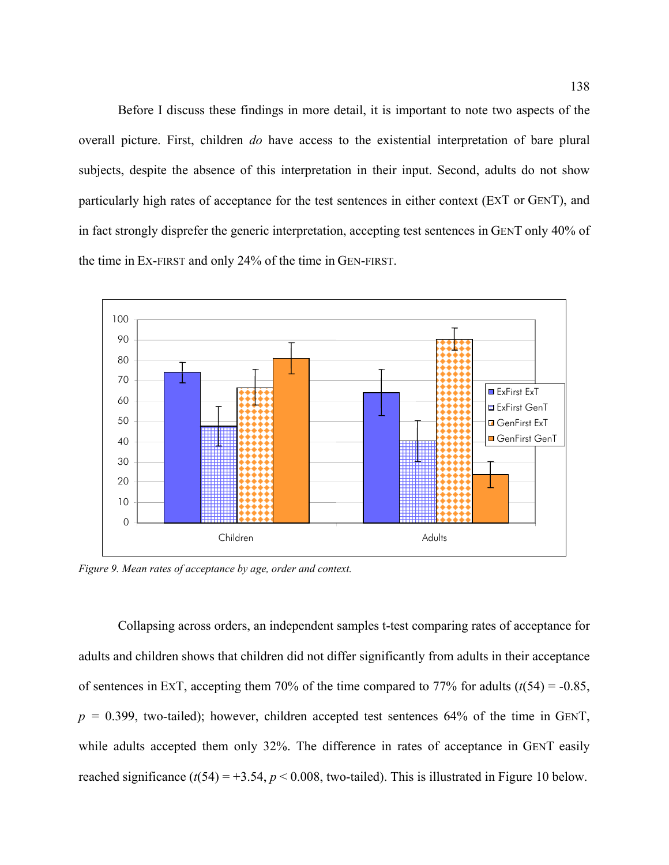Before I discuss these findings in more detail, it is important to note two aspects of the overall picture. First, children *do* have access to the existential interpretation of bare plural subjects, despite the absence of this interpretation in their input. Second, adults do not show particularly high rates of acceptance for the test sentences in either context (EXT or GENT), and in fact strongly disprefer the generic interpretation, accepting test sentences in GENT only 40% of the time in EX-FIRST and only 24% of the time in GEN-FIRST.



<span id="page-137-0"></span>*Figure 9. Mean rates of acceptance by age, order and context.* 

Collapsing across orders, an independent samples t-test comparing rates of acceptance for adults and children shows that children did not differ significantly from adults in their acceptance of sentences in ExT, accepting them 70% of the time compared to 77% for adults  $(t(54) = -0.85$ ,  $p = 0.399$ , two-tailed); however, children accepted test sentences 64% of the time in GENT, while adults accepted them only 32%. The difference in rates of acceptance in GENT easily reached significance  $(t(54) = +3.54, p < 0.008$ , two-tailed). This is illustrated in [Figure 10](#page-138-0) below.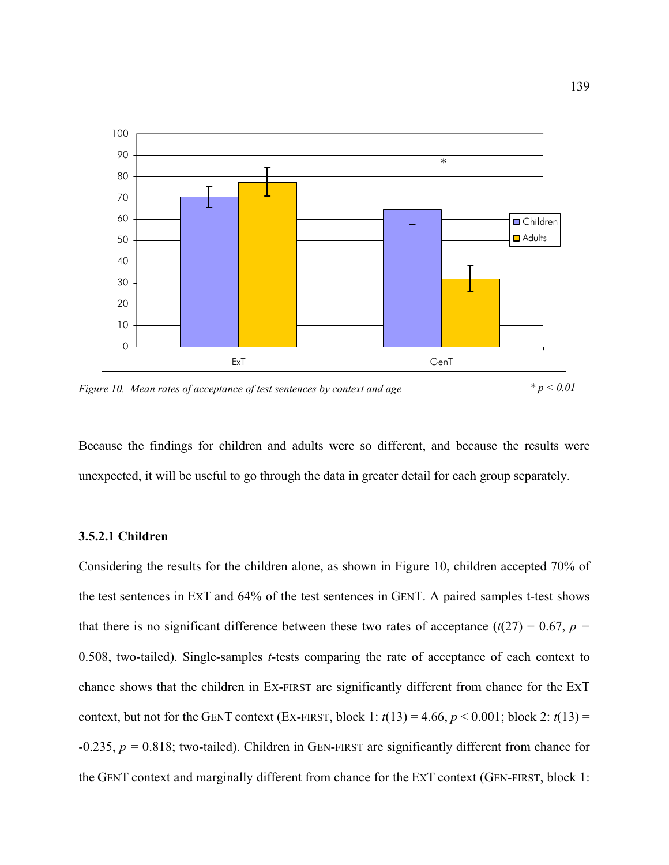

<span id="page-138-0"></span>*Figure 10. Mean rates of acceptance of test sentences by context and age \* p < 0.01* 

Because the findings for children and adults were so different, and because the results were unexpected, it will be useful to go through the data in greater detail for each group separately.

# **3.5.2.1 Children**

Considering the results for the children alone, as shown in [Figure 10,](#page-138-0) children accepted 70% of the test sentences in EXT and 64% of the test sentences in GENT. A paired samples t-test shows that there is no significant difference between these two rates of acceptance  $(t(27) = 0.67, p =$ 0.508, two-tailed). Single-samples *t*-tests comparing the rate of acceptance of each context to chance shows that the children in EX-FIRST are significantly different from chance for the EXT context, but not for the GENT context (EX-FIRST, block 1:  $t(13) = 4.66$ ,  $p < 0.001$ ; block 2:  $t(13) =$ -0.235, *p =* 0.818; two-tailed). Children in GEN-FIRST are significantly different from chance for the GENT context and marginally different from chance for the EXT context (GEN-FIRST, block 1: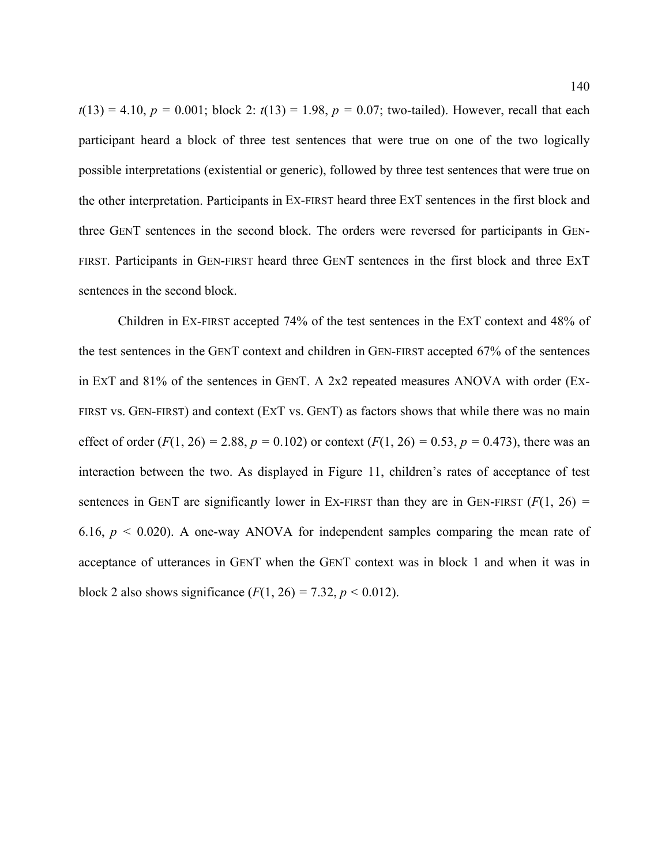$t(13) = 4.10$ ,  $p = 0.001$ ; block 2:  $t(13) = 1.98$ ,  $p = 0.07$ ; two-tailed). However, recall that each participant heard a block of three test sentences that were true on one of the two logically possible interpretations (existential or generic), followed by three test sentences that were true on the other interpretation. Participants in EX-FIRST heard three EXT sentences in the first block and three GENT sentences in the second block. The orders were reversed for participants in GEN-FIRST. Participants in GEN-FIRST heard three GENT sentences in the first block and three EXT sentences in the second block.

Children in EX-FIRST accepted 74% of the test sentences in the EXT context and 48% of the test sentences in the GENT context and children in GEN-FIRST accepted 67% of the sentences in EXT and 81% of the sentences in GENT. A 2x2 repeated measures ANOVA with order (EX-FIRST vs. GEN-FIRST) and context (EXT vs. GENT) as factors shows that while there was no main effect of order  $(F(1, 26) = 2.88, p = 0.102)$  or context  $(F(1, 26) = 0.53, p = 0.473)$ , there was an interaction between the two. As displayed in [Figure 11,](#page-140-0) children's rates of acceptance of test sentences in GENT are significantly lower in EX-FIRST than they are in GEN-FIRST  $(F(1, 26) =$ 6.16,  $p < 0.020$ ). A one-way ANOVA for independent samples comparing the mean rate of acceptance of utterances in GENT when the GENT context was in block 1 and when it was in block 2 also shows significance  $(F(1, 26) = 7.32, p < 0.012)$ .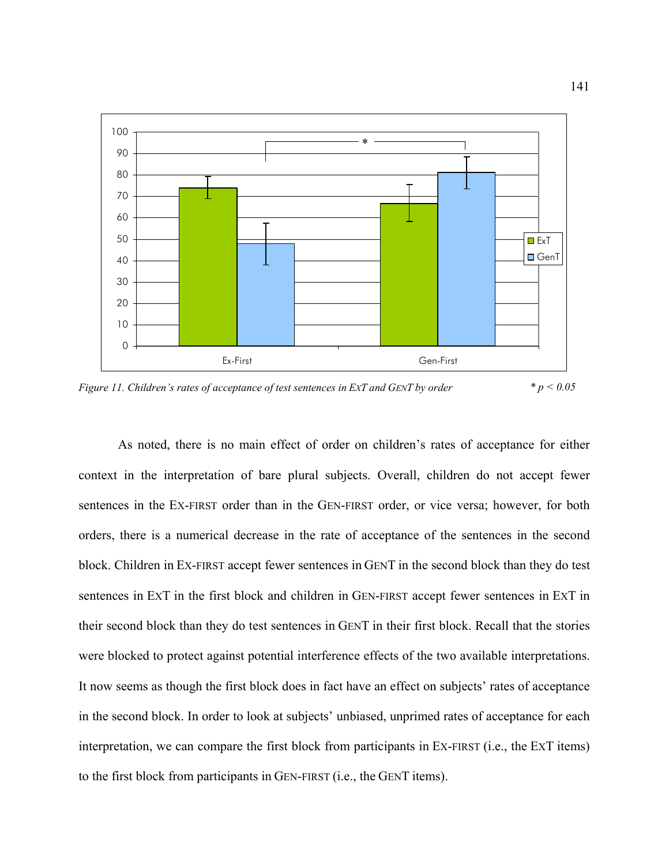

<span id="page-140-0"></span>*Figure 11. Children's rates of acceptance of test sentences in EXT and GENT by order \* p < 0.05*

 As noted, there is no main effect of order on children's rates of acceptance for either context in the interpretation of bare plural subjects. Overall, children do not accept fewer sentences in the EX-FIRST order than in the GEN-FIRST order, or vice versa; however, for both orders, there is a numerical decrease in the rate of acceptance of the sentences in the second block. Children in EX-FIRST accept fewer sentences in GENT in the second block than they do test sentences in EXT in the first block and children in GEN-FIRST accept fewer sentences in EXT in their second block than they do test sentences in GENT in their first block. Recall that the stories were blocked to protect against potential interference effects of the two available interpretations. It now seems as though the first block does in fact have an effect on subjects' rates of acceptance in the second block. In order to look at subjects' unbiased, unprimed rates of acceptance for each interpretation, we can compare the first block from participants in EX-FIRST (i.e., the EXT items) to the first block from participants in GEN-FIRST (i.e., the GENT items).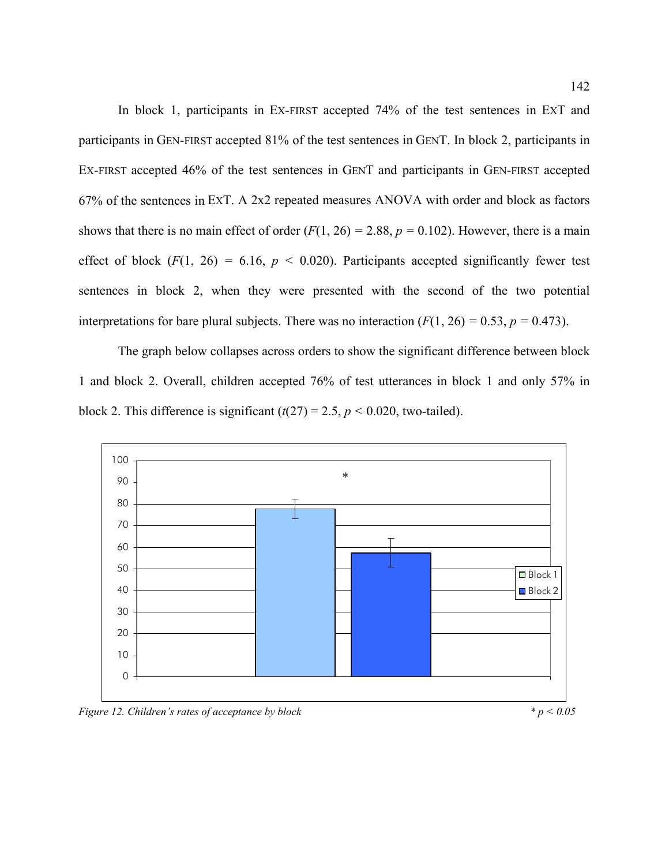In block 1, participants in EX-FIRST accepted 74% of the test sentences in EXT and participants in GEN-FIRST accepted 81% of the test sentences in GENT. In block 2, participants in EX-FIRST accepted 46% of the test sentences in GENT and participants in GEN-FIRST accepted 67% of the sentences in EXT. A 2x2 repeated measures ANOVA with order and block as factors shows that there is no main effect of order  $(F(1, 26) = 2.88, p = 0.102)$ . However, there is a main effect of block  $(F(1, 26) = 6.16, p < 0.020)$ . Participants accepted significantly fewer test sentences in block 2, when they were presented with the second of the two potential interpretations for bare plural subjects. There was no interaction  $(F(1, 26) = 0.53, p = 0.473)$ .

The graph below collapses across orders to show the significant difference between block 1 and block 2. Overall, children accepted 76% of test utterances in block 1 and only 57% in block 2. This difference is significant  $(t(27) = 2.5, p < 0.020$ , two-tailed).



*Figure 12. Children's rates of acceptance by block*  $p < 0.05$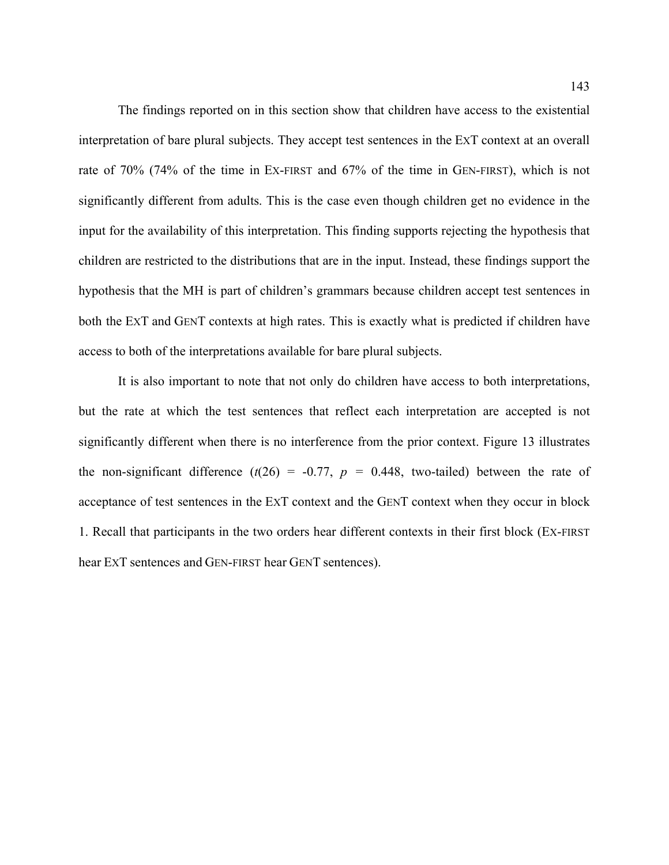The findings reported on in this section show that children have access to the existential interpretation of bare plural subjects. They accept test sentences in the EXT context at an overall rate of 70% (74% of the time in EX-FIRST and 67% of the time in GEN-FIRST), which is not significantly different from adults. This is the case even though children get no evidence in the input for the availability of this interpretation. This finding supports rejecting the hypothesis that children are restricted to the distributions that are in the input. Instead, these findings support the hypothesis that the MH is part of children's grammars because children accept test sentences in both the EXT and GENT contexts at high rates. This is exactly what is predicted if children have access to both of the interpretations available for bare plural subjects.

It is also important to note that not only do children have access to both interpretations, but the rate at which the test sentences that reflect each interpretation are accepted is not significantly different when there is no interference from the prior context. [Figure 13](#page-143-0) illustrates the non-significant difference  $(t(26) = -0.77, p = 0.448,$  two-tailed) between the rate of acceptance of test sentences in the EXT context and the GENT context when they occur in block 1. Recall that participants in the two orders hear different contexts in their first block (EX-FIRST hear EXT sentences and GEN-FIRST hear GENT sentences).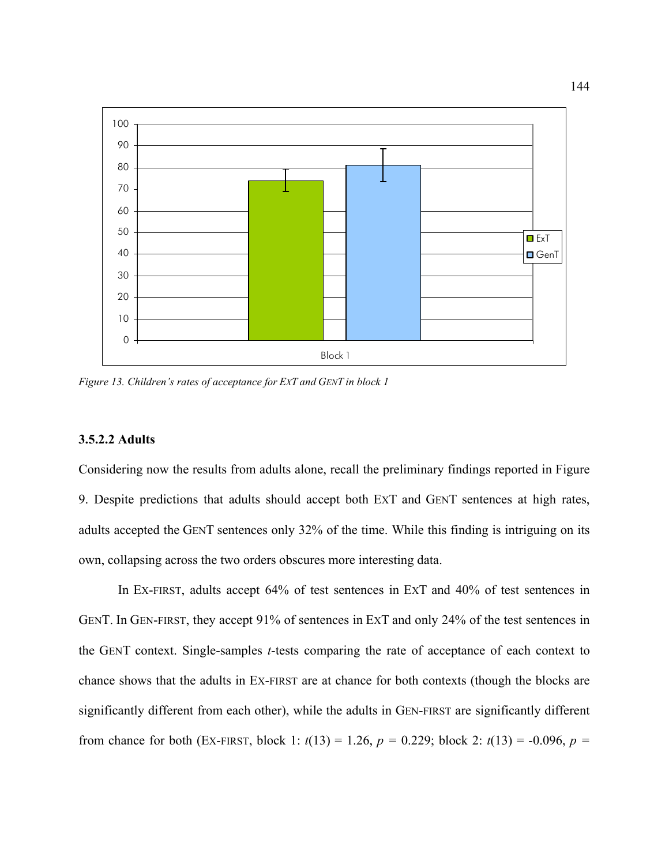

<span id="page-143-0"></span>*Figure 13. Children's rates of acceptance for EXT and GENT in block 1* 

# **3.5.2.2 Adults**

Considering now the results from adults alone, recall the preliminary findings reported in [Figure](#page-137-0)  [9](#page-137-0). Despite predictions that adults should accept both EXT and GENT sentences at high rates, adults accepted the GENT sentences only 32% of the time. While this finding is intriguing on its own, collapsing across the two orders obscures more interesting data.

In EX-FIRST, adults accept 64% of test sentences in EXT and 40% of test sentences in GENT. In GEN-FIRST, they accept 91% of sentences in EXT and only 24% of the test sentences in the GENT context. Single-samples *t*-tests comparing the rate of acceptance of each context to chance shows that the adults in EX-FIRST are at chance for both contexts (though the blocks are significantly different from each other), while the adults in GEN-FIRST are significantly different from chance for both (EX-FIRST, block 1:  $t(13) = 1.26$ ,  $p = 0.229$ ; block 2:  $t(13) = -0.096$ ,  $p =$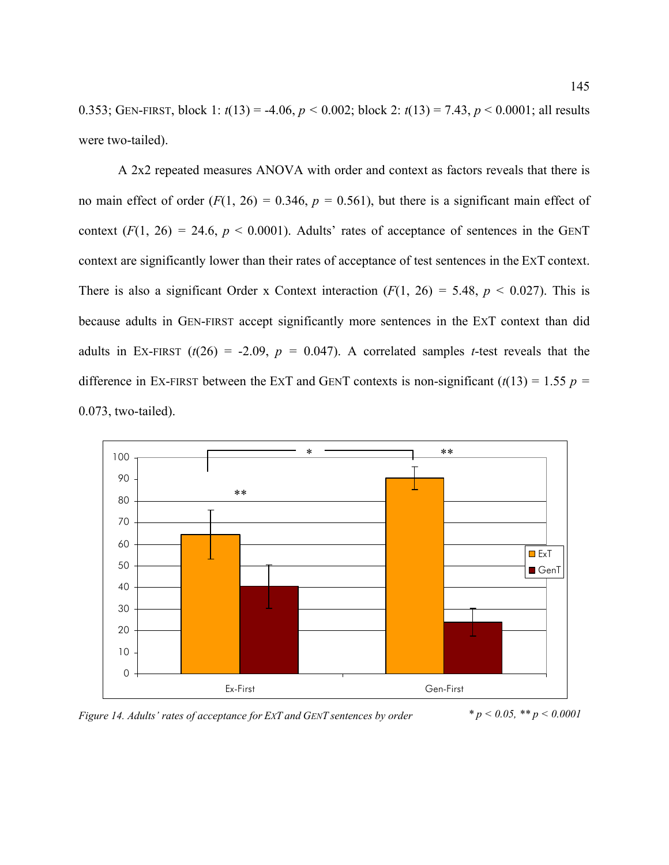0.353; GEN-FIRST, block 1: *t*(13) = -4.06, *p <* 0.002; block 2: *t*(13) = 7.43, *p* < 0.0001; all results were two-tailed).

A 2x2 repeated measures ANOVA with order and context as factors reveals that there is no main effect of order  $(F(1, 26) = 0.346, p = 0.561)$ , but there is a significant main effect of context  $(F(1, 26) = 24.6, p < 0.0001)$ . Adults' rates of acceptance of sentences in the GENT context are significantly lower than their rates of acceptance of test sentences in the EXT context. There is also a significant Order x Context interaction  $(F(1, 26) = 5.48, p < 0.027)$ . This is because adults in GEN-FIRST accept significantly more sentences in the EXT context than did adults in EX-FIRST  $(t(26) = -2.09, p = 0.047)$ . A correlated samples *t*-test reveals that the difference in Ex-FIRST between the EXT and GENT contexts is non-significant  $(t(13) = 1.55$   $p =$ 0.073, two-tailed).



*Figure 14. Adults' rates of acceptance for EXT and GENT sentences by order*  $p < 0.05$ ,  $\binom{4}{3}$   $p < 0.0001$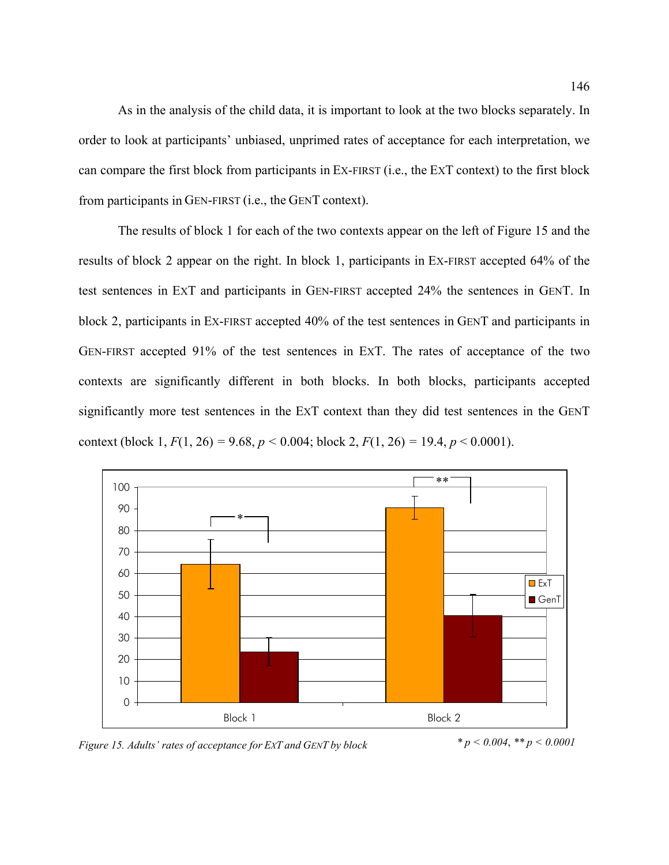As in the analysis of the child data, it is important to look at the two blocks separately. In order to look at participants' unbiased, unprimed rates of acceptance for each interpretation, we can compare the first block from participants in EX-FIRST (i.e., the EXT context) to the first block from participants in GEN-FIRST (i.e., the GENT context).

 The results of block 1 for each of the two contexts appear on the left of [Figure 15](#page-145-0) and the results of block 2 appear on the right. In block 1, participants in EX-FIRST accepted 64% of the test sentences in EXT and participants in GEN-FIRST accepted 24% the sentences in GENT. In block 2, participants in EX-FIRST accepted 40% of the test sentences in GENT and participants in GEN-FIRST accepted 91% of the test sentences in EXT. The rates of acceptance of the two contexts are significantly different in both blocks. In both blocks, participants accepted significantly more test sentences in the EXT context than they did test sentences in the GENT context (block 1,  $F(1, 26) = 9.68$ ,  $p < 0.004$ ; block 2,  $F(1, 26) = 19.4$ ,  $p < 0.0001$ ).



<span id="page-145-0"></span>*Figure 15. Adults' rates of acceptance for EXT and GENT by block \* p < 0.004*, *\*\* p < 0.0001*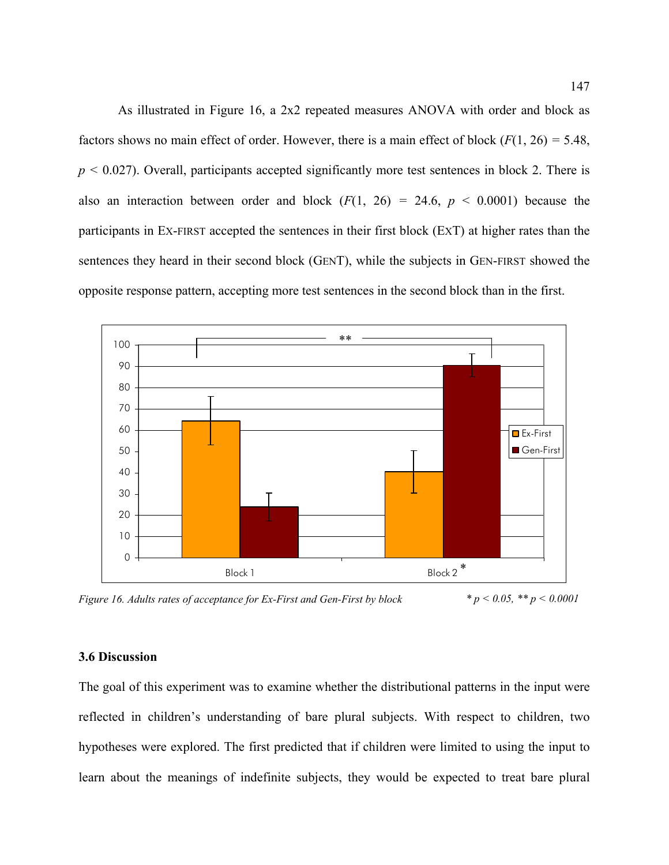As illustrated in [Figure 16,](#page-146-0) a 2x2 repeated measures ANOVA with order and block as factors shows no main effect of order. However, there is a main effect of block (*F*(1, 26) *=* 5.48, *p <* 0.027). Overall, participants accepted significantly more test sentences in block 2. There is also an interaction between order and block  $(F(1, 26) = 24.6, p < 0.0001)$  because the participants in EX-FIRST accepted the sentences in their first block (EXT) at higher rates than the sentences they heard in their second block (GENT), while the subjects in GEN-FIRST showed the opposite response pattern, accepting more test sentences in the second block than in the first.



<span id="page-146-0"></span>*Figure 16. Adults rates of acceptance for Ex-First and Gen-First by block \* p < 0.05, \*\* p < 0.0001* 

## **3.6 Discussion**

The goal of this experiment was to examine whether the distributional patterns in the input were reflected in children's understanding of bare plural subjects. With respect to children, two hypotheses were explored. The first predicted that if children were limited to using the input to learn about the meanings of indefinite subjects, they would be expected to treat bare plural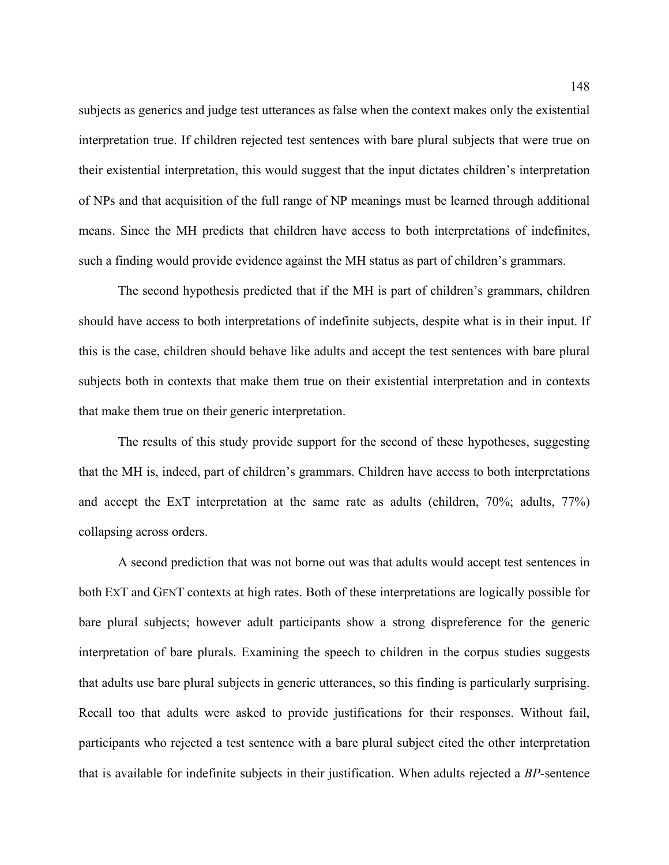subjects as generics and judge test utterances as false when the context makes only the existential interpretation true. If children rejected test sentences with bare plural subjects that were true on their existential interpretation, this would suggest that the input dictates children's interpretation of NPs and that acquisition of the full range of NP meanings must be learned through additional means. Since the MH predicts that children have access to both interpretations of indefinites, such a finding would provide evidence against the MH status as part of children's grammars.

The second hypothesis predicted that if the MH is part of children's grammars, children should have access to both interpretations of indefinite subjects, despite what is in their input. If this is the case, children should behave like adults and accept the test sentences with bare plural subjects both in contexts that make them true on their existential interpretation and in contexts that make them true on their generic interpretation.

The results of this study provide support for the second of these hypotheses, suggesting that the MH is, indeed, part of children's grammars. Children have access to both interpretations and accept the EXT interpretation at the same rate as adults (children, 70%; adults, 77%) collapsing across orders.

 A second prediction that was not borne out was that adults would accept test sentences in both EXT and GENT contexts at high rates. Both of these interpretations are logically possible for bare plural subjects; however adult participants show a strong dispreference for the generic interpretation of bare plurals. Examining the speech to children in the corpus studies suggests that adults use bare plural subjects in generic utterances, so this finding is particularly surprising. Recall too that adults were asked to provide justifications for their responses. Without fail, participants who rejected a test sentence with a bare plural subject cited the other interpretation that is available for indefinite subjects in their justification. When adults rejected a *BP-*sentence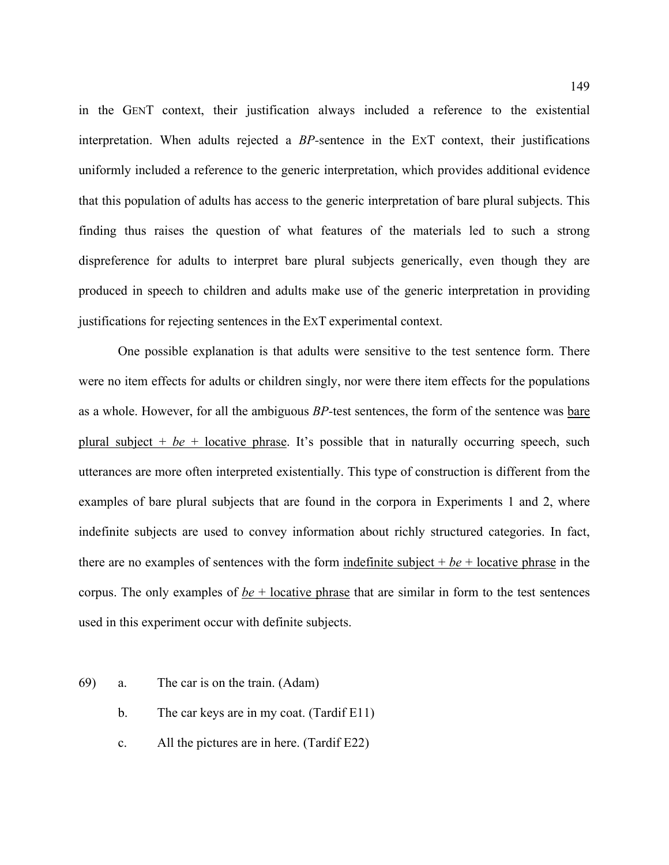in the GENT context, their justification always included a reference to the existential interpretation. When adults rejected a *BP-*sentence in the EXT context, their justifications uniformly included a reference to the generic interpretation, which provides additional evidence that this population of adults has access to the generic interpretation of bare plural subjects. This finding thus raises the question of what features of the materials led to such a strong dispreference for adults to interpret bare plural subjects generically, even though they are produced in speech to children and adults make use of the generic interpretation in providing justifications for rejecting sentences in the EXT experimental context.

 One possible explanation is that adults were sensitive to the test sentence form. There were no item effects for adults or children singly, nor were there item effects for the populations as a whole. However, for all the ambiguous *BP-*test sentences, the form of the sentence was bare plural subject  $+$  *be*  $+$  locative phrase. It's possible that in naturally occurring speech, such utterances are more often interpreted existentially. This type of construction is different from the examples of bare plural subjects that are found in the corpora in Experiments 1 and 2, where indefinite subjects are used to convey information about richly structured categories. In fact, there are no examples of sentences with the form indefinite subject + *be* + locative phrase in the corpus. The only examples of  $be + locative$  phrase that are similar in form to the test sentences used in this experiment occur with definite subjects.

- 69) a. The car is on the train. (Adam)
	- b. The car keys are in my coat. (Tardif E11)
	- c. All the pictures are in here. (Tardif E22)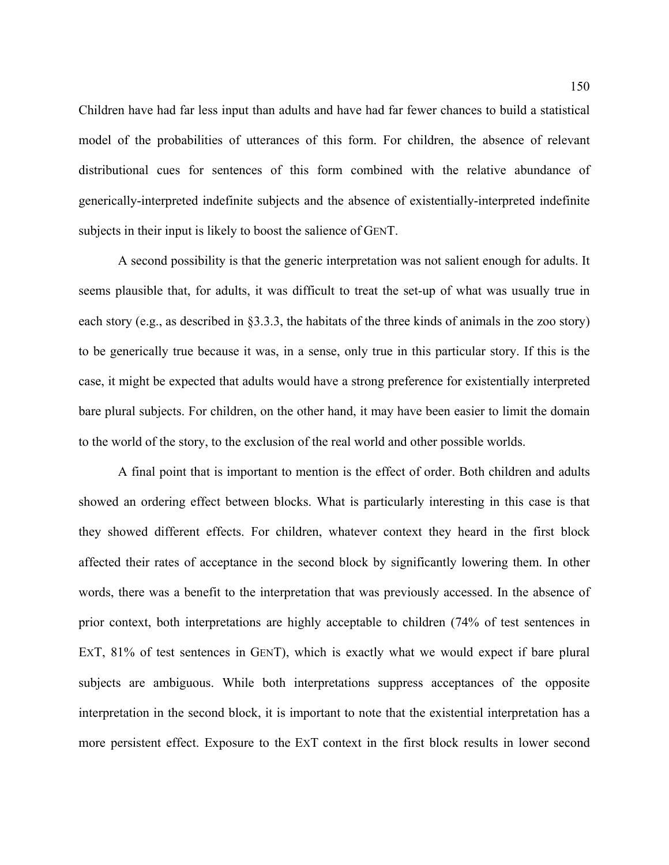Children have had far less input than adults and have had far fewer chances to build a statistical model of the probabilities of utterances of this form. For children, the absence of relevant distributional cues for sentences of this form combined with the relative abundance of generically-interpreted indefinite subjects and the absence of existentially-interpreted indefinite subjects in their input is likely to boost the salience of GENT.

 A second possibility is that the generic interpretation was not salient enough for adults. It seems plausible that, for adults, it was difficult to treat the set-up of what was usually true in each story (e.g., as described in §3.3.3, the habitats of the three kinds of animals in the zoo story) to be generically true because it was, in a sense, only true in this particular story. If this is the case, it might be expected that adults would have a strong preference for existentially interpreted bare plural subjects. For children, on the other hand, it may have been easier to limit the domain to the world of the story, to the exclusion of the real world and other possible worlds.

 A final point that is important to mention is the effect of order. Both children and adults showed an ordering effect between blocks. What is particularly interesting in this case is that they showed different effects. For children, whatever context they heard in the first block affected their rates of acceptance in the second block by significantly lowering them. In other words, there was a benefit to the interpretation that was previously accessed. In the absence of prior context, both interpretations are highly acceptable to children (74% of test sentences in EXT, 81% of test sentences in GENT), which is exactly what we would expect if bare plural subjects are ambiguous. While both interpretations suppress acceptances of the opposite interpretation in the second block, it is important to note that the existential interpretation has a more persistent effect. Exposure to the EXT context in the first block results in lower second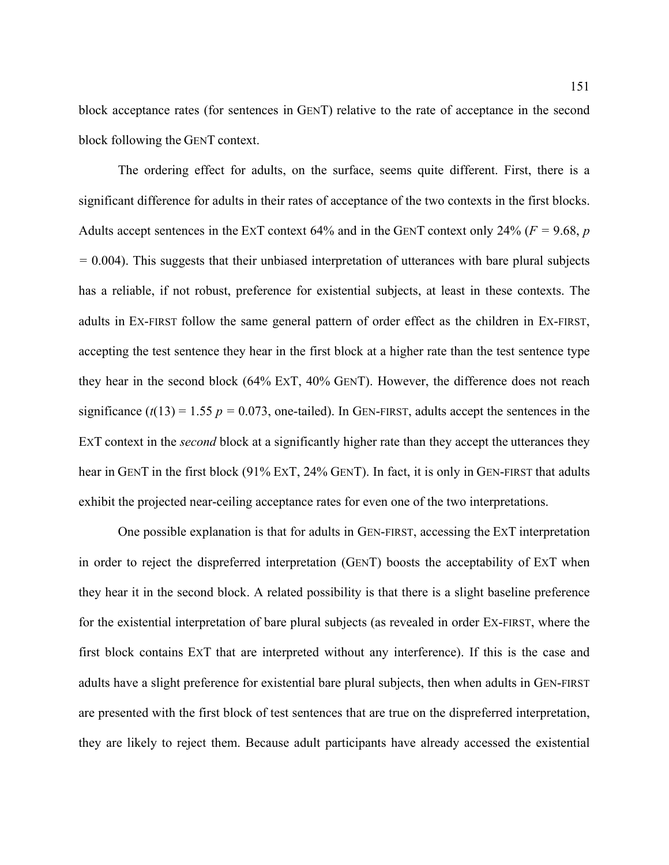block acceptance rates (for sentences in GENT) relative to the rate of acceptance in the second block following the GENT context.

 The ordering effect for adults, on the surface, seems quite different. First, there is a significant difference for adults in their rates of acceptance of the two contexts in the first blocks. Adults accept sentences in the EXT context 64% and in the GENT context only 24% (*F =* 9.68, *p =* 0.004). This suggests that their unbiased interpretation of utterances with bare plural subjects has a reliable, if not robust, preference for existential subjects, at least in these contexts. The adults in EX-FIRST follow the same general pattern of order effect as the children in EX-FIRST, accepting the test sentence they hear in the first block at a higher rate than the test sentence type they hear in the second block (64% EXT, 40% GENT). However, the difference does not reach significance  $(t(13) = 1.55$   $p = 0.073$ , one-tailed). In GEN-FIRST, adults accept the sentences in the EXT context in the *second* block at a significantly higher rate than they accept the utterances they hear in GENT in the first block (91% EXT, 24% GENT). In fact, it is only in GEN-FIRST that adults exhibit the projected near-ceiling acceptance rates for even one of the two interpretations.

One possible explanation is that for adults in GEN-FIRST, accessing the EXT interpretation in order to reject the dispreferred interpretation (GENT) boosts the acceptability of EXT when they hear it in the second block. A related possibility is that there is a slight baseline preference for the existential interpretation of bare plural subjects (as revealed in order EX-FIRST, where the first block contains EXT that are interpreted without any interference). If this is the case and adults have a slight preference for existential bare plural subjects, then when adults in GEN-FIRST are presented with the first block of test sentences that are true on the dispreferred interpretation, they are likely to reject them. Because adult participants have already accessed the existential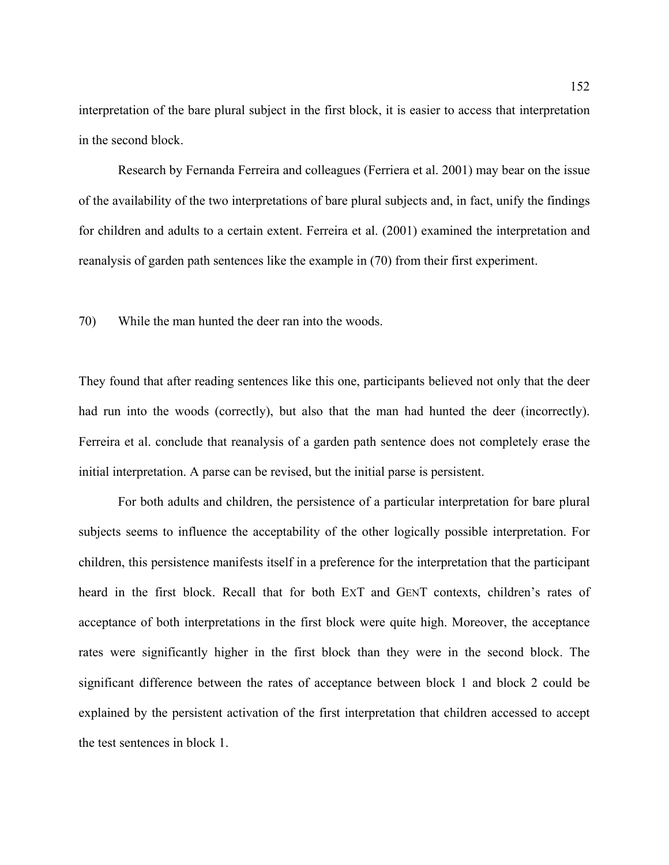interpretation of the bare plural subject in the first block, it is easier to access that interpretation in the second block.

Research by Fernanda Ferreira and colleagues (Ferriera et al. 2001) may bear on the issue of the availability of the two interpretations of bare plural subjects and, in fact, unify the findings for children and adults to a certain extent. Ferreira et al. (2001) examined the interpretation and reanalysis of garden path sentences like the example in ([70\)](#page-151-0) from their first experiment.

<span id="page-151-0"></span>70) While the man hunted the deer ran into the woods.

They found that after reading sentences like this one, participants believed not only that the deer had run into the woods (correctly), but also that the man had hunted the deer (incorrectly). Ferreira et al. conclude that reanalysis of a garden path sentence does not completely erase the initial interpretation. A parse can be revised, but the initial parse is persistent.

For both adults and children, the persistence of a particular interpretation for bare plural subjects seems to influence the acceptability of the other logically possible interpretation. For children, this persistence manifests itself in a preference for the interpretation that the participant heard in the first block. Recall that for both EXT and GENT contexts, children's rates of acceptance of both interpretations in the first block were quite high. Moreover, the acceptance rates were significantly higher in the first block than they were in the second block. The significant difference between the rates of acceptance between block 1 and block 2 could be explained by the persistent activation of the first interpretation that children accessed to accept the test sentences in block 1.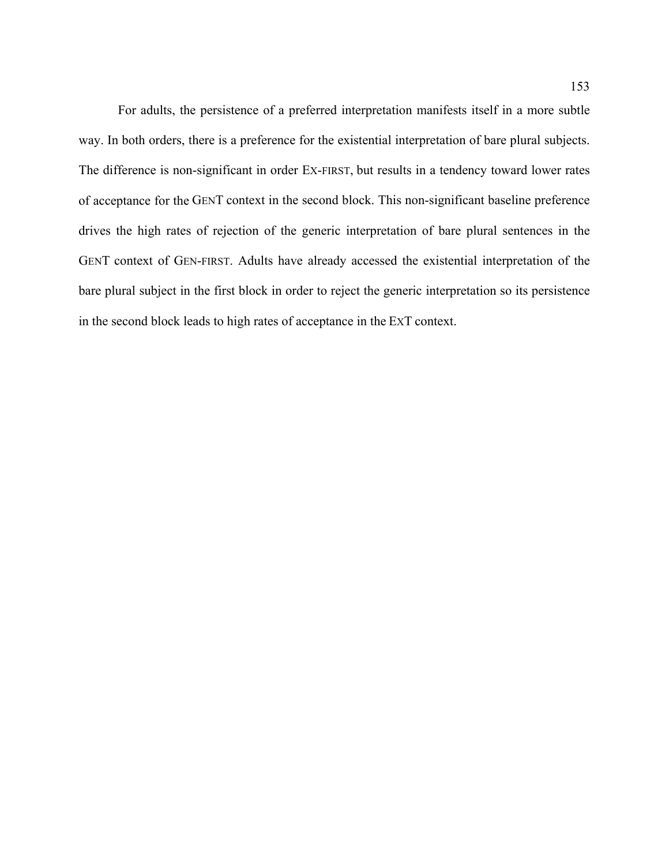For adults, the persistence of a preferred interpretation manifests itself in a more subtle way. In both orders, there is a preference for the existential interpretation of bare plural subjects. The difference is non-significant in order EX-FIRST, but results in a tendency toward lower rates of acceptance for the GENT context in the second block. This non-significant baseline preference drives the high rates of rejection of the generic interpretation of bare plural sentences in the GENT context of GEN-FIRST. Adults have already accessed the existential interpretation of the bare plural subject in the first block in order to reject the generic interpretation so its persistence in the second block leads to high rates of acceptance in the EXT context.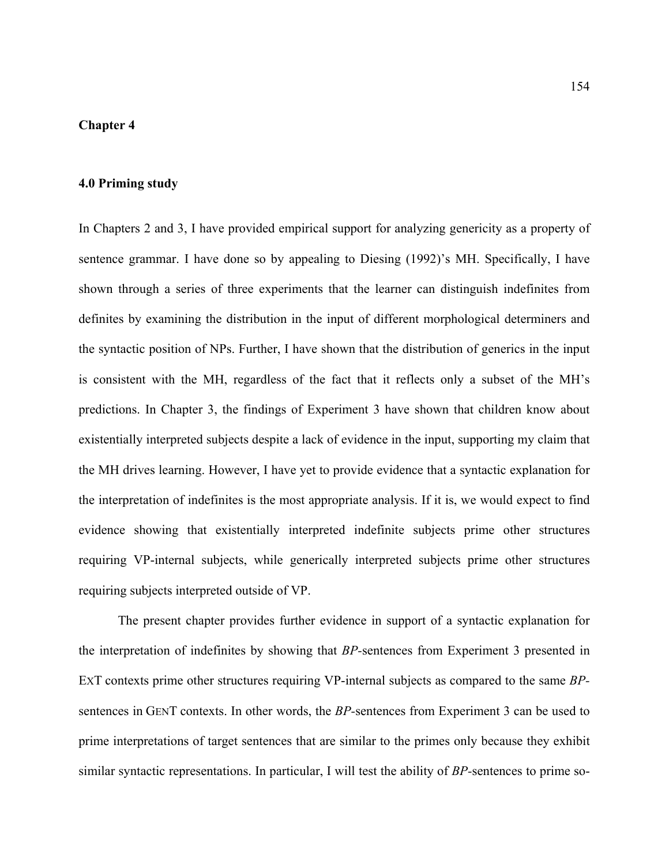#### **Chapter 4**

### **4.0 Priming study**

In Chapters 2 and 3, I have provided empirical support for analyzing genericity as a property of sentence grammar. I have done so by appealing to Diesing (1992)'s MH. Specifically, I have shown through a series of three experiments that the learner can distinguish indefinites from definites by examining the distribution in the input of different morphological determiners and the syntactic position of NPs. Further, I have shown that the distribution of generics in the input is consistent with the MH, regardless of the fact that it reflects only a subset of the MH's predictions. In Chapter 3, the findings of Experiment 3 have shown that children know about existentially interpreted subjects despite a lack of evidence in the input, supporting my claim that the MH drives learning. However, I have yet to provide evidence that a syntactic explanation for the interpretation of indefinites is the most appropriate analysis. If it is, we would expect to find evidence showing that existentially interpreted indefinite subjects prime other structures requiring VP-internal subjects, while generically interpreted subjects prime other structures requiring subjects interpreted outside of VP.

The present chapter provides further evidence in support of a syntactic explanation for the interpretation of indefinites by showing that *BP-*sentences from Experiment 3 presented in EXT contexts prime other structures requiring VP-internal subjects as compared to the same *BP*sentences in GENT contexts. In other words, the *BP-*sentences from Experiment 3 can be used to prime interpretations of target sentences that are similar to the primes only because they exhibit similar syntactic representations. In particular, I will test the ability of *BP-*sentences to prime so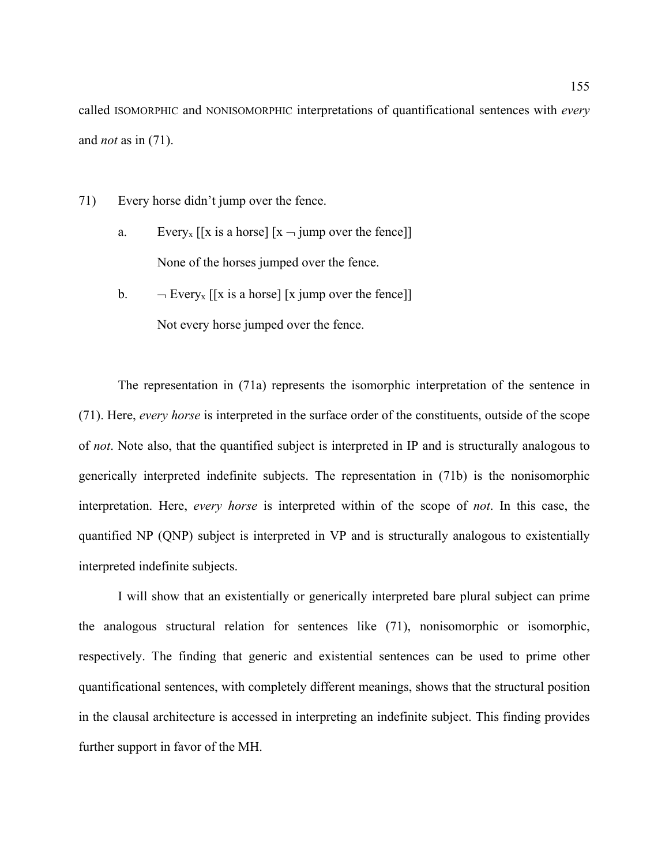called ISOMORPHIC and NONISOMORPHIC interpretations of quantificational sentences with *every* and *not* as in ([71\)](#page-154-0).

- <span id="page-154-0"></span>71) Every horse didn't jump over the fence.
	- a. Every<sub>x</sub> [[x is a horse]  $[x jump]$  over the fence]] None of the horses jumped over the fence.
	- b.  $\neg$  Every<sub>x</sub> [[x is a horse] [x jump over the fence]] Not every horse jumped over the fence.

The representation in ([71a](#page-154-0)) represents the isomorphic interpretation of the sentence in ([71](#page-154-0)). Here, *every horse* is interpreted in the surface order of the constituents, outside of the scope of *not*. Note also, that the quantified subject is interpreted in IP and is structurally analogous to generically interpreted indefinite subjects. The representation in ([71b](#page-154-0)) is the nonisomorphic interpretation. Here, *every horse* is interpreted within of the scope of *not*. In this case, the quantified NP (QNP) subject is interpreted in VP and is structurally analogous to existentially interpreted indefinite subjects.

 I will show that an existentially or generically interpreted bare plural subject can prime the analogous structural relation for sentences like [\(71](#page-154-0)), nonisomorphic or isomorphic, respectively. The finding that generic and existential sentences can be used to prime other quantificational sentences, with completely different meanings, shows that the structural position in the clausal architecture is accessed in interpreting an indefinite subject. This finding provides further support in favor of the MH.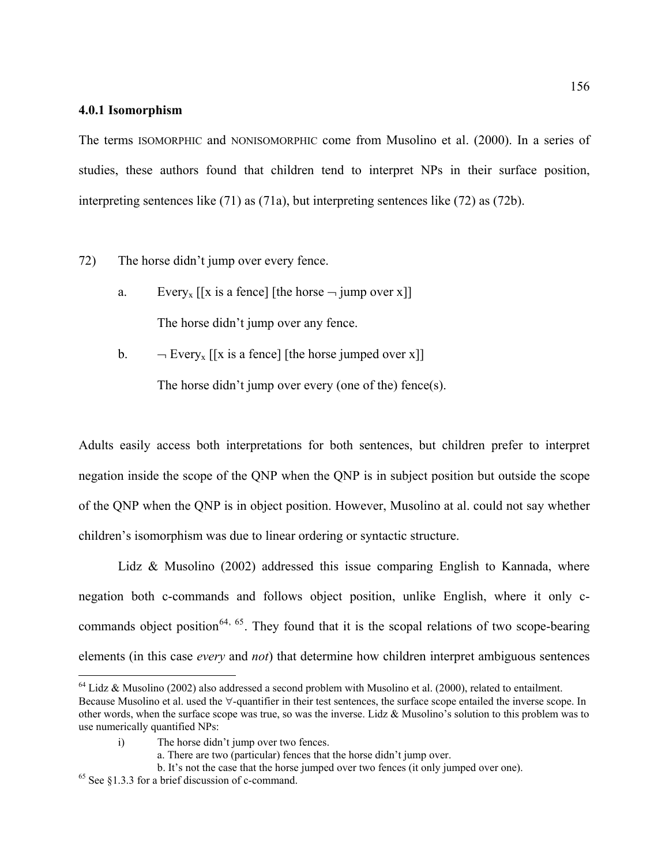### **4.0.1 Isomorphism**

The terms ISOMORPHIC and NONISOMORPHIC come from Musolino et al. (2000). In a series of studies, these authors found that children tend to interpret NPs in their surface position, interpreting sentences like ([71\)](#page-154-0) as ([71a](#page-154-0)), but interpreting sentences like ([72\)](#page-155-0) as ([72b](#page-155-0)).

<span id="page-155-0"></span>72) The horse didn't jump over every fence.

- a. Every<sub>x</sub> [[x is a fence] [the horse  $\neg$  jump over x]] The horse didn't jump over any fence.
- b.  $\neg$  Every<sub>x</sub> [[x is a fence] [the horse jumped over x]] The horse didn't jump over every (one of the) fence(s).

Adults easily access both interpretations for both sentences, but children prefer to interpret negation inside the scope of the QNP when the QNP is in subject position but outside the scope of the QNP when the QNP is in object position. However, Musolino at al. could not say whether children's isomorphism was due to linear ordering or syntactic structure.

Lidz & Musolino (2002) addressed this issue comparing English to Kannada, where negation both c-commands and follows object position, unlike English, where it only c-commands object position<sup>[64](#page-155-1), [65](#page-155-2)</sup>. They found that it is the scopal relations of two scope-bearing elements (in this case *every* and *not*) that determine how children interpret ambiguous sentences

 $\overline{a}$ 

<span id="page-155-1"></span> $64$  Lidz & Musolino (2002) also addressed a second problem with Musolino et al. (2000), related to entailment.

Because Musolino et al. used the ∀-quantifier in their test sentences, the surface scope entailed the inverse scope. In other words, when the surface scope was true, so was the inverse. Lidz & Musolino's solution to this problem was to use numerically quantified NPs:

i) The horse didn't jump over two fences.

a. There are two (particular) fences that the horse didn't jump over.

b. It's not the case that the horse jumped over two fences (it only jumped over one).

<span id="page-155-2"></span><sup>65</sup> See §1.3.3 for a brief discussion of c-command.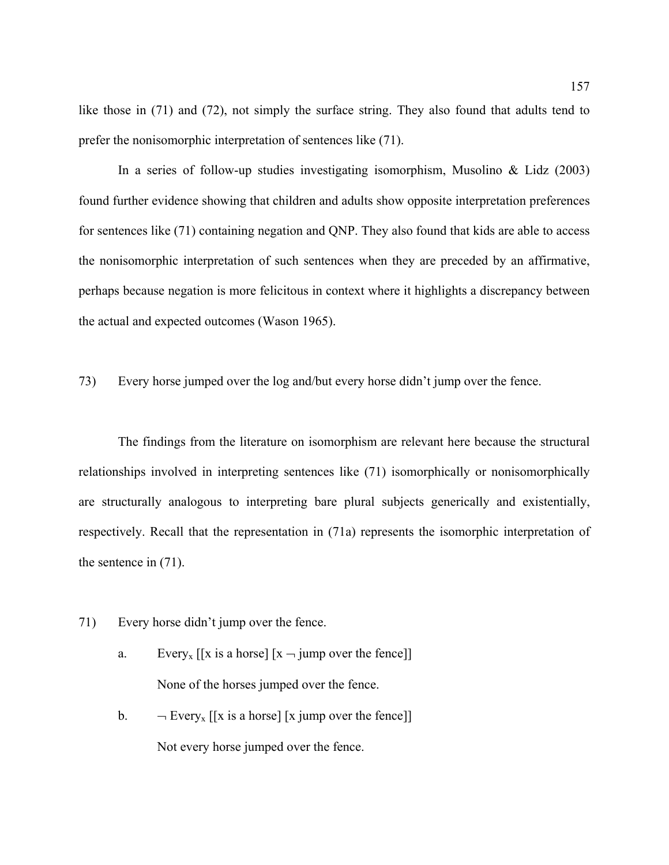like those in ([71\)](#page-154-0) and [\(72](#page-155-0)), not simply the surface string. They also found that adults tend to prefer the nonisomorphic interpretation of sentences like [\(71\)](#page-154-0).

In a series of follow-up studies investigating isomorphism, Musolino  $& Lidz$  (2003) found further evidence showing that children and adults show opposite interpretation preferences for sentences like [\(71](#page-154-0)) containing negation and QNP. They also found that kids are able to access the nonisomorphic interpretation of such sentences when they are preceded by an affirmative, perhaps because negation is more felicitous in context where it highlights a discrepancy between the actual and expected outcomes (Wason 1965).

<span id="page-156-0"></span>73) Every horse jumped over the log and/but every horse didn't jump over the fence.

The findings from the literature on isomorphism are relevant here because the structural relationships involved in interpreting sentences like ([71\)](#page-154-0) isomorphically or nonisomorphically are structurally analogous to interpreting bare plural subjects generically and existentially, respectively. Recall that the representation in [\(71](#page-154-0)a) represents the isomorphic interpretation of the sentence in [\(71](#page-154-0)).

- [71](#page-154-0)) Every horse didn't jump over the fence.
	- a. Every<sub>x</sub> [[x is a horse]  $[x jump$  over the fence]] None of the horses jumped over the fence.
	- b.  $\neg$  Every<sub>x</sub> [[x is a horse] [x jump over the fence]] Not every horse jumped over the fence.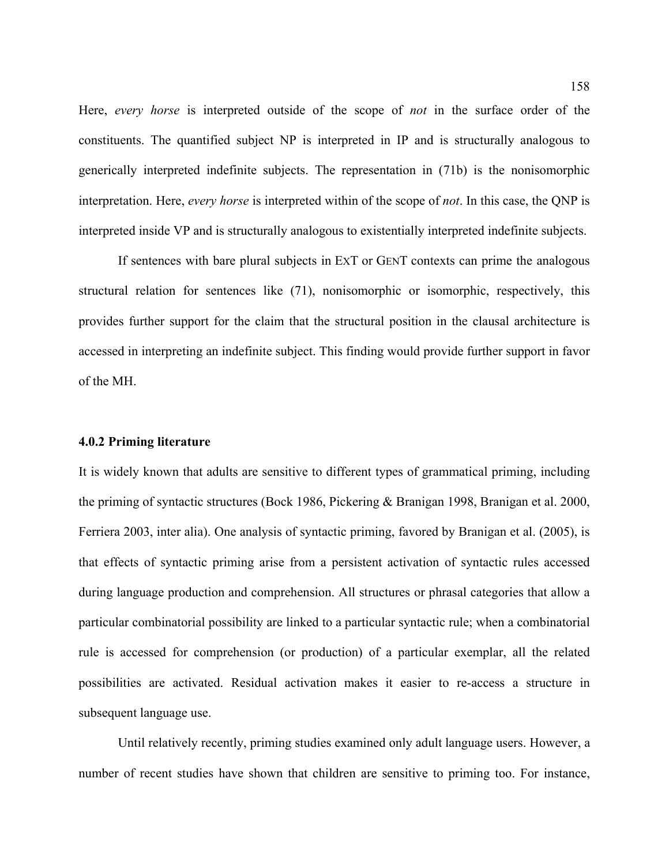Here, *every horse* is interpreted outside of the scope of *not* in the surface order of the constituents. The quantified subject NP is interpreted in IP and is structurally analogous to generically interpreted indefinite subjects. The representation in ([71b](#page-154-0)) is the nonisomorphic interpretation. Here, *every horse* is interpreted within of the scope of *not*. In this case, the QNP is interpreted inside VP and is structurally analogous to existentially interpreted indefinite subjects.

 If sentences with bare plural subjects in EXT or GENT contexts can prime the analogous structural relation for sentences like ([71\)](#page-154-0), nonisomorphic or isomorphic, respectively, this provides further support for the claim that the structural position in the clausal architecture is accessed in interpreting an indefinite subject. This finding would provide further support in favor of the MH.

#### **4.0.2 Priming literature**

It is widely known that adults are sensitive to different types of grammatical priming, including the priming of syntactic structures (Bock 1986, Pickering & Branigan 1998, Branigan et al. 2000, Ferriera 2003, inter alia). One analysis of syntactic priming, favored by Branigan et al. (2005), is that effects of syntactic priming arise from a persistent activation of syntactic rules accessed during language production and comprehension. All structures or phrasal categories that allow a particular combinatorial possibility are linked to a particular syntactic rule; when a combinatorial rule is accessed for comprehension (or production) of a particular exemplar, all the related possibilities are activated. Residual activation makes it easier to re-access a structure in subsequent language use.

 Until relatively recently, priming studies examined only adult language users. However, a number of recent studies have shown that children are sensitive to priming too. For instance,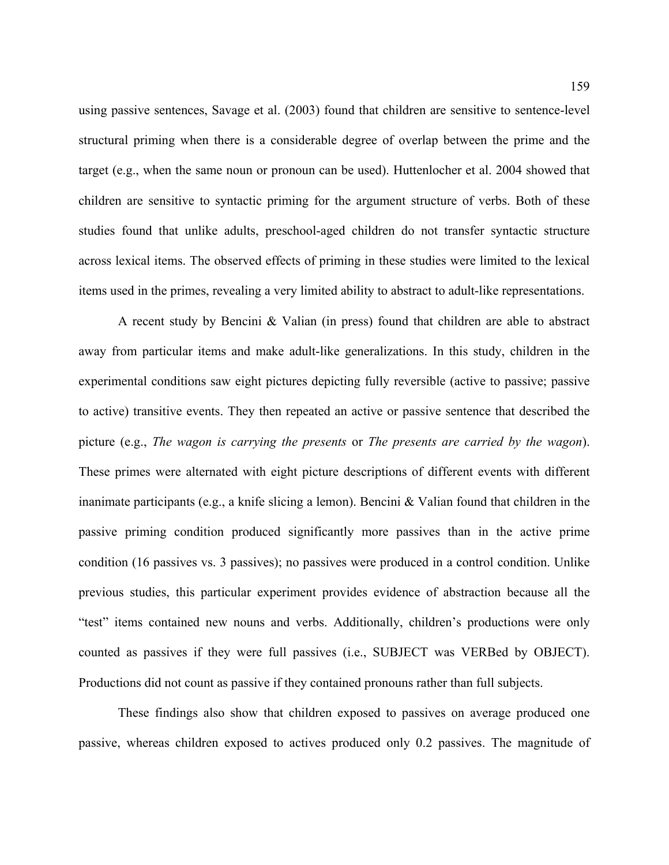using passive sentences, Savage et al. (2003) found that children are sensitive to sentence-level structural priming when there is a considerable degree of overlap between the prime and the target (e.g., when the same noun or pronoun can be used). Huttenlocher et al. 2004 showed that children are sensitive to syntactic priming for the argument structure of verbs. Both of these studies found that unlike adults, preschool-aged children do not transfer syntactic structure across lexical items. The observed effects of priming in these studies were limited to the lexical items used in the primes, revealing a very limited ability to abstract to adult-like representations.

 A recent study by Bencini & Valian (in press) found that children are able to abstract away from particular items and make adult-like generalizations. In this study, children in the experimental conditions saw eight pictures depicting fully reversible (active to passive; passive to active) transitive events. They then repeated an active or passive sentence that described the picture (e.g., *The wagon is carrying the presents* or *The presents are carried by the wagon*). These primes were alternated with eight picture descriptions of different events with different inanimate participants (e.g., a knife slicing a lemon). Bencini & Valian found that children in the passive priming condition produced significantly more passives than in the active prime condition (16 passives vs. 3 passives); no passives were produced in a control condition. Unlike previous studies, this particular experiment provides evidence of abstraction because all the "test" items contained new nouns and verbs. Additionally, children's productions were only counted as passives if they were full passives (i.e., SUBJECT was VERBed by OBJECT). Productions did not count as passive if they contained pronouns rather than full subjects.

These findings also show that children exposed to passives on average produced one passive, whereas children exposed to actives produced only 0.2 passives. The magnitude of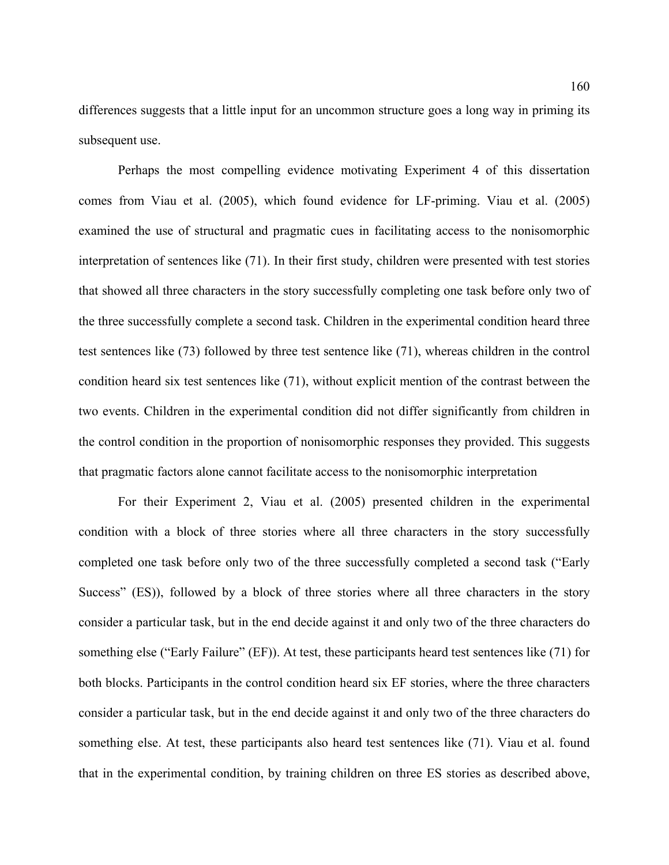differences suggests that a little input for an uncommon structure goes a long way in priming its subsequent use.

 Perhaps the most compelling evidence motivating Experiment 4 of this dissertation comes from Viau et al. (2005), which found evidence for LF-priming. Viau et al. (2005) examined the use of structural and pragmatic cues in facilitating access to the nonisomorphic interpretation of sentences like [\(71](#page-154-0)). In their first study, children were presented with test stories that showed all three characters in the story successfully completing one task before only two of the three successfully complete a second task. Children in the experimental condition heard three test sentences like [\(73](#page-156-0)) followed by three test sentence like ([71\)](#page-154-0), whereas children in the control condition heard six test sentences like ([71\)](#page-154-0), without explicit mention of the contrast between the two events. Children in the experimental condition did not differ significantly from children in the control condition in the proportion of nonisomorphic responses they provided. This suggests that pragmatic factors alone cannot facilitate access to the nonisomorphic interpretation

For their Experiment 2, Viau et al. (2005) presented children in the experimental condition with a block of three stories where all three characters in the story successfully completed one task before only two of the three successfully completed a second task ("Early Success" (ES)), followed by a block of three stories where all three characters in the story consider a particular task, but in the end decide against it and only two of the three characters do something else ("Early Failure" (EF)). At test, these participants heard test sentences like ([71\)](#page-154-0) for both blocks. Participants in the control condition heard six EF stories, where the three characters consider a particular task, but in the end decide against it and only two of the three characters do something else. At test, these participants also heard test sentences like ([71\)](#page-154-0). Viau et al. found that in the experimental condition, by training children on three ES stories as described above,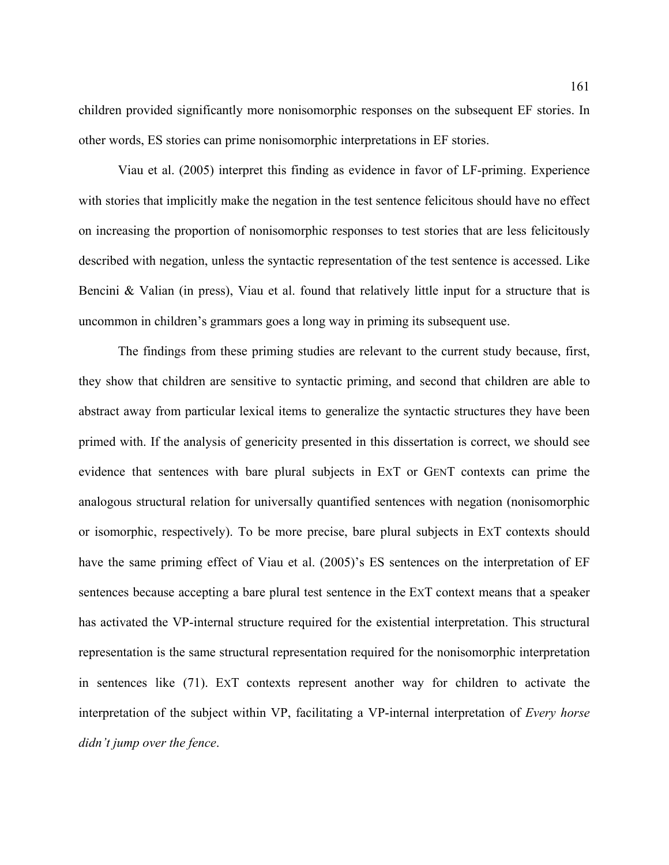children provided significantly more nonisomorphic responses on the subsequent EF stories. In other words, ES stories can prime nonisomorphic interpretations in EF stories.

Viau et al. (2005) interpret this finding as evidence in favor of LF-priming. Experience with stories that implicitly make the negation in the test sentence felicitous should have no effect on increasing the proportion of nonisomorphic responses to test stories that are less felicitously described with negation, unless the syntactic representation of the test sentence is accessed. Like Bencini & Valian (in press), Viau et al. found that relatively little input for a structure that is uncommon in children's grammars goes a long way in priming its subsequent use.

The findings from these priming studies are relevant to the current study because, first, they show that children are sensitive to syntactic priming, and second that children are able to abstract away from particular lexical items to generalize the syntactic structures they have been primed with. If the analysis of genericity presented in this dissertation is correct, we should see evidence that sentences with bare plural subjects in EXT or GENT contexts can prime the analogous structural relation for universally quantified sentences with negation (nonisomorphic or isomorphic, respectively). To be more precise, bare plural subjects in EXT contexts should have the same priming effect of Viau et al. (2005)'s ES sentences on the interpretation of EF sentences because accepting a bare plural test sentence in the EXT context means that a speaker has activated the VP-internal structure required for the existential interpretation. This structural representation is the same structural representation required for the nonisomorphic interpretation in sentences like ([71\)](#page-154-0). EXT contexts represent another way for children to activate the interpretation of the subject within VP, facilitating a VP-internal interpretation of *Every horse didn't jump over the fence*.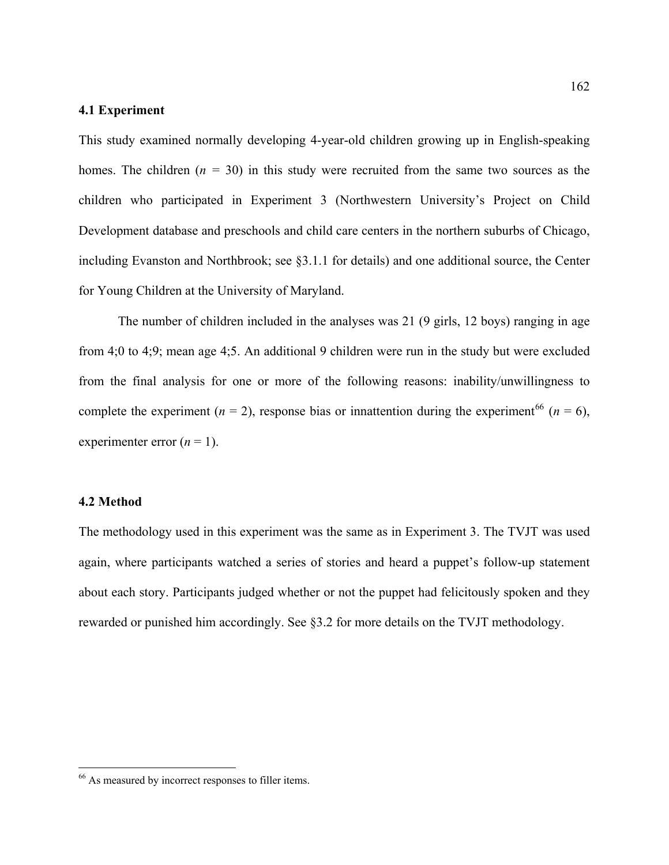### **4.1 Experiment**

This study examined normally developing 4-year-old children growing up in English-speaking homes. The children (*n =* 30) in this study were recruited from the same two sources as the children who participated in Experiment 3 (Northwestern University's Project on Child Development database and preschools and child care centers in the northern suburbs of Chicago, including Evanston and Northbrook; see §3.1.1 for details) and one additional source, the Center for Young Children at the University of Maryland.

The number of children included in the analyses was 21 (9 girls, 12 boys) ranging in age from 4;0 to 4;9; mean age 4;5. An additional 9 children were run in the study but were excluded from the final analysis for one or more of the following reasons: inability/unwillingness to complete the experiment ( $n = 2$ ), response bias or innattention during the experiment<sup>[66](#page-161-0)</sup> ( $n = 6$ ), experimenter error  $(n = 1)$ .

#### **4.2 Method**

<u>.</u>

The methodology used in this experiment was the same as in Experiment 3. The TVJT was used again, where participants watched a series of stories and heard a puppet's follow-up statement about each story. Participants judged whether or not the puppet had felicitously spoken and they rewarded or punished him accordingly. See §3.2 for more details on the TVJT methodology.

<span id="page-161-0"></span><sup>66</sup> As measured by incorrect responses to filler items.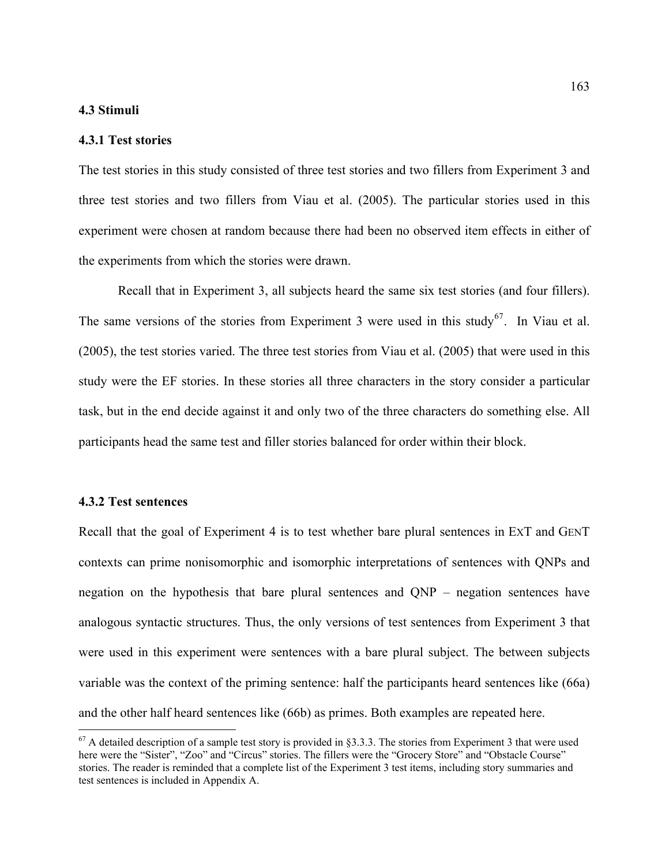#### **4.3 Stimuli**

#### **4.3.1 Test stories**

The test stories in this study consisted of three test stories and two fillers from Experiment 3 and three test stories and two fillers from Viau et al. (2005). The particular stories used in this experiment were chosen at random because there had been no observed item effects in either of the experiments from which the stories were drawn.

 Recall that in Experiment 3, all subjects heard the same six test stories (and four fillers). The same versions of the stories from Experiment 3 were used in this study<sup>[67](#page-162-0)</sup>. In Viau et al. (2005), the test stories varied. The three test stories from Viau et al. (2005) that were used in this study were the EF stories. In these stories all three characters in the story consider a particular task, but in the end decide against it and only two of the three characters do something else. All participants head the same test and filler stories balanced for order within their block.

#### **4.3.2 Test sentences**

 $\overline{a}$ 

Recall that the goal of Experiment 4 is to test whether bare plural sentences in EXT and GENT contexts can prime nonisomorphic and isomorphic interpretations of sentences with QNPs and negation on the hypothesis that bare plural sentences and QNP – negation sentences have analogous syntactic structures. Thus, the only versions of test sentences from Experiment 3 that were used in this experiment were sentences with a bare plural subject. The between subjects variable was the context of the priming sentence: half the participants heard sentences like ([66a](#page-119-0)) and the other half heard sentences like ([66b](#page-119-0)) as primes. Both examples are repeated here.

<span id="page-162-0"></span> $67$  A detailed description of a sample test story is provided in §3.3.3. The stories from Experiment 3 that were used here were the "Sister", "Zoo" and "Circus" stories. The fillers were the "Grocery Store" and "Obstacle Course" stories. The reader is reminded that a complete list of the Experiment 3 test items, including story summaries and test sentences is included in Appendix A.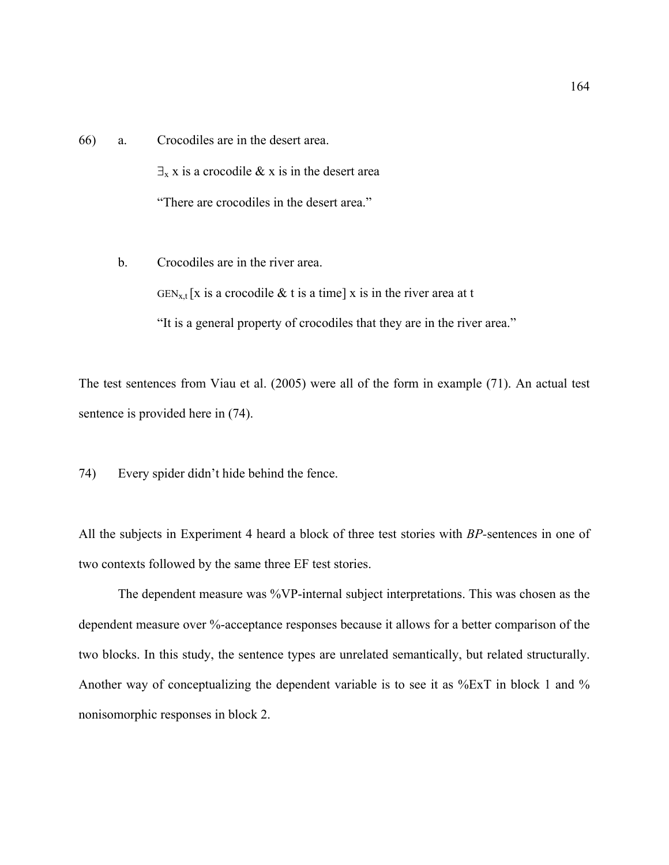[66](#page-119-0)) a. Crocodiles are in the desert area.  $\exists$ <sub>x</sub> x is a crocodile & x is in the desert area "There are crocodiles in the desert area."

b. Crocodiles are in the river area.  $GEN_{x,t}$ [x is a crocodile & t is a time] x is in the river area at t "It is a general property of crocodiles that they are in the river area."

The test sentences from Viau et al. (2005) were all of the form in example [\(71](#page-154-0)). An actual test sentence is provided here in ([74\)](#page-163-0).

<span id="page-163-0"></span>74) Every spider didn't hide behind the fence.

All the subjects in Experiment 4 heard a block of three test stories with *BP-*sentences in one of two contexts followed by the same three EF test stories.

The dependent measure was %VP-internal subject interpretations. This was chosen as the dependent measure over %-acceptance responses because it allows for a better comparison of the two blocks. In this study, the sentence types are unrelated semantically, but related structurally. Another way of conceptualizing the dependent variable is to see it as %ExT in block 1 and % nonisomorphic responses in block 2.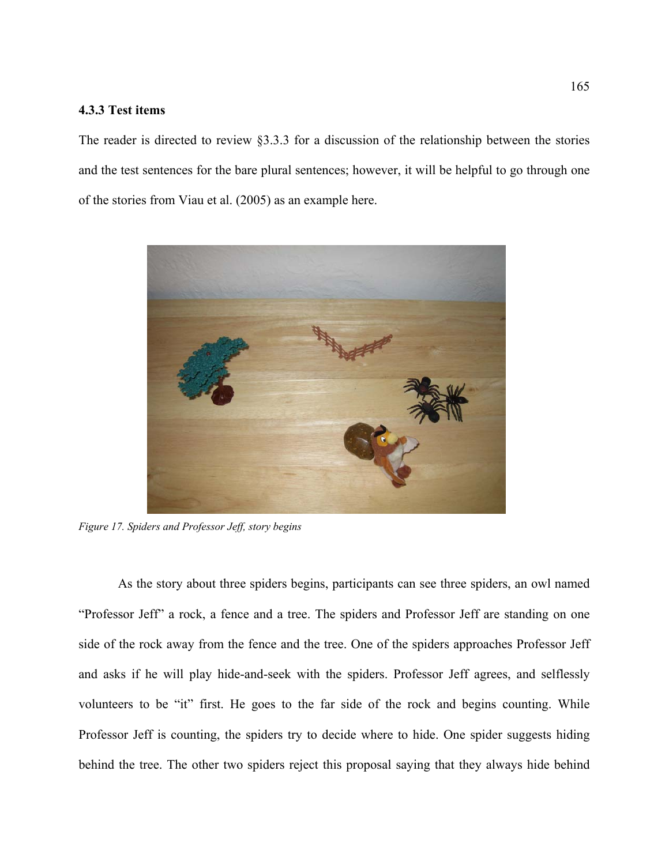## **4.3.3 Test items**

The reader is directed to review §3.3.3 for a discussion of the relationship between the stories and the test sentences for the bare plural sentences; however, it will be helpful to go through one of the stories from Viau et al. (2005) as an example here.



Figure 17. Spiders and Professor Jeff, story begins

As the story about three spiders begins, participants can see three spiders, an owl named "Profes sor Jeff" a rock, a fence and a tree. The spiders and Professor Jeff are standing on one side of the rock away from the fence and the tree. One of the spiders approaches Professor Jeff and asks if he will play hide-and-seek with the spiders. Professor Jeff agrees, and selflessly volunteers to be "it" first. He goes to the far side of the rock and begins counting. While Professor Jeff is counting, the spiders try to decide where to hide. One spider suggests hiding behind the tree. The other two spiders reject this proposal saying that they always hide behind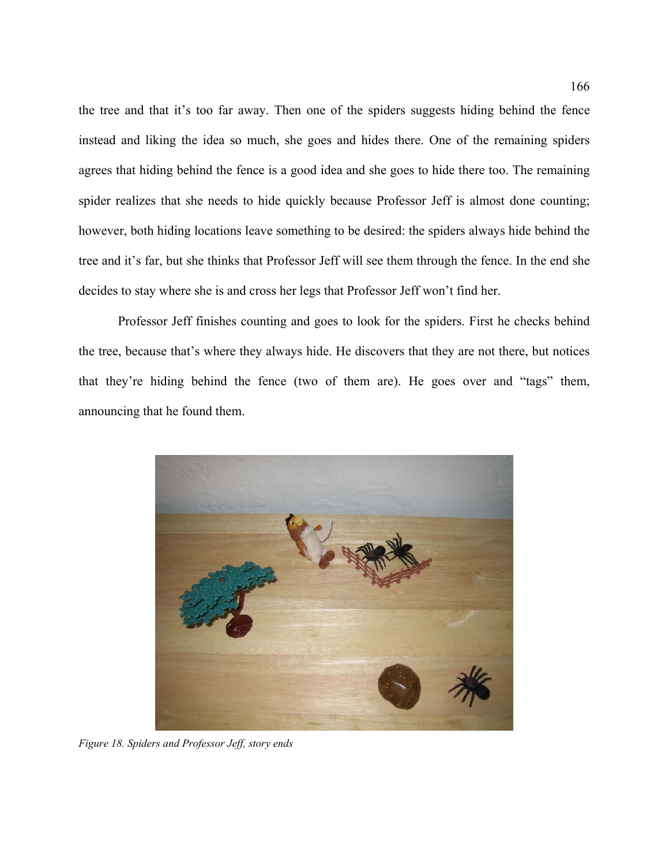the tree and that it's too far away. Then one of the spiders suggests hiding behind the fence instead and liking the idea so much, she goes and hides there. One of the remaining spiders agrees that hiding behind the fence is a good idea and she goes to hide there too. The remaining spider realizes that she needs to hide quickly because Professor Jeff is almost done counting; however, both hiding locations leave something to be desired: the spiders always hide behind the tree and it's far, but she thinks that Professor Jeff will see them through the fence. In the end she decides to stay where she is and cross her legs that Professor Jeff won't find her.

Professor Jeff finishes counting and goes to look for the spiders. First he checks behind the tree , because that's where they always hide. He discovers that they are not there, but notices that they're hiding behind the fence (two of them are). He goes over and "tags" them, announcing that he found them.



*Figure 18. Spiders and Professor Jeff, story ends*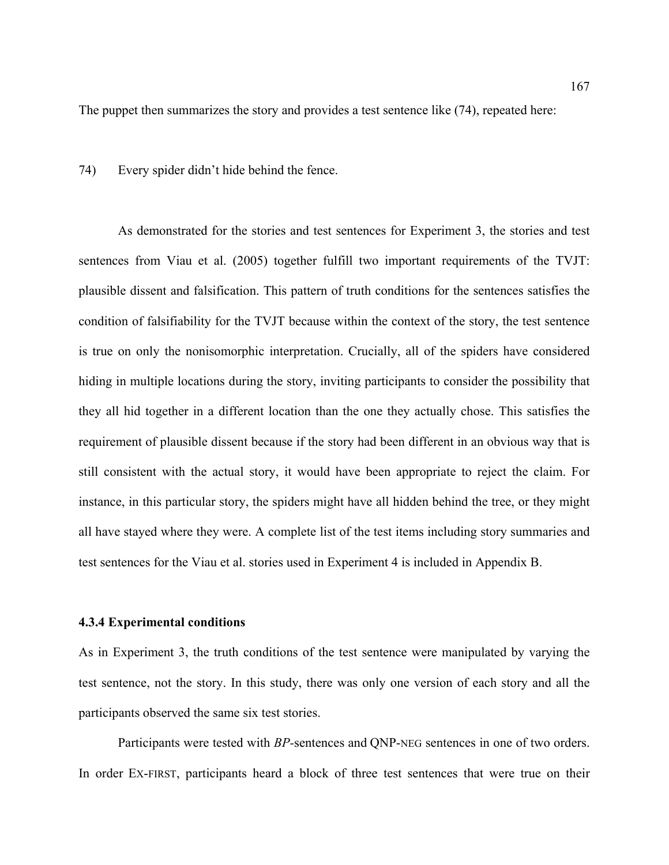The puppet then summarizes the story and provides a test sentence like (74), repeated here:

74) Every spider didn't hide behind the fence.

As demonstrated for the stories and test sentences for Experiment 3, the stories and test sentences from Viau et al. (2005) together fulfill two important requirements of the TVJT: plausible dissent and falsification. This pattern of truth conditions for the sentences satisfies the condition of falsifiability for the TVJT because within the context of the story, the test sentence is true on only the nonisomorphic interpretation. Crucially, all of the spiders have considered hiding in multiple locations during the story, inviting participants to consider the possibility that they all hid together in a different location than the one they actually chose. This satisfies the requirement of plausible dissent because if the story had been different in an obvious way that is still consistent with the actual story, it would have been appropriate to reject the claim. For instance, in this particular story, the spiders might have all hidden behind the tree, or they might all have stayed where they were. A complete list of the test items including story summaries and test sentences for the Viau et al. stories used in Experiment 4 is included in Appendix B.

#### **4.3.4 Experimental conditions**

As in Experiment 3, the truth conditions of the test sentence were manipulated by varying the test sentence, not the story. In this study, there was only one version of each story and all the participants observed the same six test stories.

Participants were tested with *BP-*sentences and QNP-NEG sentences in one of two orders. In order EX-FIRST, participants heard a block of three test sentences that were true on their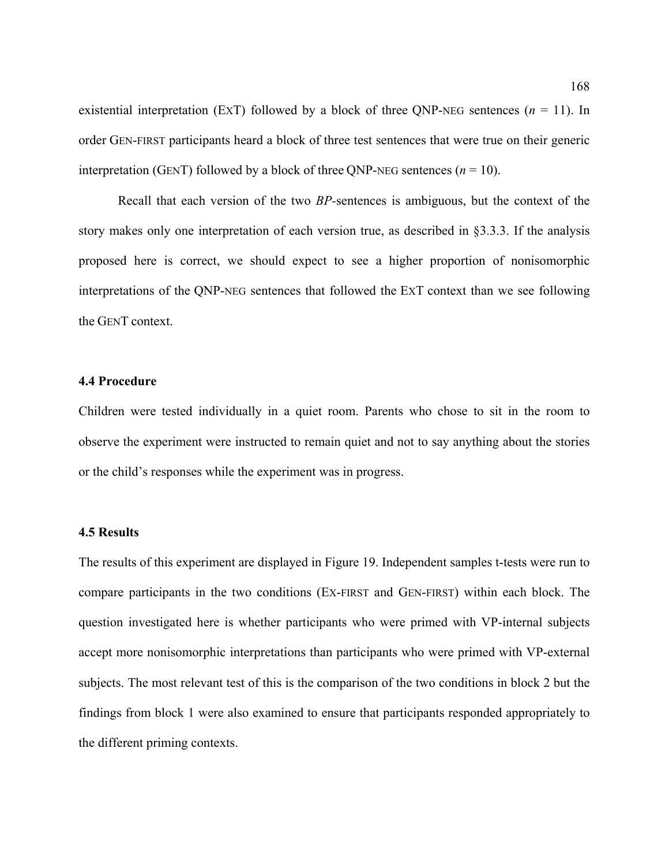existential interpretation (EXT) followed by a block of three QNP-NEG sentences  $(n = 11)$ . In order GEN-FIRST participants heard a block of three test sentences that were true on their generic interpretation (GENT) followed by a block of three ONP-NEG sentences  $(n = 10)$ .

Recall that each version of the two *BP-*sentences is ambiguous, but the context of the story makes only one interpretation of each version true, as described in §3.3.3. If the analysis proposed here is correct, we should expect to see a higher proportion of nonisomorphic interpretations of the QNP-NEG sentences that followed the EXT context than we see following the GENT context.

#### **4.4 Procedure**

Childre n were tested individually in a quiet room. Parents who chose to sit in the room to observe the experiment were instructed to remain quiet and not to say anything about the stories or the child's responses while the experiment was in progress.

#### **4.5 Results**

The res ults of this experiment are displayed in Figure 19. Independent samples t-tests were run to subjects. The most relevant test of this is the comparison of the two conditions in block 2 but the findings from block 1 were also examined to ensure that participants responded appropriately to the different priming contexts. compare participants in the two conditions (EX-FIRST and GEN-FIRST) within each block. The question investigated here is whether participants who were primed with VP-internal subjects accept more nonisomorphic interpretations than participants who were primed with VP-external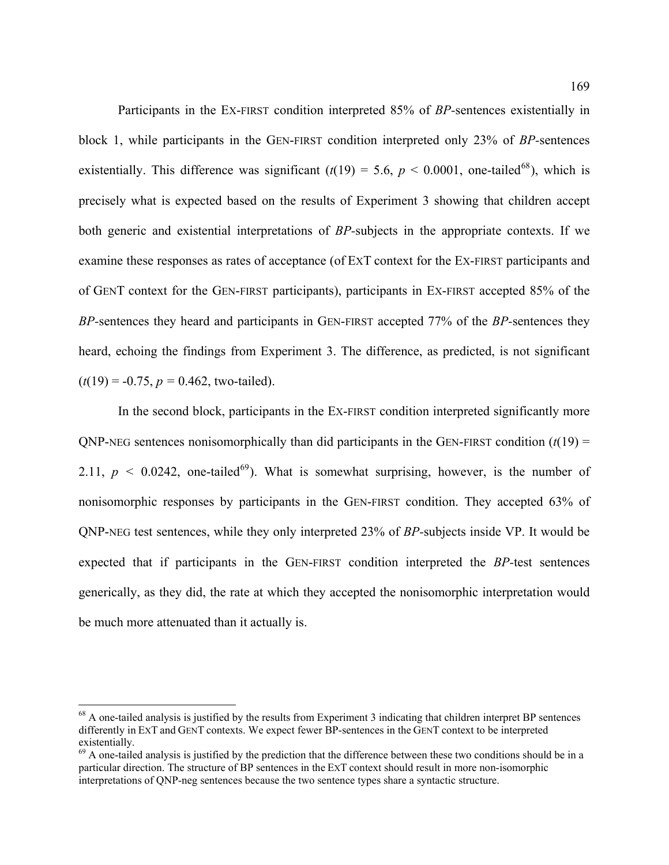Participants in the EX-FIRST condition interpreted 85% of *BP-*sentences existentially in precisely what is expected based on the results of Experiment 3 showing that children accept both generic and existential interpretations of *BP*-subjects in the appropriate contexts. If we examine these responses as rates of acceptance (of ExT context for the Ex-FIRST participants and block 1, while participants in the GEN-FIRST condition interpreted only 23% of *BP-*sentences existentially. This difference was significant  $(t(19) = 5.6, p < 0.0001$ , one-tailed<sup>68</sup>), which is of GENT context for the GEN-FIRST participants), participants in EX-FIRST accepted 85% of the *BP-*sentences they heard and participants in GEN-FIRST accepted 77% of the *BP-*sentences they heard, echoing the findings from Experiment 3. The difference, as predicted, is not significant  $(t(19) = -0.75, p = 0.462$ , two-tailed).

2.11,  $p < 0.0242$ , one-tailed<sup>69</sup>). What is somewhat surprising, however, is the number of In the second block, participants in the EX-FIRST condition interpreted significantly more  $QNP-NEG$  sentences nonisomorphically than did participants in the GEN-FIRST condition  $(t(19) =$ nonisomorphic responses by participants in the GEN-FIRST condition. They accepted 63% of QNP-NEG test sentences, while they only interpreted 23% of *BP-*subjects inside VP. It would be expected that if participants in the GEN-FIRST condition interpreted the *BP-*test sentences generically, as they did, the rate at which they accepted the nonisomorphic interpretation would be much more attenuated than it actually is.

 $\overline{a}$ 

 $68$  A one-tailed analysis is justified by the results from Experiment 3 indicating that children interpret BP sentences differently in EXT and GENT contexts. We expect fewer BP-sentences in the GENT context to be interpreted existentially.

interpretations of QNP-neg sentences because the two sentence types share a syntactic structure.  $69$  A one-tailed analysis is justified by the prediction that the difference between these two conditions should be in a particular direction. The structure of BP sentences in the EXT context should result in more non-isomorphic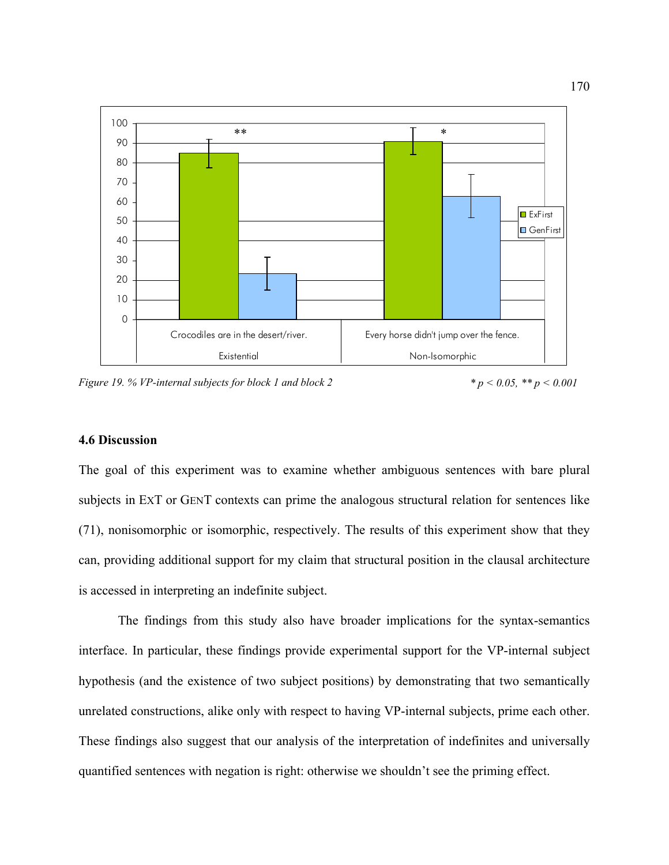

*Figure 19. % VP-internal subjects for block 1 and block 2* 

*\* p < 0.05, \*\* p < 0.001* 

# **4.6 Discussion**

subjects in EXT or GENT contexts can prime the analogous structural relation for sentences like (71 ), nonisomorphic or isomorphic, respectively. The results of this experiment show that they is acc essed in interpreting an indefinite subject. The goal of this experiment was to examine whether ambiguous sentences with bare plural can, providing additional support for my claim that structural position in the clausal architecture

The findings from this study also have broader implications for the syntax-semantics unrelated constructions, alike only with respect to having VP-internal subjects, prime each other. These findings also suggest that our analysis of the interpretation of indefinites and universally interface. In particular, these findings provide experimental support for the VP-internal subject hypothesis (and the existence of two subject positions) by demonstrating that two semantically quantified sentences with negation is right: otherwise we shouldn't see the priming effect.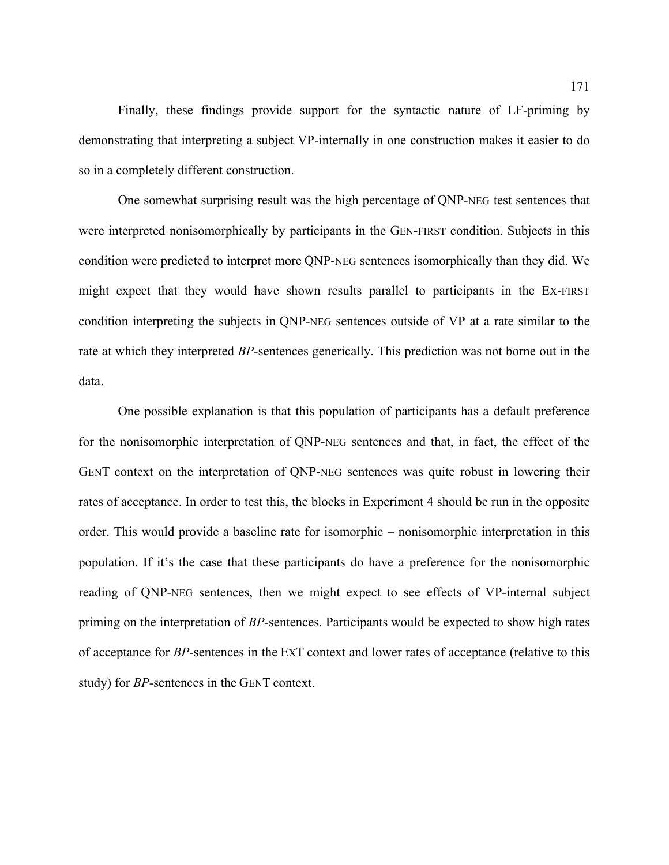Finally, these findings provide support for the syntactic nature of LF-priming by demonstrating that interpreting a subject VP-internally in one construction makes it easier to do so in a completely different construction.

might expect that they would have shown results parallel to participants in the EX-FIRST conditi on interpreting the subjects in QNP-NEG sentences outside of VP at a rate similar to the One somewhat surprising result was the high percentage of QNP-NEG test sentences that were interpreted nonisomorphically by participants in the GEN-FIRST condition. Subjects in this condition were predicted to interpret more QNP-NEG sentences isomorphically than they did. We rate at which they interpreted *BP-*sentences generically. This prediction was not borne out in the data.

GENT context on the interpretation of QNP-NEG sentences was quite robust in lowering their rates of acceptance. In order to test this, the blocks in Experiment 4 should be run in the opposite population. If it's the case that these participants do have a preference for the nonisomorphic One possible explanation is that this population of participants has a default preference for the nonisomorphic interpretation of QNP-NEG sentences and that, in fact, the effect of the order. This would provide a baseline rate for isomorphic – nonisomorphic interpretation in this reading of QNP-NEG sentences, then we might expect to see effects of VP-internal subject priming on the interpretation of *BP-*sentences. Participants would be expected to show high rates of acceptance for *BP-*sentences in the EXT context and lower rates of acceptance (relative to this study) for *BP-*sentences in the GENT context.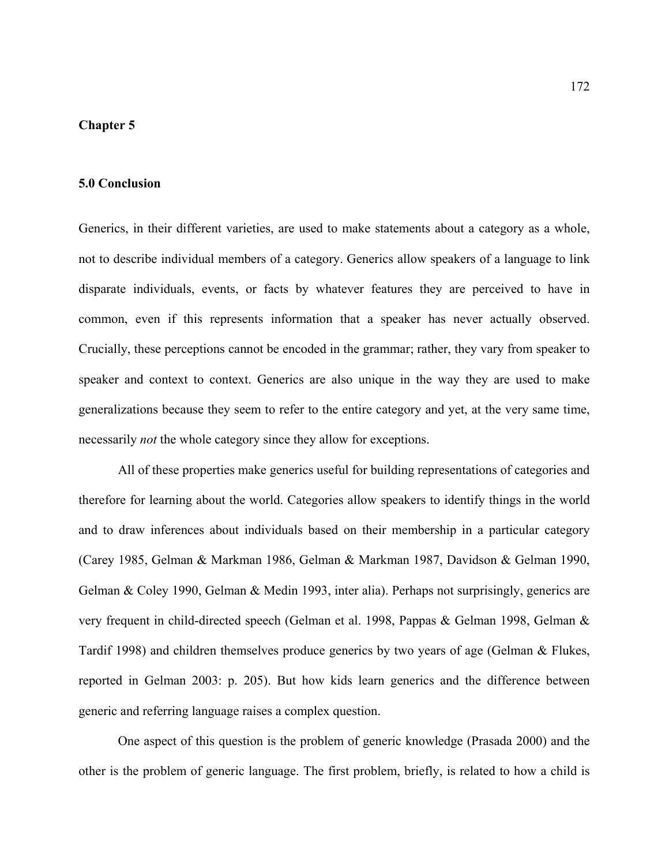### **Chapter 5**

#### **5.0 Conclusion**

speaker and context to context. Generics are also unique in the way they are used to make generalizations because they seem to refer to the entire category and yet, at the very same time, necessarily *not* the whole category since they allow for exceptions. Generics, in their different varieties, are used to make statements about a category as a whole, not to describe individual members of a category. Generics allow speakers of a language to link disparate individuals, events, or facts by whatever features they are perceived to have in common, even if this represents information that a speaker has never actually observed. Crucially, these perceptions cannot be encoded in the grammar; rather, they vary from speaker to

All of these properties make generics useful for building representations of categories and therefore for learning about the world. Categories allow speakers to identify things in the world and to draw inferences about individuals based on their membership in a particular category (Carey 1985, Gelman & Markman 1986, Gelman & Markman 1987, Davidson & Gelman 1990, Gelman & Coley 1990, Gelman & Medin 1993, inter alia). Perhaps not surprisingly, generics are very frequent in child-directed speech (Gelman et al. 1998, Pappas & Gelman 1998, Gelman & Tardif 1998) and children themselves produce generics by two years of age (Gelman & Flukes, reported in Gelman 2003: p. 205). But how kids learn generics and the difference between generic and referring language raises a complex question.

One aspect of this question is the problem of generic knowledge (Prasada 2000) and the other is the problem of generic language. The first problem, briefly, is related to how a child is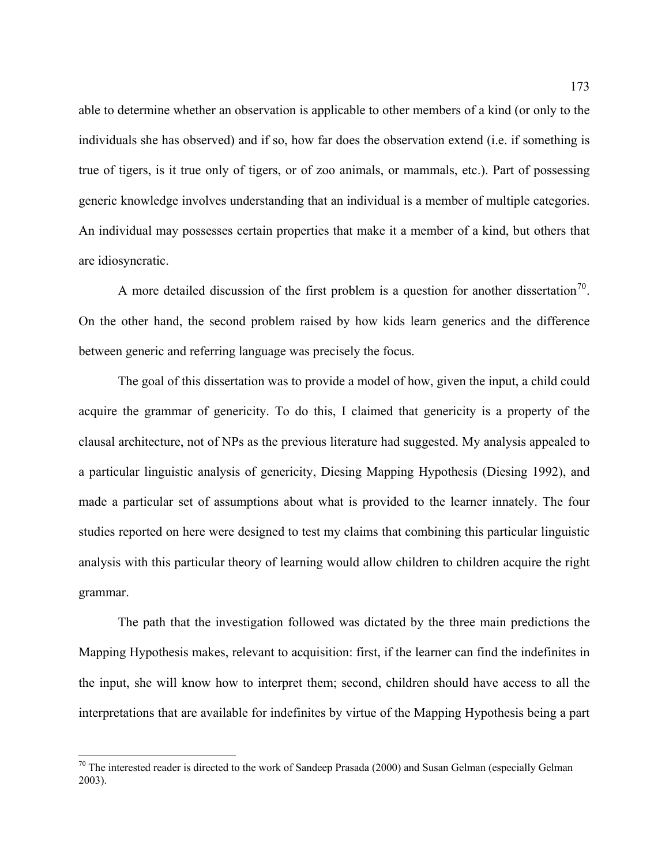able to determine whether an observation is applicable to other members of a kind (or only to the individuals she has observed) and if so, how far does the observation extend (i.e. if something is true of tigers, is it true only of tigers, or of zoo animals, or mammals, etc.). Part of possessing generic knowledge involves understanding that an individual is a member of multiple categories. An individual may possesses certain properties that make it a member of a kind, but others that are idiosyncratic.

A more detailed discussion of the first problem is a question for another dissertation<sup>70</sup>. On the other hand, the second problem raised by how kids learn generics and the difference between generic and referring language was precisely the focus.

clausal architecture, not of NPs as the previous literature had suggested. My analysis appealed to a partic ular linguistic analysis of genericity, Diesing Mapping Hypothesis (Diesing 1992), and The goal of this dissertation was to provide a model of how, given the input, a child could acquire the grammar of genericity. To do this, I claimed that genericity is a property of the made a particular set of assumptions about what is provided to the learner innately. The four studies reported on here were designed to test my claims that combining this particular linguistic analysis with this particular theory of learning would allow children to children acquire the right grammar.

interpretations that are available for indefinites by virtue of the Mapping Hypothesis being a part The path that the investigation followed was dictated by the three main predictions the Mapping Hypothesis makes, relevant to acquisition: first, if the learner can find the indefinites in the input, she will know how to interpret them; second, children should have access to all the

 $\overline{a}$ 

 $70$  The interested reader is directed to the work of Sandeep Prasada (2000) and Susan Gelman (especially Gelman 2003).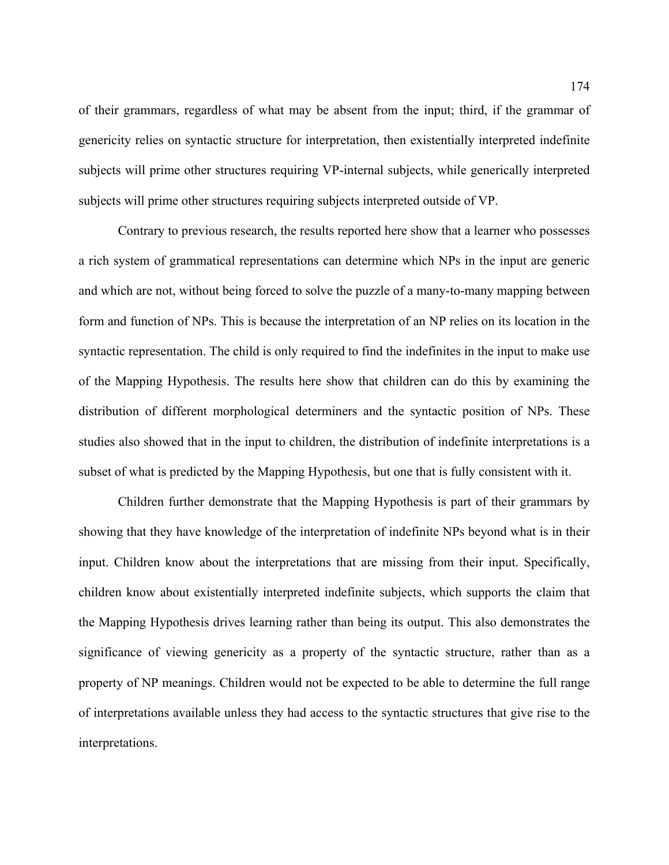of their grammars, regardless of what may be absent from the input; third, if the grammar of genericity relies on syntactic structure for interpretation, then existentially interpreted indefinite subjects will prime other structures requiring VP-internal subjects, while generically interpreted subjects will prime other structures requiring subjects interpreted outside of VP.

Contrary to previous research, the results reported here show that a learner who possesses a rich system of grammatical representations can determine which NPs in the input are generic and wh ich are not, without being forced to solve the puzzle of a many-to-many mapping between syntactic representation. The child is only required to find the indefinites in the input to make use form and function of NPs. This is because the interpretation of an NP relies on its location in the of the Mapping Hypothesis. The results here show that children can do this by examining the distribution of different morphological determiners and the syntactic position of NPs. These studies also showed that in the input to children, the distribution of indefinite interpretations is a subset of what is predicted by the Mapping Hypothesis, but one that is fully consistent with it.

children know about existentially interpreted indefinite subjects, which supports the claim that the Ma pping Hypothesis drives learning rather than being its output. This also demonstrates the interpretations. Children further demonstrate that the Mapping Hypothesis is part of their grammars by showing that they have knowledge of the interpretation of indefinite NPs beyond what is in their input. Children know about the interpretations that are missing from their input. Specifically, significance of viewing genericity as a property of the syntactic structure, rather than as a property of NP meanings. Children would not be expected to be able to determine the full range of interpretations available unless they had access to the syntactic structures that give rise to the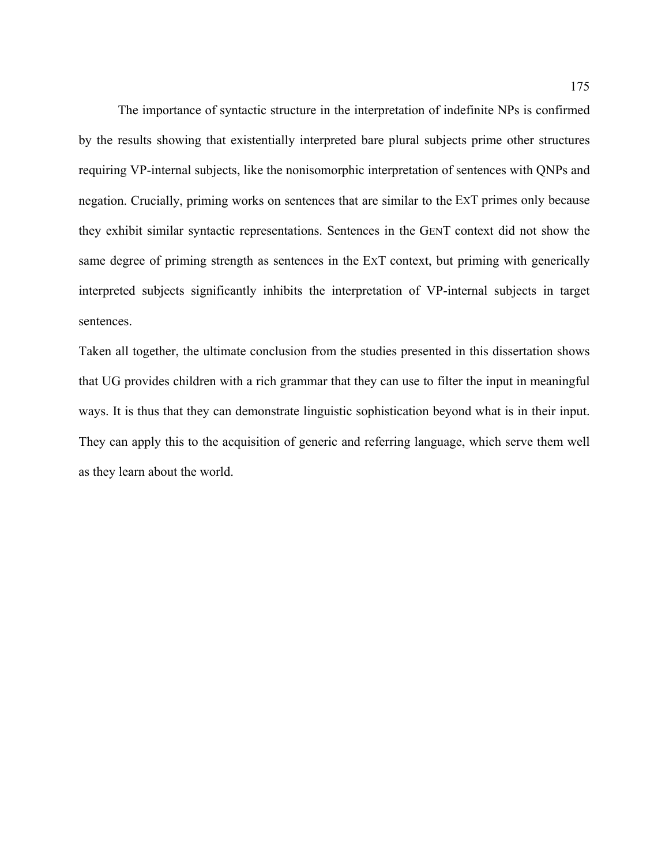The importance of syntactic structure in the interpretation of indefinite NPs is confirmed by the results showing that existentially interpreted bare plural subjects prime other structures requiring VP-internal subjects, like the nonisomorphic interpretation of sentences with QNPs and negation. Crucially, priming works on sentences that are similar to the EXT primes only because they exhibit similar syntactic representations. Sentences in the GENT context did not show the same degree of priming strength as sentences in the EXT context, but priming with generically interpreted subjects significantly inhibits the interpretation of VP-internal subjects in target sentences.

Taken all together, the ultimate conclusion from the studies presented in this dissertation shows that UG provides children with a rich grammar that they can use to filter the input in meaningful ways. It is thus that they can demonstrate linguistic sophistication beyond what is in their input. They can apply this to the acquisition of generic and referring language, which serve them well as they learn about the world.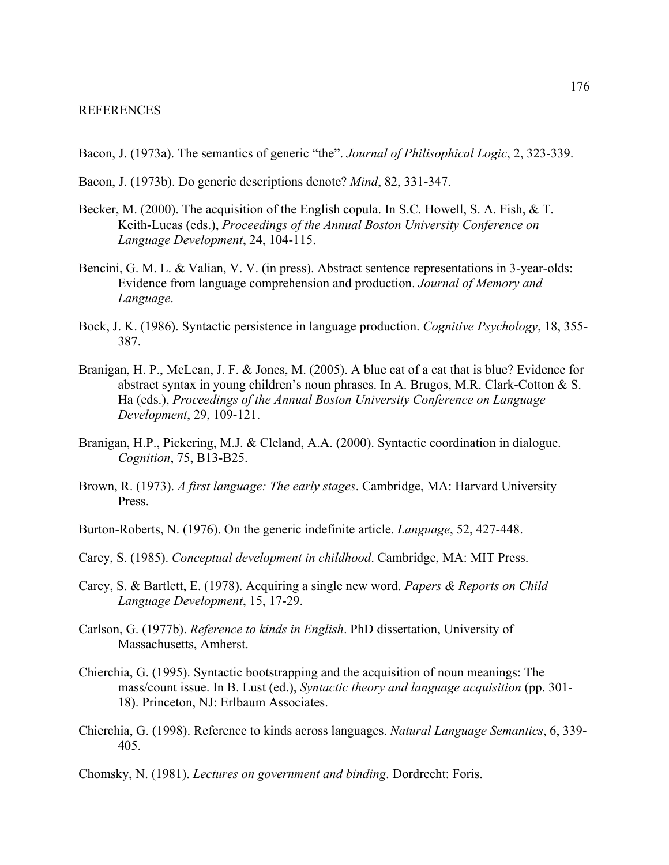- Bacon, J. (1973a). The semantics of generic "the". *Journal of Philisophical Logic*, 2, 323-339.
- Bacon, J. (1973b). Do generic descriptions denote? *Mind*, 82, 331-347.
- Becker, M. (2000). The acquisition of the English copula. In S.C. Howell, S. A. Fish, & T. Keith-Lucas (eds.), *Proceedings of the Annual Boston University Conference on Language Development*, 24, 104-115.
- Bencini, G. M. L. & Valian, V. V. (in press). Abstract sentence representations in 3-year-olds: Evidence from language comprehension and production. *Journal of Memory and Language*.
- (1986). Syntactic persistence in language production. *Cognitive Psychology*, 18, 355- Bock, J. K. 387.
- Ha (eds.), *Proceedings of the Annual Boston University Conference on Language*  Branigan, H. P., McLean, J. F. & Jones, M. (2005). A blue cat of a cat that is blue? Evidence for abstract syntax in young children's noun phrases. In A. Brugos, M.R. Clark-Cotton & S. *Development*, 29, 109-121.
- *Cognition*, 75, B13-B25. Branigan, H.P., Pickering, M.J. & Cleland, A.A. (2000). Syntactic coordination in dialogue.
- Brown, R. (1973). *A first language: The early stages*. Cambridge, MA: Harvard University Press.
- Burton-Roberts, N. (1976). On the generic indefinite article. *Language*, 52, 427-448.
- Carey, S. (1985). *Conceptual development in childhood*. Cambridge, MA: MIT Press.
- Carey, S. & Bartlett, E. (1978). Acquiring a single new word. *Papers & Reports on Child Language Development*, 15, 17-29.
- Carlson, G. (1977b). *Reference to kinds in English*. PhD dissertation, University of Massachusetts, Amherst.
- Chierchia, G. (1995). Syntactic bootstrapping and the acquisition of noun meanings: The mass/count issue. In B. Lust (ed.), *Syntactic theory and language acquisition* (pp. 301- 18). Princeton, NJ: Erlbaum Associates.
- Chierchia, G. (1998). Reference to kinds across languages. *Natural Language Semantics*, 6, 339- 405.

Chomsky, N. (1981). *Lectures on government and binding*. Dordrecht: Foris.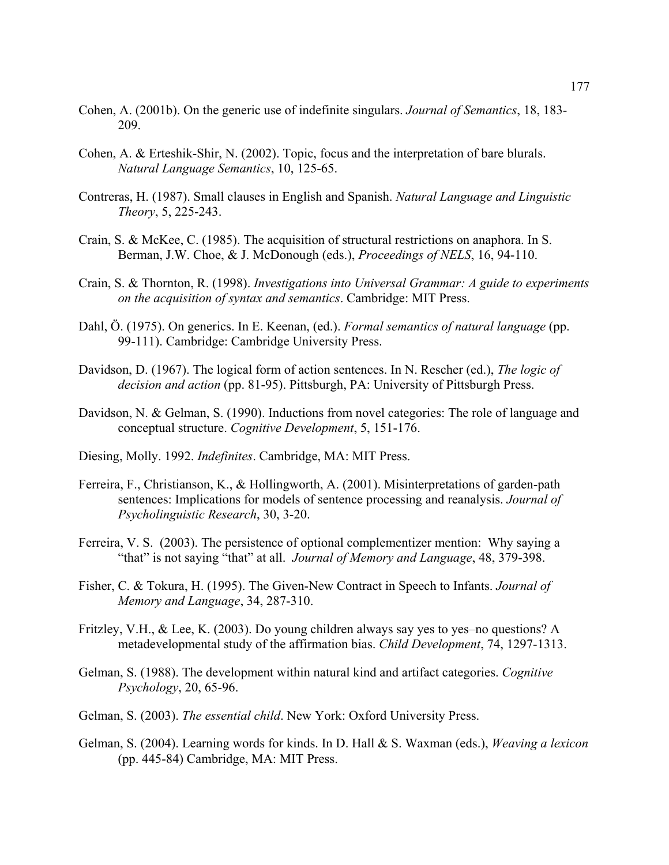- Cohen, A. (2001b). On the generic use of indefinite singulars. *Journal of Semantics*, 18, 183- 209.
- *Natural Language Semantics*, 10, 125-65. Cohen, A. & Erteshik-Shir, N. (2002). Topic, focus and the interpretation of bare blurals.
- Contreras, H. (1987). Small clauses in English and Spanish. *Natural Language and Linguistic Theory*, 5, 225-243.
- Crain, S. & McKee, C. (1985). The acquisition of structural restrictions on anaphora. In S. Berman, J.W. Choe, & J. McDonough (eds.), *Proceedings of NELS*, 16, 94-110.
- Crain, S. & Thornton, R. (1998). *Investigations into Universal Grammar: A guide to experiments sition of syntax and semantics*. Cambridge: MIT Press. *on the acqui*
- 99-111). Cambridge: Cambridge University Press. Dahl, Ö. (1975). On generics. In E. Keenan, (ed.). *Formal semantics of natural language* (pp.
- Davidson, D. (1967). The logical form of action sentences. In N. Rescher (ed.), *The logic of decision and action* (pp. 81-95). Pittsburgh, PA: University of Pittsburgh Press.
- Davidson, N. & Gelman, S. (1990). Inductions from novel categories: The role of language and conceptual structure. *Cognitive Development*, 5, 151-176.
- Diesing , Molly. 1992. *Indefinites*. Cambridge, MA: MIT Press.
- sentences: Implications for models of sentence processing and reanalysis. *Journal of Psycholinguistic Research*, 30, 3-20. Ferreira, F., Christianson, K., & Hollingworth, A. (2001). Misinterpretations of garden-path
- Ferreira, V. S. (2003). The persistence of optional complementizer mention: Why saying a "that" is not saying "that" at all. *Journal of Memory and Language*, 48, 379-398.
- . *Memory and Language*, 34, 287-310 Fisher, C. & Tokura, H. (1995). The Given-New Contract in Speech to Infants. *Journal of*
- Fritzley, V.H., & Lee, K. (2003). Do young children always say yes to yes–no questions? A metadevelopmental study of the affirmation bias. *Child Development*, 74, 1297-1313.
- Gelman, S. (1988). The development within natural kind and artifact categories. *Cognitive Psychology*, 20, 65-96.
- Gelman, S. (2003). *The essential child*. New York: Oxford University Press.
- Gelman, S. (2004). Learning words for kinds. In D. Hall & S. Waxman (eds.), *Weaving a lexicon* (pp. 445-84) Cambridge, MA: MIT Press.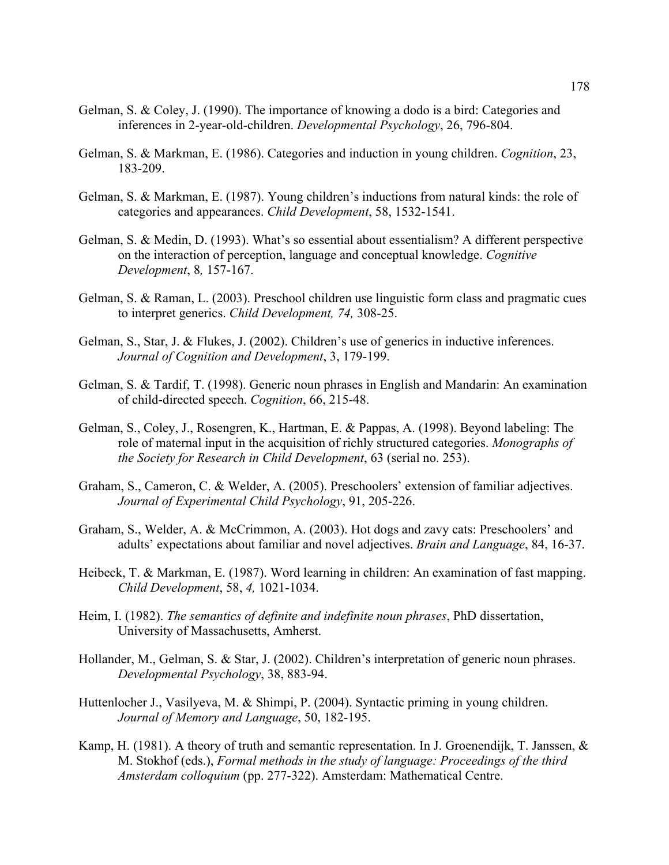- Gelman, S. & Coley, J. (1990). The importance of knowing a dodo is a bird: Categories and inferences in 2-year-old-children. *Developmental Psychology*, 26, 796-804.
- Gelman, S. & Markman, E. (1986). Categories and induction in young children. *Cognition*, 23, 183-209.
- categories and appearances. *Child Development*, 58, 1532-1541. Gelman, S. & Markman, E. (1987). Young children's inductions from natural kinds: the role of
- Gelman, S. & Medin, D. (1993). What's so essential about essentialism? A different perspective *Development*, 8*,* 157-167. on the interaction of perception, language and conceptual knowledge. *Cognitive*
- Gelman, S. & Raman, L. (2003). Preschool children use linguistic form class and pragmatic cues to interpret generics. *Child Development, 74,* 308-25.
- Gelman, S., Star, J. & Flukes, J. (2002). Children's use of generics in inductive inferences. *Journal of Cognition and Development*, 3, 179-199.
- Gelman, S. & Tardif, T. (1998). Generic noun phrases in English and Mandarin: An examination of child-directed speech. *Cognition*, 66, 215-48.
- Gelman, S., Coley, J., Rosengren, K., Hartman, E. & Pappas, A. (1998). Beyond labeling: The role of maternal input in the acquisition of richly structured categories. *Monographs of the Society for Research in Child Development*, 63 (serial no. 253).
- Graham, S., Cameron, C. & Welder, A. (2005). Preschoolers' extension of familiar adjectives. *Journal of Experimental Child Psychology*, 91, 205-226.
- Graham, S., Welder, A. & McCrimmon, A. (2003). Hot dogs and zavy cats: Preschoolers' and adults' expectations about familiar and novel adjectives. *Brain and Language*, 84, 16-37.
- Heibeck, T. & Markman, E. (1987). Word learning in children: An examination of fast mapping. *Child Development*, 58, *4,* 1021-1034.
- Heim, I. (1982). *The semantics of definite and indefinite noun phrases*, PhD dissertation, University of Massachusetts, Amherst.
- Hollander, M., Gelman, S. & Star, J. (2002). Children's interpretation of generic noun phrases. *Developmental Psychology*, 38, 883-94.
- Huttenlocher J., Vasilyeva, M. & Shimpi, P. (2004). Syntactic priming in young children. *Journal of Memory and Language*, 50, 182-195.
- M. Stokhof (eds.), *Formal methods in the study of language: Proceedings of the third Amsterdam colloquium* (pp. 277-322). Amsterdam: Mathematical Centre. Kamp, H. (1981). A theory of truth and semantic representation. In J. Groenendijk, T. Janssen,  $\&$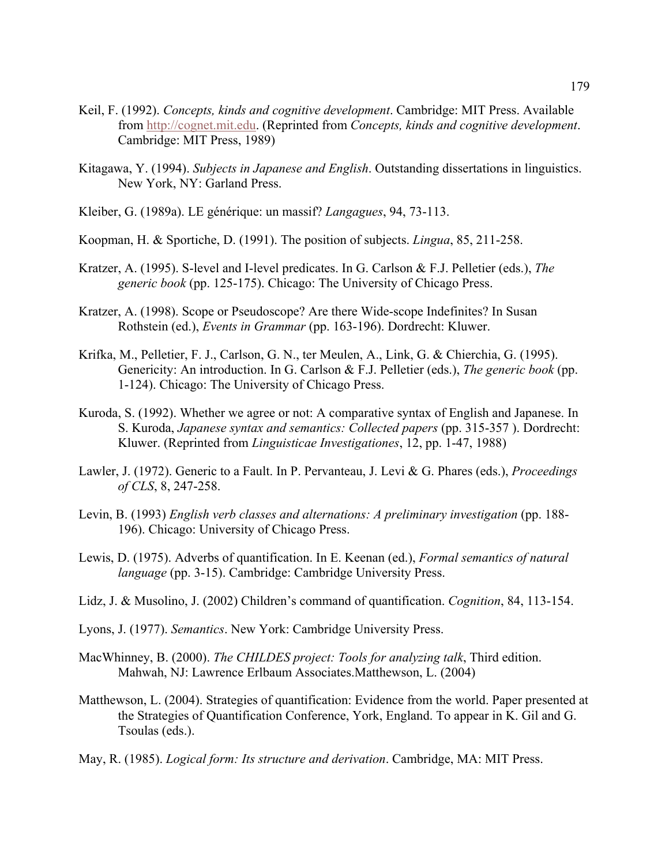- Keil, F. (1992). *Concepts, kinds and cognitive development*. Cambridge: MIT Press. Availabl e from http://cognet.mit.edu . (Reprinted from *Concepts, kinds and cognitive development*. Cambridge: MIT Press, 1989)
- Kitagawa, Y. (1994). *Subjects in Japanese and English*. Outstanding dissertations in linguistics. New York, NY: Garland Press.
- Kleiber , G. (1989a). LE générique: un massif? *Langagues*, 94, 73-113.
- Koopman, H. & Sportiche, D. (1991). The position of subjects. *Lingua*, 85, 211-258.
- Kratzer, A. (1995). S-level and I-level predicates. In G. Carlson & F.J. Pelletier (eds.), *The generic book* (pp. 125-175). Chicago: The University of Chicago Press.
- Kratzer, A. (1998). Scope or Pseudoscope? Are there Wide-scope Indefinites? In Susan Rothstein (ed.), *Events in Grammar* (pp. 163-196). Dordrecht: Kluwer.
- Krifka, M., Pelletier, F. J., Carlson, G. N., ter Meulen, A., Link, G. & Chierchia, G. (1995). Genericity: An introduction. In G. Carlson & F.J. Pelletier (eds.), *The generic book* (pp. 1-124). Chicago: The University of Chicago Press.
- Kuroda, S. (1992). Whether we agree or not: A comparative syntax of English and Japanese. In S. Kuroda, *Japanese syntax and semantics: Collected papers* (pp. 315-357 ). Dordrecht: Kluwer. (Reprinted from *Linguisticae Investigationes*, 12, pp. 1-47, 1988)
- Lawler, J. (1972). Generic to a Fault. In P. Pervanteau, J. Levi & G. Phares (eds.), *Proceedings of CLS*, 8, 247-258.
- Levin, B. (1993) *English verb classes and alternations: A preliminary investigation* (pp. 188- 196). Chicago: University of Chicago Press.
- Lewis, D. (1975). Adverbs of quantification. In E. Keenan (ed.), *Formal semantics of natural language* (pp. 3-15). Cambridge: Cambridge University Press.
- Lidz, J. & Musolino, J. (2002) Children's command of quantification. *Cognition*, 84, 113-154.
- Lyons, J. (1977). *Semantics*. New York: Cambridge University Press.
- Mahwah, NJ: Lawrence Erlbaum Associates. Matthewson, L. (2004) MacWhinney, B. (2000). *The CHILDES project: Tools for analyzing talk*, Third edition.
- Matthewson, L. (2004). Strategies of quantification: Evidence from the world. Paper presented at the Strategies of Quantification Conference, York, England. To appear in K. Gil and G. Tsoulas (eds.).
- May, R . (1985). *Logical form: Its structure and derivation*. Cambridge, MA: MIT Press.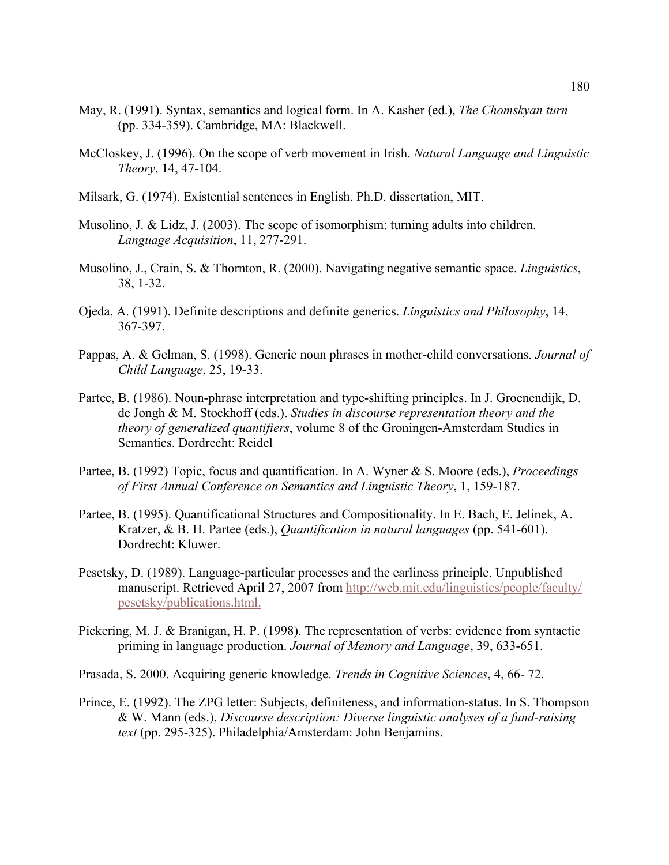- May, R. (1991). Syntax, semantics and logical form. In A. Kasher (ed.), *The Chomskyan turn* (pp. 334-359). Cambridge, MA: Blackwell.
- McCloskey, J. (1996). On the scope of verb movement in Irish. *Natural Language and Linguistic Theory*, 14, 47-104.
- Milsark, G. (1974). Existential sentences in English. Ph.D. dissertation, MIT.
- Musolino, J. & Lidz, J. (2003). The scope of isomorphism: turning adults into children. *Language Acquisition*, 11, 277-291.
- Musolino, J., Crain, S. & Thornton, R. (2000). Navigating negative semantic space. *Linguistics*, 38, 1-32.
- Ojeda, A. (1991). Definite descriptions and definite generics. *Linguistics and Philosophy*, 14, 367-397.
- Pappas, A. & Gelman, S. (1998). Generic noun phrases in mother-child conversations. *Journal of Child Language*, 25, 19-33.
- Partee, B. (1986). Noun-phrase interpretation and type-shifting principles. In J. Groenendijk, D. de Jongh & M. Stockhoff (eds.). *Studies in discourse representation theory and the theory of generalized quantifiers*, volume 8 of the Groningen-Amsterdam Studies in Semantics. Dordrecht: Reidel
- of First Annual Conference on Semantics and Linguistic Theory, 1, 159-187. Partee, B. (1992) Topic, focus and quantification. In A. Wyner & S. Moore (eds.), *Proceedings*
- Kratzer, & B. H. Partee (eds.), *Quantification in natural languages* (pp. 541-601). Dordrecht: Kluwer. Partee, B. (1995). Quantificational Structures and Compositionality. In E. Bach, E. Jelinek, A.
- Pesetsky, D. (1989). Language-particular processes and the earliness principle. Unpublished manuscript. Retrieved April 27, 2007 from http://web.mit.edu/linguistics/people/faculty/ pesetsky/publications.html.
- Pickering, M. J. & Branigan, H. P. (1998). The representation of verbs: evidence from syntactic priming in language production. *Journal of Memory and Language*, 39, 633-651.
- Prasada, S. 2000. Acquiring generic knowledge. *Trends in Cognitive Sciences*, 4, 66-72.
- text (pp. 295-325). Philadelphia/Amsterdam: John Benjamins. Prince, E. (1992). The ZPG letter: Subjects, definiteness, and information-status. In S. Thompson & W. Mann (eds.), *Discourse description: Diverse linguistic analyses of a fund-raising*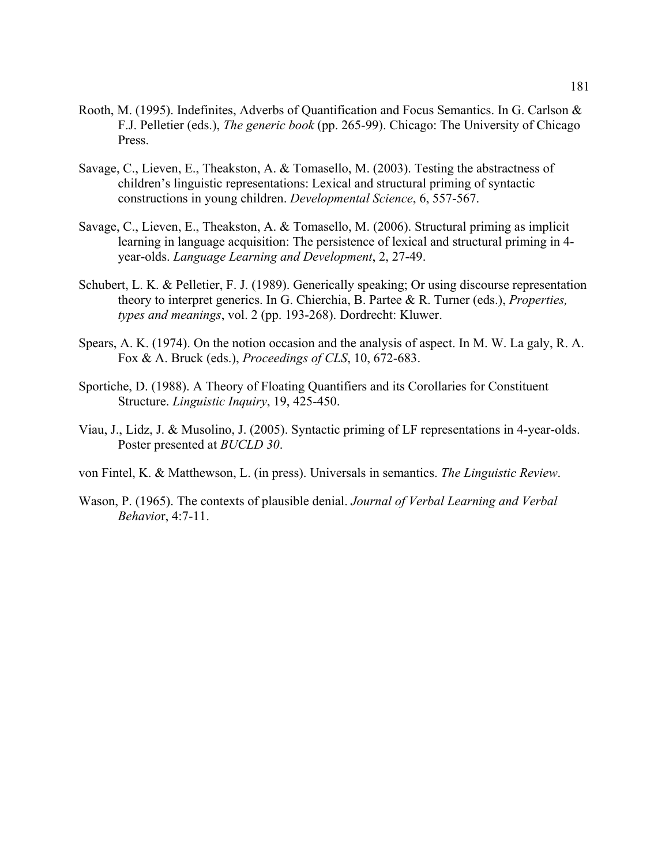- Rooth, M. (1995). Indefinites, Adverbs of Quantification and Focus Semantics. In G. Carlson & F.J. Pelletier (eds.), *The generic book* (pp. 265-99). Chicago: The University of Chicago Press.
- Savage, C., Lieven, E., Theakston, A. & Tomasello, M. (2003). Testing the abstractness of children's linguistic representations: Lexical and structural priming of syntactic constructions in young children. *Developmental Science*, 6, 557-567.
- Savage, C., Lieven, E., Theakston, A. & Tomasello, M. (2006). Structural priming as implicit learning in language acquisition: The persistence of lexical and structural priming in 4year-olds. *Language Learning and Development*, 2, 27-49.
- Schubert, L. K. & Pelletier, F. J. (1989). Generically speaking; Or using discourse representation theory to interpret generics. In G. Chierchia, B. Partee & R. Turner (eds.), *Properties, types and meanings*, vol. 2 (pp. 193-268). Dordrecht: Kluwer.
- Spears, A. K. (1974). On the notion occasion and the analysis of aspect. In M. W. La galy, R. A. Fox & A. Bruck (eds.), *Proceedings of CLS*, 10, 672-683.
- Sportiche, D. (1988). A Theory of Floating Quantifiers and its Corollaries for Constituent Structure. *Linguistic Inquiry*, 19, 425-450.
- Viau, J., Lidz, J. & Musolino, J. (2005). Syntactic priming of LF representations in 4-year-olds. . Poster presented at *BUCLD 30*
- von Fintel, K. & Matthewson, L. (in press). Universals in semantics. *The Linguistic Review*.
- Wason, P. (1965). The contexts of plausible denial. *Journal of Verbal Learning and Verbal Behavio*r, 4:7-11.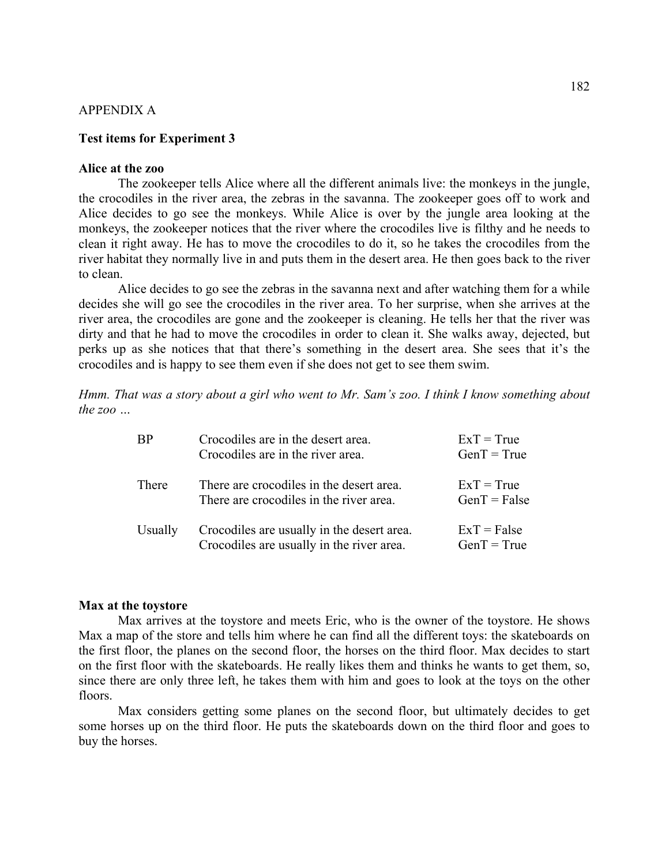# APPENDIX A

### **Test items for Experiment 3**

### **Alice at the zoo**

The zookeeper tells Alice where all the different animals live: the monkeys in the jungle, the crocodiles in the river area, the zebras in the savanna. The zookeeper goes off to work and Alice decides to go see the monkeys. While Alice is over by the jungle area looking at the monkeys, the zookeeper notices that the river where the crocodiles live is filthy and he needs to clean it right away. He has to move the crocodiles to do it, so he takes the crocodiles from the river habitat they normally live in and puts them in the desert area. He then goes back to the river to clean.

decides she will go see the crocodiles in the river area. To her surprise, when she arrives at the river ar ea, the crocodiles are gone and the zookeeper is cleaning. He tells her that the river was crocodiles and is happy to see them even if she does not get to see them swim. Alice decides to go see the zebras in the savanna next and after watching them for a while dirty and that he had to move the crocodiles in order to clean it. She walks away, dejected, but perks up as she notices that that there's something in the desert area. She sees that it's the

Hmm. That was a story about a girl who went to Mr. Sam's zoo. I think I know something about *the zoo …* 

| <b>BP</b> | Crocodiles are in the desert area.<br>Crocodiles are in the river area.                 | $ExT = True$<br>$GenT = True$  |
|-----------|-----------------------------------------------------------------------------------------|--------------------------------|
| There     | There are crocodiles in the desert area.<br>There are crocodiles in the river area.     | $ExT = True$<br>$GenT = False$ |
| Usually   | Crocodiles are usually in the desert area.<br>Crocodiles are usually in the river area. | $ExT = False$<br>$GenT = True$ |

#### **Max at the toystore**

 Max arrives at the toystore and meets Eric, who is the owner of the toystore. He shows Max a map of the store and tells him where he can find all the different toys: the skateboards on the first floor, the planes on the second floor, the horses on the third floor. Max decides to start on the first floor with the skateboards. He really likes them and thinks he wants to get them, so, since there are only three left, he takes them with him and goes to look at the toys on the other floors.

 Max considers getting some planes on the second floor, but ultimately decides to get some horses up on the third floor. He puts the skateboards down on the third floor and goes to buy the horses.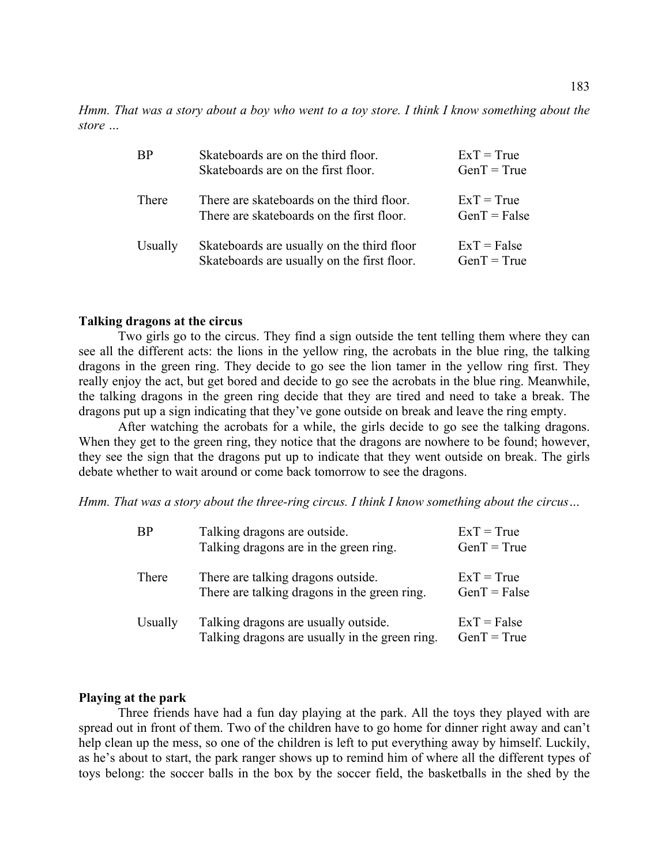*Hmm. That was a story about a boy who went to a toy store. I think I know something about the store …* 

| <b>BP</b> | Skateboards are on the third floor.<br>Skateboards are on the first floor.                | $ExT = True$<br>$GenT = True$  |
|-----------|-------------------------------------------------------------------------------------------|--------------------------------|
| There     | There are skateboards on the third floor.<br>There are skateboards on the first floor.    | $ExT = True$<br>$GenT = False$ |
| Usually   | Skateboards are usually on the third floor<br>Skateboards are usually on the first floor. | $ExT = False$<br>$GenT = True$ |

# **Talking dragons at the circus**

dragons in the green ring. They decide to go see the lion tamer in the yellow ring first. They really enjoy the act, but get bored and decide to go see the acrobats in the blue ring. Meanwhile, dragons put up a sign indicating that they've gone outside on break and leave the ring empty. Two girls go to the circus. They find a sign outside the tent telling them where they can see all the different acts: the lions in the yellow ring, the acrobats in the blue ring, the talking the talking dragons in the green ring decide that they are tired and need to take a break. The

After watching the acrobats for a while, the girls decide to go see the talking dragons. When they get to the green ring, they notice that the dragons are nowhere to be found; however, they see the sign that the dragons put up to indicate that they went outside on break. The girls debate whether to wait around or come back tomorrow to see the dragons.

Hmm. That was a story about the three-ring circus. I think I know something about the circus...

| <b>BP</b> | Talking dragons are outside.<br>Talking dragons are in the green ring.                 | $ExT = True$<br>$GenT = True$  |
|-----------|----------------------------------------------------------------------------------------|--------------------------------|
| There     | There are talking dragons outside.<br>There are talking dragons in the green ring.     | $ExT = True$<br>$GenT = False$ |
| Usually   | Talking dragons are usually outside.<br>Talking dragons are usually in the green ring. | $ExT = False$<br>$GenT = True$ |

### **Playing at the park**

help clean up the mess, so one of the children is left to put everything away by himself. Luckily, as he's about to start, the park ranger shows up to remind him of where all the different types of toys belong: the soccer balls in the box by the soccer field, the basketballs in the shed by the Three friends have had a fun day playing at the park. All the toys they played with are spread out in front of them. Two of the children have to go home for dinner right away and can't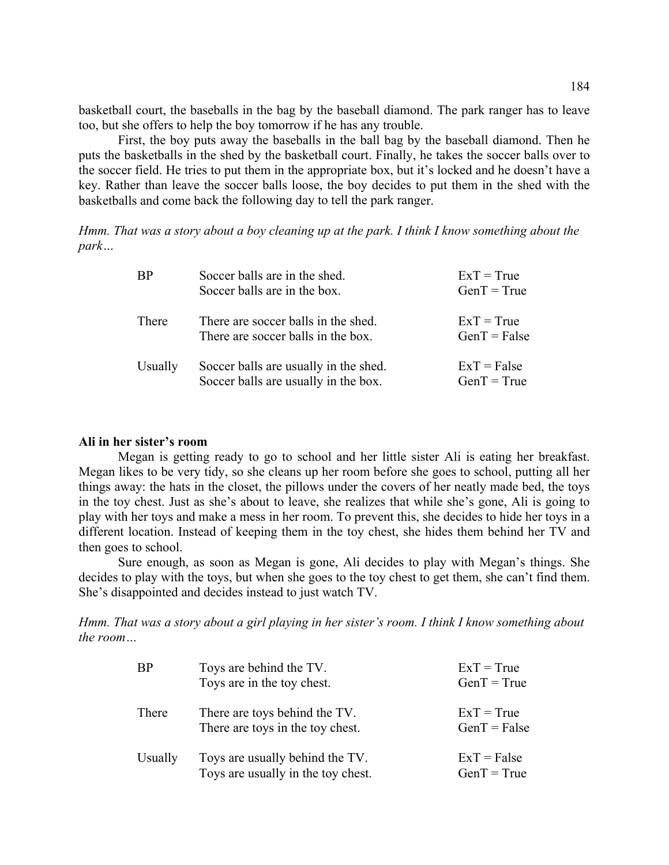basketball court, the baseballs in the bag by the baseball diamond. The park ranger has to leave too, but she offers to help the boy tomorrow if he has any trouble.

First, the boy puts away the baseballs in the ball bag by the baseball diamond. Then he puts the basketballs in the shed by the basketball court. Finally, he takes the soccer balls over to the soccer field. He tries to put them in the appropriate box, but it's locked and he doesn't have a key. Rather than leave the soccer balls loose, the boy decides to put them in the shed with the basketballs and come back the following day to tell the park ranger.

*Hmm. That was a story about a boy cleaning up at the park. I think I know something about the park…* 

| <b>BP</b> | Soccer balls are in the shed.         | $ExT = True$   |
|-----------|---------------------------------------|----------------|
|           | Soccer balls are in the box.          | $GenT = True$  |
| There     | There are soccer balls in the shed.   | $ExT = True$   |
|           | There are soccer balls in the box.    | $GenT = False$ |
| Usually   | Soccer balls are usually in the shed. | $ExT = False$  |
|           | Soccer balls are usually in the box.  | $GenT = True$  |

# **Ali in her sister's room**

Megan likes to be very tidy, so she cleans up her room before she goes to school, putting all her things away: the hats in the closet, the pillows under the covers of her neatly made bed, the toys play with her toys and make a mess in her room. To prevent this, she decides to hide her toys in a different location. Instead of keeping them in the toy chest, she hides them behind her TV and then goes to school. Megan is getting ready to go to school and her little sister Ali is eating her breakfast. in the toy chest. Just as she's about to leave, she realizes that while she's gone, Ali is going to

 Sure enough, as soon as Megan is gone, Ali decides to play with Megan's things. She decides to play with the toys, but when she goes to the toy chest to get them, she can't find them. She's disappointed and decides instead to just watch TV.

Hmm. That was a story about a girl playing in her sister's room. I think I know something about *the room…*

| <b>BP</b> | Toys are behind the TV.<br>Toys are in the toy chest.                 | $ExT = True$<br>$GenT = True$  |
|-----------|-----------------------------------------------------------------------|--------------------------------|
| There     | There are toys behind the TV.<br>There are toys in the toy chest.     | $ExT = True$<br>$GenT = False$ |
| Usually   | Toys are usually behind the TV.<br>Toys are usually in the toy chest. | $ExT = False$<br>$GenT = True$ |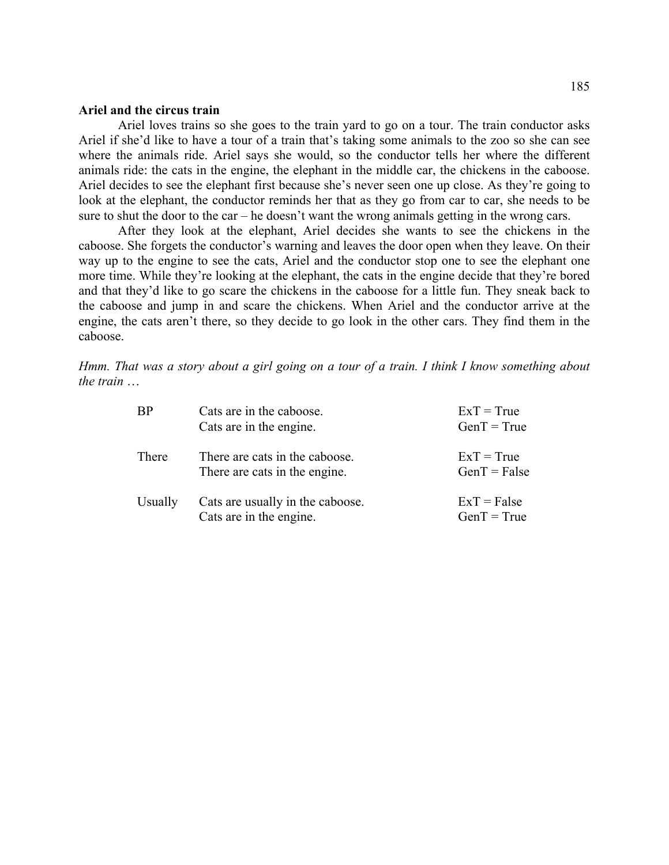### **Ariel and the circus train**

 Ariel loves trains so she goes to the train yard to go on a tour. The train conductor asks Ariel if she'd like to have a tour of a train that's taking some animals to the zoo so she can see look at the elephant, the conductor reminds her that as they go from car to car, she needs to be sure to shut the door to the car – he doesn't want the wrong animals getting in the wrong cars. where the animals ride. Ariel says she would, so the conductor tells her where the different animals ride: the cats in the engine, the elephant in the middle car, the chickens in the caboose. Ariel decides to see the elephant first because she's never seen one up close. As they're going to

. She forgets the conductor's warning and leaves the door open when they leave. On their caboose way up to the engine to see the cats, Ariel and the conductor stop one to see the elephant one more time. While they're looking at the elephant, the cats in the engine decide that they're bored and that they'd like to go scare the chickens in the caboose for a little fun. They sneak back to the caboose and jump in and scare the chickens. When Ariel and the conductor arrive at the engine, the cats aren't there, so they decide to go look in the other cars. They find them in the caboose. After they look at the elephant, Ariel decides she wants to see the chickens in the

*Hmm. That was a story about a girl going on a tour of a train. I think I know something about the train* …

| <b>BP</b> | Cats are in the caboose.<br>Cats are in the engine.             | $ExT = True$<br>$GenT = True$  |
|-----------|-----------------------------------------------------------------|--------------------------------|
| There     | There are cats in the caboose.<br>There are cats in the engine. | $ExT = True$<br>$GenT = False$ |
| Usually   | Cats are usually in the caboose.<br>Cats are in the engine.     | $ExT = False$<br>$GenT = True$ |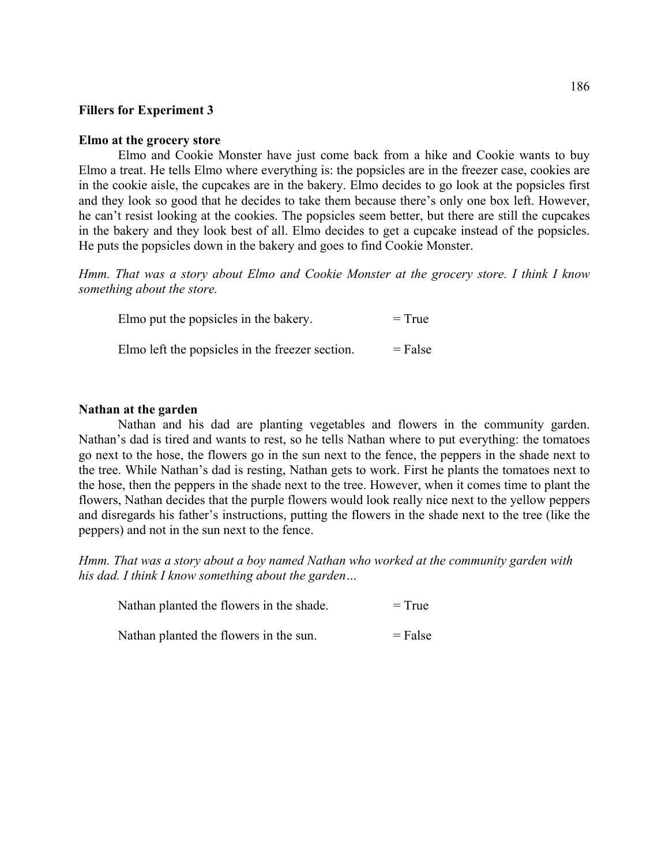# **Fillers for Experiment 3**

#### **Elmo at the grocery store**

Elmo and Cookie Monster have just come back from a hike and Cookie wants to buy Elmo a treat. He tells Elmo where everything is: the popsicles are in the freezer case, cookies are in the cookie aisle, the cupcakes are in the bakery. Elmo decides to go look at the popsicles first and they look so good that he decides to take them because there's only one box left. However, he can't resist looking at the cookies. The popsicles seem better, but there are still the cupcakes in the bakery and they look best of all. Elmo decides to get a cupcake instead of the popsicles. He puts the popsicles down in the bakery and goes to find Cookie Monster.

*Hmm. That was a story about Elmo and Cookie Monster at the grocery store. I think I know something about the store.* 

| Elmo put the popsicles in the bakery.           | $= True$  |
|-------------------------------------------------|-----------|
| Elmo left the popsicles in the freezer section. | $=$ False |

### **Nathan at the garden**

Nathan and his dad are planting vegetables and flowers in the community garden. Nathan's dad is tired and wants to rest, so he tells Nathan where to put everything: the tomatoes go next to the hose, the flowers go in the sun next to the fence, the peppers in the shade next to the tree. While Nathan's dad is resting, Nathan gets to work. First he plants the tomatoes next to the hose, then the peppers in the shade next to the tree. However, when it comes time to plant the flowers, Nathan decides that the purple flowers would look really nice next to the yellow peppers and disregards his father's instructions, putting the flowers in the shade next to the tree (like the peppers) and not in the sun next to the fence.

Hmm. That was a story about a boy named Nathan who worked at the community garden with his dad. I think I know something about the garden...

| Nathan planted the flowers in the shade. | $=$ True  |
|------------------------------------------|-----------|
| Nathan planted the flowers in the sun.   | $=$ False |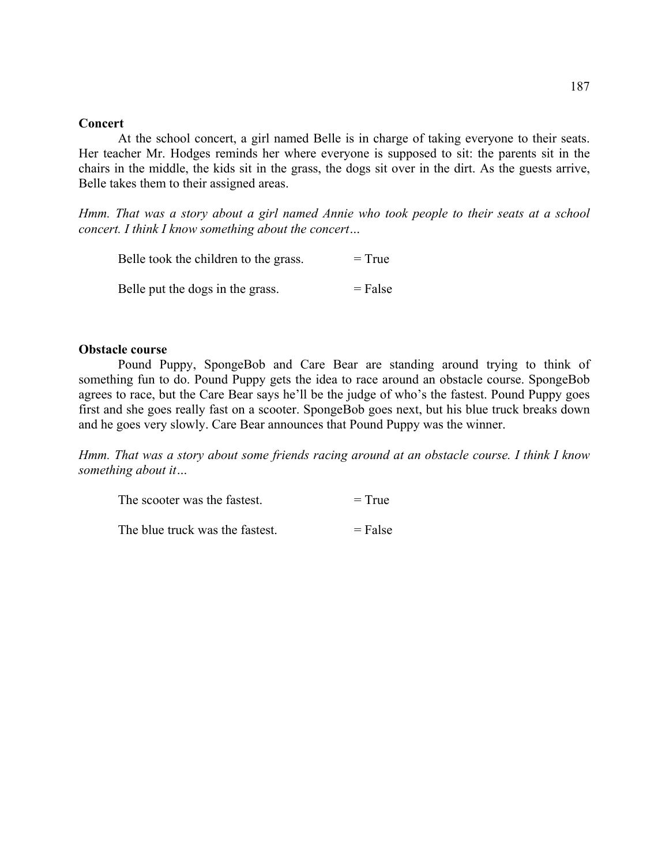### **Concert**

At the school concert, a girl named Belle is in charge of taking everyone to their seats. Her tea cher Mr. Hodges reminds her where everyone is supposed to sit: the parents sit in the chairs in the middle, the kids sit in the grass, the dogs sit over in the dirt. As the guests arrive, Belle takes them to their assigned areas.

*Hmm. That was a story about a girl named Annie who took people to their seats at a school concert. I think I know something about the concert…* 

| Belle took the children to the grass. | $=$ True  |
|---------------------------------------|-----------|
| Belle put the dogs in the grass.      | $=$ False |

### **Obstac le course**

Pound Puppy, SpongeBob and Care Bear are standing around trying to think of something fun to do. Pound Puppy gets the idea to race around an obstacle course. SpongeBob agrees to race, but the Care Bear says he'll be the judge of who's the fastest. Pound Puppy goes first and she goes really fast on a scooter. SpongeBob goes next, but his blue truck breaks down and he goes very slowly. Care Bear announces that Pound Puppy was the winner.

*Hmm. That was a story about some friends racing around at an obstacle course. I think I know something about it…* 

| The scooter was the fastest.    | $= True$  |
|---------------------------------|-----------|
| The blue truck was the fastest. | $=$ False |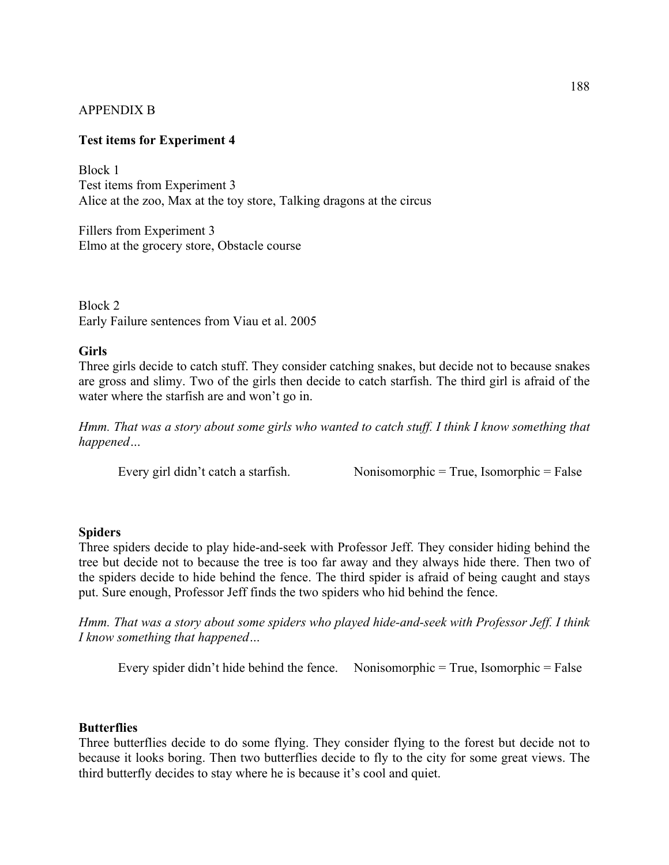# APPENDIX B

# **Test ite ms for Experiment 4**

Alice at the zoo, Max at the toy store, Talking dragons at the circus Block 1 Test items from Experiment 3

Elmo at the grocery store, Obstacle course Fillers from Experiment 3

Block 2 Early Failure sentences from Viau et al. 2005

### **Girls**

Three g irls decide to catch stuff. They consider catching snakes, but decide not to because snakes are gross and slimy. Two of the girls then decide to catch starfish. The third girl is afraid of the water where the starfish are and won't go in.

Hmm. That was a story about some girls who wanted to catch stuff. I think I know something that *appened… h*

Every girl didn't catch a starfish.

 $Nonisomorphic = True, Isomorphic = False$ 

### **Spider s**

Three spiders decide to play hide-and-seek with Professor Jeff. They consider hiding behind the tree but decide not to because the tree is too far away and they always hide there. Then two of the spiders decide to hide behind the fence. The third spider is afraid of being caught and stays put. Sure enough, Professor Jeff finds the two spiders who hid behind the fence.

*Hmm. That was a story about some spiders who played hide-and-seek with Professor Jeff. I think I know something that happened…*

Every spider didn't hide behind the fence. Nonisomorphic  $=$  True, Isomorphic  $=$  False

# **Butterflies**

Three butterflies decide to do some flying. They consider flying to the forest but decide not to because it looks boring. Then two butterflies decide to fly to the city for some great views. The third butterfly decides to stay where he is because it's cool and quiet.